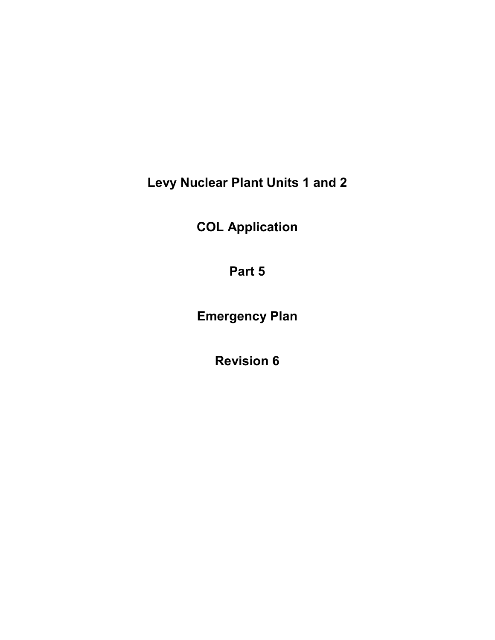**Levy Nuclear Plant Units 1 and 2** 

**COL Application**

**Part 5** 

**Emergency Plan**

**Revision 6**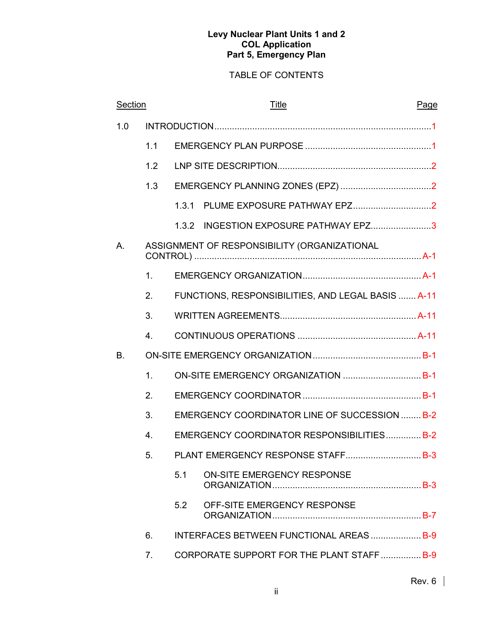# TABLE OF CONTENTS

| Section |                  |       | Title                                              | Page |
|---------|------------------|-------|----------------------------------------------------|------|
| 1.0     |                  |       |                                                    |      |
|         | 1.1              |       |                                                    |      |
|         | 1.2              |       |                                                    |      |
|         | 1.3              |       |                                                    |      |
|         |                  | 1.3.1 |                                                    |      |
|         |                  | 1.3.2 | INGESTION EXPOSURE PATHWAY EPZ3                    |      |
| Α.      |                  |       | ASSIGNMENT OF RESPONSIBILITY (ORGANIZATIONAL       |      |
|         | 1.               |       |                                                    |      |
|         | 2.               |       | FUNCTIONS, RESPONSIBILITIES, AND LEGAL BASIS  A-11 |      |
|         | 3.               |       |                                                    |      |
|         | 4 <sub>1</sub>   |       |                                                    |      |
| Β.      |                  |       |                                                    |      |
|         | 1.               |       | ON-SITE EMERGENCY ORGANIZATION  B-1                |      |
|         | 2.               |       |                                                    |      |
|         | 3.               |       | EMERGENCY COORDINATOR LINE OF SUCCESSION  B-2      |      |
|         | $\overline{4}$ . |       | EMERGENCY COORDINATOR RESPONSIBILITIES B-2         |      |
|         | 5.               |       | PLANT EMERGENCY RESPONSE STAFF B-3                 |      |
|         |                  | 5.1   | ON-SITE EMERGENCY RESPONSE                         |      |
|         |                  | 5.2   | OFF-SITE EMERGENCY RESPONSE                        |      |
|         | 6.               |       | <b>INTERFACES BETWEEN FUNCTIONAL AREAS  B-9</b>    |      |
|         | 7.               |       | CORPORATE SUPPORT FOR THE PLANT STAFF  B-9         |      |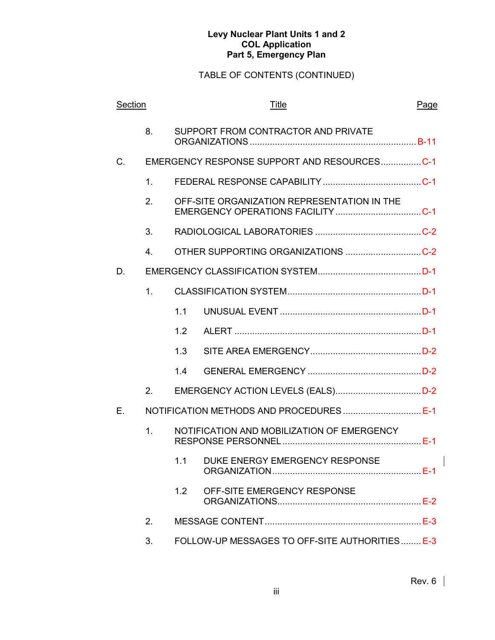# TABLE OF CONTENTS (CONTINUED)

| Section |                |     | <b>Title</b>                                   | Page |
|---------|----------------|-----|------------------------------------------------|------|
|         | 8.             |     | SUPPORT FROM CONTRACTOR AND PRIVATE            |      |
| C.      |                |     | EMERGENCY RESPONSE SUPPORT AND RESOURCESC-1    |      |
|         | $\mathbf{1}$ . |     |                                                |      |
|         | 2.             |     | OFF-SITE ORGANIZATION REPRESENTATION IN THE    |      |
|         | 3.             |     |                                                |      |
|         | $4_{\cdot}$    |     | OTHER SUPPORTING ORGANIZATIONS C-2             |      |
| D.      |                |     |                                                |      |
|         | 1.             |     |                                                |      |
|         |                | 1.1 |                                                |      |
|         |                | 1.2 |                                                |      |
|         |                | 1.3 |                                                |      |
|         |                | 1.4 |                                                |      |
|         | 2.             |     |                                                |      |
| Е.      |                |     |                                                |      |
|         | 1 <sub>1</sub> |     | NOTIFICATION AND MOBILIZATION OF EMERGENCY     |      |
|         |                |     | 1.1 DUKE ENERGY EMERGENCY RESPONSE             |      |
|         |                | 1.2 | OFF-SITE EMERGENCY RESPONSE                    |      |
|         | 2.             |     |                                                |      |
|         | 3.             |     | FOLLOW-UP MESSAGES TO OFF-SITE AUTHORITIES E-3 |      |

 $\overline{\mathsf{I}}$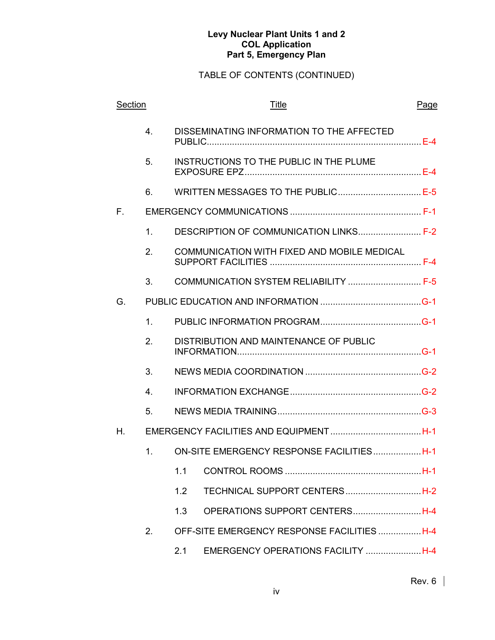| Section |                  | <b>Title</b>                                |  |  |
|---------|------------------|---------------------------------------------|--|--|
|         | $\overline{4}$ . | DISSEMINATING INFORMATION TO THE AFFECTED   |  |  |
|         | 5.               | INSTRUCTIONS TO THE PUBLIC IN THE PLUME     |  |  |
|         | 6.               | WRITTEN MESSAGES TO THE PUBLIC E-5          |  |  |
| F.,     |                  |                                             |  |  |
|         | 1.               | DESCRIPTION OF COMMUNICATION LINKS F-2      |  |  |
|         | 2.               | COMMUNICATION WITH FIXED AND MOBILE MEDICAL |  |  |
|         | 3.               | COMMUNICATION SYSTEM RELIABILITY  F-5       |  |  |
| G.      |                  |                                             |  |  |
|         | 1 <sub>1</sub>   |                                             |  |  |
|         | 2.               | DISTRIBUTION AND MAINTENANCE OF PUBLIC      |  |  |
|         | 3.               |                                             |  |  |
|         | 4.               |                                             |  |  |
|         | 5.               |                                             |  |  |
| Η.      |                  |                                             |  |  |
|         | 1.               | ON-SITE EMERGENCY RESPONSE FACILITIESH-1    |  |  |
|         |                  | 1.1                                         |  |  |
|         |                  | TECHNICAL SUPPORT CENTERSH-2<br>1.2         |  |  |
|         |                  | OPERATIONS SUPPORT CENTERSH-4<br>1.3        |  |  |
|         | 2.               | OFF-SITE EMERGENCY RESPONSE FACILITIESH-4   |  |  |
|         |                  | EMERGENCY OPERATIONS FACILITY H-4<br>2.1    |  |  |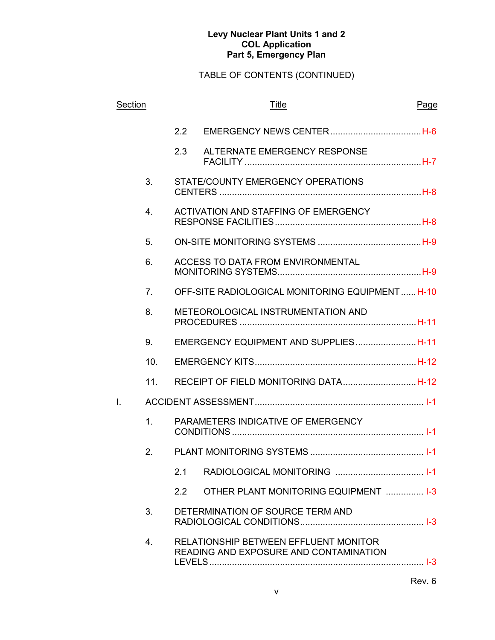| Section |                |               | <b>Title</b>                         |                                                                                        | Page |
|---------|----------------|---------------|--------------------------------------|----------------------------------------------------------------------------------------|------|
|         |                | $2.2^{\circ}$ |                                      |                                                                                        |      |
|         |                | 2.3           | ALTERNATE EMERGENCY RESPONSE         |                                                                                        |      |
|         | 3.             |               | STATE/COUNTY EMERGENCY OPERATIONS    |                                                                                        |      |
|         | 4.             |               | ACTIVATION AND STAFFING OF EMERGENCY |                                                                                        |      |
|         | 5.             |               |                                      |                                                                                        |      |
|         | 6.             |               | ACCESS TO DATA FROM ENVIRONMENTAL    |                                                                                        |      |
|         | 7.             |               |                                      | OFF-SITE RADIOLOGICAL MONITORING EQUIPMENTH-10                                         |      |
|         | 8.             |               | METEOROLOGICAL INSTRUMENTATION AND   |                                                                                        |      |
|         | 9.             |               |                                      | EMERGENCY EQUIPMENT AND SUPPLIESH-11                                                   |      |
|         | 10.            |               |                                      |                                                                                        |      |
|         | 11.            |               |                                      |                                                                                        |      |
| I.      |                |               |                                      |                                                                                        |      |
|         | 1 <sub>1</sub> |               | PARAMETERS INDICATIVE OF EMERGENCY   |                                                                                        |      |
|         | 2.             |               |                                      |                                                                                        |      |
|         |                | 2.1           |                                      |                                                                                        |      |
|         |                | 2.2           |                                      | OTHER PLANT MONITORING EQUIPMENT  1-3                                                  |      |
|         | 3.             |               | DETERMINATION OF SOURCE TERM AND     |                                                                                        |      |
|         | 4.             |               |                                      | <b>RELATIONSHIP BETWEEN EFFLUENT MONITOR</b><br>READING AND EXPOSURE AND CONTAMINATION |      |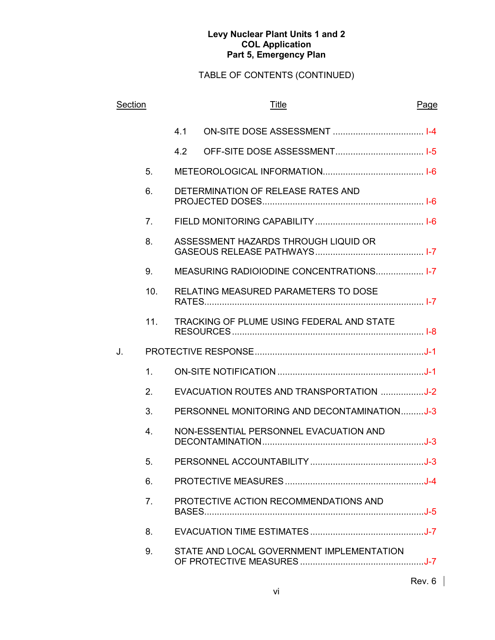| Section |                | <b>Title</b> |                                             | Page |
|---------|----------------|--------------|---------------------------------------------|------|
|         |                | 4.1          |                                             |      |
|         |                | 4.2          |                                             |      |
|         | 5.             |              |                                             |      |
|         | 6.             |              | DETERMINATION OF RELEASE RATES AND          |      |
|         | 7 <sub>1</sub> |              |                                             |      |
|         | 8.             |              | ASSESSMENT HAZARDS THROUGH LIQUID OR        |      |
|         | 9.             |              | MEASURING RADIOIODINE CONCENTRATIONS 1-7    |      |
|         | 10.            |              | RELATING MEASURED PARAMETERS TO DOSE        |      |
|         | 11.            |              | TRACKING OF PLUME USING FEDERAL AND STATE   |      |
| J.      |                |              |                                             |      |
|         | 1.             |              |                                             |      |
|         | 2.             |              | EVACUATION ROUTES AND TRANSPORTATION J-2    |      |
|         | 3.             |              | PERSONNEL MONITORING AND DECONTAMINATIONJ-3 |      |
|         | 4.             |              | NON-ESSENTIAL PERSONNEL EVACUATION AND      |      |
|         | 5.             |              |                                             |      |
|         | 6.             |              |                                             |      |
|         | 7 <sub>1</sub> |              | PROTECTIVE ACTION RECOMMENDATIONS AND       |      |
|         | 8.             |              |                                             |      |
|         | 9.             |              | STATE AND LOCAL GOVERNMENT IMPLEMENTATION   |      |
|         |                |              |                                             |      |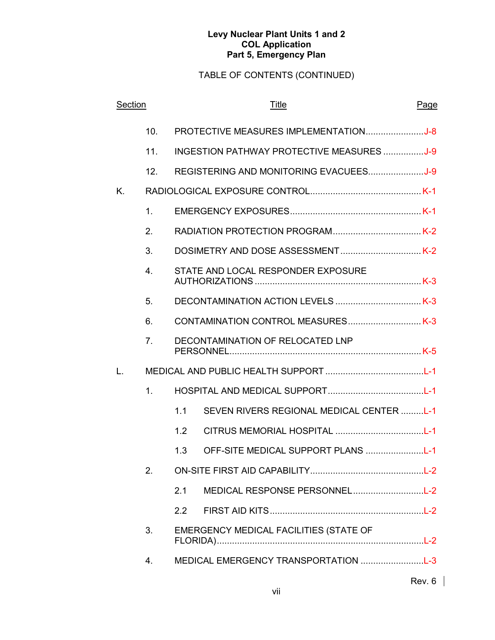| Section |                |     | <b>Title</b>                                     | Page   |
|---------|----------------|-----|--------------------------------------------------|--------|
|         | 10.            |     | PROTECTIVE MEASURES IMPLEMENTATIONJ-8            |        |
|         | 11.            |     | <b>INGESTION PATHWAY PROTECTIVE MEASURES J-9</b> |        |
|         | 12.            |     |                                                  |        |
| K.      |                |     |                                                  |        |
|         | 1.             |     |                                                  |        |
|         | 2.             |     |                                                  |        |
|         | 3.             |     |                                                  |        |
|         | 4 <sub>1</sub> |     | STATE AND LOCAL RESPONDER EXPOSURE               |        |
|         | 5.             |     |                                                  |        |
|         | 6.             |     |                                                  |        |
|         | 7 <sub>1</sub> |     | DECONTAMINATION OF RELOCATED LNP                 |        |
| L.      |                |     |                                                  |        |
|         | 1 <sub>1</sub> |     |                                                  |        |
|         |                | 1.1 | SEVEN RIVERS REGIONAL MEDICAL CENTER L-1         |        |
|         |                | 1.2 |                                                  |        |
|         |                | 1.3 | OFF-SITE MEDICAL SUPPORT PLANS L-1               |        |
|         | 2.             |     |                                                  |        |
|         |                | 2.1 | MEDICAL RESPONSE PERSONNELL-2                    |        |
|         |                | 2.2 |                                                  |        |
|         | 3.             |     | EMERGENCY MEDICAL FACILITIES (STATE OF           |        |
|         | 4.             |     | MEDICAL EMERGENCY TRANSPORTATION L-3             |        |
|         |                |     |                                                  | Rev. 6 |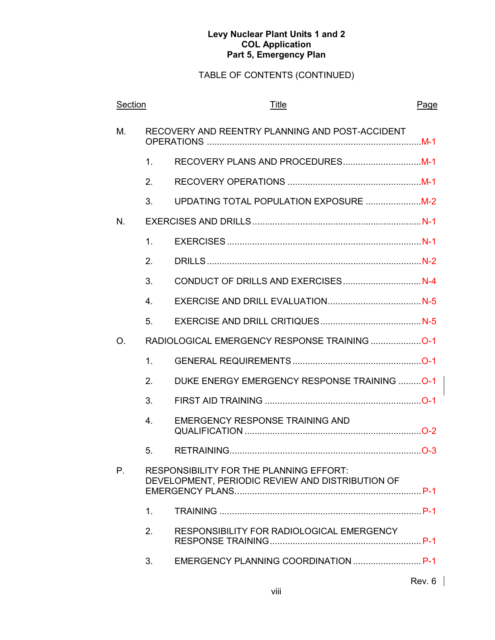| Section     |                | <b>Title</b>                                                                                | Page   |
|-------------|----------------|---------------------------------------------------------------------------------------------|--------|
| M.          |                | RECOVERY AND REENTRY PLANNING AND POST-ACCIDENT                                             |        |
|             | 1.             |                                                                                             |        |
|             | 2.             |                                                                                             |        |
|             | 3.             |                                                                                             |        |
| N.          |                |                                                                                             |        |
|             | $\mathbf 1$ .  |                                                                                             |        |
|             | 2.             |                                                                                             |        |
|             | 3.             |                                                                                             |        |
|             | $4_{\cdot}$    |                                                                                             |        |
|             | 5.             |                                                                                             |        |
| O.          |                |                                                                                             |        |
|             | 1.             |                                                                                             |        |
|             | 2.             | DUKE ENERGY EMERGENCY RESPONSE TRAINING  O-1                                                |        |
|             | 3.             |                                                                                             |        |
|             | 4.             | <b>EMERGENCY RESPONSE TRAINING AND</b>                                                      |        |
|             | 5.             |                                                                                             |        |
| $P_{\cdot}$ |                | RESPONSIBILITY FOR THE PLANNING EFFORT:<br>DEVELOPMENT, PERIODIC REVIEW AND DISTRIBUTION OF |        |
|             | $\mathbf{1}$ . |                                                                                             |        |
|             | 2.             | RESPONSIBILITY FOR RADIOLOGICAL EMERGENCY                                                   |        |
|             | 3.             | EMERGENCY PLANNING COORDINATION  P-1                                                        |        |
|             |                |                                                                                             | Rev. 6 |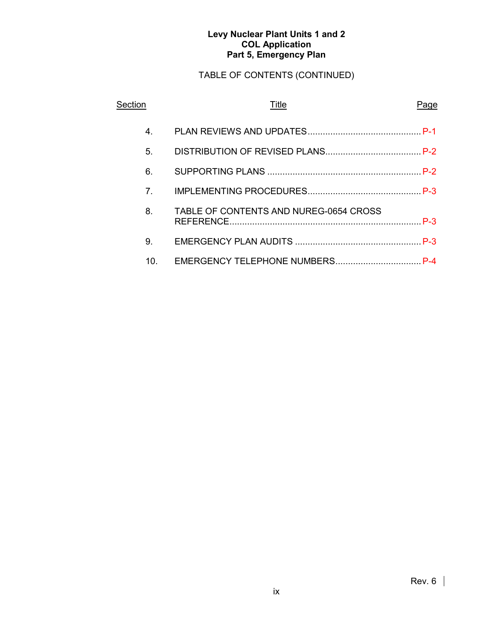| Section                         | Title                                  | Page |
|---------------------------------|----------------------------------------|------|
| $4_{\scriptscriptstyle{\perp}}$ |                                        |      |
| 5.                              |                                        |      |
| 6.                              |                                        |      |
| 7 <sub>1</sub>                  |                                        |      |
| 8.                              | TABLE OF CONTENTS AND NUREG-0654 CROSS |      |
| 9.                              |                                        |      |
| 10.                             |                                        |      |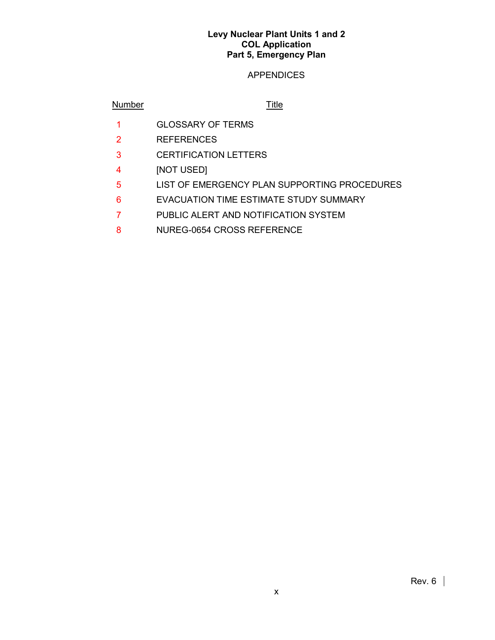# APPENDICES

# Number Title

- 1 GLOSSARY OF TERMS
- 2 REFERENCES
- 3 CERTIFICATION LETTERS
- 4 [NOT USED]
- 5 LIST OF EMERGENCY PLAN SUPPORTING PROCEDURES
- 6 EVACUATION TIME ESTIMATE STUDY SUMMARY
- 7 PUBLIC ALERT AND NOTIFICATION SYSTEM
- 8 NUREG-0654 CROSS REFERENCE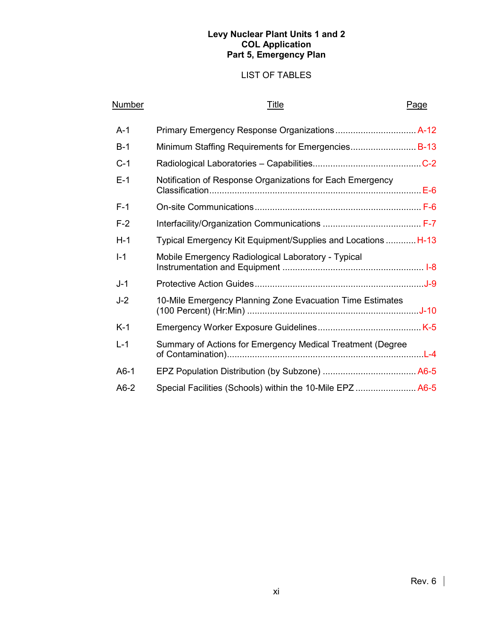# LIST OF TABLES

| <b>Number</b> | Title                                                        | Page |
|---------------|--------------------------------------------------------------|------|
| $A-1$         |                                                              |      |
| $B-1$         | Minimum Staffing Requirements for Emergencies B-13           |      |
| $C-1$         |                                                              |      |
| $F-1$         | Notification of Response Organizations for Each Emergency    |      |
| $F-1$         |                                                              |      |
| $F-2$         |                                                              |      |
| $H-1$         | Typical Emergency Kit Equipment/Supplies and Locations  H-13 |      |
| $I-1$         | Mobile Emergency Radiological Laboratory - Typical           |      |
| $J-1$         |                                                              |      |
| $J-2$         | 10-Mile Emergency Planning Zone Evacuation Time Estimates    |      |
| $K-1$         |                                                              |      |
| $L-1$         | Summary of Actions for Emergency Medical Treatment (Degree   |      |
| $A6-1$        |                                                              |      |
| $A6-2$        | Special Facilities (Schools) within the 10-Mile EPZ A6-5     |      |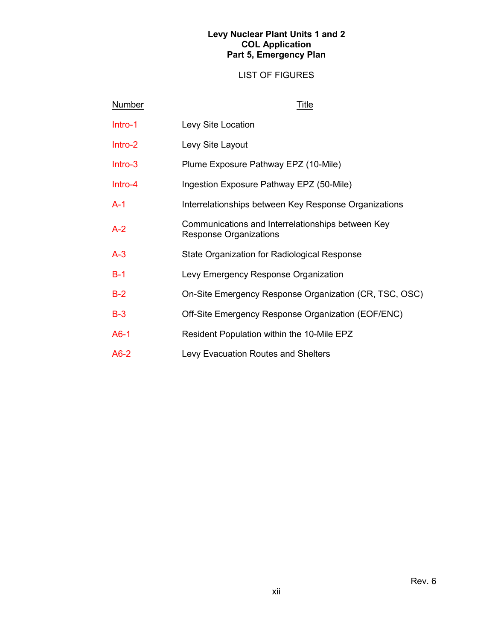# LIST OF FIGURES

| <b>Number</b> | <u>Title</u>                                                                |
|---------------|-----------------------------------------------------------------------------|
| Intro-1       | Levy Site Location                                                          |
| Intro-2       | Levy Site Layout                                                            |
| Intro-3       | Plume Exposure Pathway EPZ (10-Mile)                                        |
| Intro-4       | Ingestion Exposure Pathway EPZ (50-Mile)                                    |
| $A-1$         | Interrelationships between Key Response Organizations                       |
| $A - 2$       | Communications and Interrelationships between Key<br>Response Organizations |
| $A-3$         | State Organization for Radiological Response                                |
| $B-1$         | Levy Emergency Response Organization                                        |
| $B-2$         | On-Site Emergency Response Organization (CR, TSC, OSC)                      |
| $B-3$         | Off-Site Emergency Response Organization (EOF/ENC)                          |
| $A6-1$        | Resident Population within the 10-Mile EPZ                                  |
| $A6-2$        | <b>Levy Evacuation Routes and Shelters</b>                                  |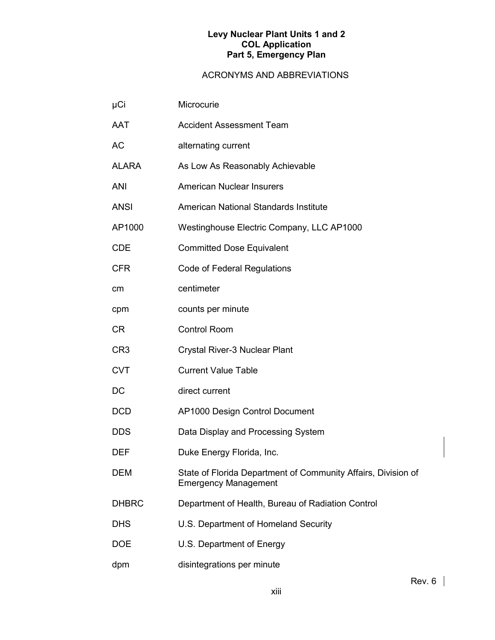| µCi             | Microcurie                                                                                   |
|-----------------|----------------------------------------------------------------------------------------------|
| <b>AAT</b>      | <b>Accident Assessment Team</b>                                                              |
| <b>AC</b>       | alternating current                                                                          |
| <b>ALARA</b>    | As Low As Reasonably Achievable                                                              |
| <b>ANI</b>      | <b>American Nuclear Insurers</b>                                                             |
| <b>ANSI</b>     | American National Standards Institute                                                        |
| AP1000          | Westinghouse Electric Company, LLC AP1000                                                    |
| <b>CDE</b>      | <b>Committed Dose Equivalent</b>                                                             |
| <b>CFR</b>      | <b>Code of Federal Regulations</b>                                                           |
| cm              | centimeter                                                                                   |
| cpm             | counts per minute                                                                            |
| <b>CR</b>       | <b>Control Room</b>                                                                          |
| CR <sub>3</sub> | Crystal River-3 Nuclear Plant                                                                |
| <b>CVT</b>      | <b>Current Value Table</b>                                                                   |
| DC              | direct current                                                                               |
| <b>DCD</b>      | AP1000 Design Control Document                                                               |
| <b>DDS</b>      | Data Display and Processing System                                                           |
| <b>DEF</b>      | Duke Energy Florida, Inc.                                                                    |
| <b>DEM</b>      | State of Florida Department of Community Affairs, Division of<br><b>Emergency Management</b> |
| <b>DHBRC</b>    | Department of Health, Bureau of Radiation Control                                            |
| <b>DHS</b>      | U.S. Department of Homeland Security                                                         |
| <b>DOE</b>      | U.S. Department of Energy                                                                    |
| dpm             | disintegrations per minute                                                                   |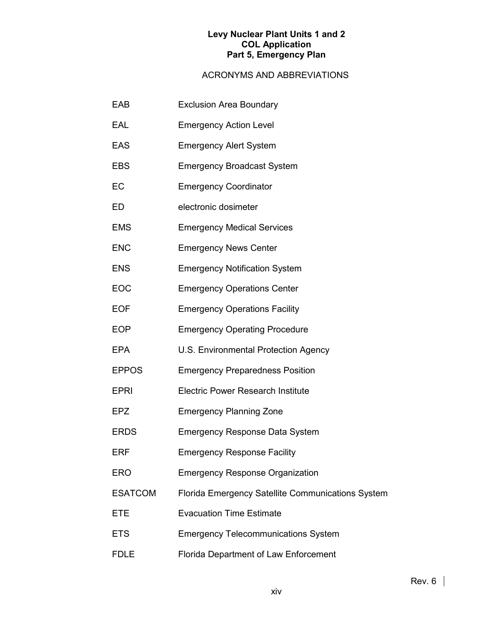| EAB            | <b>Exclusion Area Boundary</b>                    |
|----------------|---------------------------------------------------|
| EAL            | <b>Emergency Action Level</b>                     |
| <b>EAS</b>     | <b>Emergency Alert System</b>                     |
| <b>EBS</b>     | <b>Emergency Broadcast System</b>                 |
| EC             | <b>Emergency Coordinator</b>                      |
| ED             | electronic dosimeter                              |
| <b>EMS</b>     | <b>Emergency Medical Services</b>                 |
| <b>ENC</b>     | <b>Emergency News Center</b>                      |
| <b>ENS</b>     | <b>Emergency Notification System</b>              |
| EOC            | <b>Emergency Operations Center</b>                |
| <b>EOF</b>     | <b>Emergency Operations Facility</b>              |
| <b>EOP</b>     | <b>Emergency Operating Procedure</b>              |
| EPA            | U.S. Environmental Protection Agency              |
| <b>EPPOS</b>   | <b>Emergency Preparedness Position</b>            |
| <b>EPRI</b>    | <b>Electric Power Research Institute</b>          |
| <b>EPZ</b>     | <b>Emergency Planning Zone</b>                    |
| <b>ERDS</b>    | <b>Emergency Response Data System</b>             |
| ERF            | <b>Emergency Response Facility</b>                |
| ERO            | <b>Emergency Response Organization</b>            |
| <b>ESATCOM</b> | Florida Emergency Satellite Communications System |
| <b>ETE</b>     | <b>Evacuation Time Estimate</b>                   |
| <b>ETS</b>     | <b>Emergency Telecommunications System</b>        |
| <b>FDLE</b>    | Florida Department of Law Enforcement             |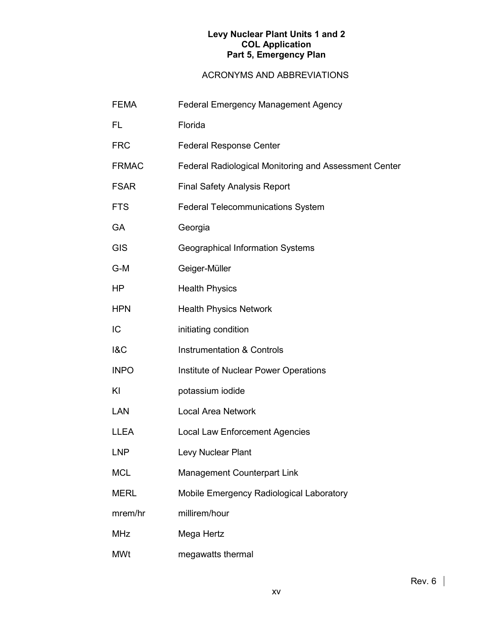| <b>FEMA</b>    | Federal Emergency Management Agency                   |  |  |
|----------------|-------------------------------------------------------|--|--|
| FL             | Florida                                               |  |  |
| <b>FRC</b>     | <b>Federal Response Center</b>                        |  |  |
| <b>FRMAC</b>   | Federal Radiological Monitoring and Assessment Center |  |  |
| <b>FSAR</b>    | <b>Final Safety Analysis Report</b>                   |  |  |
| <b>FTS</b>     | <b>Federal Telecommunications System</b>              |  |  |
| <b>GA</b>      | Georgia                                               |  |  |
| <b>GIS</b>     | <b>Geographical Information Systems</b>               |  |  |
| G-M            | Geiger-Müller                                         |  |  |
| HP             | <b>Health Physics</b>                                 |  |  |
| <b>HPN</b>     | <b>Health Physics Network</b>                         |  |  |
| IC             | initiating condition                                  |  |  |
| <b>1&amp;C</b> | <b>Instrumentation &amp; Controls</b>                 |  |  |
| <b>INPO</b>    | Institute of Nuclear Power Operations                 |  |  |
| KI             | potassium iodide                                      |  |  |
| <b>LAN</b>     | <b>Local Area Network</b>                             |  |  |
| <b>LLEA</b>    | <b>Local Law Enforcement Agencies</b>                 |  |  |
| <b>LNP</b>     | Levy Nuclear Plant                                    |  |  |
| <b>MCL</b>     | Management Counterpart Link                           |  |  |
| <b>MERL</b>    | Mobile Emergency Radiological Laboratory              |  |  |
| mrem/hr        | millirem/hour                                         |  |  |
| <b>MHz</b>     | Mega Hertz                                            |  |  |
| <b>MWt</b>     | megawatts thermal                                     |  |  |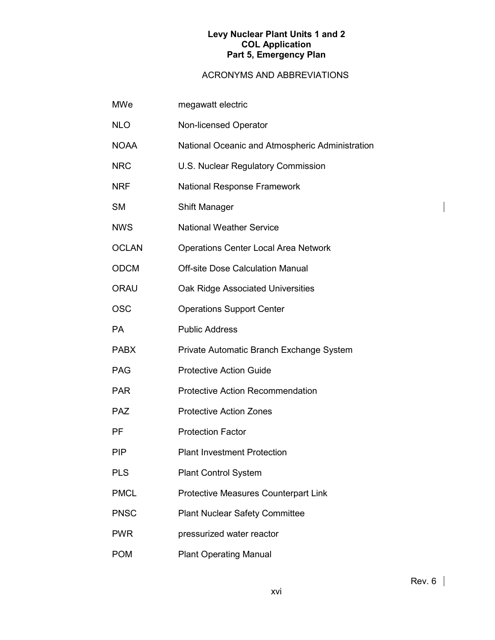# ACRONYMS AND ABBREVIATIONS

| <b>MWe</b>   | megawatt electric                               |
|--------------|-------------------------------------------------|
| <b>NLO</b>   | Non-licensed Operator                           |
| <b>NOAA</b>  | National Oceanic and Atmospheric Administration |
| <b>NRC</b>   | U.S. Nuclear Regulatory Commission              |
| <b>NRF</b>   | National Response Framework                     |
| <b>SM</b>    | Shift Manager                                   |
| <b>NWS</b>   | <b>National Weather Service</b>                 |
| <b>OCLAN</b> | <b>Operations Center Local Area Network</b>     |
| <b>ODCM</b>  | <b>Off-site Dose Calculation Manual</b>         |
| <b>ORAU</b>  | Oak Ridge Associated Universities               |
| <b>OSC</b>   | <b>Operations Support Center</b>                |
| PA           | <b>Public Address</b>                           |
| <b>PABX</b>  | Private Automatic Branch Exchange System        |
| <b>PAG</b>   | <b>Protective Action Guide</b>                  |
| <b>PAR</b>   | <b>Protective Action Recommendation</b>         |
| <b>PAZ</b>   | <b>Protective Action Zones</b>                  |
| <b>PF</b>    | <b>Protection Factor</b>                        |
| <b>PIP</b>   | <b>Plant Investment Protection</b>              |
| <b>PLS</b>   | <b>Plant Control System</b>                     |
| <b>PMCL</b>  | <b>Protective Measures Counterpart Link</b>     |
| <b>PNSC</b>  | <b>Plant Nuclear Safety Committee</b>           |
| <b>PWR</b>   | pressurized water reactor                       |
| <b>POM</b>   | <b>Plant Operating Manual</b>                   |

 $\overline{\phantom{a}}$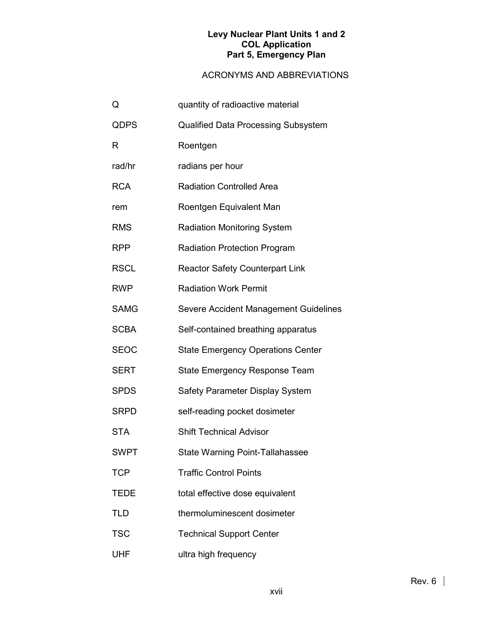| Q           | quantity of radioactive material           |  |  |
|-------------|--------------------------------------------|--|--|
| QDPS        | <b>Qualified Data Processing Subsystem</b> |  |  |
| R           | Roentgen                                   |  |  |
| rad/hr      | radians per hour                           |  |  |
| <b>RCA</b>  | <b>Radiation Controlled Area</b>           |  |  |
| rem         | Roentgen Equivalent Man                    |  |  |
| <b>RMS</b>  | <b>Radiation Monitoring System</b>         |  |  |
| <b>RPP</b>  | <b>Radiation Protection Program</b>        |  |  |
| <b>RSCL</b> | <b>Reactor Safety Counterpart Link</b>     |  |  |
| <b>RWP</b>  | <b>Radiation Work Permit</b>               |  |  |
| <b>SAMG</b> | Severe Accident Management Guidelines      |  |  |
| <b>SCBA</b> | Self-contained breathing apparatus         |  |  |
| <b>SEOC</b> | <b>State Emergency Operations Center</b>   |  |  |
| <b>SERT</b> | <b>State Emergency Response Team</b>       |  |  |
| <b>SPDS</b> | Safety Parameter Display System            |  |  |
| <b>SRPD</b> | self-reading pocket dosimeter              |  |  |
| <b>STA</b>  | <b>Shift Technical Advisor</b>             |  |  |
| <b>SWPT</b> | <b>State Warning Point-Tallahassee</b>     |  |  |
| <b>TCP</b>  | <b>Traffic Control Points</b>              |  |  |
| <b>TEDE</b> | total effective dose equivalent            |  |  |
| <b>TLD</b>  | thermoluminescent dosimeter                |  |  |
| <b>TSC</b>  | <b>Technical Support Center</b>            |  |  |
| UHF         | ultra high frequency                       |  |  |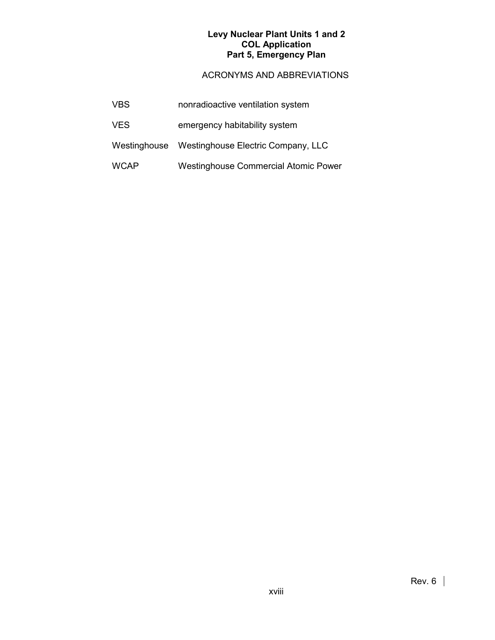| <b>VBS</b>  | nonradioactive ventilation system               |
|-------------|-------------------------------------------------|
| <b>VES</b>  | emergency habitability system                   |
|             | Westinghouse Westinghouse Electric Company, LLC |
| <b>WCAP</b> | Westinghouse Commercial Atomic Power            |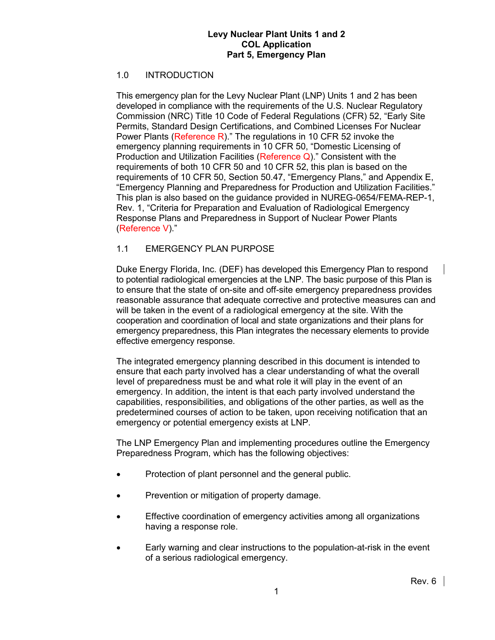# 1.0 INTRODUCTION

This emergency plan for the Levy Nuclear Plant (LNP) Units 1 and 2 has been developed in compliance with the requirements of the U.S. Nuclear Regulatory Commission (NRC) Title 10 Code of Federal Regulations (CFR) 52, "Early Site Permits, Standard Design Certifications, and Combined Licenses For Nuclear Power Plants (Reference R)." The regulations in 10 CFR 52 invoke the emergency planning requirements in 10 CFR 50, "Domestic Licensing of Production and Utilization Facilities (Reference Q)." Consistent with the requirements of both 10 CFR 50 and 10 CFR 52, this plan is based on the requirements of 10 CFR 50, Section 50.47, "Emergency Plans," and Appendix E, "Emergency Planning and Preparedness for Production and Utilization Facilities." This plan is also based on the guidance provided in NUREG-0654/FEMA-REP-1, Rev. 1, "Criteria for Preparation and Evaluation of Radiological Emergency Response Plans and Preparedness in Support of Nuclear Power Plants (Reference V)."

# 1.1 EMERGENCY PLAN PURPOSE

Duke Energy Florida, Inc. (DEF) has developed this Emergency Plan to respond to potential radiological emergencies at the LNP. The basic purpose of this Plan is to ensure that the state of on-site and off-site emergency preparedness provides reasonable assurance that adequate corrective and protective measures can and will be taken in the event of a radiological emergency at the site. With the cooperation and coordination of local and state organizations and their plans for emergency preparedness, this Plan integrates the necessary elements to provide effective emergency response.

The integrated emergency planning described in this document is intended to ensure that each party involved has a clear understanding of what the overall level of preparedness must be and what role it will play in the event of an emergency. In addition, the intent is that each party involved understand the capabilities, responsibilities, and obligations of the other parties, as well as the predetermined courses of action to be taken, upon receiving notification that an emergency or potential emergency exists at LNP.

The LNP Emergency Plan and implementing procedures outline the Emergency Preparedness Program, which has the following objectives:

- Protection of plant personnel and the general public.
- Prevention or mitigation of property damage.
- Effective coordination of emergency activities among all organizations having a response role.
- Early warning and clear instructions to the population-at-risk in the event of a serious radiological emergency.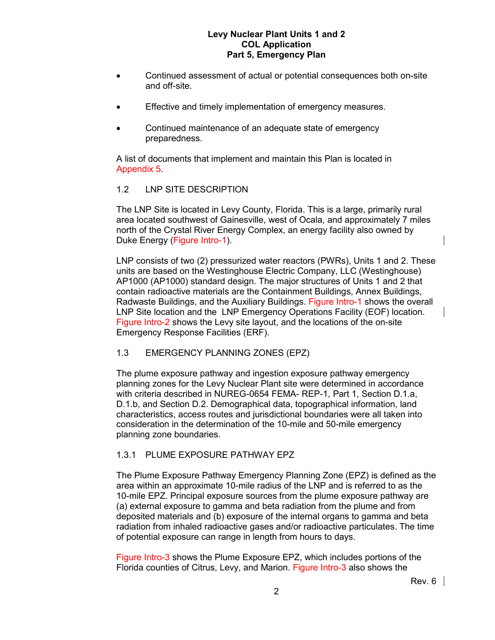- Continued assessment of actual or potential consequences both on-site and off-site.
- Effective and timely implementation of emergency measures.
- Continued maintenance of an adequate state of emergency preparedness.

A list of documents that implement and maintain this Plan is located in Appendix 5.

## 1.2 LNP SITE DESCRIPTION

The LNP Site is located in Levy County, Florida. This is a large, primarily rural area located southwest of Gainesville, west of Ocala, and approximately 7 miles north of the Crystal River Energy Complex, an energy facility also owned by Duke Energy (Figure Intro-1).

LNP consists of two (2) pressurized water reactors (PWRs), Units 1 and 2. These units are based on the Westinghouse Electric Company, LLC (Westinghouse) AP1000 (AP1000) standard design. The major structures of Units 1 and 2 that contain radioactive materials are the Containment Buildings, Annex Buildings, Radwaste Buildings, and the Auxiliary Buildings. Figure Intro-1 shows the overall LNP Site location and the LNP Emergency Operations Facility (EOF) location. Figure Intro-2 shows the Levy site layout, and the locations of the on-site Emergency Response Facilities (ERF).

## 1.3 EMERGENCY PLANNING ZONES (EPZ)

The plume exposure pathway and ingestion exposure pathway emergency planning zones for the Levy Nuclear Plant site were determined in accordance with criteria described in NUREG-0654 FEMA- REP-1, Part 1, Section D.1.a, D.1.b, and Section D.2. Demographical data, topographical information, land characteristics, access routes and jurisdictional boundaries were all taken into consideration in the determination of the 10-mile and 50-mile emergency planning zone boundaries.

# 1.3.1 PLUME EXPOSURE PATHWAY EPZ

The Plume Exposure Pathway Emergency Planning Zone (EPZ) is defined as the area within an approximate 10-mile radius of the LNP and is referred to as the 10-mile EPZ. Principal exposure sources from the plume exposure pathway are (a) external exposure to gamma and beta radiation from the plume and from deposited materials and (b) exposure of the internal organs to gamma and beta radiation from inhaled radioactive gases and/or radioactive particulates. The time of potential exposure can range in length from hours to days.

Figure Intro-3 shows the Plume Exposure EPZ, which includes portions of the Florida counties of Citrus, Levy, and Marion. Figure Intro-3 also shows the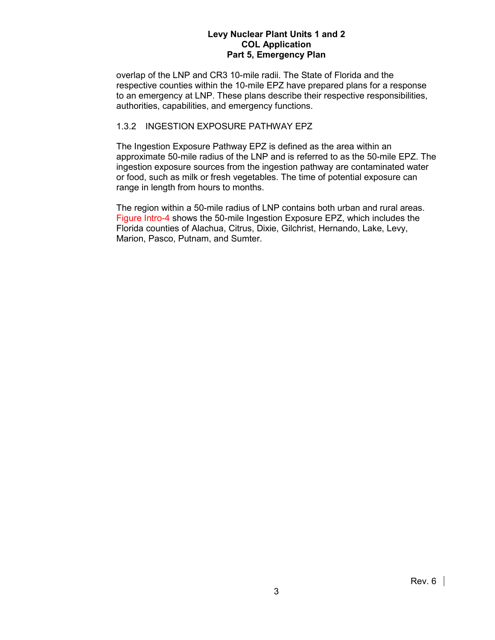overlap of the LNP and CR3 10-mile radii. The State of Florida and the respective counties within the 10-mile EPZ have prepared plans for a response to an emergency at LNP. These plans describe their respective responsibilities, authorities, capabilities, and emergency functions.

# 1.3.2 INGESTION EXPOSURE PATHWAY EPZ

The Ingestion Exposure Pathway EPZ is defined as the area within an approximate 50-mile radius of the LNP and is referred to as the 50-mile EPZ. The ingestion exposure sources from the ingestion pathway are contaminated water or food, such as milk or fresh vegetables. The time of potential exposure can range in length from hours to months.

The region within a 50-mile radius of LNP contains both urban and rural areas. Figure Intro-4 shows the 50-mile Ingestion Exposure EPZ, which includes the Florida counties of Alachua, Citrus, Dixie, Gilchrist, Hernando, Lake, Levy, Marion, Pasco, Putnam, and Sumter.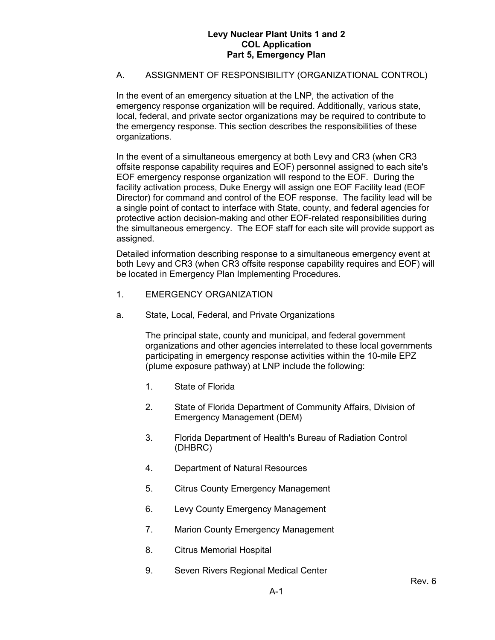# A. ASSIGNMENT OF RESPONSIBILITY (ORGANIZATIONAL CONTROL)

In the event of an emergency situation at the LNP, the activation of the emergency response organization will be required. Additionally, various state, local, federal, and private sector organizations may be required to contribute to the emergency response. This section describes the responsibilities of these organizations.

In the event of a simultaneous emergency at both Levy and CR3 (when CR3 offsite response capability requires and EOF) personnel assigned to each site's EOF emergency response organization will respond to the EOF. During the facility activation process, Duke Energy will assign one EOF Facility lead (EOF Director) for command and control of the EOF response. The facility lead will be a single point of contact to interface with State, county, and federal agencies for protective action decision-making and other EOF-related responsibilities during the simultaneous emergency. The EOF staff for each site will provide support as assigned.

Detailed information describing response to a simultaneous emergency event at both Levy and CR3 (when CR3 offsite response capability requires and EOF) will be located in Emergency Plan Implementing Procedures.

- 1. EMERGENCY ORGANIZATION
- a. State, Local, Federal, and Private Organizations

The principal state, county and municipal, and federal government organizations and other agencies interrelated to these local governments participating in emergency response activities within the 10-mile EPZ (plume exposure pathway) at LNP include the following:

- 1. State of Florida
- 2. State of Florida Department of Community Affairs, Division of Emergency Management (DEM)
- 3. Florida Department of Health's Bureau of Radiation Control (DHBRC)
- 4. Department of Natural Resources
- 5. Citrus County Emergency Management
- 6. Levy County Emergency Management
- 7. Marion County Emergency Management
- 8. Citrus Memorial Hospital
- 9. Seven Rivers Regional Medical Center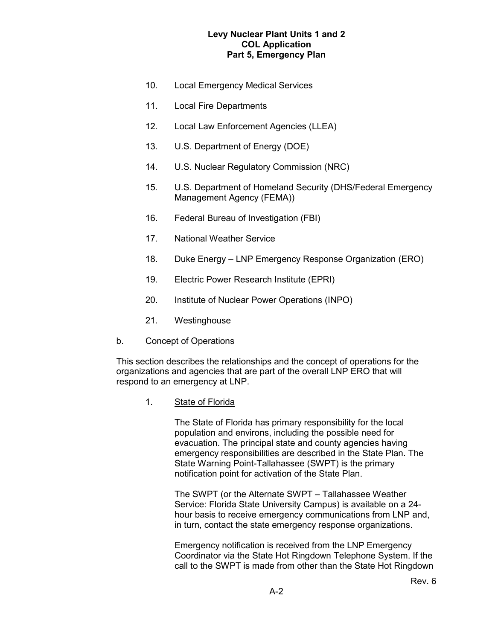- 10. Local Emergency Medical Services
- 11. Local Fire Departments
- 12. Local Law Enforcement Agencies (LLEA)
- 13. U.S. Department of Energy (DOE)
- 14. U.S. Nuclear Regulatory Commission (NRC)
- 15. U.S. Department of Homeland Security (DHS/Federal Emergency Management Agency (FEMA))
- 16. Federal Bureau of Investigation (FBI)
- 17. National Weather Service
- 18. Duke Energy LNP Emergency Response Organization (ERO)
- 19. Electric Power Research Institute (EPRI)
- 20. Institute of Nuclear Power Operations (INPO)
- 21. Westinghouse
- b. Concept of Operations

This section describes the relationships and the concept of operations for the organizations and agencies that are part of the overall LNP ERO that will respond to an emergency at LNP.

1. State of Florida

The State of Florida has primary responsibility for the local population and environs, including the possible need for evacuation. The principal state and county agencies having emergency responsibilities are described in the State Plan. The State Warning Point-Tallahassee (SWPT) is the primary notification point for activation of the State Plan.

The SWPT (or the Alternate SWPT – Tallahassee Weather Service: Florida State University Campus) is available on a 24 hour basis to receive emergency communications from LNP and, in turn, contact the state emergency response organizations.

Emergency notification is received from the LNP Emergency Coordinator via the State Hot Ringdown Telephone System. If the call to the SWPT is made from other than the State Hot Ringdown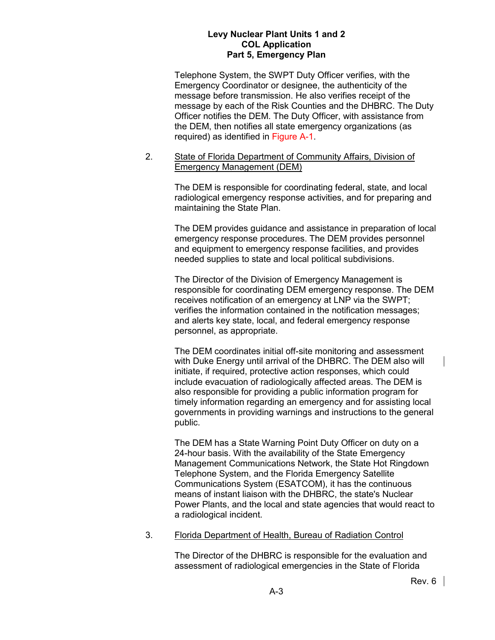Telephone System, the SWPT Duty Officer verifies, with the Emergency Coordinator or designee, the authenticity of the message before transmission. He also verifies receipt of the message by each of the Risk Counties and the DHBRC. The Duty Officer notifies the DEM. The Duty Officer, with assistance from the DEM, then notifies all state emergency organizations (as required) as identified in Figure A-1.

#### 2. State of Florida Department of Community Affairs, Division of Emergency Management (DEM)

The DEM is responsible for coordinating federal, state, and local radiological emergency response activities, and for preparing and maintaining the State Plan.

The DEM provides guidance and assistance in preparation of local emergency response procedures. The DEM provides personnel and equipment to emergency response facilities, and provides needed supplies to state and local political subdivisions.

The Director of the Division of Emergency Management is responsible for coordinating DEM emergency response. The DEM receives notification of an emergency at LNP via the SWPT; verifies the information contained in the notification messages; and alerts key state, local, and federal emergency response personnel, as appropriate.

The DEM coordinates initial off-site monitoring and assessment with Duke Energy until arrival of the DHBRC. The DEM also will initiate, if required, protective action responses, which could include evacuation of radiologically affected areas. The DEM is also responsible for providing a public information program for timely information regarding an emergency and for assisting local governments in providing warnings and instructions to the general public.

The DEM has a State Warning Point Duty Officer on duty on a 24-hour basis. With the availability of the State Emergency Management Communications Network, the State Hot Ringdown Telephone System, and the Florida Emergency Satellite Communications System (ESATCOM), it has the continuous means of instant liaison with the DHBRC, the state's Nuclear Power Plants, and the local and state agencies that would react to a radiological incident.

## 3. Florida Department of Health, Bureau of Radiation Control

The Director of the DHBRC is responsible for the evaluation and assessment of radiological emergencies in the State of Florida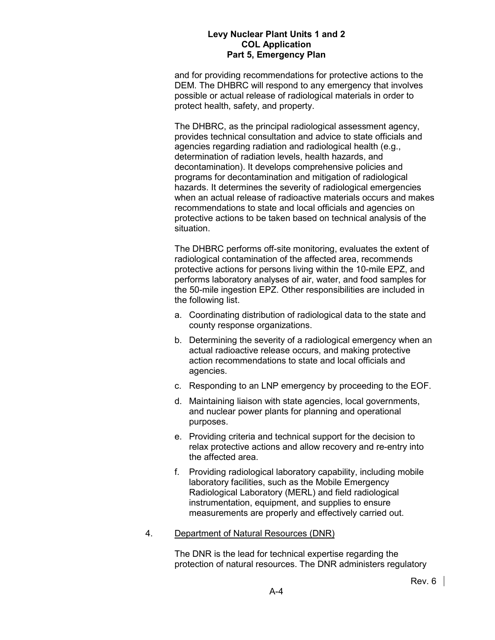and for providing recommendations for protective actions to the DEM. The DHBRC will respond to any emergency that involves possible or actual release of radiological materials in order to protect health, safety, and property.

The DHBRC, as the principal radiological assessment agency, provides technical consultation and advice to state officials and agencies regarding radiation and radiological health (e.g., determination of radiation levels, health hazards, and decontamination). It develops comprehensive policies and programs for decontamination and mitigation of radiological hazards. It determines the severity of radiological emergencies when an actual release of radioactive materials occurs and makes recommendations to state and local officials and agencies on protective actions to be taken based on technical analysis of the situation.

The DHBRC performs off-site monitoring, evaluates the extent of radiological contamination of the affected area, recommends protective actions for persons living within the 10-mile EPZ, and performs laboratory analyses of air, water, and food samples for the 50-mile ingestion EPZ. Other responsibilities are included in the following list.

- a. Coordinating distribution of radiological data to the state and county response organizations.
- b. Determining the severity of a radiological emergency when an actual radioactive release occurs, and making protective action recommendations to state and local officials and agencies.
- c. Responding to an LNP emergency by proceeding to the EOF.
- d. Maintaining liaison with state agencies, local governments, and nuclear power plants for planning and operational purposes.
- e. Providing criteria and technical support for the decision to relax protective actions and allow recovery and re-entry into the affected area.
- f. Providing radiological laboratory capability, including mobile laboratory facilities, such as the Mobile Emergency Radiological Laboratory (MERL) and field radiological instrumentation, equipment, and supplies to ensure measurements are properly and effectively carried out.
- 4. Department of Natural Resources (DNR)

The DNR is the lead for technical expertise regarding the protection of natural resources. The DNR administers regulatory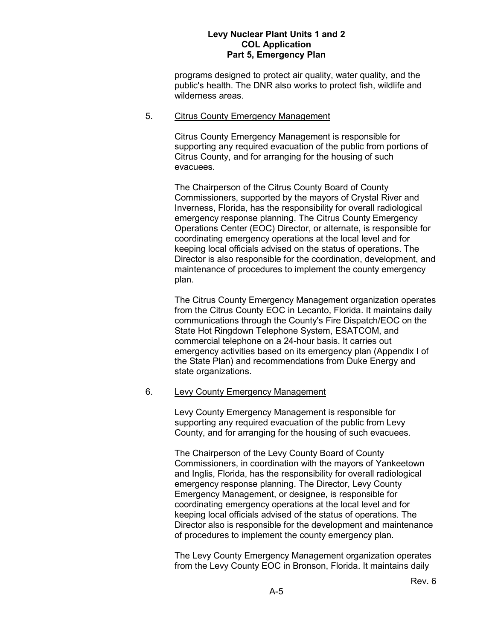programs designed to protect air quality, water quality, and the public's health. The DNR also works to protect fish, wildlife and wilderness areas.

#### 5. Citrus County Emergency Management

Citrus County Emergency Management is responsible for supporting any required evacuation of the public from portions of Citrus County, and for arranging for the housing of such evacuees.

The Chairperson of the Citrus County Board of County Commissioners, supported by the mayors of Crystal River and Inverness, Florida, has the responsibility for overall radiological emergency response planning. The Citrus County Emergency Operations Center (EOC) Director, or alternate, is responsible for coordinating emergency operations at the local level and for keeping local officials advised on the status of operations. The Director is also responsible for the coordination, development, and maintenance of procedures to implement the county emergency plan.

The Citrus County Emergency Management organization operates from the Citrus County EOC in Lecanto, Florida. It maintains daily communications through the County's Fire Dispatch/EOC on the State Hot Ringdown Telephone System, ESATCOM, and commercial telephone on a 24-hour basis. It carries out emergency activities based on its emergency plan (Appendix I of the State Plan) and recommendations from Duke Energy and state organizations.

#### 6. Levy County Emergency Management

Levy County Emergency Management is responsible for supporting any required evacuation of the public from Levy County, and for arranging for the housing of such evacuees.

The Chairperson of the Levy County Board of County Commissioners, in coordination with the mayors of Yankeetown and Inglis, Florida, has the responsibility for overall radiological emergency response planning. The Director, Levy County Emergency Management, or designee, is responsible for coordinating emergency operations at the local level and for keeping local officials advised of the status of operations. The Director also is responsible for the development and maintenance of procedures to implement the county emergency plan.

The Levy County Emergency Management organization operates from the Levy County EOC in Bronson, Florida. It maintains daily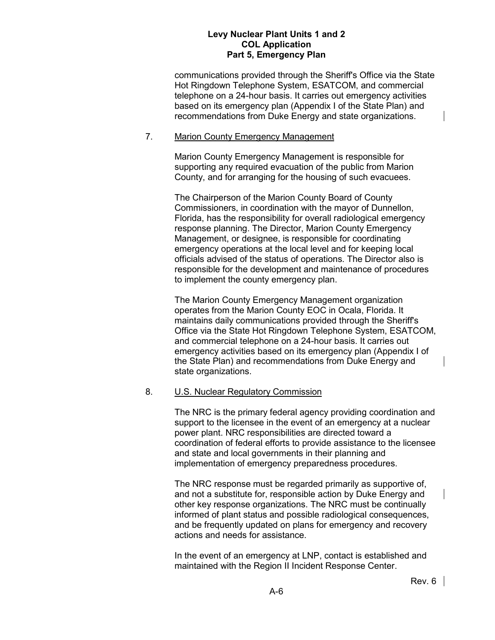communications provided through the Sheriff's Office via the State Hot Ringdown Telephone System, ESATCOM, and commercial telephone on a 24-hour basis. It carries out emergency activities based on its emergency plan (Appendix I of the State Plan) and recommendations from Duke Energy and state organizations.

#### 7. Marion County Emergency Management

Marion County Emergency Management is responsible for supporting any required evacuation of the public from Marion County, and for arranging for the housing of such evacuees.

The Chairperson of the Marion County Board of County Commissioners, in coordination with the mayor of Dunnellon, Florida, has the responsibility for overall radiological emergency response planning. The Director, Marion County Emergency Management, or designee, is responsible for coordinating emergency operations at the local level and for keeping local officials advised of the status of operations. The Director also is responsible for the development and maintenance of procedures to implement the county emergency plan.

The Marion County Emergency Management organization operates from the Marion County EOC in Ocala, Florida. It maintains daily communications provided through the Sheriff's Office via the State Hot Ringdown Telephone System, ESATCOM, and commercial telephone on a 24-hour basis. It carries out emergency activities based on its emergency plan (Appendix I of the State Plan) and recommendations from Duke Energy and state organizations.

## 8. U.S. Nuclear Regulatory Commission

The NRC is the primary federal agency providing coordination and support to the licensee in the event of an emergency at a nuclear power plant. NRC responsibilities are directed toward a coordination of federal efforts to provide assistance to the licensee and state and local governments in their planning and implementation of emergency preparedness procedures.

The NRC response must be regarded primarily as supportive of, and not a substitute for, responsible action by Duke Energy and other key response organizations. The NRC must be continually informed of plant status and possible radiological consequences, and be frequently updated on plans for emergency and recovery actions and needs for assistance.

In the event of an emergency at LNP, contact is established and maintained with the Region II Incident Response Center.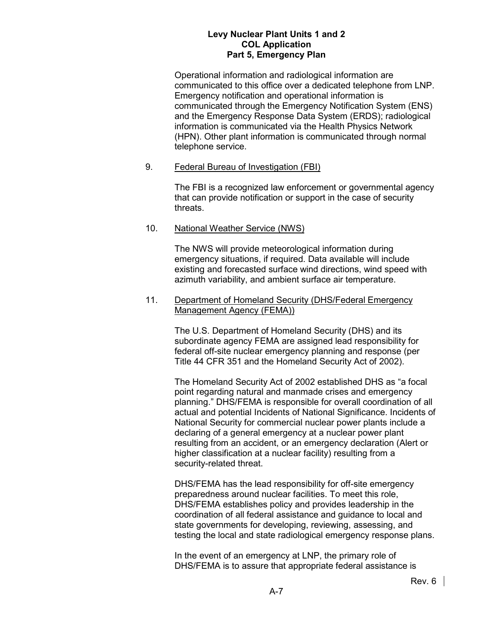Operational information and radiological information are communicated to this office over a dedicated telephone from LNP. Emergency notification and operational information is communicated through the Emergency Notification System (ENS) and the Emergency Response Data System (ERDS); radiological information is communicated via the Health Physics Network (HPN). Other plant information is communicated through normal telephone service.

## 9. Federal Bureau of Investigation (FBI)

The FBI is a recognized law enforcement or governmental agency that can provide notification or support in the case of security threats.

#### 10. National Weather Service (NWS)

The NWS will provide meteorological information during emergency situations, if required. Data available will include existing and forecasted surface wind directions, wind speed with azimuth variability, and ambient surface air temperature.

#### 11. Department of Homeland Security (DHS/Federal Emergency Management Agency (FEMA))

The U.S. Department of Homeland Security (DHS) and its subordinate agency FEMA are assigned lead responsibility for federal off-site nuclear emergency planning and response (per Title 44 CFR 351 and the Homeland Security Act of 2002).

The Homeland Security Act of 2002 established DHS as "a focal point regarding natural and manmade crises and emergency planning." DHS/FEMA is responsible for overall coordination of all actual and potential Incidents of National Significance. Incidents of National Security for commercial nuclear power plants include a declaring of a general emergency at a nuclear power plant resulting from an accident, or an emergency declaration (Alert or higher classification at a nuclear facility) resulting from a security-related threat.

DHS/FEMA has the lead responsibility for off-site emergency preparedness around nuclear facilities. To meet this role, DHS/FEMA establishes policy and provides leadership in the coordination of all federal assistance and guidance to local and state governments for developing, reviewing, assessing, and testing the local and state radiological emergency response plans.

In the event of an emergency at LNP, the primary role of DHS/FEMA is to assure that appropriate federal assistance is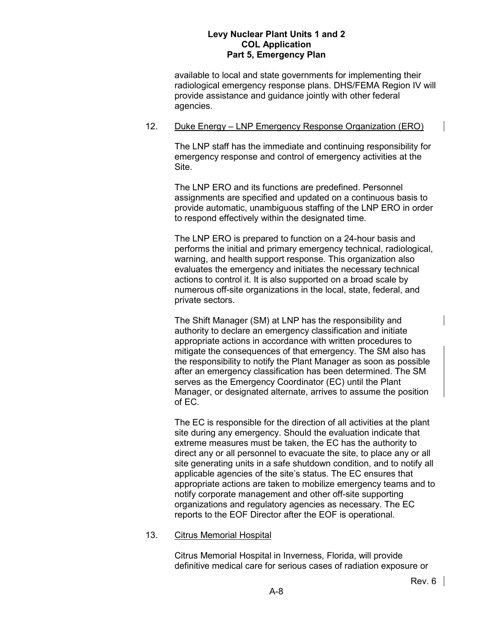available to local and state governments for implementing their radiological emergency response plans. DHS/FEMA Region IV will provide assistance and guidance jointly with other federal agencies.

#### 12. Duke Energy – LNP Emergency Response Organization (ERO)

The LNP staff has the immediate and continuing responsibility for emergency response and control of emergency activities at the Site.

The LNP ERO and its functions are predefined. Personnel assignments are specified and updated on a continuous basis to provide automatic, unambiguous staffing of the LNP ERO in order to respond effectively within the designated time.

The LNP ERO is prepared to function on a 24-hour basis and performs the initial and primary emergency technical, radiological, warning, and health support response. This organization also evaluates the emergency and initiates the necessary technical actions to control it. It is also supported on a broad scale by numerous off-site organizations in the local, state, federal, and private sectors.

The Shift Manager (SM) at LNP has the responsibility and authority to declare an emergency classification and initiate appropriate actions in accordance with written procedures to mitigate the consequences of that emergency. The SM also has the responsibility to notify the Plant Manager as soon as possible after an emergency classification has been determined. The SM serves as the Emergency Coordinator (EC) until the Plant Manager, or designated alternate, arrives to assume the position of EC.

The EC is responsible for the direction of all activities at the plant site during any emergency. Should the evaluation indicate that extreme measures must be taken, the EC has the authority to direct any or all personnel to evacuate the site, to place any or all site generating units in a safe shutdown condition, and to notify all applicable agencies of the site's status. The EC ensures that appropriate actions are taken to mobilize emergency teams and to notify corporate management and other off-site supporting organizations and regulatory agencies as necessary. The EC reports to the EOF Director after the EOF is operational.

## 13. Citrus Memorial Hospital

Citrus Memorial Hospital in Inverness, Florida, will provide definitive medical care for serious cases of radiation exposure or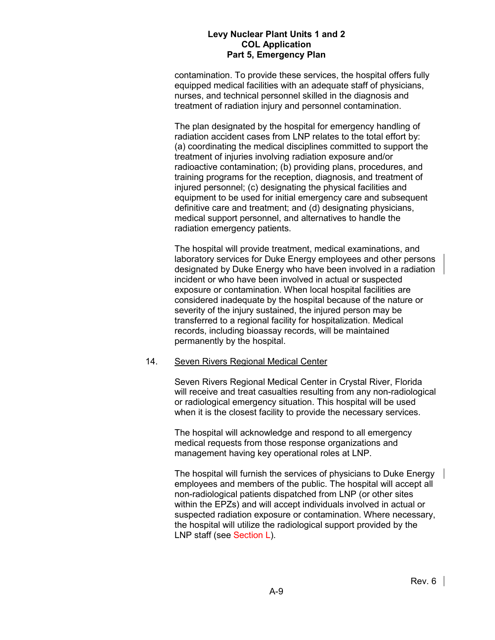contamination. To provide these services, the hospital offers fully equipped medical facilities with an adequate staff of physicians, nurses, and technical personnel skilled in the diagnosis and treatment of radiation injury and personnel contamination.

The plan designated by the hospital for emergency handling of radiation accident cases from LNP relates to the total effort by: (a) coordinating the medical disciplines committed to support the treatment of injuries involving radiation exposure and/or radioactive contamination; (b) providing plans, procedures, and training programs for the reception, diagnosis, and treatment of injured personnel; (c) designating the physical facilities and equipment to be used for initial emergency care and subsequent definitive care and treatment; and (d) designating physicians, medical support personnel, and alternatives to handle the radiation emergency patients.

The hospital will provide treatment, medical examinations, and laboratory services for Duke Energy employees and other persons designated by Duke Energy who have been involved in a radiation incident or who have been involved in actual or suspected exposure or contamination. When local hospital facilities are considered inadequate by the hospital because of the nature or severity of the injury sustained, the injured person may be transferred to a regional facility for hospitalization. Medical records, including bioassay records, will be maintained permanently by the hospital.

#### 14. Seven Rivers Regional Medical Center

Seven Rivers Regional Medical Center in Crystal River, Florida will receive and treat casualties resulting from any non-radiological or radiological emergency situation. This hospital will be used when it is the closest facility to provide the necessary services.

The hospital will acknowledge and respond to all emergency medical requests from those response organizations and management having key operational roles at LNP.

The hospital will furnish the services of physicians to Duke Energy employees and members of the public. The hospital will accept all non-radiological patients dispatched from LNP (or other sites within the EPZs) and will accept individuals involved in actual or suspected radiation exposure or contamination. Where necessary, the hospital will utilize the radiological support provided by the LNP staff (see Section L).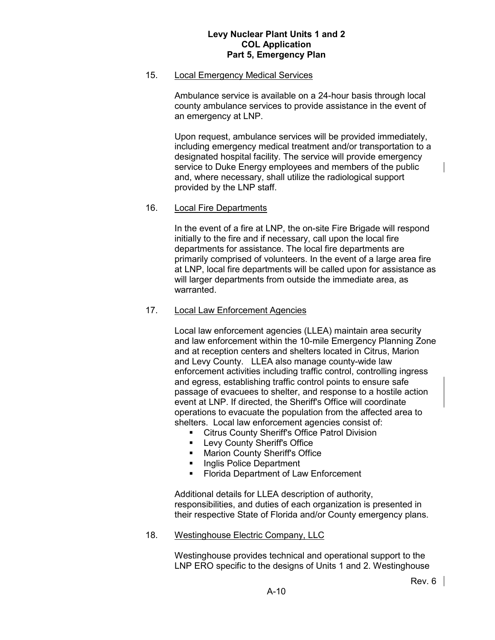#### 15. Local Emergency Medical Services

Ambulance service is available on a 24-hour basis through local county ambulance services to provide assistance in the event of an emergency at LNP.

Upon request, ambulance services will be provided immediately, including emergency medical treatment and/or transportation to a designated hospital facility. The service will provide emergency service to Duke Energy employees and members of the public and, where necessary, shall utilize the radiological support provided by the LNP staff.

#### 16. Local Fire Departments

In the event of a fire at LNP, the on-site Fire Brigade will respond initially to the fire and if necessary, call upon the local fire departments for assistance. The local fire departments are primarily comprised of volunteers. In the event of a large area fire at LNP, local fire departments will be called upon for assistance as will larger departments from outside the immediate area, as warranted.

## 17. Local Law Enforcement Agencies

Local law enforcement agencies (LLEA) maintain area security and law enforcement within the 10-mile Emergency Planning Zone and at reception centers and shelters located in Citrus, Marion and Levy County. LLEA also manage county-wide law enforcement activities including traffic control, controlling ingress and egress, establishing traffic control points to ensure safe passage of evacuees to shelter, and response to a hostile action event at LNP. If directed, the Sheriff's Office will coordinate operations to evacuate the population from the affected area to shelters. Local law enforcement agencies consist of:

- Citrus County Sheriff's Office Patrol Division
- **EDEVICOUNTY Sheriff's Office**
- **Marion County Sheriff's Office**
- **Inglis Police Department**
- Florida Department of Law Enforcement

Additional details for LLEA description of authority, responsibilities, and duties of each organization is presented in their respective State of Florida and/or County emergency plans.

18. Westinghouse Electric Company, LLC

Westinghouse provides technical and operational support to the LNP ERO specific to the designs of Units 1 and 2. Westinghouse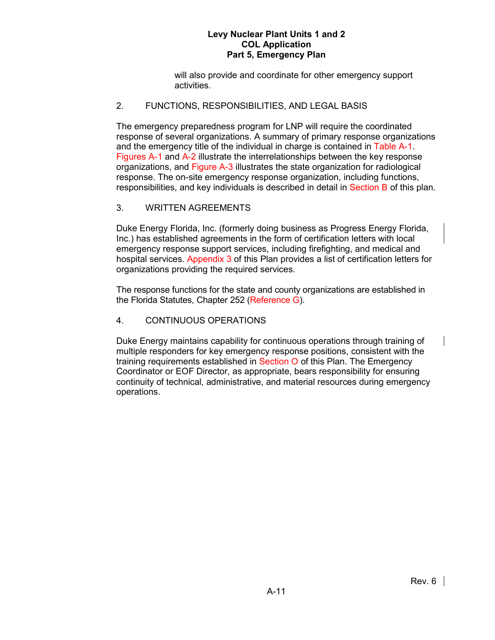will also provide and coordinate for other emergency support activities.

## 2. FUNCTIONS, RESPONSIBILITIES, AND LEGAL BASIS

The emergency preparedness program for LNP will require the coordinated response of several organizations. A summary of primary response organizations and the emergency title of the individual in charge is contained in Table A-1. Figures A-1 and A-2 illustrate the interrelationships between the key response organizations, and Figure A-3 illustrates the state organization for radiological response. The on-site emergency response organization, including functions, responsibilities, and key individuals is described in detail in Section B of this plan.

## 3. WRITTEN AGREEMENTS

Duke Energy Florida, Inc. (formerly doing business as Progress Energy Florida, Inc.) has established agreements in the form of certification letters with local emergency response support services, including firefighting, and medical and hospital services. Appendix 3 of this Plan provides a list of certification letters for organizations providing the required services.

The response functions for the state and county organizations are established in the Florida Statutes, Chapter 252 (Reference G).

## 4. CONTINUOUS OPERATIONS

Duke Energy maintains capability for continuous operations through training of multiple responders for key emergency response positions, consistent with the training requirements established in Section O of this Plan. The Emergency Coordinator or EOF Director, as appropriate, bears responsibility for ensuring continuity of technical, administrative, and material resources during emergency operations.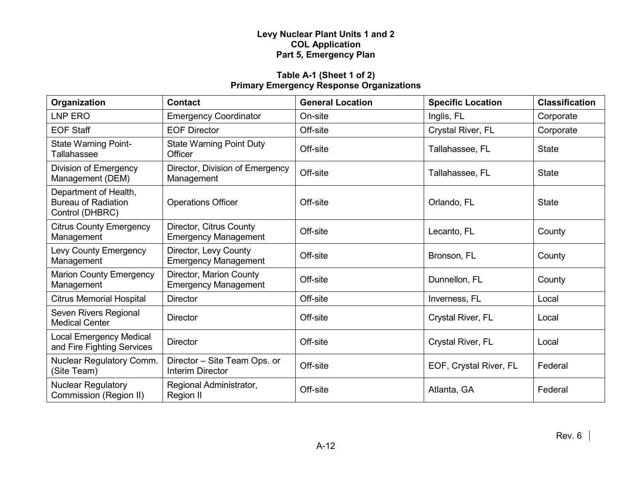# **Table A-1 (Sheet 1 of 2) Primary Emergency Response Organizations**

| Organization                                                           | <b>Contact</b>                                          | <b>General Location</b> | <b>Specific Location</b> | <b>Classification</b> |
|------------------------------------------------------------------------|---------------------------------------------------------|-------------------------|--------------------------|-----------------------|
| LNP ERO                                                                | <b>Emergency Coordinator</b>                            | On-site                 | Inglis, FL               | Corporate             |
| <b>EOF Staff</b>                                                       | <b>EOF Director</b>                                     | Off-site                | Crystal River, FL        | Corporate             |
| <b>State Warning Point-</b><br><b>Tallahassee</b>                      | <b>State Warning Point Duty</b><br>Officer              | Off-site                | Tallahassee, FL          | <b>State</b>          |
| Division of Emergency<br>Management (DEM)                              | Director, Division of Emergency<br>Management           | Off-site                | Tallahassee, FL          | <b>State</b>          |
| Department of Health,<br><b>Bureau of Radiation</b><br>Control (DHBRC) | <b>Operations Officer</b>                               | Off-site                | Orlando, FL              | <b>State</b>          |
| <b>Citrus County Emergency</b><br>Management                           | Director, Citrus County<br><b>Emergency Management</b>  | Off-site                | Lecanto, FL              | County                |
| Levy County Emergency<br>Management                                    | Director, Levy County<br><b>Emergency Management</b>    | Off-site                | Bronson, FL              | County                |
| <b>Marion County Emergency</b><br>Management                           | Director, Marion County<br><b>Emergency Management</b>  | Off-site                | Dunnellon, FL            | County                |
| <b>Citrus Memorial Hospital</b>                                        | <b>Director</b>                                         | Off-site                | Inverness, FL            | Local                 |
| Seven Rivers Regional<br><b>Medical Center</b>                         | <b>Director</b>                                         | Off-site                | Crystal River, FL        | Local                 |
| <b>Local Emergency Medical</b><br>and Fire Fighting Services           | <b>Director</b>                                         | Off-site                | Crystal River, FL        | Local                 |
| Nuclear Regulatory Comm.<br>(Site Team)                                | Director - Site Team Ops. or<br><b>Interim Director</b> | Off-site                | EOF, Crystal River, FL   | Federal               |
| <b>Nuclear Regulatory</b><br>Commission (Region II)                    | Regional Administrator,<br>Region II                    | Off-site                | Atlanta, GA              | Federal               |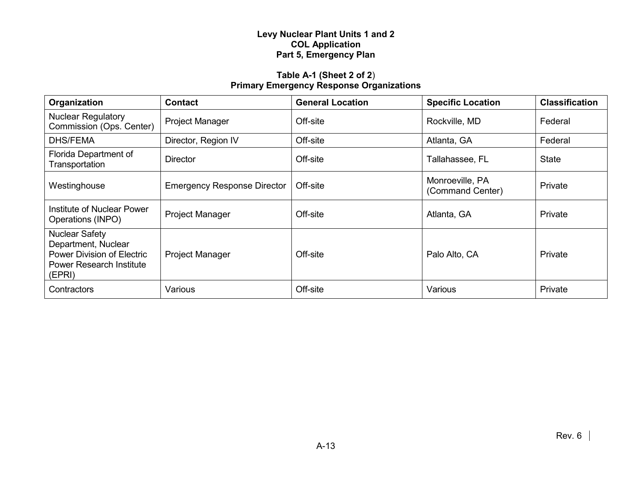# **Table A-1 (Sheet 2 of 2**) **Primary Emergency Response Organizations**

| Organization                                                                                                                   | <b>Contact</b>                     | <b>General Location</b> | <b>Specific Location</b>            | <b>Classification</b> |
|--------------------------------------------------------------------------------------------------------------------------------|------------------------------------|-------------------------|-------------------------------------|-----------------------|
| <b>Nuclear Regulatory</b><br>Commission (Ops. Center)                                                                          | <b>Project Manager</b>             | Off-site                | Rockville, MD                       | Federal               |
| <b>DHS/FEMA</b>                                                                                                                | Director, Region IV                | Off-site                | Atlanta, GA                         | Federal               |
| Florida Department of<br>Transportation                                                                                        | Director                           | Off-site                | Tallahassee, FL                     | <b>State</b>          |
| Westinghouse                                                                                                                   | <b>Emergency Response Director</b> | Off-site                | Monroeville, PA<br>(Command Center) | <b>Private</b>        |
| Institute of Nuclear Power<br>Operations (INPO)                                                                                | <b>Project Manager</b>             | Off-site                | Atlanta, GA                         | <b>Private</b>        |
| <b>Nuclear Safety</b><br>Department, Nuclear<br><b>Power Division of Electric</b><br><b>Power Research Institute</b><br>(EPRI) | <b>Project Manager</b>             | Off-site                | Palo Alto, CA                       | Private               |
| Contractors                                                                                                                    | Various                            | Off-site                | Various                             | Private               |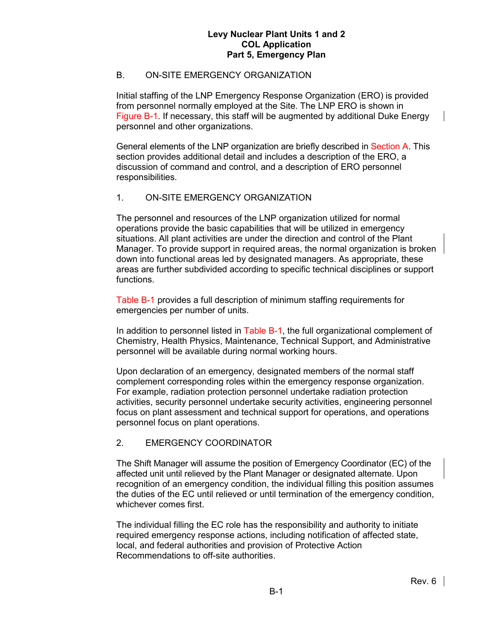# B. ON-SITE EMERGENCY ORGANIZATION

Initial staffing of the LNP Emergency Response Organization (ERO) is provided from personnel normally employed at the Site. The LNP ERO is shown in Figure B-1. If necessary, this staff will be augmented by additional Duke Energy personnel and other organizations.

General elements of the LNP organization are briefly described in Section A. This section provides additional detail and includes a description of the ERO, a discussion of command and control, and a description of ERO personnel responsibilities.

## 1. ON-SITE EMERGENCY ORGANIZATION

The personnel and resources of the LNP organization utilized for normal operations provide the basic capabilities that will be utilized in emergency situations. All plant activities are under the direction and control of the Plant Manager. To provide support in required areas, the normal organization is broken down into functional areas led by designated managers. As appropriate, these areas are further subdivided according to specific technical disciplines or support functions.

Table B-1 provides a full description of minimum staffing requirements for emergencies per number of units.

In addition to personnel listed in Table B-1, the full organizational complement of Chemistry, Health Physics, Maintenance, Technical Support, and Administrative personnel will be available during normal working hours.

Upon declaration of an emergency, designated members of the normal staff complement corresponding roles within the emergency response organization. For example, radiation protection personnel undertake radiation protection activities, security personnel undertake security activities, engineering personnel focus on plant assessment and technical support for operations, and operations personnel focus on plant operations.

## 2. EMERGENCY COORDINATOR

The Shift Manager will assume the position of Emergency Coordinator (EC) of the affected unit until relieved by the Plant Manager or designated alternate. Upon recognition of an emergency condition, the individual filling this position assumes the duties of the EC until relieved or until termination of the emergency condition, whichever comes first.

The individual filling the EC role has the responsibility and authority to initiate required emergency response actions, including notification of affected state, local, and federal authorities and provision of Protective Action Recommendations to off-site authorities.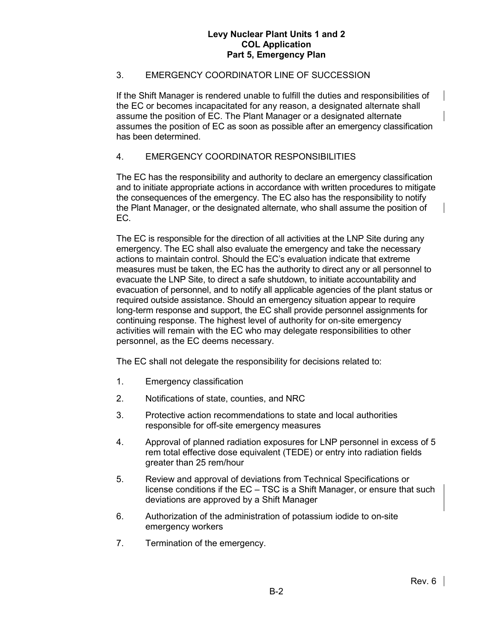# 3. EMERGENCY COORDINATOR LINE OF SUCCESSION

If the Shift Manager is rendered unable to fulfill the duties and responsibilities of the EC or becomes incapacitated for any reason, a designated alternate shall assume the position of EC. The Plant Manager or a designated alternate assumes the position of EC as soon as possible after an emergency classification has been determined.

## 4. EMERGENCY COORDINATOR RESPONSIBILITIES

The EC has the responsibility and authority to declare an emergency classification and to initiate appropriate actions in accordance with written procedures to mitigate the consequences of the emergency. The EC also has the responsibility to notify the Plant Manager, or the designated alternate, who shall assume the position of EC.

The EC is responsible for the direction of all activities at the LNP Site during any emergency. The EC shall also evaluate the emergency and take the necessary actions to maintain control. Should the EC's evaluation indicate that extreme measures must be taken, the EC has the authority to direct any or all personnel to evacuate the LNP Site, to direct a safe shutdown, to initiate accountability and evacuation of personnel, and to notify all applicable agencies of the plant status or required outside assistance. Should an emergency situation appear to require long-term response and support, the EC shall provide personnel assignments for continuing response. The highest level of authority for on-site emergency activities will remain with the EC who may delegate responsibilities to other personnel, as the EC deems necessary.

The EC shall not delegate the responsibility for decisions related to:

- 1. Emergency classification
- 2. Notifications of state, counties, and NRC
- 3. Protective action recommendations to state and local authorities responsible for off-site emergency measures
- 4. Approval of planned radiation exposures for LNP personnel in excess of 5 rem total effective dose equivalent (TEDE) or entry into radiation fields greater than 25 rem/hour
- 5. Review and approval of deviations from Technical Specifications or license conditions if the EC – TSC is a Shift Manager, or ensure that such deviations are approved by a Shift Manager
- 6. Authorization of the administration of potassium iodide to on-site emergency workers
- 7. Termination of the emergency.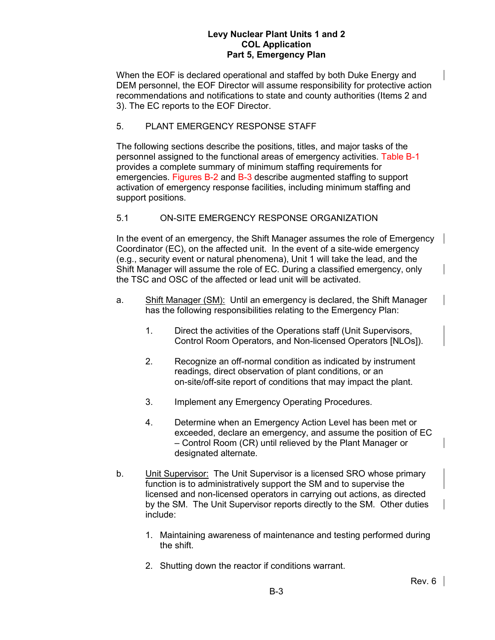When the EOF is declared operational and staffed by both Duke Energy and DEM personnel, the EOF Director will assume responsibility for protective action recommendations and notifications to state and county authorities (Items 2 and 3). The EC reports to the EOF Director.

# 5. PLANT EMERGENCY RESPONSE STAFF

The following sections describe the positions, titles, and major tasks of the personnel assigned to the functional areas of emergency activities. Table B-1 provides a complete summary of minimum staffing requirements for emergencies. Figures B-2 and B-3 describe augmented staffing to support activation of emergency response facilities, including minimum staffing and support positions.

# 5.1 ON-SITE EMERGENCY RESPONSE ORGANIZATION

In the event of an emergency, the Shift Manager assumes the role of Emergency Coordinator (EC), on the affected unit. In the event of a site-wide emergency (e.g., security event or natural phenomena), Unit 1 will take the lead, and the Shift Manager will assume the role of EC. During a classified emergency, only the TSC and OSC of the affected or lead unit will be activated.

- a. Shift Manager (SM): Until an emergency is declared, the Shift Manager has the following responsibilities relating to the Emergency Plan:
	- 1. Direct the activities of the Operations staff (Unit Supervisors, Control Room Operators, and Non-licensed Operators [NLOs]).
	- 2. Recognize an off-normal condition as indicated by instrument readings, direct observation of plant conditions, or an on-site/off-site report of conditions that may impact the plant.
	- 3. Implement any Emergency Operating Procedures.
	- 4. Determine when an Emergency Action Level has been met or exceeded, declare an emergency, and assume the position of EC – Control Room (CR) until relieved by the Plant Manager or designated alternate.
- b. **Unit Supervisor:** The Unit Supervisor is a licensed SRO whose primary function is to administratively support the SM and to supervise the licensed and non-licensed operators in carrying out actions, as directed by the SM. The Unit Supervisor reports directly to the SM. Other duties include:
	- 1. Maintaining awareness of maintenance and testing performed during the shift.
	- 2. Shutting down the reactor if conditions warrant.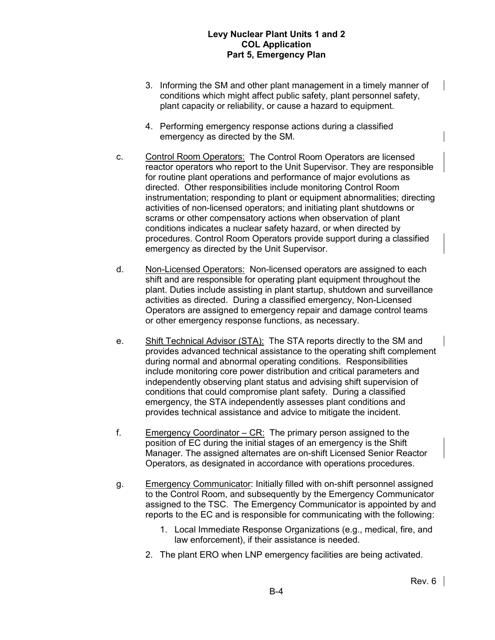- 3. Informing the SM and other plant management in a timely manner of conditions which might affect public safety, plant personnel safety, plant capacity or reliability, or cause a hazard to equipment.
- 4. Performing emergency response actions during a classified emergency as directed by the SM.
- c. Control Room Operators: The Control Room Operators are licensed reactor operators who report to the Unit Supervisor. They are responsible for routine plant operations and performance of major evolutions as directed. Other responsibilities include monitoring Control Room instrumentation; responding to plant or equipment abnormalities; directing activities of non-licensed operators; and initiating plant shutdowns or scrams or other compensatory actions when observation of plant conditions indicates a nuclear safety hazard, or when directed by procedures. Control Room Operators provide support during a classified emergency as directed by the Unit Supervisor.
- d. Non-Licensed Operators: Non-licensed operators are assigned to each shift and are responsible for operating plant equipment throughout the plant. Duties include assisting in plant startup, shutdown and surveillance activities as directed. During a classified emergency, Non-Licensed Operators are assigned to emergency repair and damage control teams or other emergency response functions, as necessary.
- e. Shift Technical Advisor (STA): The STA reports directly to the SM and provides advanced technical assistance to the operating shift complement during normal and abnormal operating conditions. Responsibilities include monitoring core power distribution and critical parameters and independently observing plant status and advising shift supervision of conditions that could compromise plant safety. During a classified emergency, the STA independently assesses plant conditions and provides technical assistance and advice to mitigate the incident.
- f. Emergency Coordinator CR: The primary person assigned to the position of EC during the initial stages of an emergency is the Shift Manager. The assigned alternates are on-shift Licensed Senior Reactor Operators, as designated in accordance with operations procedures.
- g. Emergency Communicator: Initially filled with on-shift personnel assigned to the Control Room, and subsequently by the Emergency Communicator assigned to the TSC. The Emergency Communicator is appointed by and reports to the EC and is responsible for communicating with the following:
	- 1. Local Immediate Response Organizations (e.g., medical, fire, and law enforcement), if their assistance is needed.
	- 2. The plant ERO when LNP emergency facilities are being activated.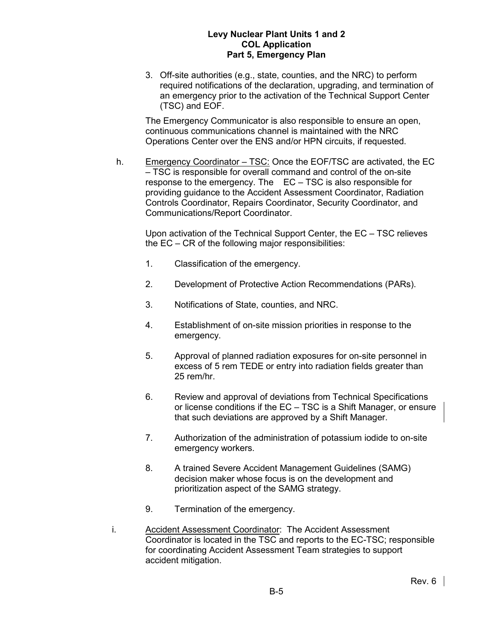3. Off-site authorities (e.g., state, counties, and the NRC) to perform required notifications of the declaration, upgrading, and termination of an emergency prior to the activation of the Technical Support Center (TSC) and EOF.

The Emergency Communicator is also responsible to ensure an open, continuous communications channel is maintained with the NRC Operations Center over the ENS and/or HPN circuits, if requested.

h. Emergency Coordinator – TSC: Once the EOF/TSC are activated, the EC – TSC is responsible for overall command and control of the on-site response to the emergency. The EC – TSC is also responsible for providing guidance to the Accident Assessment Coordinator, Radiation Controls Coordinator, Repairs Coordinator, Security Coordinator, and Communications/Report Coordinator.

Upon activation of the Technical Support Center, the EC – TSC relieves the EC – CR of the following major responsibilities:

- 1. Classification of the emergency.
- 2. Development of Protective Action Recommendations (PARs).
- 3. Notifications of State, counties, and NRC.
- 4. Establishment of on-site mission priorities in response to the emergency.
- 5. Approval of planned radiation exposures for on-site personnel in excess of 5 rem TEDE or entry into radiation fields greater than 25 rem/hr.
- 6. Review and approval of deviations from Technical Specifications or license conditions if the EC – TSC is a Shift Manager, or ensure that such deviations are approved by a Shift Manager.
- 7. Authorization of the administration of potassium iodide to on-site emergency workers.
- 8. A trained Severe Accident Management Guidelines (SAMG) decision maker whose focus is on the development and prioritization aspect of the SAMG strategy.
- 9. Termination of the emergency.
- i. Accident Assessment Coordinator: The Accident Assessment Coordinator is located in the TSC and reports to the EC-TSC; responsible for coordinating Accident Assessment Team strategies to support accident mitigation.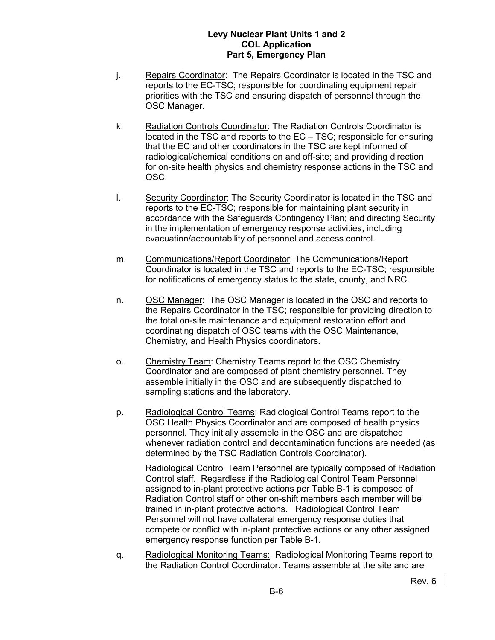- j. Repairs Coordinator: The Repairs Coordinator is located in the TSC and reports to the EC-TSC; responsible for coordinating equipment repair priorities with the TSC and ensuring dispatch of personnel through the OSC Manager.
- k. Radiation Controls Coordinator: The Radiation Controls Coordinator is located in the TSC and reports to the EC – TSC; responsible for ensuring that the EC and other coordinators in the TSC are kept informed of radiological/chemical conditions on and off-site; and providing direction for on-site health physics and chemistry response actions in the TSC and OSC.
- l. Security Coordinator: The Security Coordinator is located in the TSC and reports to the EC-TSC; responsible for maintaining plant security in accordance with the Safeguards Contingency Plan; and directing Security in the implementation of emergency response activities, including evacuation/accountability of personnel and access control.
- m. Communications/Report Coordinator: The Communications/Report Coordinator is located in the TSC and reports to the EC-TSC; responsible for notifications of emergency status to the state, county, and NRC.
- n. OSC Manager: The OSC Manager is located in the OSC and reports to the Repairs Coordinator in the TSC; responsible for providing direction to the total on-site maintenance and equipment restoration effort and coordinating dispatch of OSC teams with the OSC Maintenance, Chemistry, and Health Physics coordinators.
- o. Chemistry Team: Chemistry Teams report to the OSC Chemistry Coordinator and are composed of plant chemistry personnel. They assemble initially in the OSC and are subsequently dispatched to sampling stations and the laboratory.
- p. Radiological Control Teams: Radiological Control Teams report to the OSC Health Physics Coordinator and are composed of health physics personnel. They initially assemble in the OSC and are dispatched whenever radiation control and decontamination functions are needed (as determined by the TSC Radiation Controls Coordinator).

Radiological Control Team Personnel are typically composed of Radiation Control staff. Regardless if the Radiological Control Team Personnel assigned to in-plant protective actions per Table B-1 is composed of Radiation Control staff or other on-shift members each member will be trained in in-plant protective actions. Radiological Control Team Personnel will not have collateral emergency response duties that compete or conflict with in-plant protective actions or any other assigned emergency response function per Table B-1.

q. Radiological Monitoring Teams: Radiological Monitoring Teams report to the Radiation Control Coordinator. Teams assemble at the site and are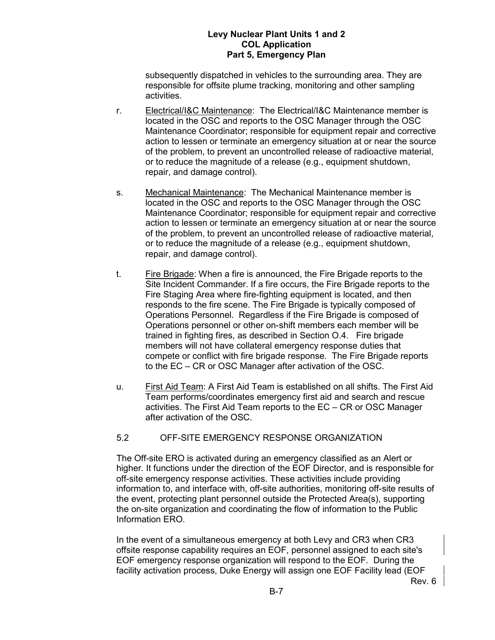subsequently dispatched in vehicles to the surrounding area. They are responsible for offsite plume tracking, monitoring and other sampling activities.

- r. Electrical/I&C Maintenance: The Electrical/I&C Maintenance member is located in the OSC and reports to the OSC Manager through the OSC Maintenance Coordinator; responsible for equipment repair and corrective action to lessen or terminate an emergency situation at or near the source of the problem, to prevent an uncontrolled release of radioactive material, or to reduce the magnitude of a release (e.g., equipment shutdown, repair, and damage control).
- s. Mechanical Maintenance: The Mechanical Maintenance member is located in the OSC and reports to the OSC Manager through the OSC Maintenance Coordinator; responsible for equipment repair and corrective action to lessen or terminate an emergency situation at or near the source of the problem, to prevent an uncontrolled release of radioactive material, or to reduce the magnitude of a release (e.g., equipment shutdown, repair, and damage control).
- t. Fire Brigade: When a fire is announced, the Fire Brigade reports to the Site Incident Commander. If a fire occurs, the Fire Brigade reports to the Fire Staging Area where fire-fighting equipment is located, and then responds to the fire scene. The Fire Brigade is typically composed of Operations Personnel. Regardless if the Fire Brigade is composed of Operations personnel or other on-shift members each member will be trained in fighting fires, as described in Section [O.4.](#page-118-0) Fire brigade members will not have collateral emergency response duties that compete or conflict with fire brigade response. The Fire Brigade reports to the EC – CR or OSC Manager after activation of the OSC.
- u. First Aid Team: A First Aid Team is established on all shifts. The First Aid Team performs/coordinates emergency first aid and search and rescue activities. The First Aid Team reports to the EC – CR or OSC Manager after activation of the OSC.

## 5.2 OFF-SITE EMERGENCY RESPONSE ORGANIZATION

The Off-site ERO is activated during an emergency classified as an Alert or higher. It functions under the direction of the EOF Director, and is responsible for off-site emergency response activities. These activities include providing information to, and interface with, off-site authorities, monitoring off-site results of the event, protecting plant personnel outside the Protected Area(s), supporting the on-site organization and coordinating the flow of information to the Public Information ERO.

In the event of a simultaneous emergency at both Levy and CR3 when CR3 offsite response capability requires an EOF, personnel assigned to each site's EOF emergency response organization will respond to the EOF. During the facility activation process, Duke Energy will assign one EOF Facility lead (EOF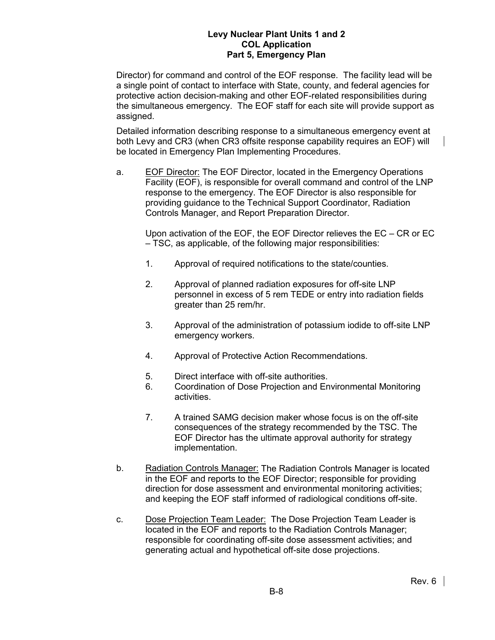Director) for command and control of the EOF response. The facility lead will be a single point of contact to interface with State, county, and federal agencies for protective action decision-making and other EOF-related responsibilities during the simultaneous emergency. The EOF staff for each site will provide support as assigned.

Detailed information describing response to a simultaneous emergency event at both Levy and CR3 (when CR3 offsite response capability requires an EOF) will be located in Emergency Plan Implementing Procedures.

a. EOF Director: The EOF Director, located in the Emergency Operations Facility (EOF), is responsible for overall command and control of the LNP response to the emergency. The EOF Director is also responsible for providing guidance to the Technical Support Coordinator, Radiation Controls Manager, and Report Preparation Director.

Upon activation of the EOF, the EOF Director relieves the EC – CR or EC – TSC, as applicable, of the following major responsibilities:

- 1. Approval of required notifications to the state/counties.
- 2. Approval of planned radiation exposures for off-site LNP personnel in excess of 5 rem TEDE or entry into radiation fields greater than 25 rem/hr.
- 3. Approval of the administration of potassium iodide to off-site LNP emergency workers.
- 4. Approval of Protective Action Recommendations.
- 5. Direct interface with off-site authorities.
- 6. Coordination of Dose Projection and Environmental Monitoring activities.
- 7. A trained SAMG decision maker whose focus is on the off-site consequences of the strategy recommended by the TSC. The EOF Director has the ultimate approval authority for strategy implementation.
- b. Radiation Controls Manager: The Radiation Controls Manager is located in the EOF and reports to the EOF Director; responsible for providing direction for dose assessment and environmental monitoring activities; and keeping the EOF staff informed of radiological conditions off-site.
- c. Dose Projection Team Leader: The Dose Projection Team Leader is located in the EOF and reports to the Radiation Controls Manager; responsible for coordinating off-site dose assessment activities; and generating actual and hypothetical off-site dose projections.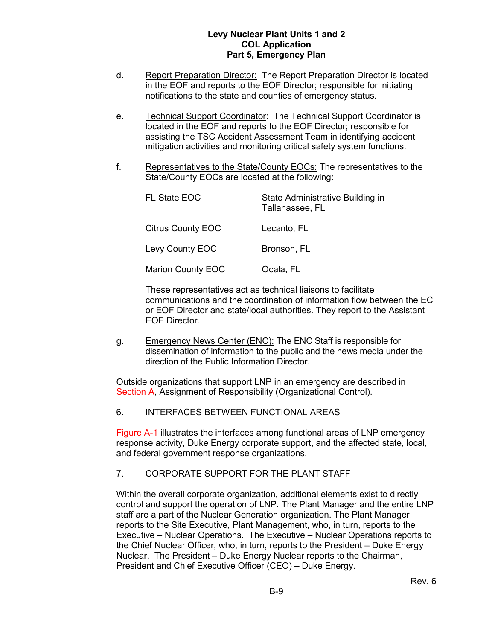- d. Report Preparation Director: The Report Preparation Director is located in the EOF and reports to the EOF Director; responsible for initiating notifications to the state and counties of emergency status.
- e. Technical Support Coordinator: The Technical Support Coordinator is located in the EOF and reports to the EOF Director; responsible for assisting the TSC Accident Assessment Team in identifying accident mitigation activities and monitoring critical safety system functions.
- f. Representatives to the State/County EOCs: The representatives to the State/County EOCs are located at the following:

| <b>FL State EOC</b>      | State Administrative Building in<br>Tallahassee, FL |
|--------------------------|-----------------------------------------------------|
| <b>Citrus County EOC</b> | Lecanto, FL                                         |
| Levy County EOC          | Bronson, FL                                         |
| <b>Marion County EOC</b> | Ocala, FL                                           |

These representatives act as technical liaisons to facilitate communications and the coordination of information flow between the EC or EOF Director and state/local authorities. They report to the Assistant EOF Director.

g. Emergency News Center (ENC): The ENC Staff is responsible for dissemination of information to the public and the news media under the direction of the Public Information Director.

Outside organizations that support LNP in an emergency are described in Section A, Assignment of Responsibility (Organizational Control).

6. INTERFACES BETWEEN FUNCTIONAL AREAS

Figure A-1 illustrates the interfaces among functional areas of LNP emergency response activity, Duke Energy corporate support, and the affected state, local, and federal government response organizations.

# 7. CORPORATE SUPPORT FOR THE PLANT STAFF

Within the overall corporate organization, additional elements exist to directly control and support the operation of LNP. The Plant Manager and the entire LNP staff are a part of the Nuclear Generation organization. The Plant Manager reports to the Site Executive, Plant Management, who, in turn, reports to the Executive – Nuclear Operations. The Executive – Nuclear Operations reports to the Chief Nuclear Officer, who, in turn, reports to the President – Duke Energy Nuclear. The President – Duke Energy Nuclear reports to the Chairman, President and Chief Executive Officer (CEO) – Duke Energy.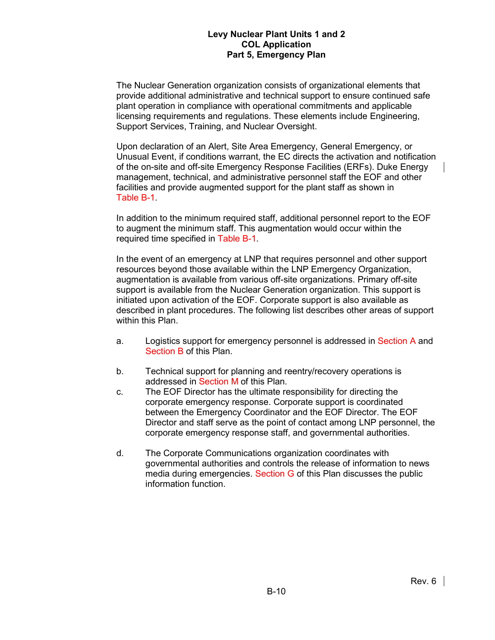The Nuclear Generation organization consists of organizational elements that provide additional administrative and technical support to ensure continued safe plant operation in compliance with operational commitments and applicable licensing requirements and regulations. These elements include Engineering, Support Services, Training, and Nuclear Oversight.

Upon declaration of an Alert, Site Area Emergency, General Emergency, or Unusual Event, if conditions warrant, the EC directs the activation and notification of the on-site and off-site Emergency Response Facilities (ERFs). Duke Energy management, technical, and administrative personnel staff the EOF and other facilities and provide augmented support for the plant staff as shown in Table B-1.

In addition to the minimum required staff, additional personnel report to the EOF to augment the minimum staff. This augmentation would occur within the required time specified in Table B-1.

In the event of an emergency at LNP that requires personnel and other support resources beyond those available within the LNP Emergency Organization, augmentation is available from various off-site organizations. Primary off-site support is available from the Nuclear Generation organization. This support is initiated upon activation of the EOF. Corporate support is also available as described in plant procedures. The following list describes other areas of support within this Plan.

- a. Logistics support for emergency personnel is addressed in Section A and Section B of this Plan.
- b. Technical support for planning and reentry/recovery operations is addressed in Section M of this Plan.
- c. The EOF Director has the ultimate responsibility for directing the corporate emergency response. Corporate support is coordinated between the Emergency Coordinator and the EOF Director. The EOF Director and staff serve as the point of contact among LNP personnel, the corporate emergency response staff, and governmental authorities.
- d. The Corporate Communications organization coordinates with governmental authorities and controls the release of information to news media during emergencies. Section G of this Plan discusses the public information function.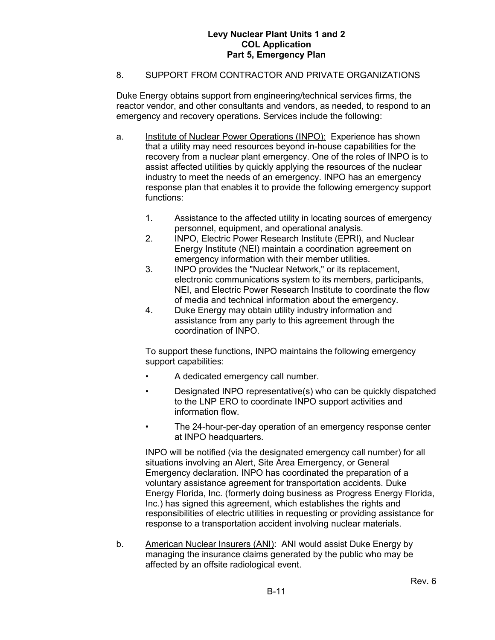## 8. SUPPORT FROM CONTRACTOR AND PRIVATE ORGANIZATIONS

Duke Energy obtains support from engineering/technical services firms, the reactor vendor, and other consultants and vendors, as needed, to respond to an emergency and recovery operations. Services include the following:

- a. Institute of Nuclear Power Operations (INPO): Experience has shown that a utility may need resources beyond in-house capabilities for the recovery from a nuclear plant emergency. One of the roles of INPO is to assist affected utilities by quickly applying the resources of the nuclear industry to meet the needs of an emergency. INPO has an emergency response plan that enables it to provide the following emergency support functions:
	- 1. Assistance to the affected utility in locating sources of emergency personnel, equipment, and operational analysis.
	- 2. INPO, Electric Power Research Institute (EPRI), and Nuclear Energy Institute (NEI) maintain a coordination agreement on emergency information with their member utilities.
	- 3. INPO provides the "Nuclear Network," or its replacement, electronic communications system to its members, participants, NEI, and Electric Power Research Institute to coordinate the flow of media and technical information about the emergency.
	- 4. Duke Energy may obtain utility industry information and assistance from any party to this agreement through the coordination of INPO.

To support these functions, INPO maintains the following emergency support capabilities:

- A dedicated emergency call number.
- Designated INPO representative(s) who can be quickly dispatched to the LNP ERO to coordinate INPO support activities and information flow.
- The 24-hour-per-day operation of an emergency response center at INPO headquarters.

INPO will be notified (via the designated emergency call number) for all situations involving an Alert, Site Area Emergency, or General Emergency declaration. INPO has coordinated the preparation of a voluntary assistance agreement for transportation accidents. Duke Energy Florida, Inc. (formerly doing business as Progress Energy Florida, Inc.) has signed this agreement, which establishes the rights and responsibilities of electric utilities in requesting or providing assistance for response to a transportation accident involving nuclear materials.

b. American Nuclear Insurers (ANI): ANI would assist Duke Energy by managing the insurance claims generated by the public who may be affected by an offsite radiological event.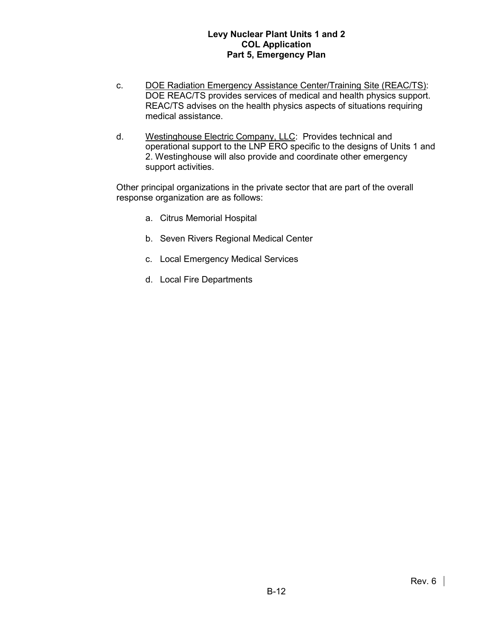- c. DOE Radiation Emergency Assistance Center/Training Site (REAC/TS): DOE REAC/TS provides services of medical and health physics support. REAC/TS advises on the health physics aspects of situations requiring medical assistance.
- d. Westinghouse Electric Company, LLC: Provides technical and operational support to the LNP ERO specific to the designs of Units 1 and 2. Westinghouse will also provide and coordinate other emergency support activities.

Other principal organizations in the private sector that are part of the overall response organization are as follows:

- a. Citrus Memorial Hospital
- b. Seven Rivers Regional Medical Center
- c. Local Emergency Medical Services
- d. Local Fire Departments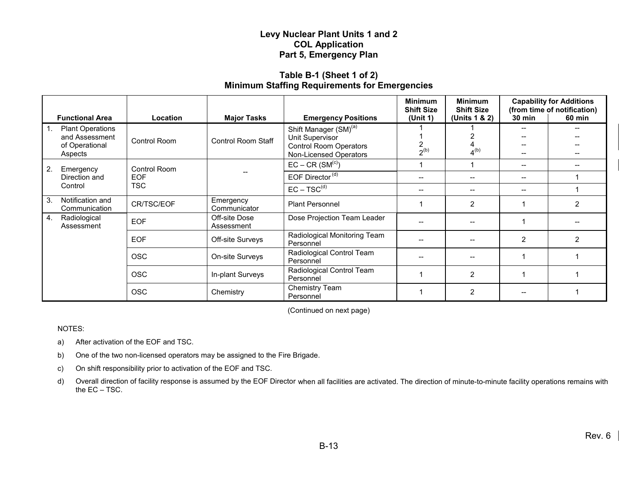### **Table B-1 (Sheet 1 of 2) Minimum Staffing Requirements for Emergencies**

|                                                                                      |                     |                             | <b>Minimum</b><br><b>Shift Size</b>                                                                             |                                     | <b>Minimum</b><br><b>Shift Size</b>   | <b>Capability for Additions</b><br>(from time of notification) |                |
|--------------------------------------------------------------------------------------|---------------------|-----------------------------|-----------------------------------------------------------------------------------------------------------------|-------------------------------------|---------------------------------------|----------------------------------------------------------------|----------------|
| <b>Functional Area</b>                                                               | Location            | <b>Major Tasks</b>          | <b>Emergency Positions</b>                                                                                      | (Unit 1)                            | (Units 1 & 2)                         | <b>30 min</b>                                                  | <b>60 min</b>  |
| $\vert$ 1.<br><b>Plant Operations</b><br>and Assessment<br>of Operational<br>Aspects | <b>Control Room</b> | Control Room Staff          | Shift Manager (SM) <sup>(a)</sup><br>Unit Supervisor<br><b>Control Room Operators</b><br>Non-Licensed Operators | 2<br>$2^{(b)}$                      | 4 <sup>(b)</sup>                      |                                                                |                |
| 2.<br>Emergency                                                                      | Control Room        |                             | $EC - CR$ (SM <sup>(c)</sup> )                                                                                  |                                     |                                       | $\hspace{0.05cm}$ – $\hspace{0.05cm}$                          |                |
| Direction and                                                                        | <b>EOF</b>          |                             | EOF Director <sup>(d)</sup>                                                                                     | $-$                                 | $\hspace{0.05cm}$                     | $\hspace{0.05cm}$ – $\hspace{0.05cm}$                          |                |
| <b>TSC</b><br>Control                                                                |                     | $EC - TSC^{(d)}$            | $\hspace{0.05cm}$ – $\hspace{0.05cm}$                                                                           | $\hspace{0.05cm}$ $\hspace{0.05cm}$ | $\hspace{0.05cm}$ – $\hspace{0.05cm}$ |                                                                |                |
| 3.<br>Notification and<br>Communication                                              | CR/TSC/EOF          | Emergency<br>Communicator   | <b>Plant Personnel</b>                                                                                          |                                     | 2                                     |                                                                | $\overline{2}$ |
| 4.<br>Radiological<br>Assessment                                                     | <b>EOF</b>          | Off-site Dose<br>Assessment | Dose Projection Team Leader                                                                                     |                                     |                                       |                                                                |                |
|                                                                                      | <b>EOF</b>          | Off-site Surveys            | Radiological Monitoring Team<br>Personnel                                                                       |                                     | $\hspace{0.05cm}$                     | 2                                                              | 2              |
|                                                                                      | <b>OSC</b>          | On-site Surveys             | Radiological Control Team<br>Personnel                                                                          |                                     | $\hspace{0.05cm}$                     |                                                                |                |
|                                                                                      | <b>OSC</b>          | In-plant Surveys            | Radiological Control Team<br>Personnel                                                                          |                                     | 2                                     |                                                                |                |
|                                                                                      | <b>OSC</b>          | Chemistry                   | Chemistry Team<br>Personnel                                                                                     |                                     | 2                                     |                                                                |                |

(Continued on next page)

NOTES:

- a) After activation of the EOF and TSC.
- b) One of the two non-licensed operators may be assigned to the Fire Brigade.
- c) On shift responsibility prior to activation of the EOF and TSC.
- d) Overall direction of facility response is assumed by the EOF Director when all facilities are activated. The direction of minute-to-minute facility operations remains with the EC – TSC.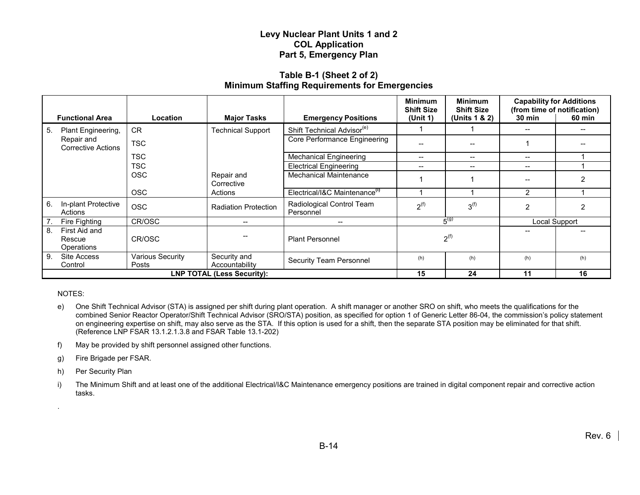## **Table B-1 (Sheet 2 of 2) Minimum Staffing Requirements for Emergencies**

| <b>Functional Area</b>                      | <b>Location</b>                  | <b>Major Tasks</b>                    | <b>Emergency Positions</b>                | <b>Minimum</b><br><b>Shift Size</b><br>(Unit 1) | <b>Minimum</b><br><b>Shift Size</b><br>(Units 1 & 2) | <b>Capability for Additions</b><br><b>30 min</b> | (from time of notification)<br>60 min |
|---------------------------------------------|----------------------------------|---------------------------------------|-------------------------------------------|-------------------------------------------------|------------------------------------------------------|--------------------------------------------------|---------------------------------------|
| Plant Engineering,<br>5.                    | <b>CR</b>                        | <b>Technical Support</b>              | Shift Technical Advisor <sup>(e)</sup>    |                                                 |                                                      |                                                  |                                       |
| Repair and<br><b>Corrective Actions</b>     | <b>TSC</b>                       |                                       | Core Performance Engineering              |                                                 | --                                                   |                                                  |                                       |
|                                             | <b>TSC</b>                       |                                       | <b>Mechanical Engineering</b>             | $- -$                                           | $- -$                                                | $\hspace{0.05cm}$                                |                                       |
|                                             | <b>TSC</b>                       |                                       | <b>Electrical Engineering</b>             | $- -$                                           | --                                                   | --                                               |                                       |
|                                             | <b>OSC</b>                       | Repair and<br>Corrective              | <b>Mechanical Maintenance</b>             |                                                 |                                                      |                                                  | 2                                     |
|                                             | <b>OSC</b>                       | Actions                               | Electrical/I&C Maintenance <sup>(1)</sup> |                                                 |                                                      | $\overline{2}$                                   |                                       |
| 6.<br>In-plant Protective<br>Actions        | <b>OSC</b>                       | <b>Radiation Protection</b>           | Radiological Control Team<br>Personnel    | $2^{(f)}$                                       | 3 <sup>(f)</sup>                                     | 2                                                | 2                                     |
| Fire Fighting<br>$7_{\cdot}$                | CR/OSC                           | $\hspace{0.05cm}$ – $\hspace{0.05cm}$ | $\hspace{0.05cm}$ – $\hspace{0.05cm}$     |                                                 | $5^{(g)}$                                            |                                                  | Local Support                         |
| 8.<br>First Aid and<br>Rescue<br>Operations | CR/OSC                           |                                       | <b>Plant Personnel</b>                    |                                                 | 2 <sup>(f)</sup>                                     |                                                  |                                       |
| 9.<br>Site Access<br>Control                | <b>Various Security</b><br>Posts | Security and<br>Accountability        | Security Team Personnel                   | (h)                                             | (h)                                                  | (h)                                              | (h)                                   |
| <b>LNP TOTAL (Less Security):</b>           |                                  |                                       |                                           | 15                                              | 24                                                   | 11                                               | 16                                    |

NOTES:

.

- e) One Shift Technical Advisor (STA) is assigned per shift during plant operation. A shift manager or another SRO on shift, who meets the qualifications for the combined Senior Reactor Operator/Shift Technical Advisor (SRO/STA) position, as specified for option 1 of Generic Letter 86-04, the commission's policy statement on engineering expertise on shift, may also serve as the STA. If this option is used for a shift, then the separate STA position may be eliminated for that shift. (Reference LNP FSAR 13.1.2.1.3.8 and FSAR Table 13.1-202)
- f) May be provided by shift personnel assigned other functions.
- g) Fire Brigade per FSAR.
- h) Per Security Plan
- i) The Minimum Shift and at least one of the additional Electrical/I&C Maintenance emergency positions are trained in digital component repair and corrective action tasks.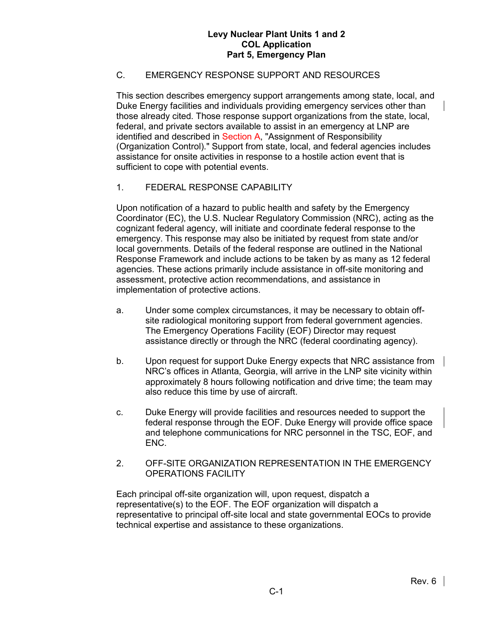# C. EMERGENCY RESPONSE SUPPORT AND RESOURCES

This section describes emergency support arrangements among state, local, and Duke Energy facilities and individuals providing emergency services other than those already cited. Those response support organizations from the state, local, federal, and private sectors available to assist in an emergency at LNP are identified and described in Section A, "Assignment of Responsibility (Organization Control)." Support from state, local, and federal agencies includes assistance for onsite activities in response to a hostile action event that is sufficient to cope with potential events.

## 1. FEDERAL RESPONSE CAPABILITY

Upon notification of a hazard to public health and safety by the Emergency Coordinator (EC), the U.S. Nuclear Regulatory Commission (NRC), acting as the cognizant federal agency, will initiate and coordinate federal response to the emergency. This response may also be initiated by request from state and/or local governments. Details of the federal response are outlined in the National Response Framework and include actions to be taken by as many as 12 federal agencies. These actions primarily include assistance in off-site monitoring and assessment, protective action recommendations, and assistance in implementation of protective actions.

- a. Under some complex circumstances, it may be necessary to obtain offsite radiological monitoring support from federal government agencies. The Emergency Operations Facility (EOF) Director may request assistance directly or through the NRC (federal coordinating agency).
- b. Upon request for support Duke Energy expects that NRC assistance from NRC's offices in Atlanta, Georgia, will arrive in the LNP site vicinity within approximately 8 hours following notification and drive time; the team may also reduce this time by use of aircraft.
- c. Duke Energy will provide facilities and resources needed to support the federal response through the EOF. Duke Energy will provide office space and telephone communications for NRC personnel in the TSC, EOF, and ENC.
- 2. OFF-SITE ORGANIZATION REPRESENTATION IN THE EMERGENCY OPERATIONS FACILITY

Each principal off-site organization will, upon request, dispatch a representative(s) to the EOF. The EOF organization will dispatch a representative to principal off-site local and state governmental EOCs to provide technical expertise and assistance to these organizations.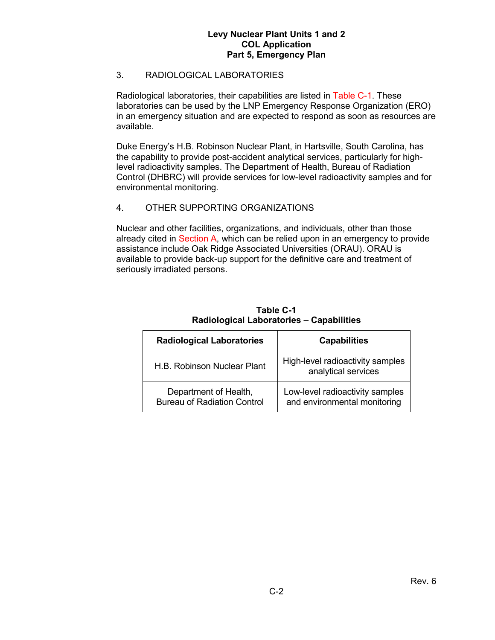## 3. RADIOLOGICAL LABORATORIES

Radiological laboratories, their capabilities are listed in Table C-1. These laboratories can be used by the LNP Emergency Response Organization (ERO) in an emergency situation and are expected to respond as soon as resources are available.

Duke Energy's H.B. Robinson Nuclear Plant, in Hartsville, South Carolina, has the capability to provide post-accident analytical services, particularly for highlevel radioactivity samples. The Department of Health, Bureau of Radiation Control (DHBRC) will provide services for low-level radioactivity samples and for environmental monitoring.

## 4. OTHER SUPPORTING ORGANIZATIONS

Nuclear and other facilities, organizations, and individuals, other than those already cited in Section A, which can be relied upon in an emergency to provide assistance include Oak Ridge Associated Universities (ORAU). ORAU is available to provide back-up support for the definitive care and treatment of seriously irradiated persons.

| <b>Radiological Laboratories</b>                            | <b>Capabilities</b>                                             |
|-------------------------------------------------------------|-----------------------------------------------------------------|
| H.B. Robinson Nuclear Plant                                 | High-level radioactivity samples<br>analytical services         |
| Department of Health,<br><b>Bureau of Radiation Control</b> | Low-level radioactivity samples<br>and environmental monitoring |

**Table C-1 Radiological Laboratories – Capabilities**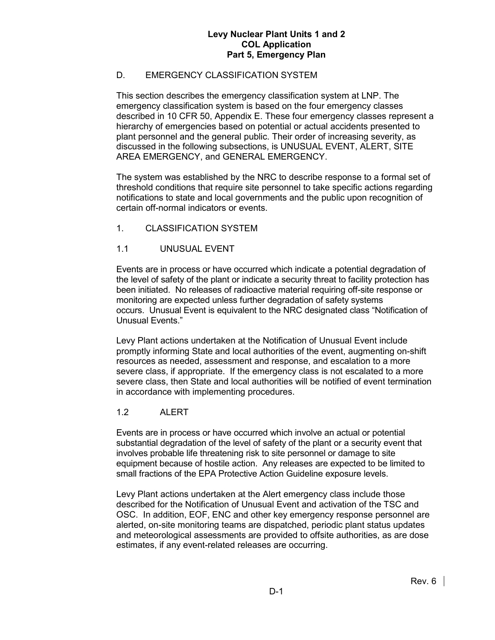# D. EMERGENCY CLASSIFICATION SYSTEM

This section describes the emergency classification system at LNP. The emergency classification system is based on the four emergency classes described in 10 CFR 50, Appendix E. These four emergency classes represent a hierarchy of emergencies based on potential or actual accidents presented to plant personnel and the general public. Their order of increasing severity, as discussed in the following subsections, is UNUSUAL EVENT, ALERT, SITE AREA EMERGENCY, and GENERAL EMERGENCY.

The system was established by the NRC to describe response to a formal set of threshold conditions that require site personnel to take specific actions regarding notifications to state and local governments and the public upon recognition of certain off-normal indicators or events.

1. CLASSIFICATION SYSTEM

## 1.1 UNUSUAL EVENT

Events are in process or have occurred which indicate a potential degradation of the level of safety of the plant or indicate a security threat to facility protection has been initiated. No releases of radioactive material requiring off-site response or monitoring are expected unless further degradation of safety systems occurs. Unusual Event is equivalent to the NRC designated class "Notification of Unusual Events."

Levy Plant actions undertaken at the Notification of Unusual Event include promptly informing State and local authorities of the event, augmenting on-shift resources as needed, assessment and response, and escalation to a more severe class, if appropriate. If the emergency class is not escalated to a more severe class, then State and local authorities will be notified of event termination in accordance with implementing procedures.

## 1.2 ALERT

Events are in process or have occurred which involve an actual or potential substantial degradation of the level of safety of the plant or a security event that involves probable life threatening risk to site personnel or damage to site equipment because of hostile action. Any releases are expected to be limited to small fractions of the EPA Protective Action Guideline exposure levels.

Levy Plant actions undertaken at the Alert emergency class include those described for the Notification of Unusual Event and activation of the TSC and OSC. In addition, EOF, ENC and other key emergency response personnel are alerted, on-site monitoring teams are dispatched, periodic plant status updates and meteorological assessments are provided to offsite authorities, as are dose estimates, if any event-related releases are occurring.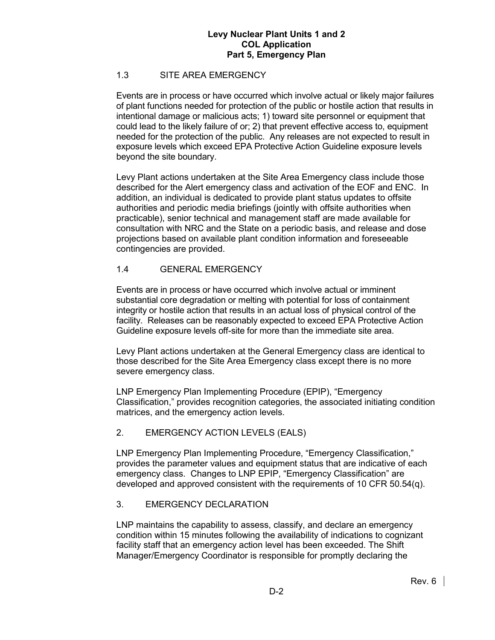## 1.3 SITE AREA EMERGENCY

Events are in process or have occurred which involve actual or likely major failures of plant functions needed for protection of the public or hostile action that results in intentional damage or malicious acts; 1) toward site personnel or equipment that could lead to the likely failure of or; 2) that prevent effective access to, equipment needed for the protection of the public. Any releases are not expected to result in exposure levels which exceed EPA Protective Action Guideline exposure levels beyond the site boundary.

Levy Plant actions undertaken at the Site Area Emergency class include those described for the Alert emergency class and activation of the EOF and ENC. In addition, an individual is dedicated to provide plant status updates to offsite authorities and periodic media briefings (jointly with offsite authorities when practicable), senior technical and management staff are made available for consultation with NRC and the State on a periodic basis, and release and dose projections based on available plant condition information and foreseeable contingencies are provided.

## 1.4 GENERAL EMERGENCY

Events are in process or have occurred which involve actual or imminent substantial core degradation or melting with potential for loss of containment integrity or hostile action that results in an actual loss of physical control of the facility. Releases can be reasonably expected to exceed EPA Protective Action Guideline exposure levels off-site for more than the immediate site area.

Levy Plant actions undertaken at the General Emergency class are identical to those described for the Site Area Emergency class except there is no more severe emergency class.

LNP Emergency Plan Implementing Procedure (EPIP), "Emergency Classification," provides recognition categories, the associated initiating condition matrices, and the emergency action levels.

## 2. EMERGENCY ACTION LEVELS (EALS)

LNP Emergency Plan Implementing Procedure, "Emergency Classification," provides the parameter values and equipment status that are indicative of each emergency class. Changes to LNP EPIP, "Emergency Classification" are developed and approved consistent with the requirements of 10 CFR 50.54(q).

## 3. EMERGENCY DECLARATION

LNP maintains the capability to assess, classify, and declare an emergency condition within 15 minutes following the availability of indications to cognizant facility staff that an emergency action level has been exceeded. The Shift Manager/Emergency Coordinator is responsible for promptly declaring the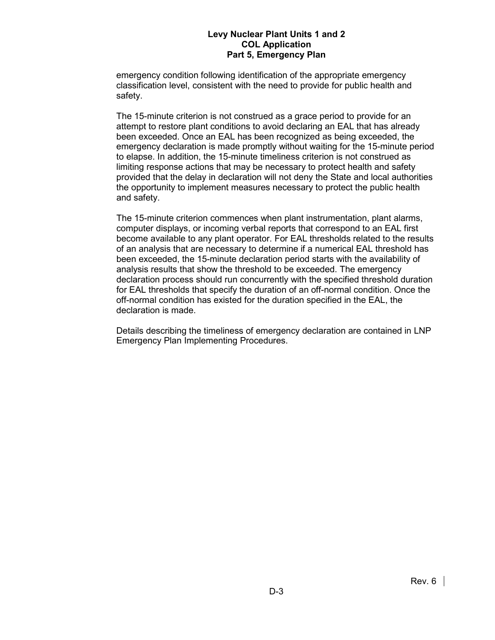emergency condition following identification of the appropriate emergency classification level, consistent with the need to provide for public health and safety.

The 15-minute criterion is not construed as a grace period to provide for an attempt to restore plant conditions to avoid declaring an EAL that has already been exceeded. Once an EAL has been recognized as being exceeded, the emergency declaration is made promptly without waiting for the 15-minute period to elapse. In addition, the 15-minute timeliness criterion is not construed as limiting response actions that may be necessary to protect health and safety provided that the delay in declaration will not deny the State and local authorities the opportunity to implement measures necessary to protect the public health and safety.

The 15-minute criterion commences when plant instrumentation, plant alarms, computer displays, or incoming verbal reports that correspond to an EAL first become available to any plant operator. For EAL thresholds related to the results of an analysis that are necessary to determine if a numerical EAL threshold has been exceeded, the 15-minute declaration period starts with the availability of analysis results that show the threshold to be exceeded. The emergency declaration process should run concurrently with the specified threshold duration for EAL thresholds that specify the duration of an off-normal condition. Once the off-normal condition has existed for the duration specified in the EAL, the declaration is made.

Details describing the timeliness of emergency declaration are contained in LNP Emergency Plan Implementing Procedures.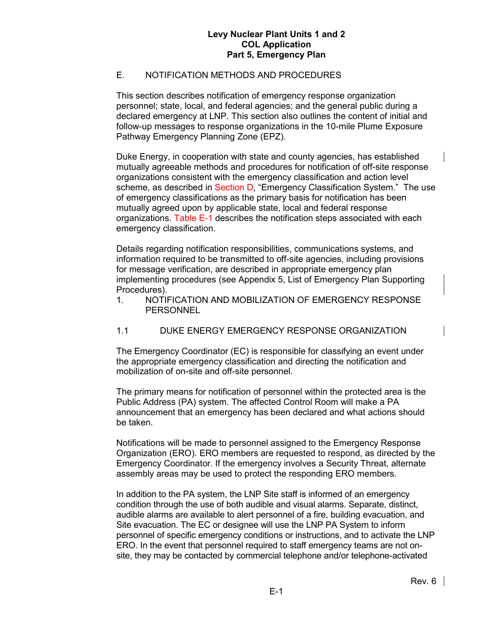## E. NOTIFICATION METHODS AND PROCEDURES

This section describes notification of emergency response organization personnel; state, local, and federal agencies; and the general public during a declared emergency at LNP. This section also outlines the content of initial and follow-up messages to response organizations in the 10-mile Plume Exposure Pathway Emergency Planning Zone (EPZ).

Duke Energy, in cooperation with state and county agencies, has established mutually agreeable methods and procedures for notification of off-site response organizations consistent with the emergency classification and action level scheme, as described in Section D, "Emergency Classification System." The use of emergency classifications as the primary basis for notification has been mutually agreed upon by applicable state, local and federal response organizations. Table E-1 describes the notification steps associated with each emergency classification.

Details regarding notification responsibilities, communications systems, and information required to be transmitted to off-site agencies, including provisions for message verification, are described in appropriate emergency plan implementing procedures (see Appendix 5, List of Emergency Plan Supporting Procedures).

1. NOTIFICATION AND MOBILIZATION OF EMERGENCY RESPONSE **PERSONNEL** 

## 1.1 DUKE ENERGY EMERGENCY RESPONSE ORGANIZATION

The Emergency Coordinator (EC) is responsible for classifying an event under the appropriate emergency classification and directing the notification and mobilization of on-site and off-site personnel.

The primary means for notification of personnel within the protected area is the Public Address (PA) system. The affected Control Room will make a PA announcement that an emergency has been declared and what actions should be taken.

Notifications will be made to personnel assigned to the Emergency Response Organization (ERO). ERO members are requested to respond, as directed by the Emergency Coordinator. If the emergency involves a Security Threat, alternate assembly areas may be used to protect the responding ERO members.

In addition to the PA system, the LNP Site staff is informed of an emergency condition through the use of both audible and visual alarms. Separate, distinct, audible alarms are available to alert personnel of a fire, building evacuation, and Site evacuation. The EC or designee will use the LNP PA System to inform personnel of specific emergency conditions or instructions, and to activate the LNP ERO. In the event that personnel required to staff emergency teams are not onsite, they may be contacted by commercial telephone and/or telephone-activated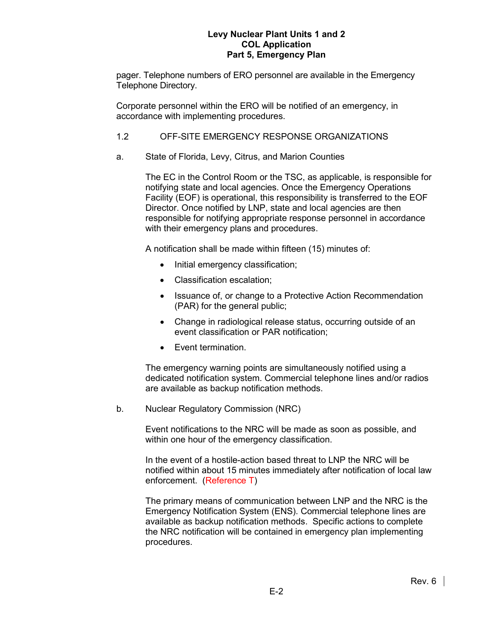pager. Telephone numbers of ERO personnel are available in the Emergency Telephone Directory.

Corporate personnel within the ERO will be notified of an emergency, in accordance with implementing procedures.

## 1.2 OFF-SITE EMERGENCY RESPONSE ORGANIZATIONS

a. State of Florida, Levy, Citrus, and Marion Counties

The EC in the Control Room or the TSC, as applicable, is responsible for notifying state and local agencies. Once the Emergency Operations Facility (EOF) is operational, this responsibility is transferred to the EOF Director. Once notified by LNP, state and local agencies are then responsible for notifying appropriate response personnel in accordance with their emergency plans and procedures.

A notification shall be made within fifteen (15) minutes of:

- Initial emergency classification;
- Classification escalation;
- Issuance of, or change to a Protective Action Recommendation (PAR) for the general public;
- Change in radiological release status, occurring outside of an event classification or PAR notification;
- Event termination.

The emergency warning points are simultaneously notified using a dedicated notification system. Commercial telephone lines and/or radios are available as backup notification methods.

b. Nuclear Regulatory Commission (NRC)

Event notifications to the NRC will be made as soon as possible, and within one hour of the emergency classification.

In the event of a hostile-action based threat to LNP the NRC will be notified within about 15 minutes immediately after notification of local law enforcement. (Reference T)

The primary means of communication between LNP and the NRC is the Emergency Notification System (ENS). Commercial telephone lines are available as backup notification methods. Specific actions to complete the NRC notification will be contained in emergency plan implementing procedures.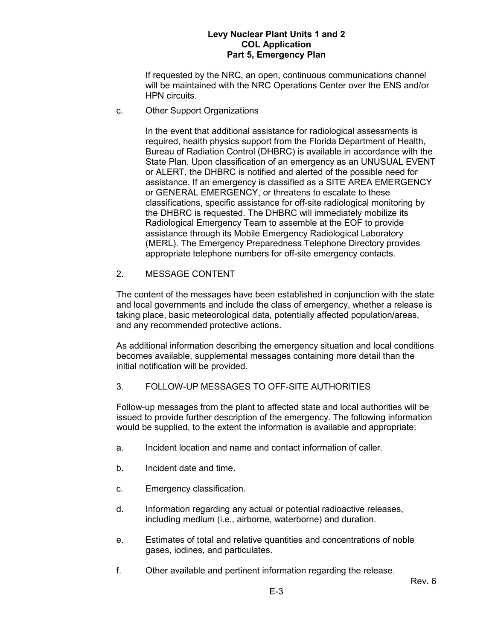If requested by the NRC, an open, continuous communications channel will be maintained with the NRC Operations Center over the ENS and/or HPN circuits.

c. Other Support Organizations

In the event that additional assistance for radiological assessments is required, health physics support from the Florida Department of Health, Bureau of Radiation Control (DHBRC) is available in accordance with the State Plan. Upon classification of an emergency as an UNUSUAL EVENT or ALERT, the DHBRC is notified and alerted of the possible need for assistance. If an emergency is classified as a SITE AREA EMERGENCY or GENERAL EMERGENCY, or threatens to escalate to these classifications, specific assistance for off-site radiological monitoring by the DHBRC is requested. The DHBRC will immediately mobilize its Radiological Emergency Team to assemble at the EOF to provide assistance through its Mobile Emergency Radiological Laboratory (MERL). The Emergency Preparedness Telephone Directory provides appropriate telephone numbers for off-site emergency contacts.

2. MESSAGE CONTENT

The content of the messages have been established in conjunction with the state and local governments and include the class of emergency, whether a release is taking place, basic meteorological data, potentially affected population/areas, and any recommended protective actions.

As additional information describing the emergency situation and local conditions becomes available, supplemental messages containing more detail than the initial notification will be provided.

# 3. FOLLOW-UP MESSAGES TO OFF-SITE AUTHORITIES

Follow-up messages from the plant to affected state and local authorities will be issued to provide further description of the emergency. The following information would be supplied, to the extent the information is available and appropriate:

- a. Incident location and name and contact information of caller.
- b. Incident date and time.
- c. Emergency classification.
- d. Information regarding any actual or potential radioactive releases, including medium (i.e., airborne, waterborne) and duration.
- e. Estimates of total and relative quantities and concentrations of noble gases, iodines, and particulates.
- f. Other available and pertinent information regarding the release.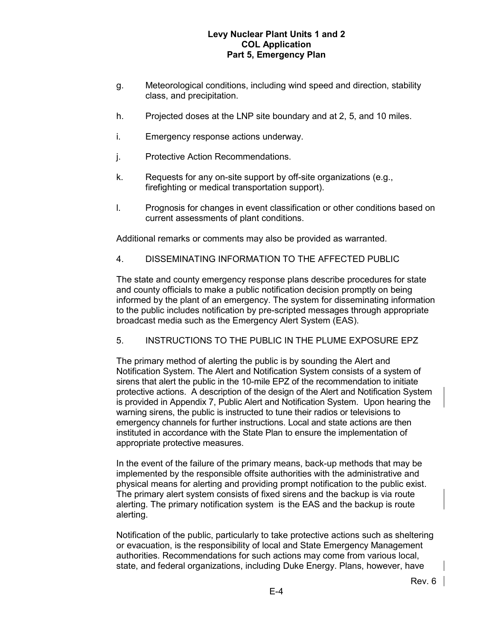- g. Meteorological conditions, including wind speed and direction, stability class, and precipitation.
- h. Projected doses at the LNP site boundary and at 2, 5, and 10 miles.
- i. Emergency response actions underway.
- j. Protective Action Recommendations.
- k. Requests for any on-site support by off-site organizations (e.g., firefighting or medical transportation support).
- l. Prognosis for changes in event classification or other conditions based on current assessments of plant conditions.

Additional remarks or comments may also be provided as warranted.

4. DISSEMINATING INFORMATION TO THE AFFECTED PUBLIC

The state and county emergency response plans describe procedures for state and county officials to make a public notification decision promptly on being informed by the plant of an emergency. The system for disseminating information to the public includes notification by pre-scripted messages through appropriate broadcast media such as the Emergency Alert System (EAS).

5. INSTRUCTIONS TO THE PUBLIC IN THE PLUME EXPOSURE EPZ

The primary method of alerting the public is by sounding the Alert and Notification System. The Alert and Notification System consists of a system of sirens that alert the public in the 10-mile EPZ of the recommendation to initiate protective actions. A description of the design of the Alert and Notification System is provided in Appendix 7, Public Alert and Notification System. Upon hearing the warning sirens, the public is instructed to tune their radios or televisions to emergency channels for further instructions. Local and state actions are then instituted in accordance with the State Plan to ensure the implementation of appropriate protective measures.

In the event of the failure of the primary means, back-up methods that may be implemented by the responsible offsite authorities with the administrative and physical means for alerting and providing prompt notification to the public exist. The primary alert system consists of fixed sirens and the backup is via route alerting. The primary notification system is the EAS and the backup is route alerting.

Notification of the public, particularly to take protective actions such as sheltering or evacuation, is the responsibility of local and State Emergency Management authorities. Recommendations for such actions may come from various local, state, and federal organizations, including Duke Energy. Plans, however, have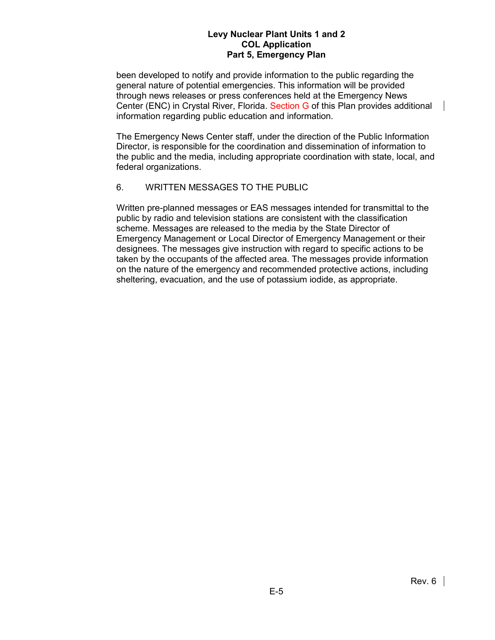been developed to notify and provide information to the public regarding the general nature of potential emergencies. This information will be provided through news releases or press conferences held at the Emergency News Center (ENC) in Crystal River, Florida. Section G of this Plan provides additional information regarding public education and information.

The Emergency News Center staff, under the direction of the Public Information Director, is responsible for the coordination and dissemination of information to the public and the media, including appropriate coordination with state, local, and federal organizations.

## 6. WRITTEN MESSAGES TO THE PUBLIC

Written pre-planned messages or EAS messages intended for transmittal to the public by radio and television stations are consistent with the classification scheme. Messages are released to the media by the State Director of Emergency Management or Local Director of Emergency Management or their designees. The messages give instruction with regard to specific actions to be taken by the occupants of the affected area. The messages provide information on the nature of the emergency and recommended protective actions, including sheltering, evacuation, and the use of potassium iodide, as appropriate.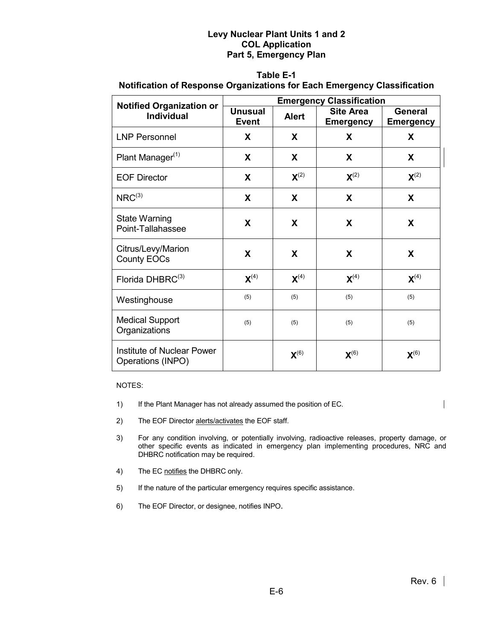## **Table E-1**

## **Notification of Response Organizations for Each Emergency Classification**

| <b>Notified Organization or</b>                        | <b>Emergency Classification</b>                |                    |                                      |                             |  |  |
|--------------------------------------------------------|------------------------------------------------|--------------------|--------------------------------------|-----------------------------|--|--|
| <b>Individual</b>                                      | <b>Unusual</b><br><b>Alert</b><br><b>Event</b> |                    | <b>Site Area</b><br><b>Emergency</b> | General<br><b>Emergency</b> |  |  |
| <b>LNP Personnel</b>                                   | X                                              | X                  | X                                    | X                           |  |  |
| Plant Manager <sup>(1)</sup>                           | X                                              | X                  | X                                    | X                           |  |  |
| <b>EOF Director</b>                                    | X                                              | $\mathbf{X}^{(2)}$ | $\mathbf{X}^{(2)}$                   | $\mathbf{X}^{(2)}$          |  |  |
| $NRC^{(3)}$                                            | X                                              | X                  | X                                    | X                           |  |  |
| <b>State Warning</b><br>Point-Tallahassee              | X                                              | X                  | X                                    | X                           |  |  |
| Citrus/Levy/Marion<br><b>County EOCs</b>               | X                                              | X                  | X                                    | X                           |  |  |
| Florida DHBRC <sup>(3)</sup>                           | $\mathbf{X}^{(4)}$                             | $\mathbf{X}^{(4)}$ | $X^{(4)}$                            | $\mathbf{X}^{(4)}$          |  |  |
| Westinghouse                                           | (5)                                            | (5)                | (5)                                  | (5)                         |  |  |
| <b>Medical Support</b><br>Organizations                | (5)                                            | (5)                | (5)                                  | (5)                         |  |  |
| <b>Institute of Nuclear Power</b><br>Operations (INPO) |                                                | $\mathbf{X}^{(6)}$ | $\mathsf{X}^{(6)}$                   | $\mathbf{X}^{(6)}$          |  |  |

NOTES:

- 1) If the Plant Manager has not already assumed the position of EC.
- 2) The EOF Director alerts/activates the EOF staff.
- 3) For any condition involving, or potentially involving, radioactive releases, property damage, or other specific events as indicated in emergency plan implementing procedures, NRC and DHBRC notification may be required.
- 4) The EC notifies the DHBRC only.
- 5) If the nature of the particular emergency requires specific assistance.
- 6) The EOF Director, or designee, notifies INPO.

 $\mathbf{I}$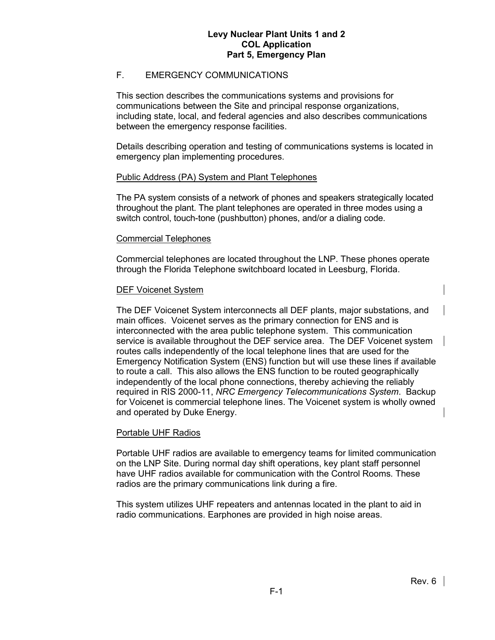## F. EMERGENCY COMMUNICATIONS

This section describes the communications systems and provisions for communications between the Site and principal response organizations, including state, local, and federal agencies and also describes communications between the emergency response facilities.

Details describing operation and testing of communications systems is located in emergency plan implementing procedures.

#### Public Address (PA) System and Plant Telephones

The PA system consists of a network of phones and speakers strategically located throughout the plant. The plant telephones are operated in three modes using a switch control, touch-tone (pushbutton) phones, and/or a dialing code.

#### Commercial Telephones

Commercial telephones are located throughout the LNP. These phones operate through the Florida Telephone switchboard located in Leesburg, Florida.

## DEF Voicenet System

The DEF Voicenet System interconnects all DEF plants, major substations, and main offices. Voicenet serves as the primary connection for ENS and is interconnected with the area public telephone system. This communication service is available throughout the DEF service area. The DEF Voicenet system routes calls independently of the local telephone lines that are used for the Emergency Notification System (ENS) function but will use these lines if available to route a call. This also allows the ENS function to be routed geographically independently of the local phone connections, thereby achieving the reliably required in RIS 2000-11, *NRC Emergency Telecommunications System*. Backup for Voicenet is commercial telephone lines. The Voicenet system is wholly owned and operated by Duke Energy.

## Portable UHF Radios

Portable UHF radios are available to emergency teams for limited communication on the LNP Site. During normal day shift operations, key plant staff personnel have UHF radios available for communication with the Control Rooms. These radios are the primary communications link during a fire.

This system utilizes UHF repeaters and antennas located in the plant to aid in radio communications. Earphones are provided in high noise areas.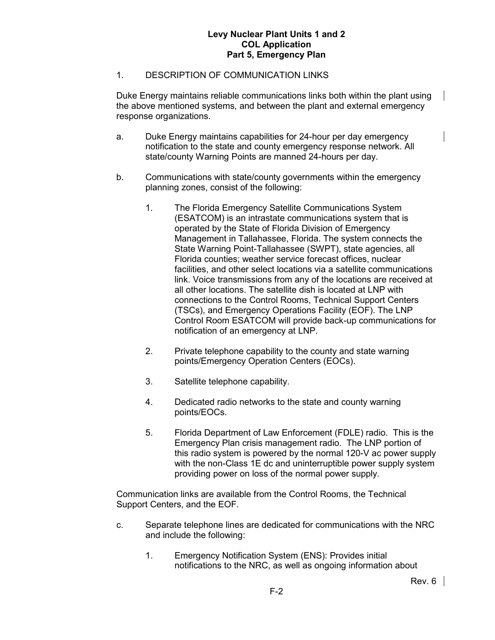## 1. DESCRIPTION OF COMMUNICATION LINKS

Duke Energy maintains reliable communications links both within the plant using the above mentioned systems, and between the plant and external emergency response organizations.

- a. Duke Energy maintains capabilities for 24-hour per day emergency notification to the state and county emergency response network. All state/county Warning Points are manned 24-hours per day.
- b. Communications with state/county governments within the emergency planning zones, consist of the following:
	- 1. The Florida Emergency Satellite Communications System (ESATCOM) is an intrastate communications system that is operated by the State of Florida Division of Emergency Management in Tallahassee, Florida. The system connects the State Warning Point-Tallahassee (SWPT), state agencies, all Florida counties; weather service forecast offices, nuclear facilities, and other select locations via a satellite communications link. Voice transmissions from any of the locations are received at all other locations. The satellite dish is located at LNP with connections to the Control Rooms, Technical Support Centers (TSCs), and Emergency Operations Facility (EOF). The LNP Control Room ESATCOM will provide back-up communications for notification of an emergency at LNP.
	- 2. Private telephone capability to the county and state warning points/Emergency Operation Centers (EOCs).
	- 3. Satellite telephone capability.
	- 4. Dedicated radio networks to the state and county warning points/EOCs.
	- 5. Florida Department of Law Enforcement (FDLE) radio. This is the Emergency Plan crisis management radio. The LNP portion of this radio system is powered by the normal 120-V ac power supply with the non-Class 1E dc and uninterruptible power supply system providing power on loss of the normal power supply.

Communication links are available from the Control Rooms, the Technical Support Centers, and the EOF.

- c. Separate telephone lines are dedicated for communications with the NRC and include the following:
	- 1. Emergency Notification System (ENS): Provides initial notifications to the NRC, as well as ongoing information about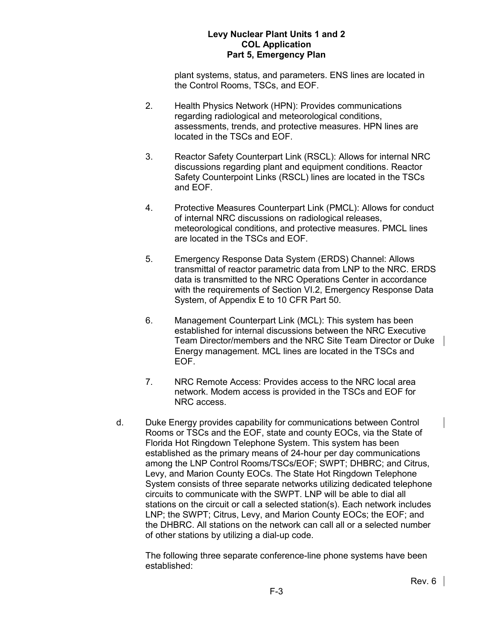plant systems, status, and parameters. ENS lines are located in the Control Rooms, TSCs, and EOF.

- 2. Health Physics Network (HPN): Provides communications regarding radiological and meteorological conditions, assessments, trends, and protective measures. HPN lines are located in the TSCs and EOF.
- 3. Reactor Safety Counterpart Link (RSCL): Allows for internal NRC discussions regarding plant and equipment conditions. Reactor Safety Counterpoint Links (RSCL) lines are located in the TSCs and EOF.
- 4. Protective Measures Counterpart Link (PMCL): Allows for conduct of internal NRC discussions on radiological releases, meteorological conditions, and protective measures. PMCL lines are located in the TSCs and EOF.
- 5. Emergency Response Data System (ERDS) Channel: Allows transmittal of reactor parametric data from LNP to the NRC. ERDS data is transmitted to the NRC Operations Center in accordance with the requirements of Section VI.2, Emergency Response Data System, of Appendix E to 10 CFR Part 50.
- 6. Management Counterpart Link (MCL): This system has been established for internal discussions between the NRC Executive Team Director/members and the NRC Site Team Director or Duke Energy management. MCL lines are located in the TSCs and EOF.
- 7. NRC Remote Access: Provides access to the NRC local area network. Modem access is provided in the TSCs and EOF for NRC access.
- d. Duke Energy provides capability for communications between Control Rooms or TSCs and the EOF, state and county EOCs, via the State of Florida Hot Ringdown Telephone System. This system has been established as the primary means of 24-hour per day communications among the LNP Control Rooms/TSCs/EOF; SWPT; DHBRC; and Citrus, Levy, and Marion County EOCs. The State Hot Ringdown Telephone System consists of three separate networks utilizing dedicated telephone circuits to communicate with the SWPT. LNP will be able to dial all stations on the circuit or call a selected station(s). Each network includes LNP; the SWPT; Citrus, Levy, and Marion County EOCs; the EOF; and the DHBRC. All stations on the network can call all or a selected number of other stations by utilizing a dial-up code.

The following three separate conference-line phone systems have been established: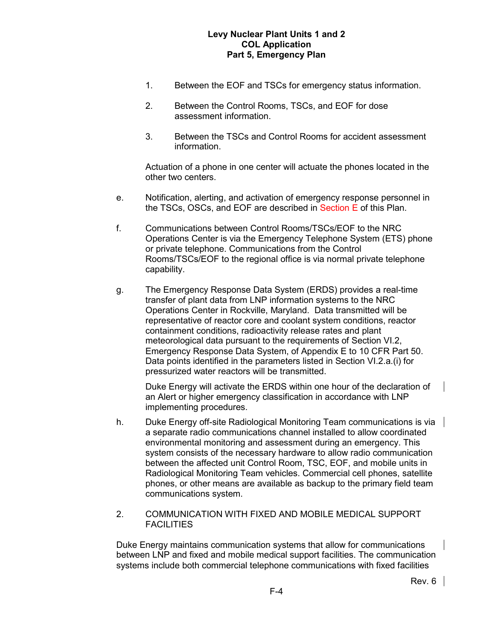- 1. Between the EOF and TSCs for emergency status information.
- 2. Between the Control Rooms, TSCs, and EOF for dose assessment information.
- 3. Between the TSCs and Control Rooms for accident assessment information.

Actuation of a phone in one center will actuate the phones located in the other two centers.

- e. Notification, alerting, and activation of emergency response personnel in the TSCs, OSCs, and EOF are described in Section E of this Plan.
- f. Communications between Control Rooms/TSCs/EOF to the NRC Operations Center is via the Emergency Telephone System (ETS) phone or private telephone. Communications from the Control Rooms/TSCs/EOF to the regional office is via normal private telephone capability.
- g. The Emergency Response Data System (ERDS) provides a real-time transfer of plant data from LNP information systems to the NRC Operations Center in Rockville, Maryland. Data transmitted will be representative of reactor core and coolant system conditions, reactor containment conditions, radioactivity release rates and plant meteorological data pursuant to the requirements of Section VI.2, Emergency Response Data System, of Appendix E to 10 CFR Part 50. Data points identified in the parameters listed in Section VI.2.a.(i) for pressurized water reactors will be transmitted.

Duke Energy will activate the ERDS within one hour of the declaration of an Alert or higher emergency classification in accordance with LNP implementing procedures.

- h. Duke Energy off-site Radiological Monitoring Team communications is via a separate radio communications channel installed to allow coordinated environmental monitoring and assessment during an emergency. This system consists of the necessary hardware to allow radio communication between the affected unit Control Room, TSC, EOF, and mobile units in Radiological Monitoring Team vehicles. Commercial cell phones, satellite phones, or other means are available as backup to the primary field team communications system.
- 2. COMMUNICATION WITH FIXED AND MOBILE MEDICAL SUPPORT **FACILITIES**

Duke Energy maintains communication systems that allow for communications between LNP and fixed and mobile medical support facilities. The communication systems include both commercial telephone communications with fixed facilities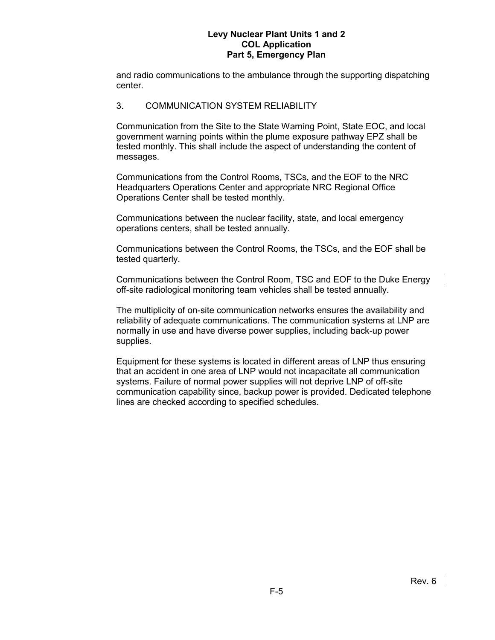and radio communications to the ambulance through the supporting dispatching center.

## 3. COMMUNICATION SYSTEM RELIABILITY

Communication from the Site to the State Warning Point, State EOC, and local government warning points within the plume exposure pathway EPZ shall be tested monthly. This shall include the aspect of understanding the content of messages.

Communications from the Control Rooms, TSCs, and the EOF to the NRC Headquarters Operations Center and appropriate NRC Regional Office Operations Center shall be tested monthly.

Communications between the nuclear facility, state, and local emergency operations centers, shall be tested annually.

Communications between the Control Rooms, the TSCs, and the EOF shall be tested quarterly.

Communications between the Control Room, TSC and EOF to the Duke Energy off-site radiological monitoring team vehicles shall be tested annually.

The multiplicity of on-site communication networks ensures the availability and reliability of adequate communications. The communication systems at LNP are normally in use and have diverse power supplies, including back-up power supplies.

Equipment for these systems is located in different areas of LNP thus ensuring that an accident in one area of LNP would not incapacitate all communication systems. Failure of normal power supplies will not deprive LNP of off-site communication capability since, backup power is provided. Dedicated telephone lines are checked according to specified schedules.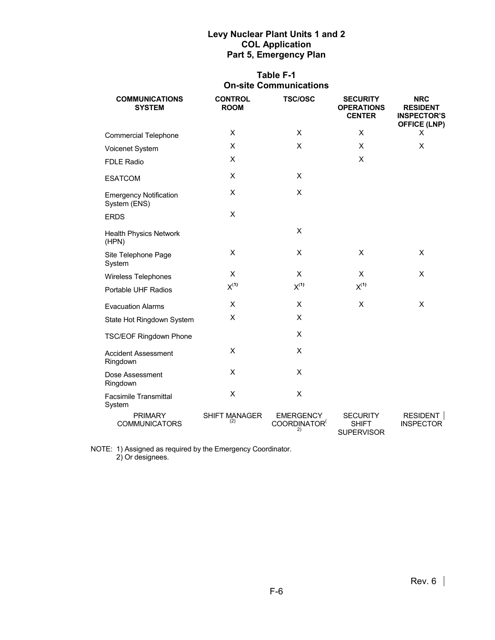# **Table F-1 On-site Communications**

| <b>COMMUNICATIONS</b><br><b>SYSTEM</b>        | <b>CONTROL</b><br><b>ROOM</b> | <b>TSC/OSC</b>                                     | <b>SECURITY</b><br><b>OPERATIONS</b><br><b>CENTER</b> | <b>NRC</b><br><b>RESIDENT</b><br><b>INSPECTOR'S</b><br><b>OFFICE (LNP)</b> |  |
|-----------------------------------------------|-------------------------------|----------------------------------------------------|-------------------------------------------------------|----------------------------------------------------------------------------|--|
| <b>Commercial Telephone</b>                   | X                             | X                                                  | X                                                     | X                                                                          |  |
| Voicenet System                               | X                             | X                                                  | X                                                     | X                                                                          |  |
| <b>FDLE Radio</b>                             | X                             |                                                    | X                                                     |                                                                            |  |
| <b>ESATCOM</b>                                | X                             | X                                                  |                                                       |                                                                            |  |
| <b>Emergency Notification</b><br>System (ENS) | X                             | $\pmb{\times}$                                     |                                                       |                                                                            |  |
| <b>ERDS</b>                                   | X                             |                                                    |                                                       |                                                                            |  |
| <b>Health Physics Network</b><br>(HPN)        |                               | X                                                  |                                                       |                                                                            |  |
| Site Telephone Page<br>System                 | X                             | X                                                  | X                                                     | X                                                                          |  |
| Wireless Telephones                           | X                             | X                                                  | X                                                     | X                                                                          |  |
| Portable UHF Radios                           | $X^{(1)}$                     | $\mathsf{X}^{\left(\mathsf{1}\right)}$             | $X^{(1)}$                                             |                                                                            |  |
| <b>Evacuation Alarms</b>                      | X                             | X                                                  | X                                                     | X                                                                          |  |
| State Hot Ringdown System                     | X                             | X                                                  |                                                       |                                                                            |  |
| <b>TSC/EOF Ringdown Phone</b>                 |                               | X                                                  |                                                       |                                                                            |  |
| <b>Accident Assessment</b><br>Ringdown        | X                             | X                                                  |                                                       |                                                                            |  |
| Dose Assessment<br>Ringdown                   | X                             | X                                                  |                                                       |                                                                            |  |
| <b>Facsimile Transmittal</b><br>System        | X                             | X                                                  |                                                       |                                                                            |  |
| <b>PRIMARY</b><br><b>COMMUNICATORS</b>        | <b>SHIFT MANAGER</b><br>(2)   | <b>EMERGENCY</b><br>COORDINATOR <sup>(</sup><br>2) | <b>SECURITY</b><br><b>SHIFT</b><br><b>SUPERVISOR</b>  | RESIDENT  <br><b>INSPECTOR</b>                                             |  |

NOTE: 1) Assigned as required by the Emergency Coordinator. 2) Or designees.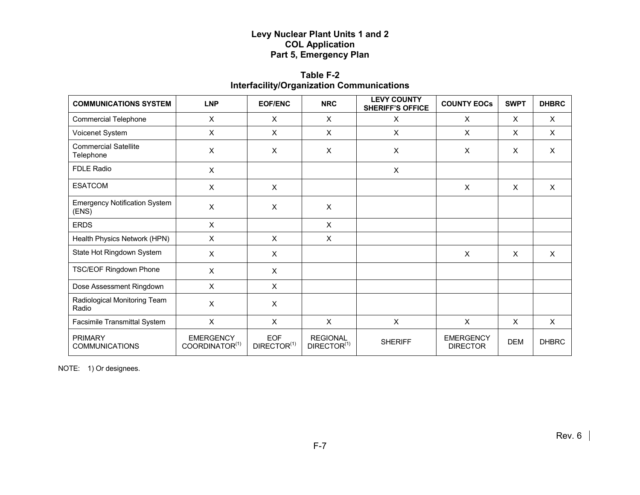# **Table F-2 Interfacility/Organization Communications**

| <b>COMMUNICATIONS SYSTEM</b>                  | <b>LNP</b>                                     | <b>EOF/ENC</b>                        | <b>NRC</b>                                 | <b>LEVY COUNTY</b><br><b>SHERIFF'S OFFICE</b> | <b>COUNTY EOCS</b>                  | <b>SWPT</b>  | <b>DHBRC</b> |
|-----------------------------------------------|------------------------------------------------|---------------------------------------|--------------------------------------------|-----------------------------------------------|-------------------------------------|--------------|--------------|
| <b>Commercial Telephone</b>                   | $\boldsymbol{\mathsf{X}}$                      | $\mathsf{x}$                          | $\mathsf{x}$                               | $\mathsf{x}$                                  | $\times$                            | $\mathsf{x}$ | X            |
| Voicenet System                               | X                                              | X                                     | X                                          | X                                             | X                                   | X            | X            |
| <b>Commercial Satellite</b><br>Telephone      | $\boldsymbol{\mathsf{X}}$                      | X                                     | X                                          | X                                             | X                                   | X            | X            |
| <b>FDLE Radio</b>                             | X                                              |                                       |                                            | X                                             |                                     |              |              |
| <b>ESATCOM</b>                                | $\times$                                       | $\sf X$                               |                                            |                                               | $\mathsf{x}$                        | $\mathsf{x}$ | X            |
| <b>Emergency Notification System</b><br>(ENS) | $\boldsymbol{\mathsf{X}}$                      | X                                     | X                                          |                                               |                                     |              |              |
| <b>ERDS</b>                                   | X                                              |                                       | X                                          |                                               |                                     |              |              |
| Health Physics Network (HPN)                  | $\mathsf{X}$                                   | $\mathsf{X}$                          | X                                          |                                               |                                     |              |              |
| State Hot Ringdown System                     | $\boldsymbol{\mathsf{X}}$                      | X                                     |                                            |                                               | $\mathsf{X}$                        | X            | $\mathsf{X}$ |
| TSC/EOF Ringdown Phone                        | X                                              | X                                     |                                            |                                               |                                     |              |              |
| Dose Assessment Ringdown                      | $\times$                                       | $\sf X$                               |                                            |                                               |                                     |              |              |
| Radiological Monitoring Team<br>Radio         | X                                              | X                                     |                                            |                                               |                                     |              |              |
| Facsimile Transmittal System                  | $\mathsf{X}$                                   | $\mathsf{X}$                          | $\mathsf{X}$                               | $\mathsf{X}$                                  | $\mathsf{X}$                        | X            | $\mathsf{X}$ |
| <b>PRIMARY</b><br><b>COMMUNICATIONS</b>       | <b>EMERGENCY</b><br>COORDINATOR <sup>(1)</sup> | <b>EOF</b><br>DIRECTOR <sup>(1)</sup> | <b>REGIONAL</b><br>DIRECTOR <sup>(1)</sup> | <b>SHERIFF</b>                                | <b>EMERGENCY</b><br><b>DIRECTOR</b> | <b>DEM</b>   | <b>DHBRC</b> |

NOTE: 1) Or designees.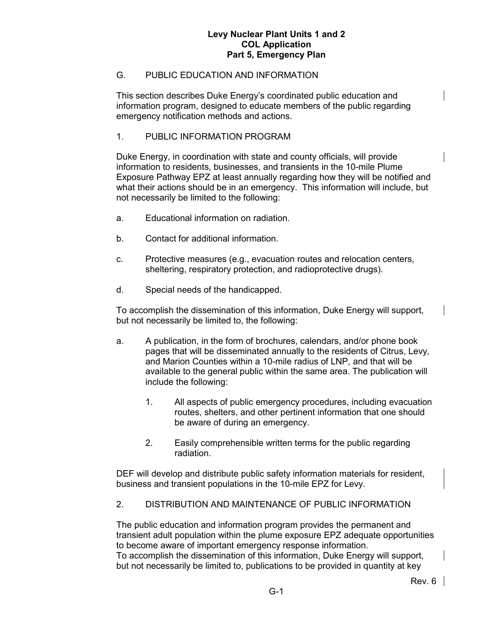## G. PUBLIC EDUCATION AND INFORMATION

This section describes Duke Energy's coordinated public education and information program, designed to educate members of the public regarding emergency notification methods and actions.

## 1. PUBLIC INFORMATION PROGRAM

Duke Energy, in coordination with state and county officials, will provide information to residents, businesses, and transients in the 10-mile Plume Exposure Pathway EPZ at least annually regarding how they will be notified and what their actions should be in an emergency. This information will include, but not necessarily be limited to the following:

- a. Educational information on radiation.
- b. Contact for additional information.
- c. Protective measures (e.g., evacuation routes and relocation centers, sheltering, respiratory protection, and radioprotective drugs).
- d. Special needs of the handicapped.

To accomplish the dissemination of this information, Duke Energy will support, but not necessarily be limited to, the following:

- a. A publication, in the form of brochures, calendars, and/or phone book pages that will be disseminated annually to the residents of Citrus, Levy, and Marion Counties within a 10-mile radius of LNP, and that will be available to the general public within the same area. The publication will include the following:
	- 1. All aspects of public emergency procedures, including evacuation routes, shelters, and other pertinent information that one should be aware of during an emergency.
	- 2. Easily comprehensible written terms for the public regarding radiation.

DEF will develop and distribute public safety information materials for resident, business and transient populations in the 10-mile EPZ for Levy.

# 2. DISTRIBUTION AND MAINTENANCE OF PUBLIC INFORMATION

The public education and information program provides the permanent and transient adult population within the plume exposure EPZ adequate opportunities to become aware of important emergency response information. To accomplish the dissemination of this information, Duke Energy will support, but not necessarily be limited to, publications to be provided in quantity at key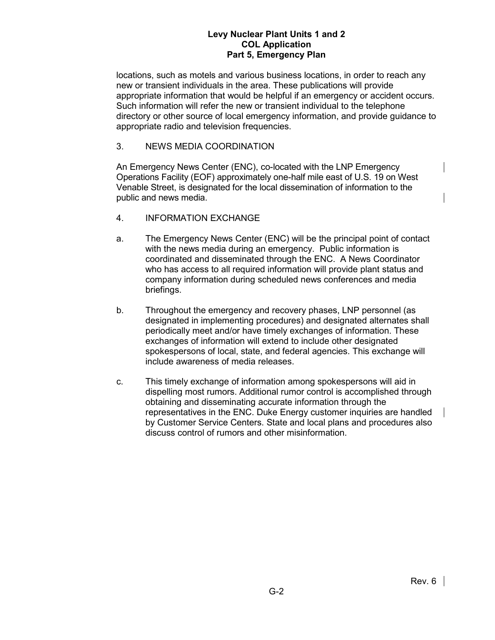locations, such as motels and various business locations, in order to reach any new or transient individuals in the area. These publications will provide appropriate information that would be helpful if an emergency or accident occurs. Such information will refer the new or transient individual to the telephone directory or other source of local emergency information, and provide guidance to appropriate radio and television frequencies.

## 3. NEWS MEDIA COORDINATION

An Emergency News Center (ENC), co-located with the LNP Emergency Operations Facility (EOF) approximately one-half mile east of U.S. 19 on West Venable Street, is designated for the local dissemination of information to the public and news media.

- 4. INFORMATION EXCHANGE
- a. The Emergency News Center (ENC) will be the principal point of contact with the news media during an emergency. Public information is coordinated and disseminated through the ENC. A News Coordinator who has access to all required information will provide plant status and company information during scheduled news conferences and media briefings.
- b. Throughout the emergency and recovery phases, LNP personnel (as designated in implementing procedures) and designated alternates shall periodically meet and/or have timely exchanges of information. These exchanges of information will extend to include other designated spokespersons of local, state, and federal agencies. This exchange will include awareness of media releases.
- c. This timely exchange of information among spokespersons will aid in dispelling most rumors. Additional rumor control is accomplished through obtaining and disseminating accurate information through the representatives in the ENC. Duke Energy customer inquiries are handled by Customer Service Centers. State and local plans and procedures also discuss control of rumors and other misinformation.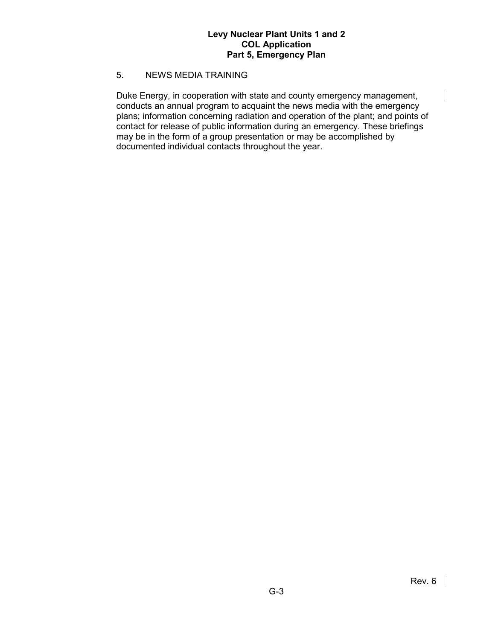### 5. NEWS MEDIA TRAINING

Duke Energy, in cooperation with state and county emergency management, conducts an annual program to acquaint the news media with the emergency plans; information concerning radiation and operation of the plant; and points of contact for release of public information during an emergency. These briefings may be in the form of a group presentation or may be accomplished by documented individual contacts throughout the year.

 $\mathbf{I}$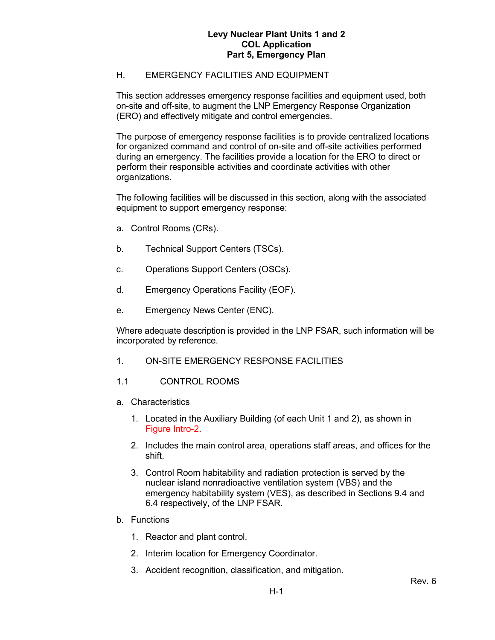## H. EMERGENCY FACILITIES AND EQUIPMENT

This section addresses emergency response facilities and equipment used, both on-site and off-site, to augment the LNP Emergency Response Organization (ERO) and effectively mitigate and control emergencies.

The purpose of emergency response facilities is to provide centralized locations for organized command and control of on-site and off-site activities performed during an emergency. The facilities provide a location for the ERO to direct or perform their responsible activities and coordinate activities with other organizations.

The following facilities will be discussed in this section, along with the associated equipment to support emergency response:

- a. Control Rooms (CRs).
- b. Technical Support Centers (TSCs).
- c. Operations Support Centers (OSCs).
- d. Emergency Operations Facility (EOF).
- e. Emergency News Center (ENC).

Where adequate description is provided in the LNP FSAR, such information will be incorporated by reference.

- 1. ON-SITE EMERGENCY RESPONSE FACILITIES
- 1.1 CONTROL ROOMS
- a. Characteristics
	- 1. Located in the Auxiliary Building (of each Unit 1 and 2), as shown in Figure Intro-2.
	- 2. Includes the main control area, operations staff areas, and offices for the shift.
	- 3. Control Room habitability and radiation protection is served by the nuclear island nonradioactive ventilation system (VBS) and the emergency habitability system (VES), as described in Sections 9.4 and 6.4 respectively, of the LNP FSAR.
- b. Functions
	- 1. Reactor and plant control.
	- 2. Interim location for Emergency Coordinator.
	- 3. Accident recognition, classification, and mitigation.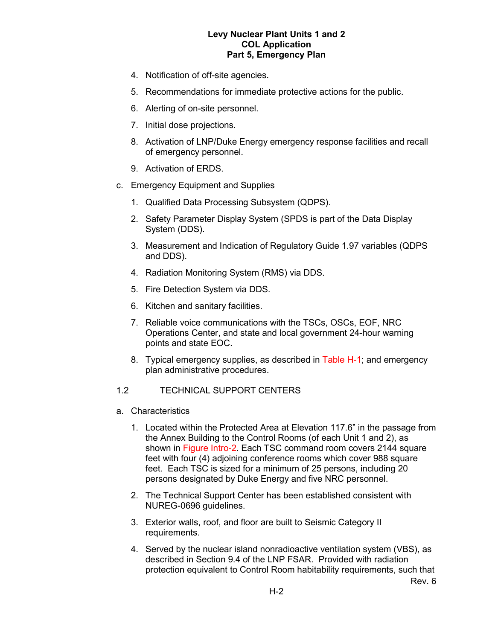- 4. Notification of off-site agencies.
- 5. Recommendations for immediate protective actions for the public.
- 6. Alerting of on-site personnel.
- 7. Initial dose projections.
- 8. Activation of LNP/Duke Energy emergency response facilities and recall of emergency personnel.
- 9. Activation of ERDS.
- c. Emergency Equipment and Supplies
	- 1. Qualified Data Processing Subsystem (QDPS).
	- 2. Safety Parameter Display System (SPDS is part of the Data Display System (DDS).
	- 3. Measurement and Indication of Regulatory Guide 1.97 variables (QDPS and DDS).
	- 4. Radiation Monitoring System (RMS) via DDS.
	- 5. Fire Detection System via DDS.
	- 6. Kitchen and sanitary facilities.
	- 7. Reliable voice communications with the TSCs, OSCs, EOF, NRC Operations Center, and state and local government 24-hour warning points and state EOC.
	- 8. Typical emergency supplies, as described in Table H-1; and emergency plan administrative procedures.
- 1.2 TECHNICAL SUPPORT CENTERS
- a. Characteristics
	- 1. Located within the Protected Area at Elevation 117.6" in the passage from the Annex Building to the Control Rooms (of each Unit 1 and 2), as shown in Figure Intro-2. Each TSC command room covers 2144 square feet with four (4) adjoining conference rooms which cover 988 square feet. Each TSC is sized for a minimum of 25 persons, including 20 persons designated by Duke Energy and five NRC personnel.
	- 2. The Technical Support Center has been established consistent with NUREG-0696 guidelines.
	- 3. Exterior walls, roof, and floor are built to Seismic Category II requirements.
	- 4. Served by the nuclear island nonradioactive ventilation system (VBS), as described in Section 9.4 of the LNP FSAR. Provided with radiation protection equivalent to Control Room habitability requirements, such that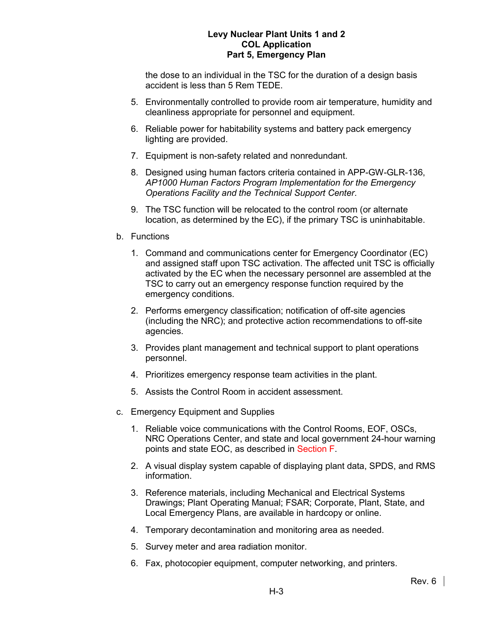the dose to an individual in the TSC for the duration of a design basis accident is less than 5 Rem TEDE.

- 5. Environmentally controlled to provide room air temperature, humidity and cleanliness appropriate for personnel and equipment.
- 6. Reliable power for habitability systems and battery pack emergency lighting are provided.
- 7. Equipment is non-safety related and nonredundant.
- 8. Designed using human factors criteria contained in APP-GW-GLR-136, *AP1000 Human Factors Program Implementation for the Emergency Operations Facility and the Technical Support Center*.
- 9. The TSC function will be relocated to the control room (or alternate location, as determined by the EC), if the primary TSC is uninhabitable.
- b. Functions
	- 1. Command and communications center for Emergency Coordinator (EC) and assigned staff upon TSC activation. The affected unit TSC is officially activated by the EC when the necessary personnel are assembled at the TSC to carry out an emergency response function required by the emergency conditions.
	- 2. Performs emergency classification; notification of off-site agencies (including the NRC); and protective action recommendations to off-site agencies.
	- 3. Provides plant management and technical support to plant operations personnel.
	- 4. Prioritizes emergency response team activities in the plant.
	- 5. Assists the Control Room in accident assessment.
- c. Emergency Equipment and Supplies
	- 1. Reliable voice communications with the Control Rooms, EOF, OSCs, NRC Operations Center, and state and local government 24-hour warning points and state EOC, as described in Section F.
	- 2. A visual display system capable of displaying plant data, SPDS, and RMS information.
	- 3. Reference materials, including Mechanical and Electrical Systems Drawings; Plant Operating Manual; FSAR; Corporate, Plant, State, and Local Emergency Plans, are available in hardcopy or online.
	- 4. Temporary decontamination and monitoring area as needed.
	- 5. Survey meter and area radiation monitor.
	- 6. Fax, photocopier equipment, computer networking, and printers.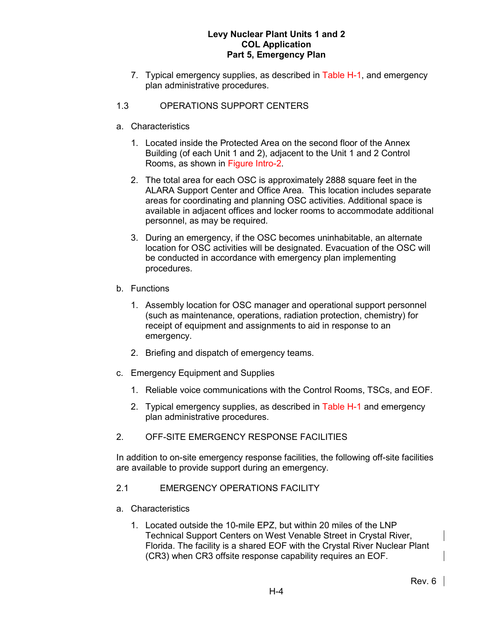- 7. Typical emergency supplies, as described in Table H-1, and emergency plan administrative procedures.
- 1.3 OPERATIONS SUPPORT CENTERS
- a. Characteristics
	- 1. Located inside the Protected Area on the second floor of the Annex Building (of each Unit 1 and 2), adjacent to the Unit 1 and 2 Control Rooms, as shown in Figure Intro-2.
	- 2. The total area for each OSC is approximately 2888 square feet in the ALARA Support Center and Office Area. This location includes separate areas for coordinating and planning OSC activities. Additional space is available in adjacent offices and locker rooms to accommodate additional personnel, as may be required.
	- 3. During an emergency, if the OSC becomes uninhabitable, an alternate location for OSC activities will be designated. Evacuation of the OSC will be conducted in accordance with emergency plan implementing procedures.
- b. Functions
	- 1. Assembly location for OSC manager and operational support personnel (such as maintenance, operations, radiation protection, chemistry) for receipt of equipment and assignments to aid in response to an emergency.
	- 2. Briefing and dispatch of emergency teams.
- c. Emergency Equipment and Supplies
	- 1. Reliable voice communications with the Control Rooms, TSCs, and EOF.
	- 2. Typical emergency supplies, as described in Table H-1 and emergency plan administrative procedures.
- 2. OFF-SITE EMERGENCY RESPONSE FACILITIES

In addition to on-site emergency response facilities, the following off-site facilities are available to provide support during an emergency.

- 2.1 EMERGENCY OPERATIONS FACILITY
- a. Characteristics
	- 1. Located outside the 10-mile EPZ, but within 20 miles of the LNP Technical Support Centers on West Venable Street in Crystal River, Florida. The facility is a shared EOF with the Crystal River Nuclear Plant (CR3) when CR3 offsite response capability requires an EOF.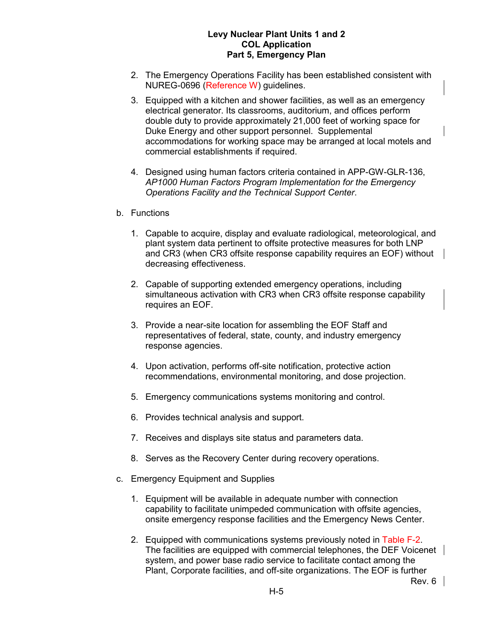- 2. The Emergency Operations Facility has been established consistent with NUREG-0696 (Reference W) guidelines.
- 3. Equipped with a kitchen and shower facilities, as well as an emergency electrical generator. Its classrooms, auditorium, and offices perform double duty to provide approximately 21,000 feet of working space for Duke Energy and other support personnel. Supplemental accommodations for working space may be arranged at local motels and commercial establishments if required.
- 4. Designed using human factors criteria contained in APP-GW-GLR-136, *AP1000 Human Factors Program Implementation for the Emergency Operations Facility and the Technical Support Center*.

#### b. Functions

- 1. Capable to acquire, display and evaluate radiological, meteorological, and plant system data pertinent to offsite protective measures for both LNP and CR3 (when CR3 offsite response capability requires an EOF) without decreasing effectiveness.
- 2. Capable of supporting extended emergency operations, including simultaneous activation with CR3 when CR3 offsite response capability requires an EOF.
- 3. Provide a near-site location for assembling the EOF Staff and representatives of federal, state, county, and industry emergency response agencies.
- 4. Upon activation, performs off-site notification, protective action recommendations, environmental monitoring, and dose projection.
- 5. Emergency communications systems monitoring and control.
- 6. Provides technical analysis and support.
- 7. Receives and displays site status and parameters data.
- 8. Serves as the Recovery Center during recovery operations.
- c. Emergency Equipment and Supplies
	- 1. Equipment will be available in adequate number with connection capability to facilitate unimpeded communication with offsite agencies, onsite emergency response facilities and the Emergency News Center.
	- 2. Equipped with communications systems previously noted in Table F-2. The facilities are equipped with commercial telephones, the DEF Voicenet system, and power base radio service to facilitate contact among the Plant, Corporate facilities, and off-site organizations. The EOF is further

Rev. 6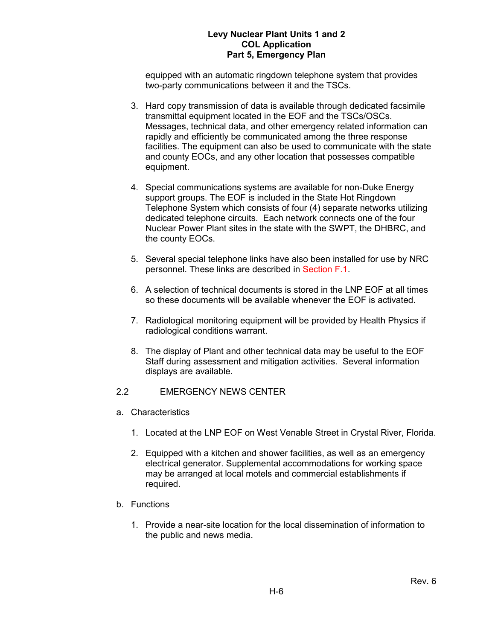equipped with an automatic ringdown telephone system that provides two-party communications between it and the TSCs.

- 3. Hard copy transmission of data is available through dedicated facsimile transmittal equipment located in the EOF and the TSCs/OSCs. Messages, technical data, and other emergency related information can rapidly and efficiently be communicated among the three response facilities. The equipment can also be used to communicate with the state and county EOCs, and any other location that possesses compatible equipment.
- 4. Special communications systems are available for non-Duke Energy support groups. The EOF is included in the State Hot Ringdown Telephone System which consists of four (4) separate networks utilizing dedicated telephone circuits. Each network connects one of the four Nuclear Power Plant sites in the state with the SWPT, the DHBRC, and the county EOCs.
- 5. Several special telephone links have also been installed for use by NRC personnel. These links are described in Section F.1.
- 6. A selection of technical documents is stored in the LNP EOF at all times so these documents will be available whenever the EOF is activated.
- 7. Radiological monitoring equipment will be provided by Health Physics if radiological conditions warrant.
- 8. The display of Plant and other technical data may be useful to the EOF Staff during assessment and mitigation activities. Several information displays are available.

# 2.2 EMERGENCY NEWS CENTER

- a. Characteristics
	- 1. Located at the LNP EOF on West Venable Street in Crystal River, Florida.
	- 2. Equipped with a kitchen and shower facilities, as well as an emergency electrical generator. Supplemental accommodations for working space may be arranged at local motels and commercial establishments if required.
- b. Functions
	- 1. Provide a near-site location for the local dissemination of information to the public and news media.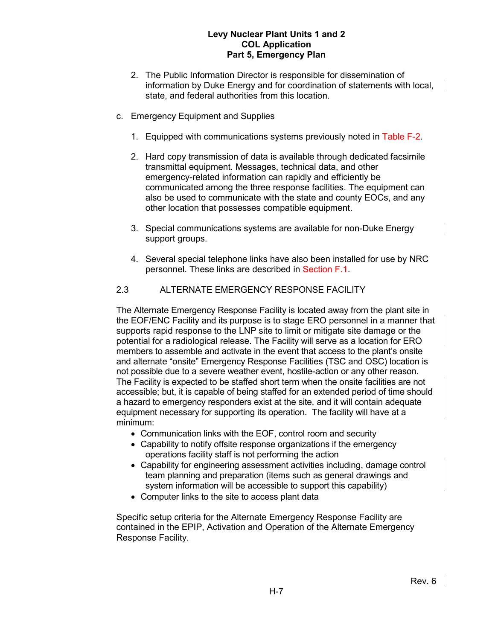- 2. The Public Information Director is responsible for dissemination of information by Duke Energy and for coordination of statements with local, state, and federal authorities from this location.
- c. Emergency Equipment and Supplies
	- 1. Equipped with communications systems previously noted in Table F-2.
	- 2. Hard copy transmission of data is available through dedicated facsimile transmittal equipment. Messages, technical data, and other emergency-related information can rapidly and efficiently be communicated among the three response facilities. The equipment can also be used to communicate with the state and county EOCs, and any other location that possesses compatible equipment.
	- 3. Special communications systems are available for non-Duke Energy support groups.
	- 4. Several special telephone links have also been installed for use by NRC personnel. These links are described in Section F.1.

# 2.3 ALTERNATE EMERGENCY RESPONSE FACILITY

The Alternate Emergency Response Facility is located away from the plant site in the EOF/ENC Facility and its purpose is to stage ERO personnel in a manner that supports rapid response to the LNP site to limit or mitigate site damage or the potential for a radiological release. The Facility will serve as a location for ERO members to assemble and activate in the event that access to the plant's onsite and alternate "onsite" Emergency Response Facilities (TSC and OSC) location is not possible due to a severe weather event, hostile-action or any other reason. The Facility is expected to be staffed short term when the onsite facilities are not accessible; but, it is capable of being staffed for an extended period of time should a hazard to emergency responders exist at the site, and it will contain adequate equipment necessary for supporting its operation. The facility will have at a minimum:

- Communication links with the EOF, control room and security
- Capability to notify offsite response organizations if the emergency operations facility staff is not performing the action
- Capability for engineering assessment activities including, damage control team planning and preparation (items such as general drawings and system information will be accessible to support this capability)
- Computer links to the site to access plant data

Specific setup criteria for the Alternate Emergency Response Facility are contained in the EPIP, Activation and Operation of the Alternate Emergency Response Facility.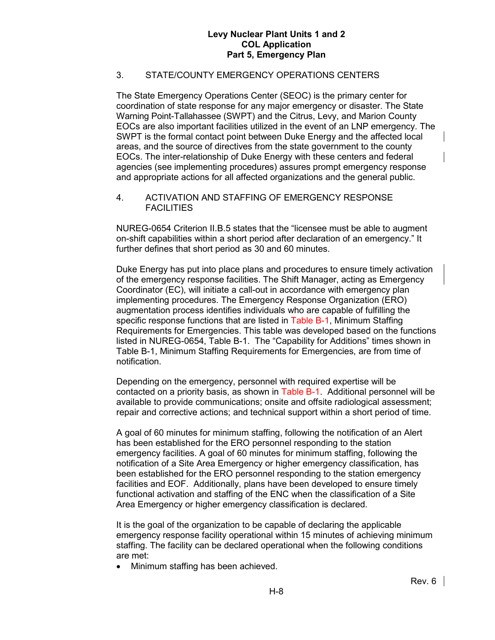# 3. STATE/COUNTY EMERGENCY OPERATIONS CENTERS

The State Emergency Operations Center (SEOC) is the primary center for coordination of state response for any major emergency or disaster. The State Warning Point-Tallahassee (SWPT) and the Citrus, Levy, and Marion County EOCs are also important facilities utilized in the event of an LNP emergency. The SWPT is the formal contact point between Duke Energy and the affected local areas, and the source of directives from the state government to the county EOCs. The inter-relationship of Duke Energy with these centers and federal agencies (see implementing procedures) assures prompt emergency response and appropriate actions for all affected organizations and the general public.

4. ACTIVATION AND STAFFING OF EMERGENCY RESPONSE **FACILITIES** 

NUREG-0654 Criterion II.B.5 states that the "licensee must be able to augment on-shift capabilities within a short period after declaration of an emergency." It further defines that short period as 30 and 60 minutes.

Duke Energy has put into place plans and procedures to ensure timely activation of the emergency response facilities. The Shift Manager, acting as Emergency Coordinator (EC), will initiate a call-out in accordance with emergency plan implementing procedures. The Emergency Response Organization (ERO) augmentation process identifies individuals who are capable of fulfilling the specific response functions that are listed in Table B-1, Minimum Staffing Requirements for Emergencies. This table was developed based on the functions listed in NUREG-0654, Table B-1. The "Capability for Additions" times shown in Table B-1, Minimum Staffing Requirements for Emergencies, are from time of notification.

Depending on the emergency, personnel with required expertise will be contacted on a priority basis, as shown in Table B-1. Additional personnel will be available to provide communications; onsite and offsite radiological assessment; repair and corrective actions; and technical support within a short period of time.

A goal of 60 minutes for minimum staffing, following the notification of an Alert has been established for the ERO personnel responding to the station emergency facilities. A goal of 60 minutes for minimum staffing, following the notification of a Site Area Emergency or higher emergency classification, has been established for the ERO personnel responding to the station emergency facilities and EOF. Additionally, plans have been developed to ensure timely functional activation and staffing of the ENC when the classification of a Site Area Emergency or higher emergency classification is declared.

It is the goal of the organization to be capable of declaring the applicable emergency response facility operational within 15 minutes of achieving minimum staffing. The facility can be declared operational when the following conditions are met:

• Minimum staffing has been achieved.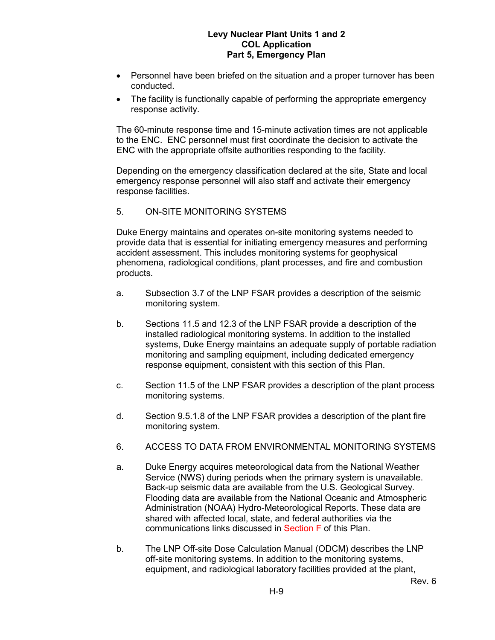- Personnel have been briefed on the situation and a proper turnover has been conducted.
- The facility is functionally capable of performing the appropriate emergency response activity.

The 60-minute response time and 15-minute activation times are not applicable to the ENC. ENC personnel must first coordinate the decision to activate the ENC with the appropriate offsite authorities responding to the facility.

Depending on the emergency classification declared at the site, State and local emergency response personnel will also staff and activate their emergency response facilities.

5. ON-SITE MONITORING SYSTEMS

Duke Energy maintains and operates on-site monitoring systems needed to provide data that is essential for initiating emergency measures and performing accident assessment. This includes monitoring systems for geophysical phenomena, radiological conditions, plant processes, and fire and combustion products.

- a. Subsection 3.7 of the LNP FSAR provides a description of the seismic monitoring system.
- b. Sections 11.5 and 12.3 of the LNP FSAR provide a description of the installed radiological monitoring systems. In addition to the installed systems, Duke Energy maintains an adequate supply of portable radiation monitoring and sampling equipment, including dedicated emergency response equipment, consistent with this section of this Plan.
- c. Section 11.5 of the LNP FSAR provides a description of the plant process monitoring systems.
- d. Section 9.5.1.8 of the LNP FSAR provides a description of the plant fire monitoring system.
- 6. ACCESS TO DATA FROM ENVIRONMENTAL MONITORING SYSTEMS
- a. Duke Energy acquires meteorological data from the National Weather Service (NWS) during periods when the primary system is unavailable. Back-up seismic data are available from the U.S. Geological Survey. Flooding data are available from the National Oceanic and Atmospheric Administration (NOAA) Hydro-Meteorological Reports. These data are shared with affected local, state, and federal authorities via the communications links discussed in Section F of this Plan.
- b. The LNP Off-site Dose Calculation Manual (ODCM) describes the LNP off-site monitoring systems. In addition to the monitoring systems, equipment, and radiological laboratory facilities provided at the plant,

Rev. 6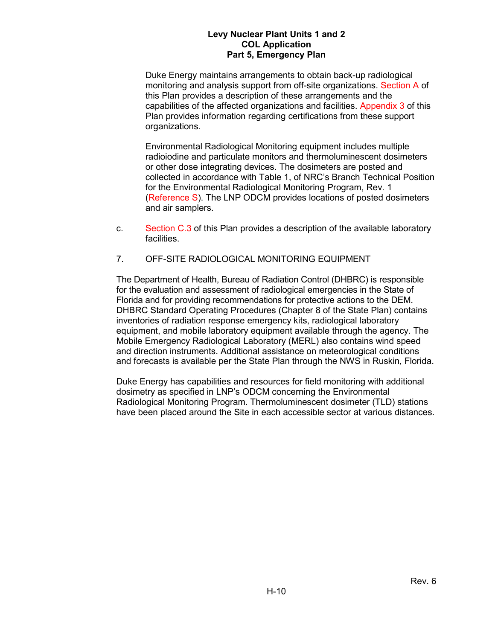Duke Energy maintains arrangements to obtain back-up radiological monitoring and analysis support from off-site organizations. Section A of this Plan provides a description of these arrangements and the capabilities of the affected organizations and facilities. Appendix 3 of this Plan provides information regarding certifications from these support organizations.

Environmental Radiological Monitoring equipment includes multiple radioiodine and particulate monitors and thermoluminescent dosimeters or other dose integrating devices. The dosimeters are posted and collected in accordance with Table 1, of NRC's Branch Technical Position for the Environmental Radiological Monitoring Program, Rev. 1 (Reference S). The LNP ODCM provides locations of posted dosimeters and air samplers.

- c. Section C.3 of this Plan provides a description of the available laboratory facilities.
- 7. OFF-SITE RADIOLOGICAL MONITORING EQUIPMENT

The Department of Health, Bureau of Radiation Control (DHBRC) is responsible for the evaluation and assessment of radiological emergencies in the State of Florida and for providing recommendations for protective actions to the DEM. DHBRC Standard Operating Procedures (Chapter 8 of the State Plan) contains inventories of radiation response emergency kits, radiological laboratory equipment, and mobile laboratory equipment available through the agency. The Mobile Emergency Radiological Laboratory (MERL) also contains wind speed and direction instruments. Additional assistance on meteorological conditions and forecasts is available per the State Plan through the NWS in Ruskin, Florida.

Duke Energy has capabilities and resources for field monitoring with additional dosimetry as specified in LNP's ODCM concerning the Environmental Radiological Monitoring Program. Thermoluminescent dosimeter (TLD) stations have been placed around the Site in each accessible sector at various distances.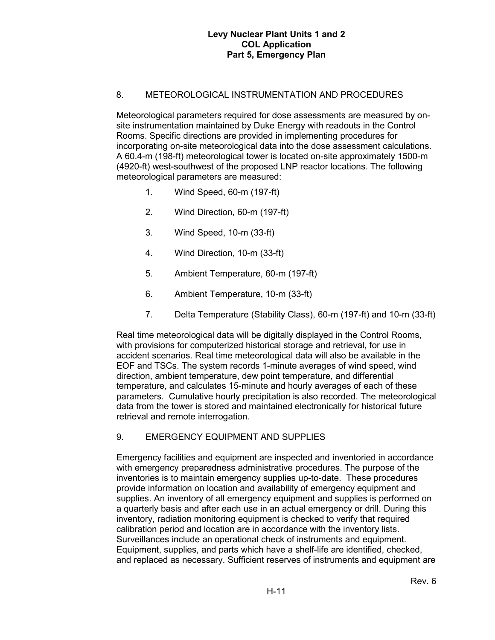# 8. METEOROLOGICAL INSTRUMENTATION AND PROCEDURES

Meteorological parameters required for dose assessments are measured by onsite instrumentation maintained by Duke Energy with readouts in the Control Rooms. Specific directions are provided in implementing procedures for incorporating on-site meteorological data into the dose assessment calculations. A 60.4-m (198-ft) meteorological tower is located on-site approximately 1500-m (4920-ft) west-southwest of the proposed LNP reactor locations. The following meteorological parameters are measured:

- 1. Wind Speed, 60-m (197-ft)
- 2. Wind Direction, 60-m (197-ft)
- 3. Wind Speed, 10-m (33-ft)
- 4. Wind Direction, 10-m (33-ft)
- 5. Ambient Temperature, 60-m (197-ft)
- 6. Ambient Temperature, 10-m (33-ft)
- 7. Delta Temperature (Stability Class), 60-m (197-ft) and 10-m (33-ft)

Real time meteorological data will be digitally displayed in the Control Rooms, with provisions for computerized historical storage and retrieval, for use in accident scenarios. Real time meteorological data will also be available in the EOF and TSCs. The system records 1-minute averages of wind speed, wind direction, ambient temperature, dew point temperature, and differential temperature, and calculates 15-minute and hourly averages of each of these parameters. Cumulative hourly precipitation is also recorded. The meteorological data from the tower is stored and maintained electronically for historical future retrieval and remote interrogation.

## 9. EMERGENCY EQUIPMENT AND SUPPLIES

Emergency facilities and equipment are inspected and inventoried in accordance with emergency preparedness administrative procedures. The purpose of the inventories is to maintain emergency supplies up-to-date. These procedures provide information on location and availability of emergency equipment and supplies. An inventory of all emergency equipment and supplies is performed on a quarterly basis and after each use in an actual emergency or drill. During this inventory, radiation monitoring equipment is checked to verify that required calibration period and location are in accordance with the inventory lists. Surveillances include an operational check of instruments and equipment. Equipment, supplies, and parts which have a shelf-life are identified, checked, and replaced as necessary. Sufficient reserves of instruments and equipment are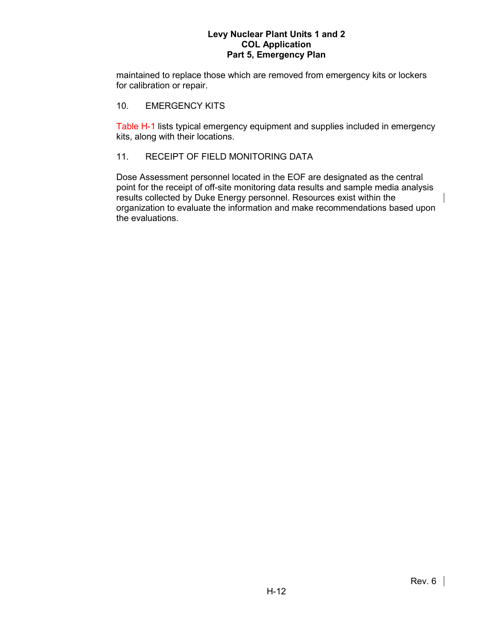maintained to replace those which are removed from emergency kits or lockers for calibration or repair.

## 10. EMERGENCY KITS

Table H-1 lists typical emergency equipment and supplies included in emergency kits, along with their locations.

#### 11. RECEIPT OF FIELD MONITORING DATA

Dose Assessment personnel located in the EOF are designated as the central point for the receipt of off-site monitoring data results and sample media analysis results collected by Duke Energy personnel. Resources exist within the organization to evaluate the information and make recommendations based upon the evaluations.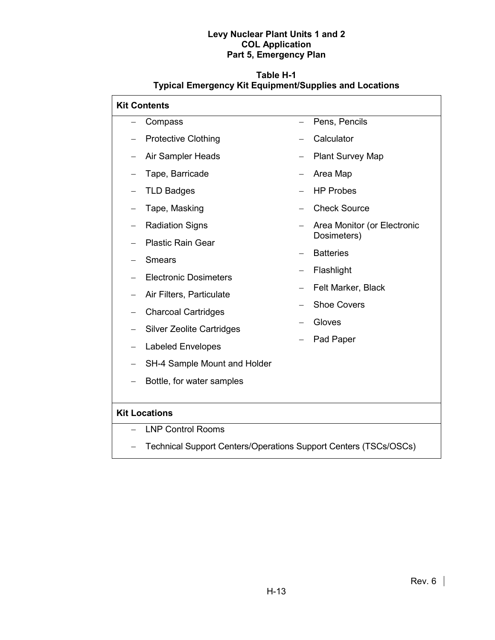# **Table H-1 Typical Emergency Kit Equipment/Supplies and Locations**

| <b>Kit Contents</b>  |                                                                  |                   |                                            |  |  |  |  |
|----------------------|------------------------------------------------------------------|-------------------|--------------------------------------------|--|--|--|--|
|                      | Compass                                                          |                   | Pens, Pencils                              |  |  |  |  |
|                      | <b>Protective Clothing</b>                                       |                   | Calculator<br><b>Plant Survey Map</b>      |  |  |  |  |
|                      | Air Sampler Heads                                                |                   |                                            |  |  |  |  |
| $\qquad \qquad -$    | Tape, Barricade                                                  | $\qquad \qquad -$ | Area Map                                   |  |  |  |  |
|                      | <b>TLD Badges</b>                                                |                   | <b>HP Probes</b>                           |  |  |  |  |
|                      | Tape, Masking                                                    |                   | <b>Check Source</b>                        |  |  |  |  |
|                      | <b>Radiation Signs</b><br><b>Plastic Rain Gear</b>               |                   | Area Monitor (or Electronic<br>Dosimeters) |  |  |  |  |
|                      |                                                                  |                   |                                            |  |  |  |  |
|                      | <b>Smears</b>                                                    | <b>Batteries</b>  |                                            |  |  |  |  |
|                      | <b>Electronic Dosimeters</b>                                     | —                 | Flashlight                                 |  |  |  |  |
|                      | Air Filters, Particulate                                         |                   | Felt Marker, Black                         |  |  |  |  |
|                      | <b>Charcoal Cartridges</b>                                       |                   | <b>Shoe Covers</b>                         |  |  |  |  |
|                      | <b>Silver Zeolite Cartridges</b>                                 |                   | Gloves                                     |  |  |  |  |
| $\qquad \qquad -$    | <b>Labeled Envelopes</b>                                         |                   | Pad Paper                                  |  |  |  |  |
|                      | SH-4 Sample Mount and Holder                                     |                   |                                            |  |  |  |  |
|                      | Bottle, for water samples                                        |                   |                                            |  |  |  |  |
|                      |                                                                  |                   |                                            |  |  |  |  |
| <b>Kit Locations</b> |                                                                  |                   |                                            |  |  |  |  |
|                      | <b>LNP Control Rooms</b>                                         |                   |                                            |  |  |  |  |
|                      | Technical Support Centers/Operations Support Centers (TSCs/OSCs) |                   |                                            |  |  |  |  |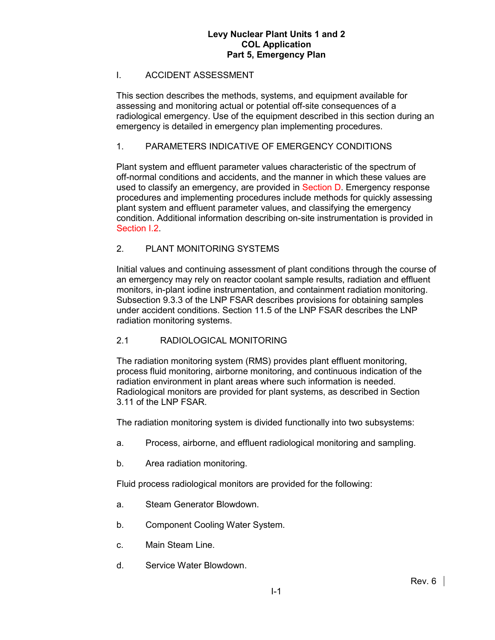### I. ACCIDENT ASSESSMENT

This section describes the methods, systems, and equipment available for assessing and monitoring actual or potential off-site consequences of a radiological emergency. Use of the equipment described in this section during an emergency is detailed in emergency plan implementing procedures.

## 1. PARAMETERS INDICATIVE OF EMERGENCY CONDITIONS

Plant system and effluent parameter values characteristic of the spectrum of off-normal conditions and accidents, and the manner in which these values are used to classify an emergency, are provided in Section D. Emergency response procedures and implementing procedures include methods for quickly assessing plant system and effluent parameter values, and classifying the emergency condition. Additional information describing on-site instrumentation is provided in Section I.2.

## 2. PLANT MONITORING SYSTEMS

Initial values and continuing assessment of plant conditions through the course of an emergency may rely on reactor coolant sample results, radiation and effluent monitors, in-plant iodine instrumentation, and containment radiation monitoring. Subsection 9.3.3 of the LNP FSAR describes provisions for obtaining samples under accident conditions. Section 11.5 of the LNP FSAR describes the LNP radiation monitoring systems.

## 2.1 RADIOLOGICAL MONITORING

The radiation monitoring system (RMS) provides plant effluent monitoring, process fluid monitoring, airborne monitoring, and continuous indication of the radiation environment in plant areas where such information is needed. Radiological monitors are provided for plant systems, as described in Section 3.11 of the LNP FSAR.

The radiation monitoring system is divided functionally into two subsystems:

- a. Process, airborne, and effluent radiological monitoring and sampling.
- b. Area radiation monitoring.

Fluid process radiological monitors are provided for the following:

- a. Steam Generator Blowdown.
- b. Component Cooling Water System.
- c. Main Steam Line.
- d. Service Water Blowdown.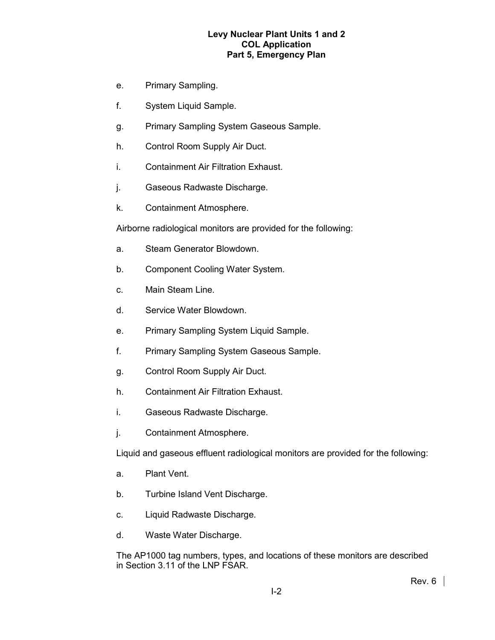- e. Primary Sampling.
- f. System Liquid Sample.
- g. Primary Sampling System Gaseous Sample.
- h. Control Room Supply Air Duct.
- i. Containment Air Filtration Exhaust.
- j. Gaseous Radwaste Discharge.
- k. Containment Atmosphere.

Airborne radiological monitors are provided for the following:

- a. Steam Generator Blowdown.
- b. Component Cooling Water System.
- c. Main Steam Line.
- d. Service Water Blowdown.
- e. Primary Sampling System Liquid Sample.
- f. Primary Sampling System Gaseous Sample.
- g. Control Room Supply Air Duct.
- h. Containment Air Filtration Exhaust.
- i. Gaseous Radwaste Discharge.
- j. Containment Atmosphere.

Liquid and gaseous effluent radiological monitors are provided for the following:

- a. Plant Vent.
- b. Turbine Island Vent Discharge.
- c. Liquid Radwaste Discharge.
- d. Waste Water Discharge.

The AP1000 tag numbers, types, and locations of these monitors are described in Section 3.11 of the LNP FSAR.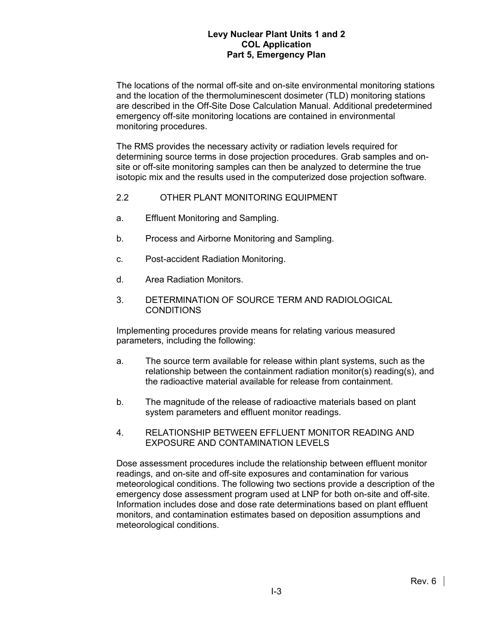The locations of the normal off-site and on-site environmental monitoring stations and the location of the thermoluminescent dosimeter (TLD) monitoring stations are described in the Off-Site Dose Calculation Manual. Additional predetermined emergency off-site monitoring locations are contained in environmental monitoring procedures.

The RMS provides the necessary activity or radiation levels required for determining source terms in dose projection procedures. Grab samples and onsite or off-site monitoring samples can then be analyzed to determine the true isotopic mix and the results used in the computerized dose projection software.

- 2.2 OTHER PLANT MONITORING EQUIPMENT
- a. Effluent Monitoring and Sampling.
- b. Process and Airborne Monitoring and Sampling.
- c. Post-accident Radiation Monitoring.
- d. Area Radiation Monitors.
- 3. DETERMINATION OF SOURCE TERM AND RADIOLOGICAL CONDITIONS

Implementing procedures provide means for relating various measured parameters, including the following:

- a. The source term available for release within plant systems, such as the relationship between the containment radiation monitor(s) reading(s), and the radioactive material available for release from containment.
- b. The magnitude of the release of radioactive materials based on plant system parameters and effluent monitor readings.
- 4. RELATIONSHIP BETWEEN EFFLUENT MONITOR READING AND EXPOSURE AND CONTAMINATION LEVELS

Dose assessment procedures include the relationship between effluent monitor readings, and on-site and off-site exposures and contamination for various meteorological conditions. The following two sections provide a description of the emergency dose assessment program used at LNP for both on-site and off-site. Information includes dose and dose rate determinations based on plant effluent monitors, and contamination estimates based on deposition assumptions and meteorological conditions.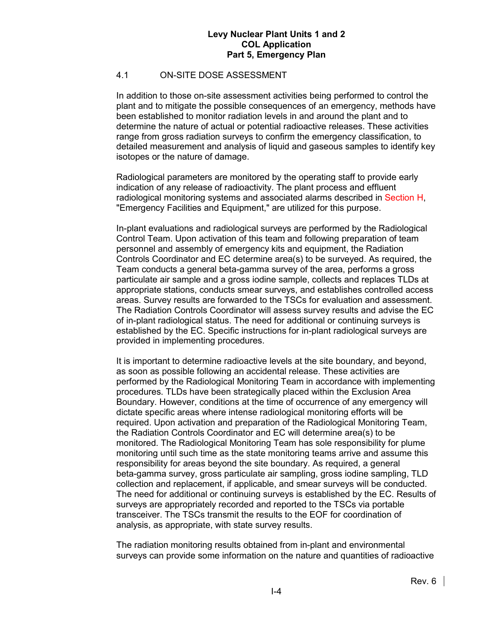## 4.1 ON-SITE DOSE ASSESSMENT

In addition to those on-site assessment activities being performed to control the plant and to mitigate the possible consequences of an emergency, methods have been established to monitor radiation levels in and around the plant and to determine the nature of actual or potential radioactive releases. These activities range from gross radiation surveys to confirm the emergency classification, to detailed measurement and analysis of liquid and gaseous samples to identify key isotopes or the nature of damage.

Radiological parameters are monitored by the operating staff to provide early indication of any release of radioactivity. The plant process and effluent radiological monitoring systems and associated alarms described in Section H, "Emergency Facilities and Equipment," are utilized for this purpose.

In-plant evaluations and radiological surveys are performed by the Radiological Control Team. Upon activation of this team and following preparation of team personnel and assembly of emergency kits and equipment, the Radiation Controls Coordinator and EC determine area(s) to be surveyed. As required, the Team conducts a general beta-gamma survey of the area, performs a gross particulate air sample and a gross iodine sample, collects and replaces TLDs at appropriate stations, conducts smear surveys, and establishes controlled access areas. Survey results are forwarded to the TSCs for evaluation and assessment. The Radiation Controls Coordinator will assess survey results and advise the EC of in-plant radiological status. The need for additional or continuing surveys is established by the EC. Specific instructions for in-plant radiological surveys are provided in implementing procedures.

It is important to determine radioactive levels at the site boundary, and beyond, as soon as possible following an accidental release. These activities are performed by the Radiological Monitoring Team in accordance with implementing procedures. TLDs have been strategically placed within the Exclusion Area Boundary. However, conditions at the time of occurrence of any emergency will dictate specific areas where intense radiological monitoring efforts will be required. Upon activation and preparation of the Radiological Monitoring Team, the Radiation Controls Coordinator and EC will determine area(s) to be monitored. The Radiological Monitoring Team has sole responsibility for plume monitoring until such time as the state monitoring teams arrive and assume this responsibility for areas beyond the site boundary. As required, a general beta-gamma survey, gross particulate air sampling, gross iodine sampling, TLD collection and replacement, if applicable, and smear surveys will be conducted. The need for additional or continuing surveys is established by the EC. Results of surveys are appropriately recorded and reported to the TSCs via portable transceiver. The TSCs transmit the results to the EOF for coordination of analysis, as appropriate, with state survey results.

The radiation monitoring results obtained from in-plant and environmental surveys can provide some information on the nature and quantities of radioactive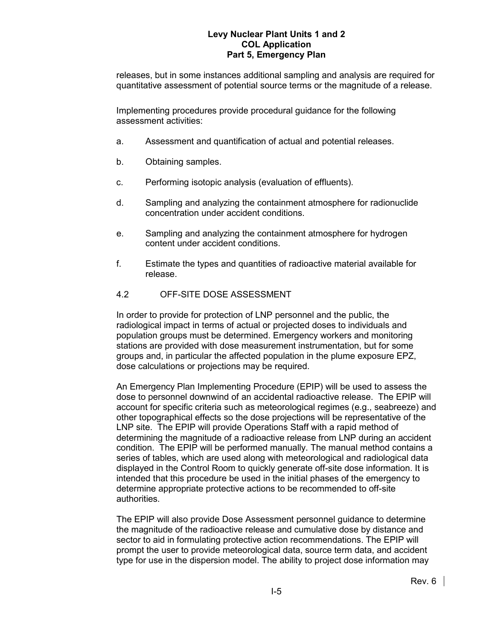releases, but in some instances additional sampling and analysis are required for quantitative assessment of potential source terms or the magnitude of a release.

Implementing procedures provide procedural guidance for the following assessment activities:

- a. Assessment and quantification of actual and potential releases.
- b. Obtaining samples.
- c. Performing isotopic analysis (evaluation of effluents).
- d. Sampling and analyzing the containment atmosphere for radionuclide concentration under accident conditions.
- e. Sampling and analyzing the containment atmosphere for hydrogen content under accident conditions.
- f. Estimate the types and quantities of radioactive material available for release.

## 4.2 OFF-SITE DOSE ASSESSMENT

In order to provide for protection of LNP personnel and the public, the radiological impact in terms of actual or projected doses to individuals and population groups must be determined. Emergency workers and monitoring stations are provided with dose measurement instrumentation, but for some groups and, in particular the affected population in the plume exposure EPZ, dose calculations or projections may be required.

An Emergency Plan Implementing Procedure (EPIP) will be used to assess the dose to personnel downwind of an accidental radioactive release. The EPIP will account for specific criteria such as meteorological regimes (e.g., seabreeze) and other topographical effects so the dose projections will be representative of the LNP site. The EPIP will provide Operations Staff with a rapid method of determining the magnitude of a radioactive release from LNP during an accident condition. The EPIP will be performed manually. The manual method contains a series of tables, which are used along with meteorological and radiological data displayed in the Control Room to quickly generate off-site dose information. It is intended that this procedure be used in the initial phases of the emergency to determine appropriate protective actions to be recommended to off-site authorities.

The EPIP will also provide Dose Assessment personnel guidance to determine the magnitude of the radioactive release and cumulative dose by distance and sector to aid in formulating protective action recommendations. The EPIP will prompt the user to provide meteorological data, source term data, and accident type for use in the dispersion model. The ability to project dose information may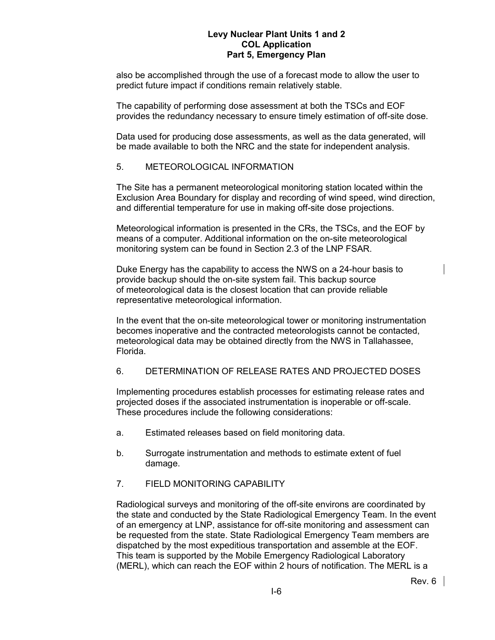also be accomplished through the use of a forecast mode to allow the user to predict future impact if conditions remain relatively stable.

The capability of performing dose assessment at both the TSCs and EOF provides the redundancy necessary to ensure timely estimation of off-site dose.

Data used for producing dose assessments, as well as the data generated, will be made available to both the NRC and the state for independent analysis.

#### 5. METEOROLOGICAL INFORMATION

The Site has a permanent meteorological monitoring station located within the Exclusion Area Boundary for display and recording of wind speed, wind direction, and differential temperature for use in making off-site dose projections.

Meteorological information is presented in the CRs, the TSCs, and the EOF by means of a computer. Additional information on the on-site meteorological monitoring system can be found in Section 2.3 of the LNP FSAR.

Duke Energy has the capability to access the NWS on a 24-hour basis to provide backup should the on-site system fail. This backup source of meteorological data is the closest location that can provide reliable representative meteorological information.

In the event that the on-site meteorological tower or monitoring instrumentation becomes inoperative and the contracted meteorologists cannot be contacted, meteorological data may be obtained directly from the NWS in Tallahassee, Florida.

## 6. DETERMINATION OF RELEASE RATES AND PROJECTED DOSES

Implementing procedures establish processes for estimating release rates and projected doses if the associated instrumentation is inoperable or off-scale. These procedures include the following considerations:

- a. Estimated releases based on field monitoring data.
- b. Surrogate instrumentation and methods to estimate extent of fuel damage.

## 7. FIELD MONITORING CAPABILITY

Radiological surveys and monitoring of the off-site environs are coordinated by the state and conducted by the State Radiological Emergency Team. In the event of an emergency at LNP, assistance for off-site monitoring and assessment can be requested from the state. State Radiological Emergency Team members are dispatched by the most expeditious transportation and assemble at the EOF. This team is supported by the Mobile Emergency Radiological Laboratory (MERL), which can reach the EOF within 2 hours of notification. The MERL is a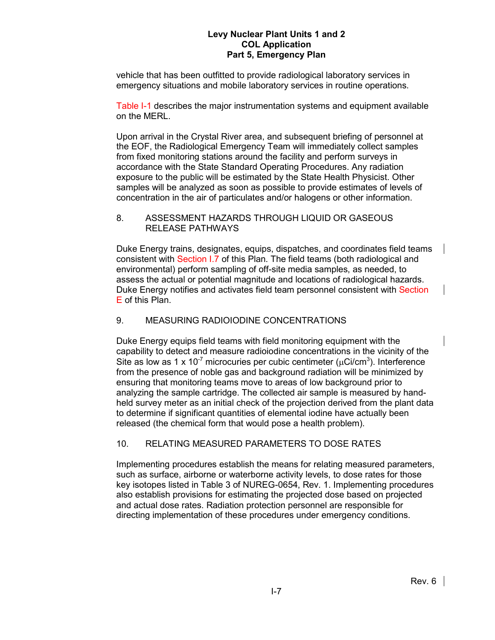vehicle that has been outfitted to provide radiological laboratory services in emergency situations and mobile laboratory services in routine operations.

Table I-1 describes the major instrumentation systems and equipment available on the MERL.

Upon arrival in the Crystal River area, and subsequent briefing of personnel at the EOF, the Radiological Emergency Team will immediately collect samples from fixed monitoring stations around the facility and perform surveys in accordance with the State Standard Operating Procedures. Any radiation exposure to the public will be estimated by the State Health Physicist. Other samples will be analyzed as soon as possible to provide estimates of levels of concentration in the air of particulates and/or halogens or other information.

## 8. ASSESSMENT HAZARDS THROUGH LIQUID OR GASEOUS RELEASE PATHWAYS

Duke Energy trains, designates, equips, dispatches, and coordinates field teams consistent with Section I.7 of this Plan. The field teams (both radiological and environmental) perform sampling of off-site media samples, as needed, to assess the actual or potential magnitude and locations of radiological hazards. Duke Energy notifies and activates field team personnel consistent with Section E of this Plan.

# 9. MEASURING RADIOIODINE CONCENTRATIONS

Duke Energy equips field teams with field monitoring equipment with the capability to detect and measure radioiodine concentrations in the vicinity of the Site as low as 1 x 10<sup>-7</sup> microcuries per cubic centimeter ( $\mu$ Ci/cm<sup>3</sup>). Interference from the presence of noble gas and background radiation will be minimized by ensuring that monitoring teams move to areas of low background prior to analyzing the sample cartridge. The collected air sample is measured by handheld survey meter as an initial check of the projection derived from the plant data to determine if significant quantities of elemental iodine have actually been released (the chemical form that would pose a health problem).

## 10. RELATING MEASURED PARAMETERS TO DOSE RATES

Implementing procedures establish the means for relating measured parameters, such as surface, airborne or waterborne activity levels, to dose rates for those key isotopes listed in Table 3 of NUREG-0654, Rev. 1. Implementing procedures also establish provisions for estimating the projected dose based on projected and actual dose rates. Radiation protection personnel are responsible for directing implementation of these procedures under emergency conditions.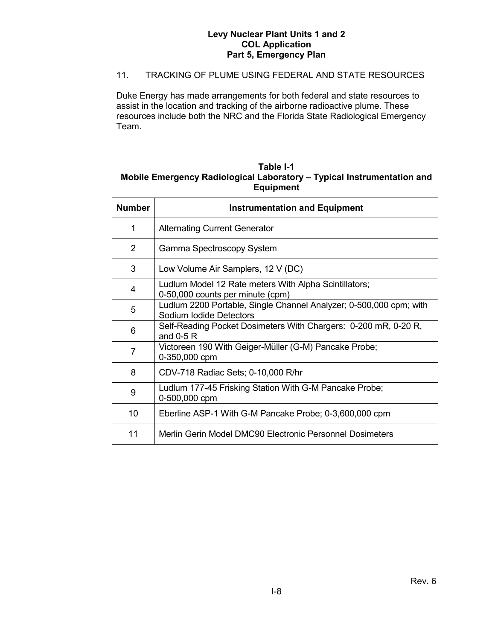## 11. TRACKING OF PLUME USING FEDERAL AND STATE RESOURCES

Duke Energy has made arrangements for both federal and state resources to assist in the location and tracking of the airborne radioactive plume. These resources include both the NRC and the Florida State Radiological Emergency Team.

## **Table I-1 Mobile Emergency Radiological Laboratory – Typical Instrumentation and Equipment**

| <b>Number</b>  | <b>Instrumentation and Equipment</b>                                                          |  |  |  |  |  |
|----------------|-----------------------------------------------------------------------------------------------|--|--|--|--|--|
| 1              | <b>Alternating Current Generator</b>                                                          |  |  |  |  |  |
| 2              | Gamma Spectroscopy System                                                                     |  |  |  |  |  |
| 3              | Low Volume Air Samplers, 12 V (DC)                                                            |  |  |  |  |  |
| 4              | Ludlum Model 12 Rate meters With Alpha Scintillators;<br>0-50,000 counts per minute (cpm)     |  |  |  |  |  |
| 5              | Ludlum 2200 Portable, Single Channel Analyzer; 0-500,000 cpm; with<br>Sodium Iodide Detectors |  |  |  |  |  |
| 6              | Self-Reading Pocket Dosimeters With Chargers: 0-200 mR, 0-20 R,<br>and $0-5R$                 |  |  |  |  |  |
| $\overline{7}$ | Victoreen 190 With Geiger-Müller (G-M) Pancake Probe;<br>0-350,000 cpm                        |  |  |  |  |  |
| 8              | CDV-718 Radiac Sets; 0-10,000 R/hr                                                            |  |  |  |  |  |
| 9              | Ludlum 177-45 Frisking Station With G-M Pancake Probe;<br>0-500,000 cpm                       |  |  |  |  |  |
| 10             | Eberline ASP-1 With G-M Pancake Probe; 0-3,600,000 cpm                                        |  |  |  |  |  |
| 11             | Merlin Gerin Model DMC90 Electronic Personnel Dosimeters                                      |  |  |  |  |  |

 $\mathbf{I}$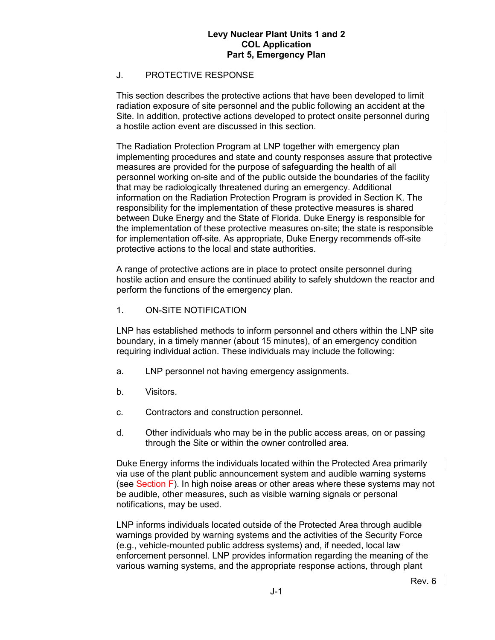## J. PROTECTIVE RESPONSE

This section describes the protective actions that have been developed to limit radiation exposure of site personnel and the public following an accident at the Site. In addition, protective actions developed to protect onsite personnel during a hostile action event are discussed in this section.

The Radiation Protection Program at LNP together with emergency plan implementing procedures and state and county responses assure that protective measures are provided for the purpose of safeguarding the health of all personnel working on-site and of the public outside the boundaries of the facility that may be radiologically threatened during an emergency. Additional information on the Radiation Protection Program is provided in Section K. The responsibility for the implementation of these protective measures is shared between Duke Energy and the State of Florida. Duke Energy is responsible for the implementation of these protective measures on-site; the state is responsible for implementation off-site. As appropriate, Duke Energy recommends off-site protective actions to the local and state authorities.

A range of protective actions are in place to protect onsite personnel during hostile action and ensure the continued ability to safely shutdown the reactor and perform the functions of the emergency plan.

#### 1. ON-SITE NOTIFICATION

LNP has established methods to inform personnel and others within the LNP site boundary, in a timely manner (about 15 minutes), of an emergency condition requiring individual action. These individuals may include the following:

- a. LNP personnel not having emergency assignments.
- b. Visitors.
- c. Contractors and construction personnel.
- d. Other individuals who may be in the public access areas, on or passing through the Site or within the owner controlled area.

Duke Energy informs the individuals located within the Protected Area primarily via use of the plant public announcement system and audible warning systems (see Section F). In high noise areas or other areas where these systems may not be audible, other measures, such as visible warning signals or personal notifications, may be used.

LNP informs individuals located outside of the Protected Area through audible warnings provided by warning systems and the activities of the Security Force (e.g., vehicle-mounted public address systems) and, if needed, local law enforcement personnel. LNP provides information regarding the meaning of the various warning systems, and the appropriate response actions, through plant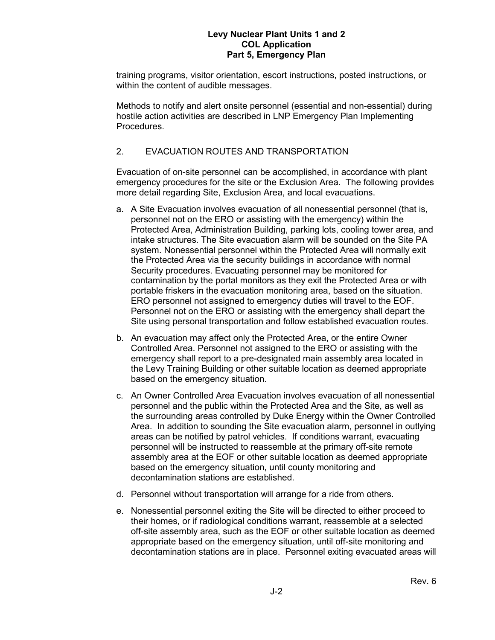training programs, visitor orientation, escort instructions, posted instructions, or within the content of audible messages.

Methods to notify and alert onsite personnel (essential and non-essential) during hostile action activities are described in LNP Emergency Plan Implementing **Procedures** 

# 2. EVACUATION ROUTES AND TRANSPORTATION

Evacuation of on-site personnel can be accomplished, in accordance with plant emergency procedures for the site or the Exclusion Area. The following provides more detail regarding Site, Exclusion Area, and local evacuations.

- a. A Site Evacuation involves evacuation of all nonessential personnel (that is, personnel not on the ERO or assisting with the emergency) within the Protected Area, Administration Building, parking lots, cooling tower area, and intake structures. The Site evacuation alarm will be sounded on the Site PA system. Nonessential personnel within the Protected Area will normally exit the Protected Area via the security buildings in accordance with normal Security procedures. Evacuating personnel may be monitored for contamination by the portal monitors as they exit the Protected Area or with portable friskers in the evacuation monitoring area, based on the situation. ERO personnel not assigned to emergency duties will travel to the EOF. Personnel not on the ERO or assisting with the emergency shall depart the Site using personal transportation and follow established evacuation routes.
- b. An evacuation may affect only the Protected Area, or the entire Owner Controlled Area. Personnel not assigned to the ERO or assisting with the emergency shall report to a pre-designated main assembly area located in the Levy Training Building or other suitable location as deemed appropriate based on the emergency situation.
- c. An Owner Controlled Area Evacuation involves evacuation of all nonessential personnel and the public within the Protected Area and the Site, as well as the surrounding areas controlled by Duke Energy within the Owner Controlled Area. In addition to sounding the Site evacuation alarm, personnel in outlying areas can be notified by patrol vehicles. If conditions warrant, evacuating personnel will be instructed to reassemble at the primary off-site remote assembly area at the EOF or other suitable location as deemed appropriate based on the emergency situation, until county monitoring and decontamination stations are established.
- d. Personnel without transportation will arrange for a ride from others.
- e. Nonessential personnel exiting the Site will be directed to either proceed to their homes, or if radiological conditions warrant, reassemble at a selected off-site assembly area, such as the EOF or other suitable location as deemed appropriate based on the emergency situation, until off-site monitoring and decontamination stations are in place. Personnel exiting evacuated areas will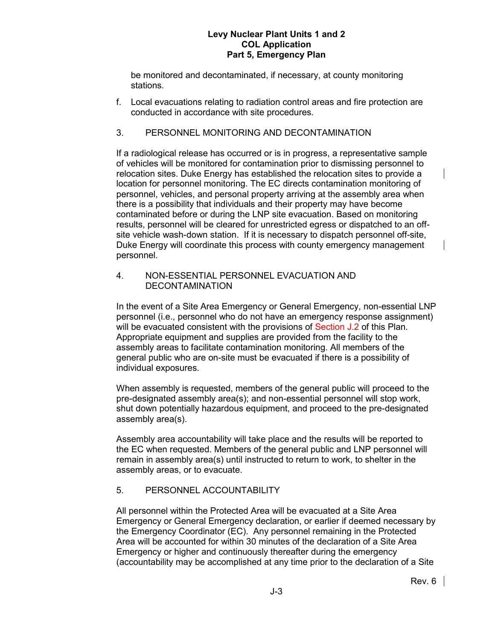be monitored and decontaminated, if necessary, at county monitoring stations.

f. Local evacuations relating to radiation control areas and fire protection are conducted in accordance with site procedures.

## 3. PERSONNEL MONITORING AND DECONTAMINATION

If a radiological release has occurred or is in progress, a representative sample of vehicles will be monitored for contamination prior to dismissing personnel to relocation sites. Duke Energy has established the relocation sites to provide a location for personnel monitoring. The EC directs contamination monitoring of personnel, vehicles, and personal property arriving at the assembly area when there is a possibility that individuals and their property may have become contaminated before or during the LNP site evacuation. Based on monitoring results, personnel will be cleared for unrestricted egress or dispatched to an offsite vehicle wash-down station. If it is necessary to dispatch personnel off-site, Duke Energy will coordinate this process with county emergency management personnel.

## 4. NON-ESSENTIAL PERSONNEL EVACUATION AND **DECONTAMINATION**

In the event of a Site Area Emergency or General Emergency, non-essential LNP personnel (i.e., personnel who do not have an emergency response assignment) will be evacuated consistent with the provisions of Section J.2 of this Plan. Appropriate equipment and supplies are provided from the facility to the assembly areas to facilitate contamination monitoring. All members of the general public who are on-site must be evacuated if there is a possibility of individual exposures.

When assembly is requested, members of the general public will proceed to the pre-designated assembly area(s); and non-essential personnel will stop work, shut down potentially hazardous equipment, and proceed to the pre-designated assembly area(s).

Assembly area accountability will take place and the results will be reported to the EC when requested. Members of the general public and LNP personnel will remain in assembly area(s) until instructed to return to work, to shelter in the assembly areas, or to evacuate.

# 5. PERSONNEL ACCOUNTABILITY

All personnel within the Protected Area will be evacuated at a Site Area Emergency or General Emergency declaration, or earlier if deemed necessary by the Emergency Coordinator (EC). Any personnel remaining in the Protected Area will be accounted for within 30 minutes of the declaration of a Site Area Emergency or higher and continuously thereafter during the emergency (accountability may be accomplished at any time prior to the declaration of a Site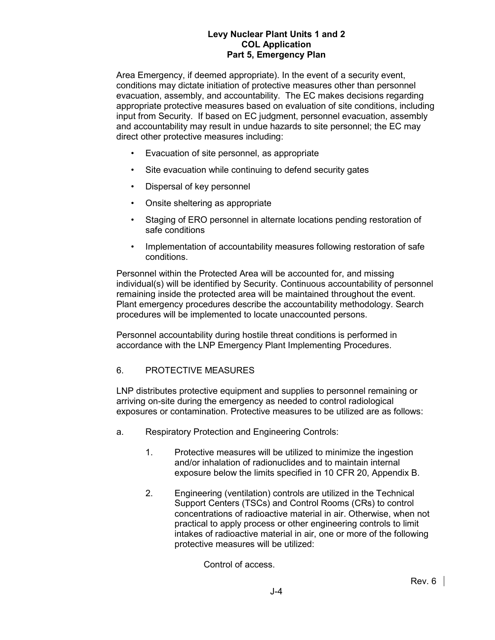Area Emergency, if deemed appropriate). In the event of a security event, conditions may dictate initiation of protective measures other than personnel evacuation, assembly, and accountability. The EC makes decisions regarding appropriate protective measures based on evaluation of site conditions, including input from Security. If based on EC judgment, personnel evacuation, assembly and accountability may result in undue hazards to site personnel; the EC may direct other protective measures including:

- Evacuation of site personnel, as appropriate
- Site evacuation while continuing to defend security gates
- Dispersal of key personnel
- Onsite sheltering as appropriate
- Staging of ERO personnel in alternate locations pending restoration of safe conditions
- Implementation of accountability measures following restoration of safe conditions.

Personnel within the Protected Area will be accounted for, and missing individual(s) will be identified by Security. Continuous accountability of personnel remaining inside the protected area will be maintained throughout the event. Plant emergency procedures describe the accountability methodology. Search procedures will be implemented to locate unaccounted persons.

Personnel accountability during hostile threat conditions is performed in accordance with the LNP Emergency Plant Implementing Procedures.

## 6. PROTECTIVE MEASURES

LNP distributes protective equipment and supplies to personnel remaining or arriving on-site during the emergency as needed to control radiological exposures or contamination. Protective measures to be utilized are as follows:

- a. Respiratory Protection and Engineering Controls:
	- 1. Protective measures will be utilized to minimize the ingestion and/or inhalation of radionuclides and to maintain internal exposure below the limits specified in 10 CFR 20, Appendix B.
	- 2. Engineering (ventilation) controls are utilized in the Technical Support Centers (TSCs) and Control Rooms (CRs) to control concentrations of radioactive material in air. Otherwise, when not practical to apply process or other engineering controls to limit intakes of radioactive material in air, one or more of the following protective measures will be utilized:

Control of access.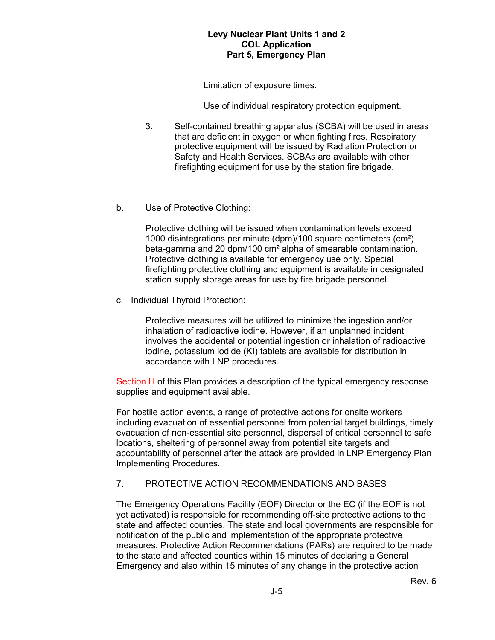Limitation of exposure times.

Use of individual respiratory protection equipment.

- 3. Self-contained breathing apparatus (SCBA) will be used in areas that are deficient in oxygen or when fighting fires. Respiratory protective equipment will be issued by Radiation Protection or Safety and Health Services. SCBAs are available with other firefighting equipment for use by the station fire brigade.
- b. Use of Protective Clothing:

Protective clothing will be issued when contamination levels exceed 1000 disintegrations per minute (dpm)/100 square centimeters (cm²) beta-gamma and 20 dpm/100 cm² alpha of smearable contamination. Protective clothing is available for emergency use only. Special firefighting protective clothing and equipment is available in designated station supply storage areas for use by fire brigade personnel.

c. Individual Thyroid Protection:

Protective measures will be utilized to minimize the ingestion and/or inhalation of radioactive iodine. However, if an unplanned incident involves the accidental or potential ingestion or inhalation of radioactive iodine, potassium iodide (KI) tablets are available for distribution in accordance with LNP procedures.

Section H of this Plan provides a description of the typical emergency response supplies and equipment available.

For hostile action events, a range of protective actions for onsite workers including evacuation of essential personnel from potential target buildings, timely evacuation of non-essential site personnel, dispersal of critical personnel to safe locations, sheltering of personnel away from potential site targets and accountability of personnel after the attack are provided in LNP Emergency Plan Implementing Procedures.

## 7. PROTECTIVE ACTION RECOMMENDATIONS AND BASES

The Emergency Operations Facility (EOF) Director or the EC (if the EOF is not yet activated) is responsible for recommending off-site protective actions to the state and affected counties. The state and local governments are responsible for notification of the public and implementation of the appropriate protective measures. Protective Action Recommendations (PARs) are required to be made to the state and affected counties within 15 minutes of declaring a General Emergency and also within 15 minutes of any change in the protective action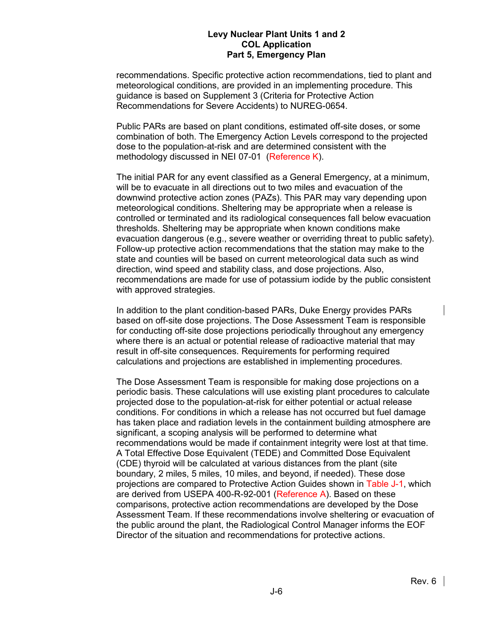recommendations. Specific protective action recommendations, tied to plant and meteorological conditions, are provided in an implementing procedure. This guidance is based on Supplement 3 (Criteria for Protective Action Recommendations for Severe Accidents) to NUREG-0654.

Public PARs are based on plant conditions, estimated off-site doses, or some combination of both. The Emergency Action Levels correspond to the projected dose to the population-at-risk and are determined consistent with the methodology discussed in NEI 07-01 (Reference K).

The initial PAR for any event classified as a General Emergency, at a minimum, will be to evacuate in all directions out to two miles and evacuation of the downwind protective action zones (PAZs). This PAR may vary depending upon meteorological conditions. Sheltering may be appropriate when a release is controlled or terminated and its radiological consequences fall below evacuation thresholds. Sheltering may be appropriate when known conditions make evacuation dangerous (e.g., severe weather or overriding threat to public safety). Follow-up protective action recommendations that the station may make to the state and counties will be based on current meteorological data such as wind direction, wind speed and stability class, and dose projections. Also, recommendations are made for use of potassium iodide by the public consistent with approved strategies.

In addition to the plant condition-based PARs, Duke Energy provides PARs based on off-site dose projections. The Dose Assessment Team is responsible for conducting off-site dose projections periodically throughout any emergency where there is an actual or potential release of radioactive material that may result in off-site consequences. Requirements for performing required calculations and projections are established in implementing procedures.

The Dose Assessment Team is responsible for making dose projections on a periodic basis. These calculations will use existing plant procedures to calculate projected dose to the population-at-risk for either potential or actual release conditions. For conditions in which a release has not occurred but fuel damage has taken place and radiation levels in the containment building atmosphere are significant, a scoping analysis will be performed to determine what recommendations would be made if containment integrity were lost at that time. A Total Effective Dose Equivalent (TEDE) and Committed Dose Equivalent (CDE) thyroid will be calculated at various distances from the plant (site boundary, 2 miles, 5 miles, 10 miles, and beyond, if needed). These dose projections are compared to Protective Action Guides shown in Table J-1, which are derived from USEPA 400-R-92-001 (Reference A). Based on these comparisons, protective action recommendations are developed by the Dose Assessment Team. If these recommendations involve sheltering or evacuation of the public around the plant, the Radiological Control Manager informs the EOF Director of the situation and recommendations for protective actions.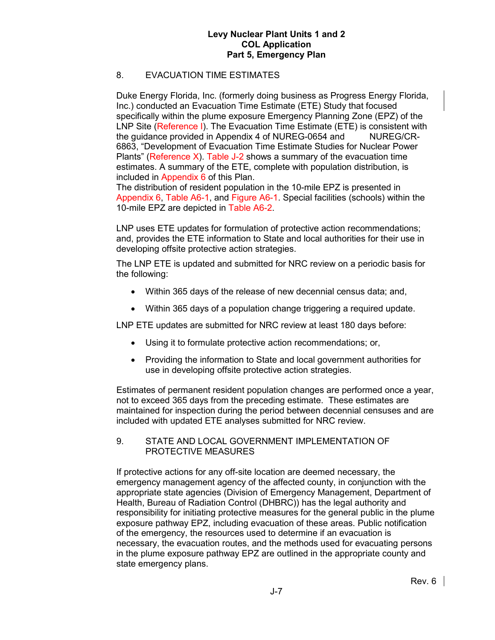## 8. EVACUATION TIME ESTIMATES

Duke Energy Florida, Inc. (formerly doing business as Progress Energy Florida, Inc.) conducted an Evacuation Time Estimate (ETE) Study that focused specifically within the plume exposure Emergency Planning Zone (EPZ) of the LNP Site (Reference I). The Evacuation Time Estimate (ETE) is consistent with the guidance provided in Appendix 4 of NUREG-0654 and NUREG/CR-6863, "Development of Evacuation Time Estimate Studies for Nuclear Power Plants" (Reference X). Table J-2 shows a summary of the evacuation time estimates. A summary of the ETE, complete with population distribution, is included in Appendix 6 of this Plan.

The distribution of resident population in the 10-mile EPZ is presented in Appendix 6, Table A6-1, and Figure A6-1. Special facilities (schools) within the 10-mile EPZ are depicted in Table A6-2.

LNP uses ETE updates for formulation of protective action recommendations; and, provides the ETE information to State and local authorities for their use in developing offsite protective action strategies.

The LNP ETE is updated and submitted for NRC review on a periodic basis for the following:

- Within 365 days of the release of new decennial census data; and,
- Within 365 days of a population change triggering a required update.

LNP ETE updates are submitted for NRC review at least 180 days before:

- Using it to formulate protective action recommendations; or,
- Providing the information to State and local government authorities for use in developing offsite protective action strategies.

Estimates of permanent resident population changes are performed once a year, not to exceed 365 days from the preceding estimate. These estimates are maintained for inspection during the period between decennial censuses and are included with updated ETE analyses submitted for NRC review.

9. STATE AND LOCAL GOVERNMENT IMPLEMENTATION OF PROTECTIVE MEASURES

If protective actions for any off-site location are deemed necessary, the emergency management agency of the affected county, in conjunction with the appropriate state agencies (Division of Emergency Management, Department of Health, Bureau of Radiation Control (DHBRC)) has the legal authority and responsibility for initiating protective measures for the general public in the plume exposure pathway EPZ, including evacuation of these areas. Public notification of the emergency, the resources used to determine if an evacuation is necessary, the evacuation routes, and the methods used for evacuating persons in the plume exposure pathway EPZ are outlined in the appropriate county and state emergency plans.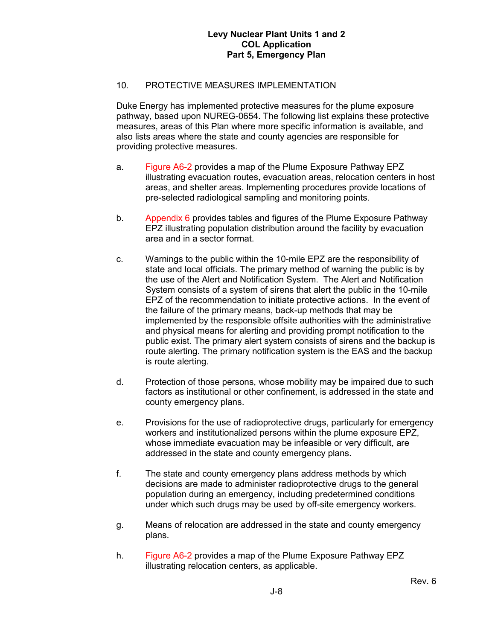## 10. PROTECTIVE MEASURES IMPLEMENTATION

Duke Energy has implemented protective measures for the plume exposure pathway, based upon NUREG-0654. The following list explains these protective measures, areas of this Plan where more specific information is available, and also lists areas where the state and county agencies are responsible for providing protective measures.

- a. Figure A6-2 provides a map of the Plume Exposure Pathway EPZ illustrating evacuation routes, evacuation areas, relocation centers in host areas, and shelter areas. Implementing procedures provide locations of pre-selected radiological sampling and monitoring points.
- b. Appendix 6 provides tables and figures of the Plume Exposure Pathway EPZ illustrating population distribution around the facility by evacuation area and in a sector format.
- c. Warnings to the public within the 10-mile EPZ are the responsibility of state and local officials. The primary method of warning the public is by the use of the Alert and Notification System. The Alert and Notification System consists of a system of sirens that alert the public in the 10-mile EPZ of the recommendation to initiate protective actions. In the event of the failure of the primary means, back-up methods that may be implemented by the responsible offsite authorities with the administrative and physical means for alerting and providing prompt notification to the public exist. The primary alert system consists of sirens and the backup is route alerting. The primary notification system is the EAS and the backup is route alerting.
- d. Protection of those persons, whose mobility may be impaired due to such factors as institutional or other confinement, is addressed in the state and county emergency plans.
- e. Provisions for the use of radioprotective drugs, particularly for emergency workers and institutionalized persons within the plume exposure EPZ, whose immediate evacuation may be infeasible or very difficult, are addressed in the state and county emergency plans.
- f. The state and county emergency plans address methods by which decisions are made to administer radioprotective drugs to the general population during an emergency, including predetermined conditions under which such drugs may be used by off-site emergency workers.
- g. Means of relocation are addressed in the state and county emergency plans.
- h. Figure A6-2 provides a map of the Plume Exposure Pathway EPZ illustrating relocation centers, as applicable.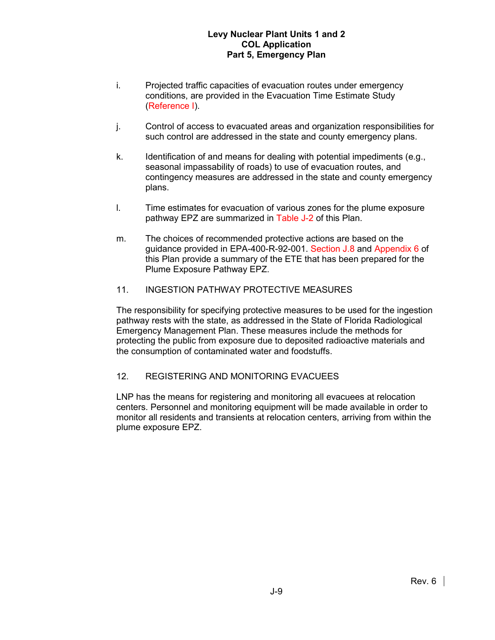- i. Projected traffic capacities of evacuation routes under emergency conditions, are provided in the Evacuation Time Estimate Study (Reference I).
- j. Control of access to evacuated areas and organization responsibilities for such control are addressed in the state and county emergency plans.
- k. Identification of and means for dealing with potential impediments (e.g., seasonal impassability of roads) to use of evacuation routes, and contingency measures are addressed in the state and county emergency plans.
- l. Time estimates for evacuation of various zones for the plume exposure pathway EPZ are summarized in Table J-2 of this Plan.
- m. The choices of recommended protective actions are based on the guidance provided in EPA-400-R-92-001. Section J.8 and Appendix 6 of this Plan provide a summary of the ETE that has been prepared for the Plume Exposure Pathway EPZ.
- 11. INGESTION PATHWAY PROTECTIVE MEASURES

The responsibility for specifying protective measures to be used for the ingestion pathway rests with the state, as addressed in the State of Florida Radiological Emergency Management Plan. These measures include the methods for protecting the public from exposure due to deposited radioactive materials and the consumption of contaminated water and foodstuffs.

#### 12. REGISTERING AND MONITORING EVACUEES

LNP has the means for registering and monitoring all evacuees at relocation centers. Personnel and monitoring equipment will be made available in order to monitor all residents and transients at relocation centers, arriving from within the plume exposure EPZ.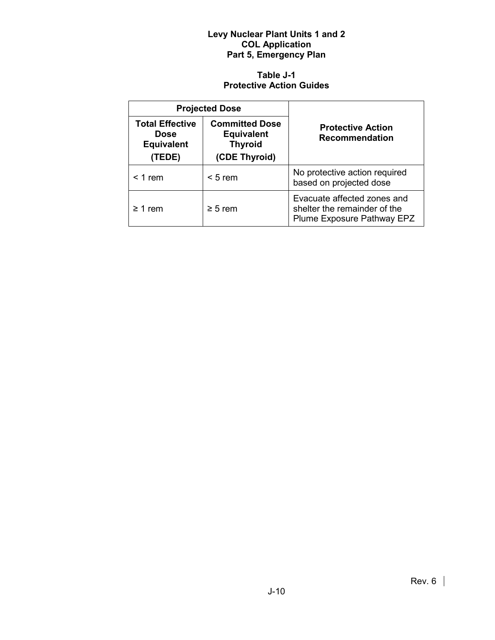# **Table J-1 Protective Action Guides**

|                                                                      | <b>Projected Dose</b>                                                         |                                                                                           |  |  |  |
|----------------------------------------------------------------------|-------------------------------------------------------------------------------|-------------------------------------------------------------------------------------------|--|--|--|
| <b>Total Effective</b><br><b>Dose</b><br><b>Equivalent</b><br>(TEDE) | <b>Committed Dose</b><br><b>Equivalent</b><br><b>Thyroid</b><br>(CDE Thyroid) | <b>Protective Action</b><br><b>Recommendation</b>                                         |  |  |  |
| $<$ 1 rem<br>$< 5$ rem                                               |                                                                               | No protective action required<br>based on projected dose                                  |  |  |  |
| $\geq$ 1 rem                                                         | $\geq 5$ rem                                                                  | Evacuate affected zones and<br>shelter the remainder of the<br>Plume Exposure Pathway EPZ |  |  |  |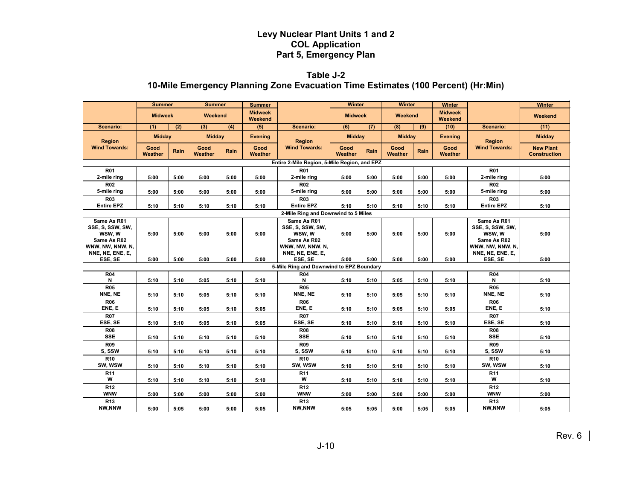# **Table J-2 10-Mile Emergency Planning Zone Evacuation Time Estimates (100 Percent) (Hr:Min)**

|                                                     | <b>Summer</b>   |      | <b>Summer</b>   |      | <b>Summer</b>             |                                                     | <b>Winter</b>   |      | <b>Winter</b>   |      | Winter                    |                                                     | <b>Winter</b>                           |
|-----------------------------------------------------|-----------------|------|-----------------|------|---------------------------|-----------------------------------------------------|-----------------|------|-----------------|------|---------------------------|-----------------------------------------------------|-----------------------------------------|
|                                                     | <b>Midweek</b>  |      | Weekend         |      | <b>Midweek</b><br>Weekend |                                                     | <b>Midweek</b>  |      | Weekend         |      | <b>Midweek</b><br>Weekend |                                                     | Weekend                                 |
| Scenario:                                           | (1)             | (2)  | (3)             | (4)  | (5)                       | Scenario:                                           | (6)             | (7)  | (8)             | (9)  | (10)                      | Scenario:                                           | (11)                                    |
| Region                                              | <b>Midday</b>   |      | <b>Midday</b>   |      | <b>Evening</b>            | <b>Region</b>                                       | <b>Midday</b>   |      | <b>Midday</b>   |      | Evening                   | Region                                              | <b>Midday</b>                           |
| <b>Wind Towards:</b>                                | Good<br>Weather | Rain | Good<br>Weather | Rain | Good<br><b>Weather</b>    | <b>Wind Towards:</b>                                | Good<br>Weather | Rain | Good<br>Weather | Rain | Good<br>Weather           | <b>Wind Towards:</b>                                | <b>New Plant</b><br><b>Construction</b> |
| Entire 2-Mile Region, 5-Mile Region, and EPZ        |                 |      |                 |      |                           |                                                     |                 |      |                 |      |                           |                                                     |                                         |
| <b>R01</b><br>2-mile ring                           | 5:00            | 5:00 | 5:00            | 5:00 | 5:00                      | <b>R01</b><br>2-mile ring                           | 5:00            | 5:00 | 5:00            | 5:00 | 5:00                      | <b>R01</b><br>2-mile ring                           | 5:00                                    |
| <b>R02</b><br>5-mile ring                           | 5:00            | 5:00 | 5:00            | 5:00 | 5:00                      | <b>R02</b><br>5-mile ring                           | 5:00            | 5:00 | 5:00            | 5:00 | 5:00                      | <b>R02</b><br>5-mile ring                           | 5:00                                    |
| <b>R03</b><br><b>Entire EPZ</b>                     | 5:10            | 5:10 | 5:10            | 5:10 | 5:10                      | <b>R03</b><br><b>Entire EPZ</b>                     | 5:10            | 5:10 | 5:10            | 5:10 | 5:10                      | <b>R03</b><br><b>Entire EPZ</b>                     | 5:10                                    |
| 2-Mile Ring and Downwind to 5 Miles                 |                 |      |                 |      |                           |                                                     |                 |      |                 |      |                           |                                                     |                                         |
| Same As R01<br>SSE, S, SSW, SW,<br>WSW, W           | 5:00            | 5:00 | 5:00            | 5:00 | 5:00                      | Same As R01<br>SSE, S, SSW, SW,<br>WSW, W           | 5:00            | 5:00 | 5:00            | 5:00 | 5:00                      | Same As R01<br>SSE, S, SSW, SW,<br>WSW, W           | 5:00                                    |
| Same As R02<br>WNW, NW, NNW, N,<br>NNE, NE, ENE, E, |                 |      |                 |      |                           | Same As R02<br>WNW, NW, NNW, N,<br>NNE, NE, ENE, E, |                 |      |                 |      |                           | Same As R02<br>WNW, NW, NNW, N,<br>NNE, NE, ENE, E, |                                         |
| ESE, SE                                             | 5:00            | 5:00 | 5:00            | 5:00 | 5:00                      | ESE, SE                                             | 5:00            | 5:00 | 5:00            | 5:00 | 5:00                      | ESE, SE                                             | 5:00                                    |
|                                                     |                 |      |                 |      |                           | 5-Mile Ring and Downwind to EPZ Boundary            |                 |      |                 |      |                           |                                                     |                                         |
| <b>R04</b><br>N                                     | 5:10            | 5:10 | 5:05            | 5:10 | 5:10                      | <b>R04</b><br>N                                     | 5:10            | 5:10 | 5:05            | 5:10 | 5:10                      | <b>R04</b><br>Ν                                     | 5:10                                    |
| <b>R05</b><br>NNE, NE                               | 5:10            | 5:10 | 5:05            | 5:10 | 5:10                      | <b>R05</b><br>NNE, NE                               | 5:10            | 5:10 | 5:05            | 5:10 | 5:10                      | <b>R05</b><br>NNE, NE                               | 5:10                                    |
| <b>R06</b><br>ENE, E                                | 5:10            | 5:10 | 5:05            | 5:10 | 5:05                      | <b>R06</b><br>ENE, E                                | 5:10            | 5:10 | 5:05            | 5:10 | 5:05                      | <b>R06</b><br>ENE, E                                | 5:10                                    |
| <b>R07</b><br>ESE, SE                               | 5:10            | 5:10 | 5:05            | 5:10 | 5:05                      | <b>R07</b><br>ESE, SE                               | 5:10            | 5:10 | 5:10            | 5:10 | 5:10                      | <b>R07</b><br>ESE, SE                               | 5:10                                    |
| <b>R08</b><br><b>SSE</b>                            | 5:10            | 5:10 | 5:10            | 5:10 | 5:10                      | <b>R08</b><br><b>SSE</b>                            | 5:10            | 5:10 | 5:10            | 5:10 | 5:10                      | <b>R08</b><br><b>SSE</b>                            | 5:10                                    |
| <b>R09</b><br>S, SSW                                |                 | 5:10 |                 | 5:10 |                           | <b>R09</b><br>S. SSW                                |                 |      |                 | 5:10 |                           | <b>R09</b><br>S, SSW                                |                                         |
| R <sub>10</sub>                                     | 5:10            |      | 5:10            |      | 5:10                      | R <sub>10</sub>                                     | 5:10            | 5:10 | 5:10            |      | 5:10                      | R <sub>10</sub>                                     | 5:10                                    |
| SW, WSW                                             | 5:10            | 5:10 | 5:10            | 5:10 | 5:10                      | SW, WSW                                             | 5:10            | 5:10 | 5:10            | 5:10 | 5:10                      | SW, WSW                                             | 5:10                                    |
| R <sub>11</sub><br>W                                | 5:10            | 5:10 | 5:10            | 5:10 | 5:10                      | R <sub>11</sub><br>W                                | 5:10            | 5:10 | 5:10            | 5:10 | 5:10                      | R <sub>11</sub><br>W                                | 5:10                                    |
| R <sub>12</sub><br><b>WNW</b>                       | 5:00            | 5:00 | 5:00            | 5:00 | 5:00                      | R <sub>12</sub><br><b>WNW</b>                       | 5:00            | 5:00 | 5:00            | 5:00 | 5:00                      | R <sub>12</sub><br><b>WNW</b>                       | 5:00                                    |
| R <sub>13</sub><br>NW,NNW                           | 5:00            | 5:05 | 5:00            | 5:00 | 5:05                      | R <sub>13</sub><br>NW,NNW                           | 5:05            | 5:05 | 5:00            | 5:05 | 5:05                      | R <sub>13</sub><br>NW,NNW                           | 5:05                                    |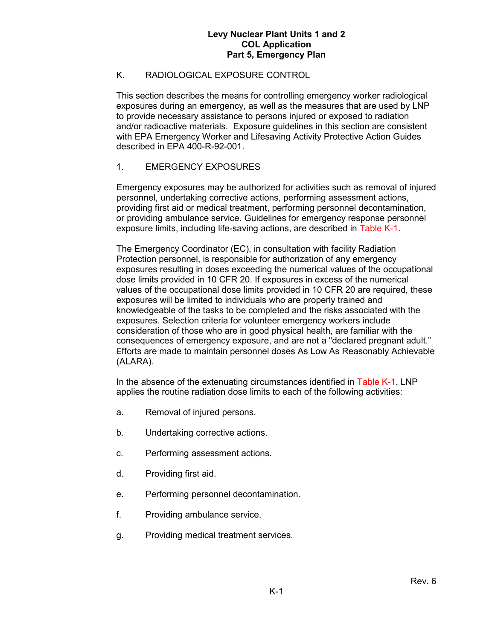# K. RADIOLOGICAL EXPOSURE CONTROL

This section describes the means for controlling emergency worker radiological exposures during an emergency, as well as the measures that are used by LNP to provide necessary assistance to persons injured or exposed to radiation and/or radioactive materials. Exposure guidelines in this section are consistent with EPA Emergency Worker and Lifesaving Activity Protective Action Guides described in EPA 400-R-92-001.

# 1. EMERGENCY EXPOSURES

Emergency exposures may be authorized for activities such as removal of injured personnel, undertaking corrective actions, performing assessment actions, providing first aid or medical treatment, performing personnel decontamination, or providing ambulance service. Guidelines for emergency response personnel exposure limits, including life-saving actions, are described in Table K-1.

The Emergency Coordinator (EC), in consultation with facility Radiation Protection personnel, is responsible for authorization of any emergency exposures resulting in doses exceeding the numerical values of the occupational dose limits provided in 10 CFR 20. If exposures in excess of the numerical values of the occupational dose limits provided in 10 CFR 20 are required, these exposures will be limited to individuals who are properly trained and knowledgeable of the tasks to be completed and the risks associated with the exposures. Selection criteria for volunteer emergency workers include consideration of those who are in good physical health, are familiar with the consequences of emergency exposure, and are not a "declared pregnant adult." Efforts are made to maintain personnel doses As Low As Reasonably Achievable (ALARA).

In the absence of the extenuating circumstances identified in Table K-1, LNP applies the routine radiation dose limits to each of the following activities:

- a. Removal of injured persons.
- b. Undertaking corrective actions.
- c. Performing assessment actions.
- d. Providing first aid.
- e. Performing personnel decontamination.
- f. Providing ambulance service.
- g. Providing medical treatment services.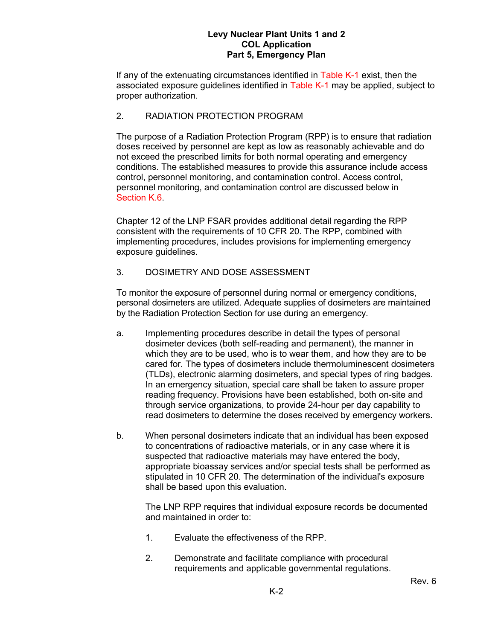If any of the extenuating circumstances identified in Table K-1 exist, then the associated exposure guidelines identified in Table K-1 may be applied, subject to proper authorization.

# 2. RADIATION PROTECTION PROGRAM

The purpose of a Radiation Protection Program (RPP) is to ensure that radiation doses received by personnel are kept as low as reasonably achievable and do not exceed the prescribed limits for both normal operating and emergency conditions. The established measures to provide this assurance include access control, personnel monitoring, and contamination control. Access control, personnel monitoring, and contamination control are discussed below in Section K.6.

Chapter 12 of the LNP FSAR provides additional detail regarding the RPP consistent with the requirements of 10 CFR 20. The RPP, combined with implementing procedures, includes provisions for implementing emergency exposure guidelines.

## 3. DOSIMETRY AND DOSE ASSESSMENT

To monitor the exposure of personnel during normal or emergency conditions, personal dosimeters are utilized. Adequate supplies of dosimeters are maintained by the Radiation Protection Section for use during an emergency.

- a. Implementing procedures describe in detail the types of personal dosimeter devices (both self-reading and permanent), the manner in which they are to be used, who is to wear them, and how they are to be cared for. The types of dosimeters include thermoluminescent dosimeters (TLDs), electronic alarming dosimeters, and special types of ring badges. In an emergency situation, special care shall be taken to assure proper reading frequency. Provisions have been established, both on-site and through service organizations, to provide 24-hour per day capability to read dosimeters to determine the doses received by emergency workers.
- b. When personal dosimeters indicate that an individual has been exposed to concentrations of radioactive materials, or in any case where it is suspected that radioactive materials may have entered the body, appropriate bioassay services and/or special tests shall be performed as stipulated in 10 CFR 20. The determination of the individual's exposure shall be based upon this evaluation.

The LNP RPP requires that individual exposure records be documented and maintained in order to:

- 1. Evaluate the effectiveness of the RPP.
- 2. Demonstrate and facilitate compliance with procedural requirements and applicable governmental regulations.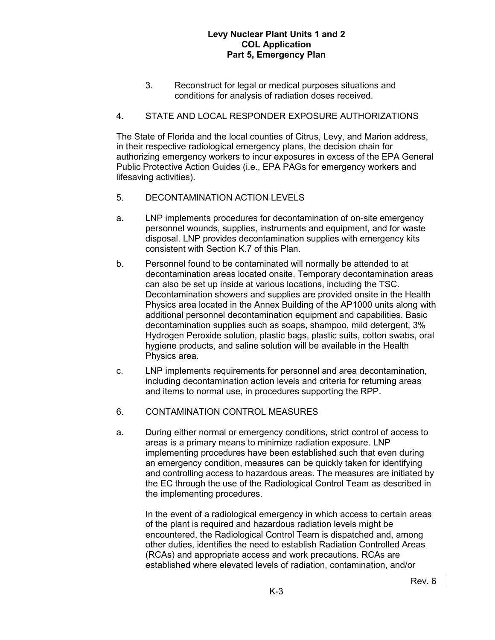3. Reconstruct for legal or medical purposes situations and conditions for analysis of radiation doses received.

# 4. STATE AND LOCAL RESPONDER EXPOSURE AUTHORIZATIONS

The State of Florida and the local counties of Citrus, Levy, and Marion address, in their respective radiological emergency plans, the decision chain for authorizing emergency workers to incur exposures in excess of the EPA General Public Protective Action Guides (i.e., EPA PAGs for emergency workers and lifesaving activities).

- 5. DECONTAMINATION ACTION LEVELS
- a. LNP implements procedures for decontamination of on-site emergency personnel wounds, supplies, instruments and equipment, and for waste disposal. LNP provides decontamination supplies with emergency kits consistent with Section K.7 of this Plan.
- b. Personnel found to be contaminated will normally be attended to at decontamination areas located onsite. Temporary decontamination areas can also be set up inside at various locations, including the TSC. Decontamination showers and supplies are provided onsite in the Health Physics area located in the Annex Building of the AP1000 units along with additional personnel decontamination equipment and capabilities. Basic decontamination supplies such as soaps, shampoo, mild detergent, 3% Hydrogen Peroxide solution, plastic bags, plastic suits, cotton swabs, oral hygiene products, and saline solution will be available in the Health Physics area.
- c. LNP implements requirements for personnel and area decontamination, including decontamination action levels and criteria for returning areas and items to normal use, in procedures supporting the RPP.
- 6. CONTAMINATION CONTROL MEASURES
- a. During either normal or emergency conditions, strict control of access to areas is a primary means to minimize radiation exposure. LNP implementing procedures have been established such that even during an emergency condition, measures can be quickly taken for identifying and controlling access to hazardous areas. The measures are initiated by the EC through the use of the Radiological Control Team as described in the implementing procedures.

In the event of a radiological emergency in which access to certain areas of the plant is required and hazardous radiation levels might be encountered, the Radiological Control Team is dispatched and, among other duties, identifies the need to establish Radiation Controlled Areas (RCAs) and appropriate access and work precautions. RCAs are established where elevated levels of radiation, contamination, and/or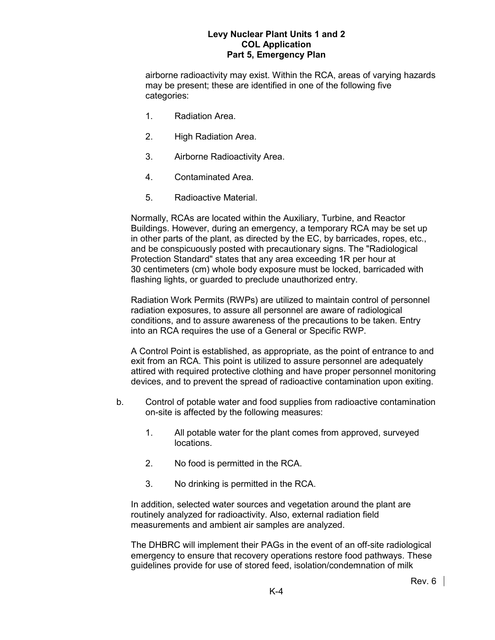airborne radioactivity may exist. Within the RCA, areas of varying hazards may be present; these are identified in one of the following five categories:

- 1. Radiation Area.
- 2. High Radiation Area.
- 3. Airborne Radioactivity Area.
- 4. Contaminated Area.
- 5. Radioactive Material.

Normally, RCAs are located within the Auxiliary, Turbine, and Reactor Buildings. However, during an emergency, a temporary RCA may be set up in other parts of the plant, as directed by the EC, by barricades, ropes, etc., and be conspicuously posted with precautionary signs. The "Radiological Protection Standard" states that any area exceeding 1R per hour at 30 centimeters (cm) whole body exposure must be locked, barricaded with flashing lights, or guarded to preclude unauthorized entry.

Radiation Work Permits (RWPs) are utilized to maintain control of personnel radiation exposures, to assure all personnel are aware of radiological conditions, and to assure awareness of the precautions to be taken. Entry into an RCA requires the use of a General or Specific RWP.

A Control Point is established, as appropriate, as the point of entrance to and exit from an RCA. This point is utilized to assure personnel are adequately attired with required protective clothing and have proper personnel monitoring devices, and to prevent the spread of radioactive contamination upon exiting.

- b. Control of potable water and food supplies from radioactive contamination on-site is affected by the following measures:
	- 1. All potable water for the plant comes from approved, surveyed locations.
	- 2. No food is permitted in the RCA.
	- 3. No drinking is permitted in the RCA.

In addition, selected water sources and vegetation around the plant are routinely analyzed for radioactivity. Also, external radiation field measurements and ambient air samples are analyzed.

The DHBRC will implement their PAGs in the event of an off-site radiological emergency to ensure that recovery operations restore food pathways. These guidelines provide for use of stored feed, isolation/condemnation of milk

Rev. 6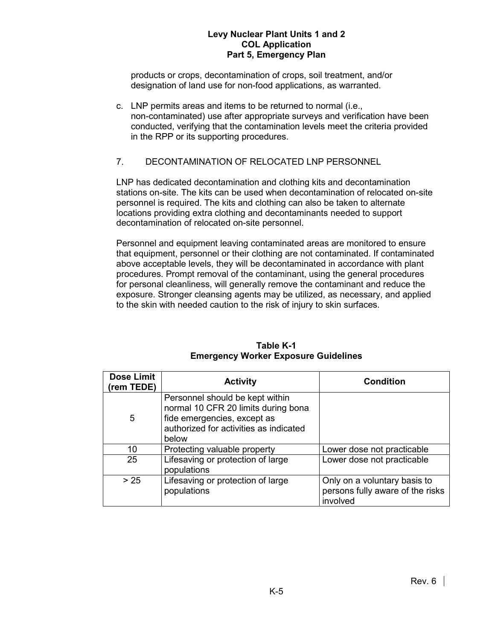products or crops, decontamination of crops, soil treatment, and/or designation of land use for non-food applications, as warranted.

c. LNP permits areas and items to be returned to normal (i.e., non-contaminated) use after appropriate surveys and verification have been conducted, verifying that the contamination levels meet the criteria provided in the RPP or its supporting procedures.

## 7. DECONTAMINATION OF RELOCATED LNP PERSONNEL

LNP has dedicated decontamination and clothing kits and decontamination stations on-site. The kits can be used when decontamination of relocated on-site personnel is required. The kits and clothing can also be taken to alternate locations providing extra clothing and decontaminants needed to support decontamination of relocated on-site personnel.

Personnel and equipment leaving contaminated areas are monitored to ensure that equipment, personnel or their clothing are not contaminated. If contaminated above acceptable levels, they will be decontaminated in accordance with plant procedures. Prompt removal of the contaminant, using the general procedures for personal cleanliness, will generally remove the contaminant and reduce the exposure. Stronger cleansing agents may be utilized, as necessary, and applied to the skin with needed caution to the risk of injury to skin surfaces.

| <b>Dose Limit</b><br>(rem TEDE) | <b>Activity</b>                                                                                                                                          | <b>Condition</b>                                                             |  |  |  |
|---------------------------------|----------------------------------------------------------------------------------------------------------------------------------------------------------|------------------------------------------------------------------------------|--|--|--|
| 5                               | Personnel should be kept within<br>normal 10 CFR 20 limits during bona<br>fide emergencies, except as<br>authorized for activities as indicated<br>below |                                                                              |  |  |  |
| 10                              | Protecting valuable property                                                                                                                             | Lower dose not practicable                                                   |  |  |  |
| 25                              | Lifesaving or protection of large<br>populations                                                                                                         | Lower dose not practicable                                                   |  |  |  |
| > 25                            | Lifesaving or protection of large<br>populations                                                                                                         | Only on a voluntary basis to<br>persons fully aware of the risks<br>involved |  |  |  |

#### **Table K-1 Emergency Worker Exposure Guidelines**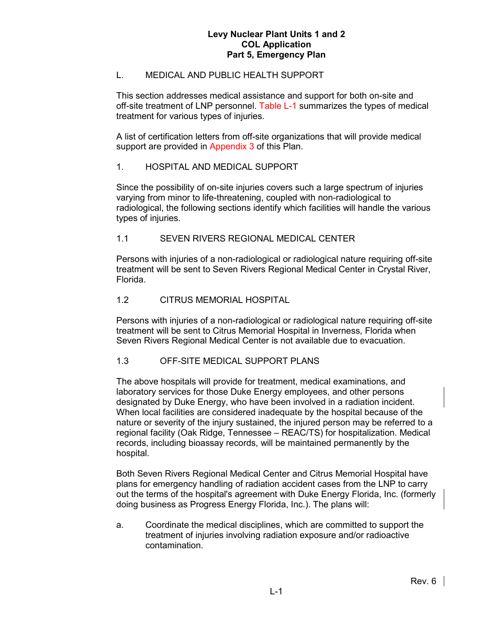## L. MEDICAL AND PUBLIC HEALTH SUPPORT

This section addresses medical assistance and support for both on-site and off-site treatment of LNP personnel. Table L-1 summarizes the types of medical treatment for various types of injuries.

A list of certification letters from off-site organizations that will provide medical support are provided in Appendix 3 of this Plan.

## 1. HOSPITAL AND MEDICAL SUPPORT

Since the possibility of on-site injuries covers such a large spectrum of injuries varying from minor to life-threatening, coupled with non-radiological to radiological, the following sections identify which facilities will handle the various types of injuries.

#### 1.1 SEVEN RIVERS REGIONAL MEDICAL CENTER

Persons with injuries of a non-radiological or radiological nature requiring off-site treatment will be sent to Seven Rivers Regional Medical Center in Crystal River, Florida.

#### 1.2 CITRUS MEMORIAL HOSPITAL

Persons with injuries of a non-radiological or radiological nature requiring off-site treatment will be sent to Citrus Memorial Hospital in Inverness, Florida when Seven Rivers Regional Medical Center is not available due to evacuation.

#### 1.3 OFF-SITE MEDICAL SUPPORT PLANS

The above hospitals will provide for treatment, medical examinations, and laboratory services for those Duke Energy employees, and other persons designated by Duke Energy, who have been involved in a radiation incident. When local facilities are considered inadequate by the hospital because of the nature or severity of the injury sustained, the injured person may be referred to a regional facility (Oak Ridge, Tennessee – REAC/TS) for hospitalization. Medical records, including bioassay records, will be maintained permanently by the hospital.

Both Seven Rivers Regional Medical Center and Citrus Memorial Hospital have plans for emergency handling of radiation accident cases from the LNP to carry out the terms of the hospital's agreement with Duke Energy Florida, Inc. (formerly doing business as Progress Energy Florida, Inc.). The plans will:

a. Coordinate the medical disciplines, which are committed to support the treatment of injuries involving radiation exposure and/or radioactive contamination.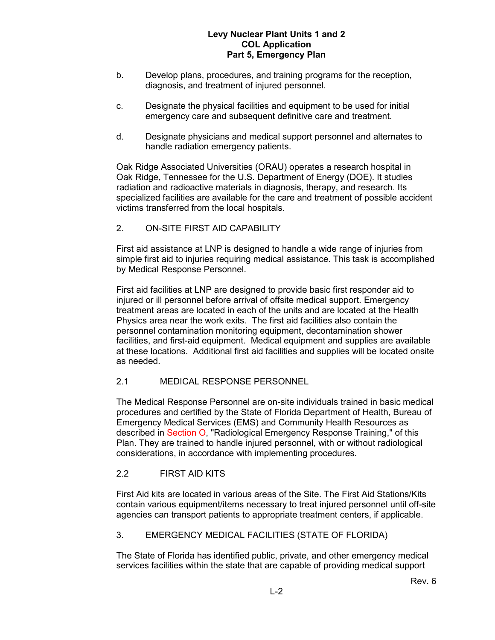- b. Develop plans, procedures, and training programs for the reception, diagnosis, and treatment of injured personnel.
- c. Designate the physical facilities and equipment to be used for initial emergency care and subsequent definitive care and treatment.
- d. Designate physicians and medical support personnel and alternates to handle radiation emergency patients.

Oak Ridge Associated Universities (ORAU) operates a research hospital in Oak Ridge, Tennessee for the U.S. Department of Energy (DOE). It studies radiation and radioactive materials in diagnosis, therapy, and research. Its specialized facilities are available for the care and treatment of possible accident victims transferred from the local hospitals.

# 2. ON-SITE FIRST AID CAPABILITY

First aid assistance at LNP is designed to handle a wide range of injuries from simple first aid to injuries requiring medical assistance. This task is accomplished by Medical Response Personnel.

First aid facilities at LNP are designed to provide basic first responder aid to injured or ill personnel before arrival of offsite medical support. Emergency treatment areas are located in each of the units and are located at the Health Physics area near the work exits. The first aid facilities also contain the personnel contamination monitoring equipment, decontamination shower facilities, and first-aid equipment. Medical equipment and supplies are available at these locations. Additional first aid facilities and supplies will be located onsite as needed.

## 2.1 MEDICAL RESPONSE PERSONNEL

The Medical Response Personnel are on-site individuals trained in basic medical procedures and certified by the State of Florida Department of Health, Bureau of Emergency Medical Services (EMS) and Community Health Resources as described in Section O, "Radiological Emergency Response Training," of this Plan. They are trained to handle injured personnel, with or without radiological considerations, in accordance with implementing procedures.

# 2.2 FIRST AID KITS

First Aid kits are located in various areas of the Site. The First Aid Stations/Kits contain various equipment/items necessary to treat injured personnel until off-site agencies can transport patients to appropriate treatment centers, if applicable.

## 3. EMERGENCY MEDICAL FACILITIES (STATE OF FLORIDA)

The State of Florida has identified public, private, and other emergency medical services facilities within the state that are capable of providing medical support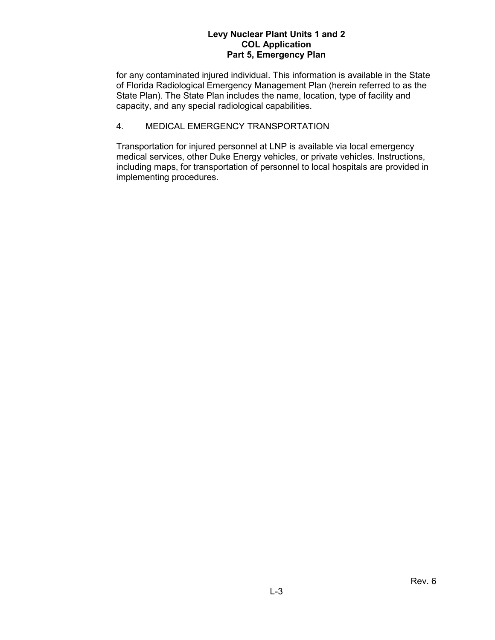for any contaminated injured individual. This information is available in the State of Florida Radiological Emergency Management Plan (herein referred to as the State Plan). The State Plan includes the name, location, type of facility and capacity, and any special radiological capabilities.

# 4. MEDICAL EMERGENCY TRANSPORTATION

Transportation for injured personnel at LNP is available via local emergency medical services, other Duke Energy vehicles, or private vehicles. Instructions, including maps, for transportation of personnel to local hospitals are provided in implementing procedures.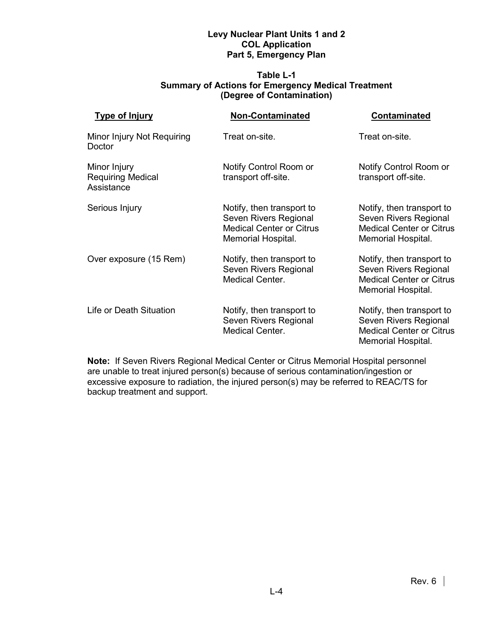#### **Table L-1 Summary of Actions for Emergency Medical Treatment (Degree of Contamination)**

| <b>Type of Injury</b>                                  | <b>Non-Contaminated</b>                                                                                     | <b>Contaminated</b><br>Treat on-site.<br>Notify Control Room or<br>transport off-site.                      |  |
|--------------------------------------------------------|-------------------------------------------------------------------------------------------------------------|-------------------------------------------------------------------------------------------------------------|--|
| Minor Injury Not Requiring<br>Doctor                   | Treat on-site.                                                                                              |                                                                                                             |  |
| Minor Injury<br><b>Requiring Medical</b><br>Assistance | Notify Control Room or<br>transport off-site.                                                               |                                                                                                             |  |
| Serious Injury                                         | Notify, then transport to<br>Seven Rivers Regional<br><b>Medical Center or Citrus</b><br>Memorial Hospital. | Notify, then transport to<br>Seven Rivers Regional<br><b>Medical Center or Citrus</b><br>Memorial Hospital. |  |
| Over exposure (15 Rem)                                 | Notify, then transport to<br>Seven Rivers Regional<br><b>Medical Center.</b>                                | Notify, then transport to<br>Seven Rivers Regional<br><b>Medical Center or Citrus</b><br>Memorial Hospital. |  |
| Life or Death Situation                                | Notify, then transport to<br>Seven Rivers Regional<br><b>Medical Center.</b>                                | Notify, then transport to<br>Seven Rivers Regional<br><b>Medical Center or Citrus</b><br>Memorial Hospital. |  |

**Note:** If Seven Rivers Regional Medical Center or Citrus Memorial Hospital personnel are unable to treat injured person(s) because of serious contamination/ingestion or excessive exposure to radiation, the injured person(s) may be referred to REAC/TS for backup treatment and support.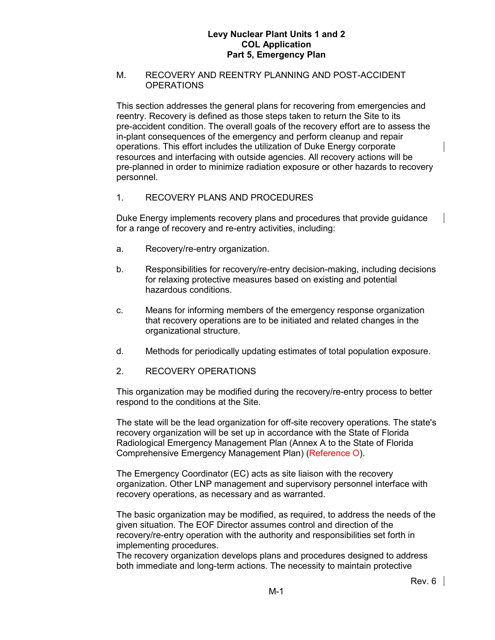### M. RECOVERY AND REENTRY PLANNING AND POST-ACCIDENT **OPERATIONS**

This section addresses the general plans for recovering from emergencies and reentry. Recovery is defined as those steps taken to return the Site to its pre-accident condition. The overall goals of the recovery effort are to assess the in-plant consequences of the emergency and perform cleanup and repair operations. This effort includes the utilization of Duke Energy corporate resources and interfacing with outside agencies. All recovery actions will be pre-planned in order to minimize radiation exposure or other hazards to recovery personnel.

# 1. RECOVERY PLANS AND PROCEDURES

Duke Energy implements recovery plans and procedures that provide guidance for a range of recovery and re-entry activities, including:

- a. Recovery/re-entry organization.
- b. Responsibilities for recovery/re-entry decision-making, including decisions for relaxing protective measures based on existing and potential hazardous conditions.
- c. Means for informing members of the emergency response organization that recovery operations are to be initiated and related changes in the organizational structure.
- d. Methods for periodically updating estimates of total population exposure.
- 2. RECOVERY OPERATIONS

This organization may be modified during the recovery/re-entry process to better respond to the conditions at the Site.

The state will be the lead organization for off-site recovery operations. The state's recovery organization will be set up in accordance with the State of Florida Radiological Emergency Management Plan (Annex A to the State of Florida Comprehensive Emergency Management Plan) (Reference O).

The Emergency Coordinator (EC) acts as site liaison with the recovery organization. Other LNP management and supervisory personnel interface with recovery operations, as necessary and as warranted.

The basic organization may be modified, as required, to address the needs of the given situation. The EOF Director assumes control and direction of the recovery/re-entry operation with the authority and responsibilities set forth in implementing procedures.

The recovery organization develops plans and procedures designed to address both immediate and long-term actions. The necessity to maintain protective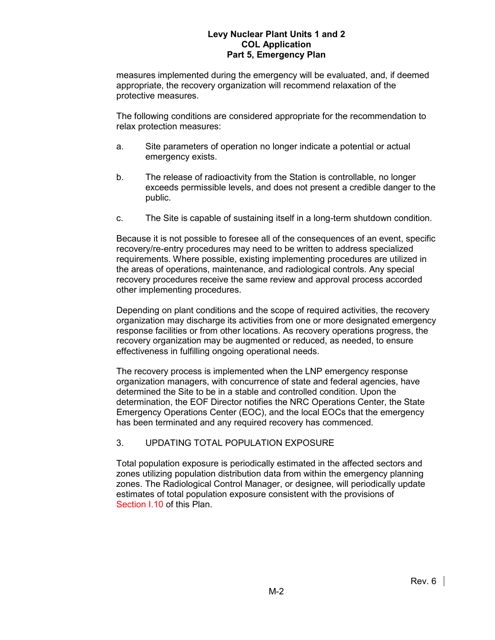measures implemented during the emergency will be evaluated, and, if deemed appropriate, the recovery organization will recommend relaxation of the protective measures.

The following conditions are considered appropriate for the recommendation to relax protection measures:

- a. Site parameters of operation no longer indicate a potential or actual emergency exists.
- b. The release of radioactivity from the Station is controllable, no longer exceeds permissible levels, and does not present a credible danger to the public.
- c. The Site is capable of sustaining itself in a long-term shutdown condition.

Because it is not possible to foresee all of the consequences of an event, specific recovery/re-entry procedures may need to be written to address specialized requirements. Where possible, existing implementing procedures are utilized in the areas of operations, maintenance, and radiological controls. Any special recovery procedures receive the same review and approval process accorded other implementing procedures.

Depending on plant conditions and the scope of required activities, the recovery organization may discharge its activities from one or more designated emergency response facilities or from other locations. As recovery operations progress, the recovery organization may be augmented or reduced, as needed, to ensure effectiveness in fulfilling ongoing operational needs.

The recovery process is implemented when the LNP emergency response organization managers, with concurrence of state and federal agencies, have determined the Site to be in a stable and controlled condition. Upon the determination, the EOF Director notifies the NRC Operations Center, the State Emergency Operations Center (EOC), and the local EOCs that the emergency has been terminated and any required recovery has commenced.

# 3. UPDATING TOTAL POPULATION EXPOSURE

Total population exposure is periodically estimated in the affected sectors and zones utilizing population distribution data from within the emergency planning zones. The Radiological Control Manager, or designee, will periodically update estimates of total population exposure consistent with the provisions of Section I.10 of this Plan.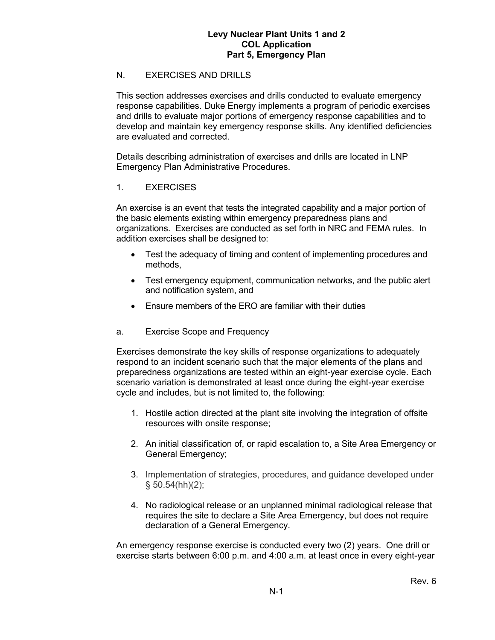### N. EXERCISES AND DRILLS

This section addresses exercises and drills conducted to evaluate emergency response capabilities. Duke Energy implements a program of periodic exercises and drills to evaluate major portions of emergency response capabilities and to develop and maintain key emergency response skills. Any identified deficiencies are evaluated and corrected.

Details describing administration of exercises and drills are located in LNP Emergency Plan Administrative Procedures.

#### 1. EXERCISES

An exercise is an event that tests the integrated capability and a major portion of the basic elements existing within emergency preparedness plans and organizations. Exercises are conducted as set forth in NRC and FEMA rules. In addition exercises shall be designed to:

- Test the adequacy of timing and content of implementing procedures and methods,
- Test emergency equipment, communication networks, and the public alert and notification system, and
- Ensure members of the ERO are familiar with their duties
- a. Exercise Scope and Frequency

Exercises demonstrate the key skills of response organizations to adequately respond to an incident scenario such that the major elements of the plans and preparedness organizations are tested within an eight-year exercise cycle. Each scenario variation is demonstrated at least once during the eight-year exercise cycle and includes, but is not limited to, the following:

- 1. Hostile action directed at the plant site involving the integration of offsite resources with onsite response;
- 2. An initial classification of, or rapid escalation to, a Site Area Emergency or General Emergency;
- 3. Implementation of strategies, procedures, and guidance developed under  $§ 50.54(hh)(2);$
- 4. No radiological release or an unplanned minimal radiological release that requires the site to declare a Site Area Emergency, but does not require declaration of a General Emergency.

An emergency response exercise is conducted every two (2) years. One drill or exercise starts between 6:00 p.m. and 4:00 a.m. at least once in every eight-year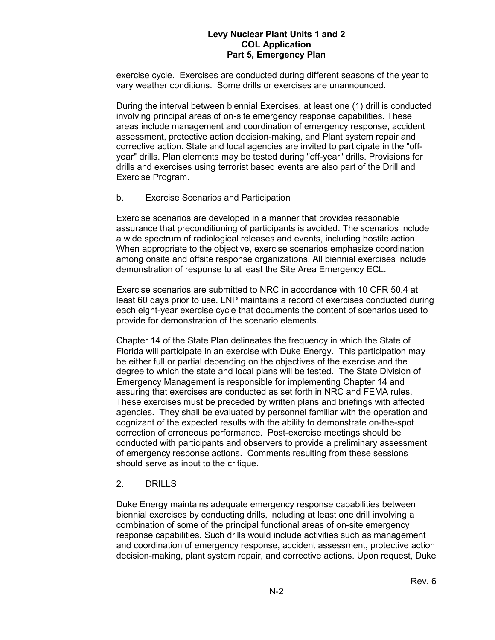exercise cycle. Exercises are conducted during different seasons of the year to vary weather conditions. Some drills or exercises are unannounced.

During the interval between biennial Exercises, at least one (1) drill is conducted involving principal areas of on-site emergency response capabilities. These areas include management and coordination of emergency response, accident assessment, protective action decision-making, and Plant system repair and corrective action. State and local agencies are invited to participate in the "offyear" drills. Plan elements may be tested during "off-year" drills. Provisions for drills and exercises using terrorist based events are also part of the Drill and Exercise Program.

#### b. Exercise Scenarios and Participation

Exercise scenarios are developed in a manner that provides reasonable assurance that preconditioning of participants is avoided. The scenarios include a wide spectrum of radiological releases and events, including hostile action. When appropriate to the objective, exercise scenarios emphasize coordination among onsite and offsite response organizations. All biennial exercises include demonstration of response to at least the Site Area Emergency ECL.

Exercise scenarios are submitted to NRC in accordance with 10 CFR 50.4 at least 60 days prior to use. LNP maintains a record of exercises conducted during each eight-year exercise cycle that documents the content of scenarios used to provide for demonstration of the scenario elements.

Chapter 14 of the State Plan delineates the frequency in which the State of Florida will participate in an exercise with Duke Energy. This participation may be either full or partial depending on the objectives of the exercise and the degree to which the state and local plans will be tested. The State Division of Emergency Management is responsible for implementing Chapter 14 and assuring that exercises are conducted as set forth in NRC and FEMA rules. These exercises must be preceded by written plans and briefings with affected agencies. They shall be evaluated by personnel familiar with the operation and cognizant of the expected results with the ability to demonstrate on-the-spot correction of erroneous performance. Post-exercise meetings should be conducted with participants and observers to provide a preliminary assessment of emergency response actions. Comments resulting from these sessions should serve as input to the critique.

#### 2. DRILLS

Duke Energy maintains adequate emergency response capabilities between biennial exercises by conducting drills, including at least one drill involving a combination of some of the principal functional areas of on-site emergency response capabilities. Such drills would include activities such as management and coordination of emergency response, accident assessment, protective action decision-making, plant system repair, and corrective actions. Upon request, Duke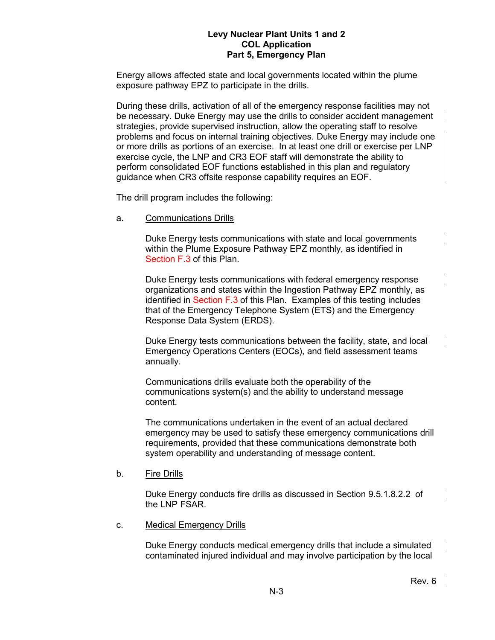Energy allows affected state and local governments located within the plume exposure pathway EPZ to participate in the drills.

During these drills, activation of all of the emergency response facilities may not be necessary. Duke Energy may use the drills to consider accident management strategies, provide supervised instruction, allow the operating staff to resolve problems and focus on internal training objectives. Duke Energy may include one or more drills as portions of an exercise. In at least one drill or exercise per LNP exercise cycle, the LNP and CR3 EOF staff will demonstrate the ability to perform consolidated EOF functions established in this plan and regulatory guidance when CR3 offsite response capability requires an EOF.

The drill program includes the following:

a. Communications Drills

Duke Energy tests communications with state and local governments within the Plume Exposure Pathway EPZ monthly, as identified in Section F.3 of this Plan.

Duke Energy tests communications with federal emergency response organizations and states within the Ingestion Pathway EPZ monthly, as identified in Section F.3 of this Plan. Examples of this testing includes that of the Emergency Telephone System (ETS) and the Emergency Response Data System (ERDS).

Duke Energy tests communications between the facility, state, and local Emergency Operations Centers (EOCs), and field assessment teams annually.

Communications drills evaluate both the operability of the communications system(s) and the ability to understand message content.

The communications undertaken in the event of an actual declared emergency may be used to satisfy these emergency communications drill requirements, provided that these communications demonstrate both system operability and understanding of message content.

b. Fire Drills

Duke Energy conducts fire drills as discussed in Section 9.5.1.8.2.2 of the LNP FSAR.

c. Medical Emergency Drills

Duke Energy conducts medical emergency drills that include a simulated contaminated injured individual and may involve participation by the local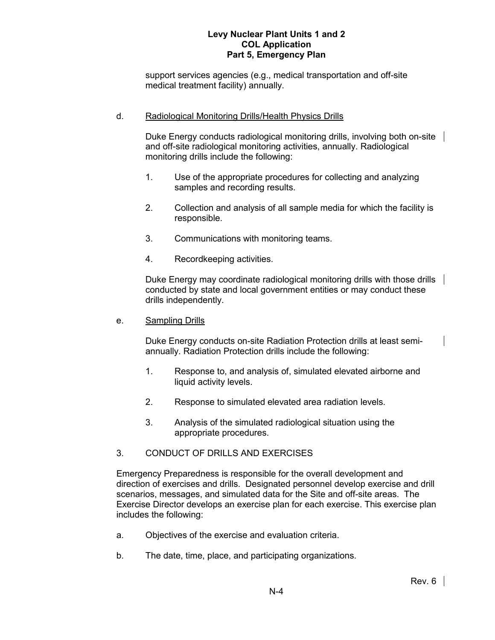support services agencies (e.g., medical transportation and off-site medical treatment facility) annually.

### d. Radiological Monitoring Drills/Health Physics Drills

Duke Energy conducts radiological monitoring drills, involving both on-site and off-site radiological monitoring activities, annually. Radiological monitoring drills include the following:

- 1. Use of the appropriate procedures for collecting and analyzing samples and recording results.
- 2. Collection and analysis of all sample media for which the facility is responsible.
- 3. Communications with monitoring teams.
- 4. Recordkeeping activities.

Duke Energy may coordinate radiological monitoring drills with those drills conducted by state and local government entities or may conduct these drills independently.

#### e. Sampling Drills

Duke Energy conducts on-site Radiation Protection drills at least semiannually. Radiation Protection drills include the following:

- 1. Response to, and analysis of, simulated elevated airborne and liquid activity levels.
- 2. Response to simulated elevated area radiation levels.
- 3. Analysis of the simulated radiological situation using the appropriate procedures.

# 3. CONDUCT OF DRILLS AND EXERCISES

Emergency Preparedness is responsible for the overall development and direction of exercises and drills. Designated personnel develop exercise and drill scenarios, messages, and simulated data for the Site and off-site areas. The Exercise Director develops an exercise plan for each exercise. This exercise plan includes the following:

- a. Objectives of the exercise and evaluation criteria.
- b. The date, time, place, and participating organizations.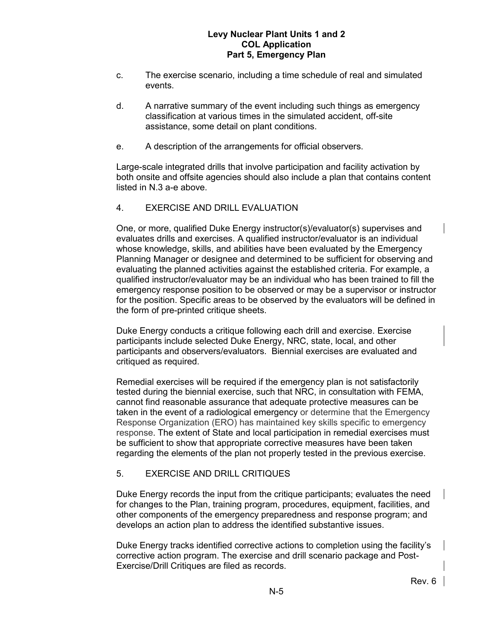- c. The exercise scenario, including a time schedule of real and simulated events.
- d. A narrative summary of the event including such things as emergency classification at various times in the simulated accident, off-site assistance, some detail on plant conditions.
- e. A description of the arrangements for official observers.

Large-scale integrated drills that involve participation and facility activation by both onsite and offsite agencies should also include a plan that contains content listed in N.3 a-e above.

4. EXERCISE AND DRILL EVALUATION

One, or more, qualified Duke Energy instructor(s)/evaluator(s) supervises and evaluates drills and exercises. A qualified instructor/evaluator is an individual whose knowledge, skills, and abilities have been evaluated by the Emergency Planning Manager or designee and determined to be sufficient for observing and evaluating the planned activities against the established criteria. For example, a qualified instructor/evaluator may be an individual who has been trained to fill the emergency response position to be observed or may be a supervisor or instructor for the position. Specific areas to be observed by the evaluators will be defined in the form of pre-printed critique sheets.

Duke Energy conducts a critique following each drill and exercise. Exercise participants include selected Duke Energy, NRC, state, local, and other participants and observers/evaluators. Biennial exercises are evaluated and critiqued as required.

Remedial exercises will be required if the emergency plan is not satisfactorily tested during the biennial exercise, such that NRC, in consultation with FEMA, cannot find reasonable assurance that adequate protective measures can be taken in the event of a radiological emergency or determine that the Emergency Response Organization (ERO) has maintained key skills specific to emergency response. The extent of State and local participation in remedial exercises must be sufficient to show that appropriate corrective measures have been taken regarding the elements of the plan not properly tested in the previous exercise.

# 5. EXERCISE AND DRILL CRITIQUES

Duke Energy records the input from the critique participants; evaluates the need for changes to the Plan, training program, procedures, equipment, facilities, and other components of the emergency preparedness and response program; and develops an action plan to address the identified substantive issues.

Duke Energy tracks identified corrective actions to completion using the facility's corrective action program. The exercise and drill scenario package and Post-Exercise/Drill Critiques are filed as records.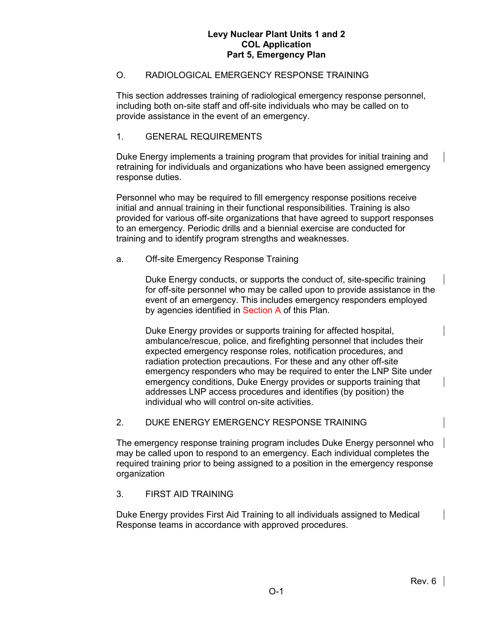# O. RADIOLOGICAL EMERGENCY RESPONSE TRAINING

This section addresses training of radiological emergency response personnel, including both on-site staff and off-site individuals who may be called on to provide assistance in the event of an emergency.

### 1. GENERAL REQUIREMENTS

Duke Energy implements a training program that provides for initial training and retraining for individuals and organizations who have been assigned emergency response duties.

Personnel who may be required to fill emergency response positions receive initial and annual training in their functional responsibilities. Training is also provided for various off-site organizations that have agreed to support responses to an emergency. Periodic drills and a biennial exercise are conducted for training and to identify program strengths and weaknesses.

### a. Off-site Emergency Response Training

Duke Energy conducts, or supports the conduct of, site-specific training for off-site personnel who may be called upon to provide assistance in the event of an emergency. This includes emergency responders employed by agencies identified in Section A of this Plan.

Duke Energy provides or supports training for affected hospital, ambulance/rescue, police, and firefighting personnel that includes their expected emergency response roles, notification procedures, and radiation protection precautions. For these and any other off-site emergency responders who may be required to enter the LNP Site under emergency conditions, Duke Energy provides or supports training that addresses LNP access procedures and identifies (by position) the individual who will control on-site activities.

# 2. DUKE ENERGY EMERGENCY RESPONSE TRAINING

The emergency response training program includes Duke Energy personnel who may be called upon to respond to an emergency. Each individual completes the required training prior to being assigned to a position in the emergency response organization

# 3. FIRST AID TRAINING

Duke Energy provides First Aid Training to all individuals assigned to Medical Response teams in accordance with approved procedures.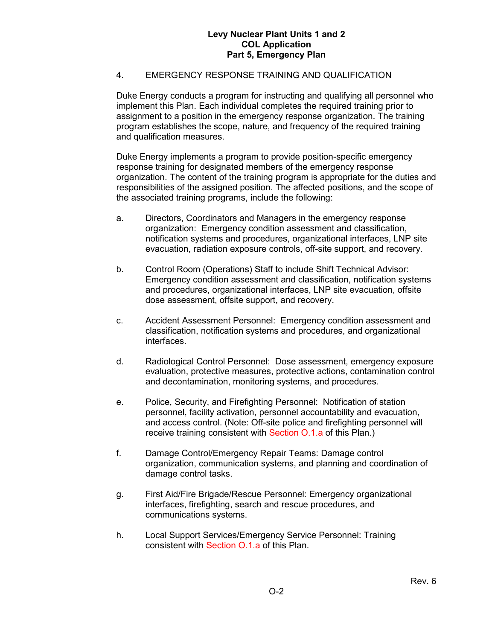# 4. EMERGENCY RESPONSE TRAINING AND QUALIFICATION

Duke Energy conducts a program for instructing and qualifying all personnel who implement this Plan. Each individual completes the required training prior to assignment to a position in the emergency response organization. The training program establishes the scope, nature, and frequency of the required training and qualification measures.

Duke Energy implements a program to provide position-specific emergency response training for designated members of the emergency response organization. The content of the training program is appropriate for the duties and responsibilities of the assigned position. The affected positions, and the scope of the associated training programs, include the following:

- a. Directors, Coordinators and Managers in the emergency response organization: Emergency condition assessment and classification, notification systems and procedures, organizational interfaces, LNP site evacuation, radiation exposure controls, off-site support, and recovery.
- b. Control Room (Operations) Staff to include Shift Technical Advisor: Emergency condition assessment and classification, notification systems and procedures, organizational interfaces, LNP site evacuation, offsite dose assessment, offsite support, and recovery.
- c. Accident Assessment Personnel: Emergency condition assessment and classification, notification systems and procedures, and organizational interfaces.
- d. Radiological Control Personnel: Dose assessment, emergency exposure evaluation, protective measures, protective actions, contamination control and decontamination, monitoring systems, and procedures.
- e. Police, Security, and Firefighting Personnel: Notification of station personnel, facility activation, personnel accountability and evacuation, and access control. (Note: Off-site police and firefighting personnel will receive training consistent with Section O.1.a of this Plan.)
- f. Damage Control/Emergency Repair Teams: Damage control organization, communication systems, and planning and coordination of damage control tasks.
- g. First Aid/Fire Brigade/Rescue Personnel: Emergency organizational interfaces, firefighting, search and rescue procedures, and communications systems.
- h. Local Support Services/Emergency Service Personnel: Training consistent with Section O.1.a of this Plan.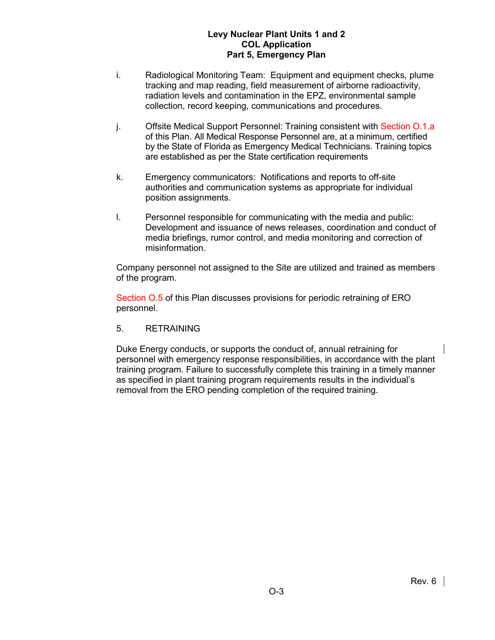- i. Radiological Monitoring Team: Equipment and equipment checks, plume tracking and map reading, field measurement of airborne radioactivity, radiation levels and contamination in the EPZ, environmental sample collection, record keeping, communications and procedures.
- j. Offsite Medical Support Personnel: Training consistent with Section O.1.a of this Plan. All Medical Response Personnel are, at a minimum, certified by the State of Florida as Emergency Medical Technicians. Training topics are established as per the State certification requirements
- k. Emergency communicators: Notifications and reports to off-site authorities and communication systems as appropriate for individual position assignments.
- l. Personnel responsible for communicating with the media and public: Development and issuance of news releases, coordination and conduct of media briefings, rumor control, and media monitoring and correction of misinformation.

Company personnel not assigned to the Site are utilized and trained as members of the program.

Section O.5 of this Plan discusses provisions for periodic retraining of ERO personnel.

5. RETRAINING

Duke Energy conducts, or supports the conduct of, annual retraining for personnel with emergency response responsibilities, in accordance with the plant training program. Failure to successfully complete this training in a timely manner as specified in plant training program requirements results in the individual's removal from the ERO pending completion of the required training.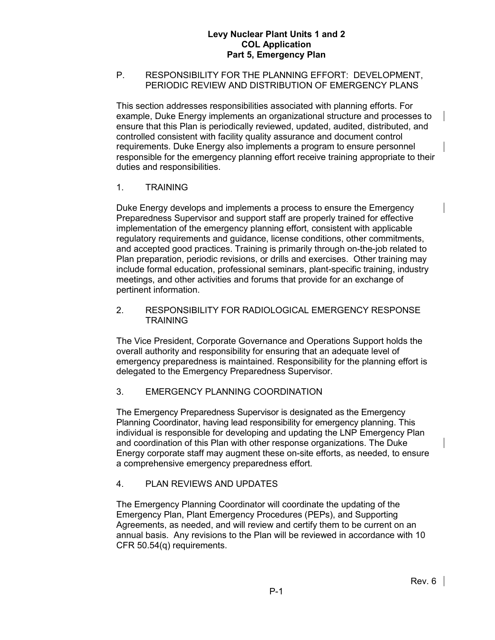## P. RESPONSIBILITY FOR THE PLANNING EFFORT: DEVELOPMENT, PERIODIC REVIEW AND DISTRIBUTION OF EMERGENCY PLANS

This section addresses responsibilities associated with planning efforts. For example, Duke Energy implements an organizational structure and processes to ensure that this Plan is periodically reviewed, updated, audited, distributed, and controlled consistent with facility quality assurance and document control requirements. Duke Energy also implements a program to ensure personnel responsible for the emergency planning effort receive training appropriate to their duties and responsibilities.

# 1. TRAINING

Duke Energy develops and implements a process to ensure the Emergency Preparedness Supervisor and support staff are properly trained for effective implementation of the emergency planning effort, consistent with applicable regulatory requirements and guidance, license conditions, other commitments, and accepted good practices. Training is primarily through on-the-job related to Plan preparation, periodic revisions, or drills and exercises. Other training may include formal education, professional seminars, plant-specific training, industry meetings, and other activities and forums that provide for an exchange of pertinent information.

2. RESPONSIBILITY FOR RADIOLOGICAL EMERGENCY RESPONSE TRAINING

The Vice President, Corporate Governance and Operations Support holds the overall authority and responsibility for ensuring that an adequate level of emergency preparedness is maintained. Responsibility for the planning effort is delegated to the Emergency Preparedness Supervisor.

# 3. EMERGENCY PLANNING COORDINATION

The Emergency Preparedness Supervisor is designated as the Emergency Planning Coordinator, having lead responsibility for emergency planning. This individual is responsible for developing and updating the LNP Emergency Plan and coordination of this Plan with other response organizations. The Duke Energy corporate staff may augment these on-site efforts, as needed, to ensure a comprehensive emergency preparedness effort.

# 4. PLAN REVIEWS AND UPDATES

The Emergency Planning Coordinator will coordinate the updating of the Emergency Plan, Plant Emergency Procedures (PEPs), and Supporting Agreements, as needed, and will review and certify them to be current on an annual basis. Any revisions to the Plan will be reviewed in accordance with 10 CFR 50.54(q) requirements.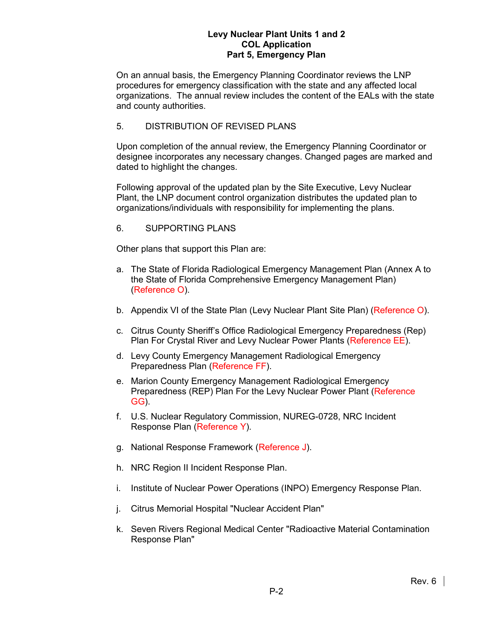On an annual basis, the Emergency Planning Coordinator reviews the LNP procedures for emergency classification with the state and any affected local organizations. The annual review includes the content of the EALs with the state and county authorities.

# 5. DISTRIBUTION OF REVISED PLANS

Upon completion of the annual review, the Emergency Planning Coordinator or designee incorporates any necessary changes. Changed pages are marked and dated to highlight the changes.

Following approval of the updated plan by the Site Executive, Levy Nuclear Plant, the LNP document control organization distributes the updated plan to organizations/individuals with responsibility for implementing the plans.

# 6. SUPPORTING PLANS

Other plans that support this Plan are:

- a. The State of Florida Radiological Emergency Management Plan (Annex A to the State of Florida Comprehensive Emergency Management Plan) (Reference O).
- b. Appendix VI of the State Plan (Levy Nuclear Plant Site Plan) (Reference O).
- c. Citrus County Sheriff's Office Radiological Emergency Preparedness (Rep) Plan For Crystal River and Levy Nuclear Power Plants (Reference EE).
- d. Levy County Emergency Management Radiological Emergency Preparedness Plan (Reference FF).
- e. Marion County Emergency Management Radiological Emergency Preparedness (REP) Plan For the Levy Nuclear Power Plant (Reference GG).
- f. U.S. Nuclear Regulatory Commission, NUREG-0728, NRC Incident Response Plan (Reference Y).
- g. National Response Framework (Reference J).
- h. NRC Region II Incident Response Plan.
- i. Institute of Nuclear Power Operations (INPO) Emergency Response Plan.
- j. Citrus Memorial Hospital "Nuclear Accident Plan"
- k. Seven Rivers Regional Medical Center "Radioactive Material Contamination Response Plan"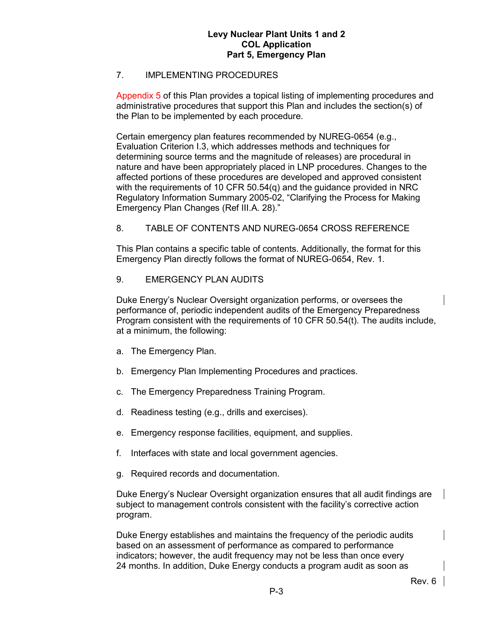# 7. IMPLEMENTING PROCEDURES

Appendix 5 of this Plan provides a topical listing of implementing procedures and administrative procedures that support this Plan and includes the section(s) of the Plan to be implemented by each procedure.

Certain emergency plan features recommended by NUREG-0654 (e.g., Evaluation Criterion I.3, which addresses methods and techniques for determining source terms and the magnitude of releases) are procedural in nature and have been appropriately placed in LNP procedures. Changes to the affected portions of these procedures are developed and approved consistent with the requirements of 10 CFR 50.54(q) and the guidance provided in NRC Regulatory Information Summary 2005-02, "Clarifying the Process for Making Emergency Plan Changes (Ref III.A. 28)."

8. TABLE OF CONTENTS AND NUREG-0654 CROSS REFERENCE

This Plan contains a specific table of contents. Additionally, the format for this Emergency Plan directly follows the format of NUREG-0654, Rev. 1.

9. EMERGENCY PLAN AUDITS

Duke Energy's Nuclear Oversight organization performs, or oversees the performance of, periodic independent audits of the Emergency Preparedness Program consistent with the requirements of 10 CFR 50.54(t). The audits include, at a minimum, the following:

- a. The Emergency Plan.
- b. Emergency Plan Implementing Procedures and practices.
- c. The Emergency Preparedness Training Program.
- d. Readiness testing (e.g., drills and exercises).
- e. Emergency response facilities, equipment, and supplies.
- f. Interfaces with state and local government agencies.
- g. Required records and documentation.

Duke Energy's Nuclear Oversight organization ensures that all audit findings are subject to management controls consistent with the facility's corrective action program.

Duke Energy establishes and maintains the frequency of the periodic audits based on an assessment of performance as compared to performance indicators; however, the audit frequency may not be less than once every 24 months. In addition, Duke Energy conducts a program audit as soon as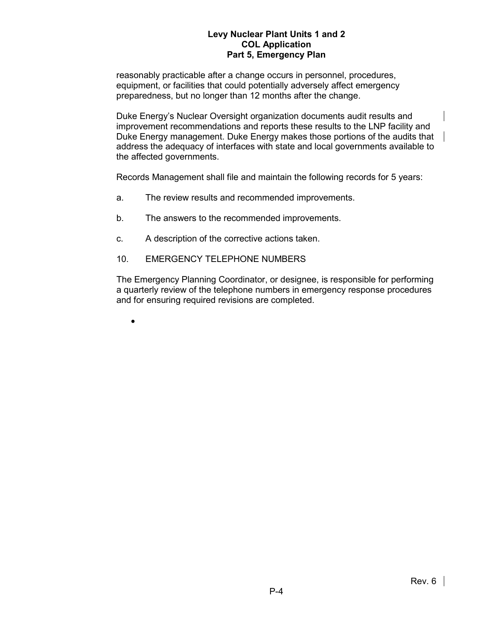reasonably practicable after a change occurs in personnel, procedures, equipment, or facilities that could potentially adversely affect emergency preparedness, but no longer than 12 months after the change.

Duke Energy's Nuclear Oversight organization documents audit results and improvement recommendations and reports these results to the LNP facility and Duke Energy management. Duke Energy makes those portions of the audits that address the adequacy of interfaces with state and local governments available to the affected governments.

Records Management shall file and maintain the following records for 5 years:

- a. The review results and recommended improvements.
- b. The answers to the recommended improvements.
- c. A description of the corrective actions taken.
- 10. EMERGENCY TELEPHONE NUMBERS

The Emergency Planning Coordinator, or designee, is responsible for performing a quarterly review of the telephone numbers in emergency response procedures and for ensuring required revisions are completed.

•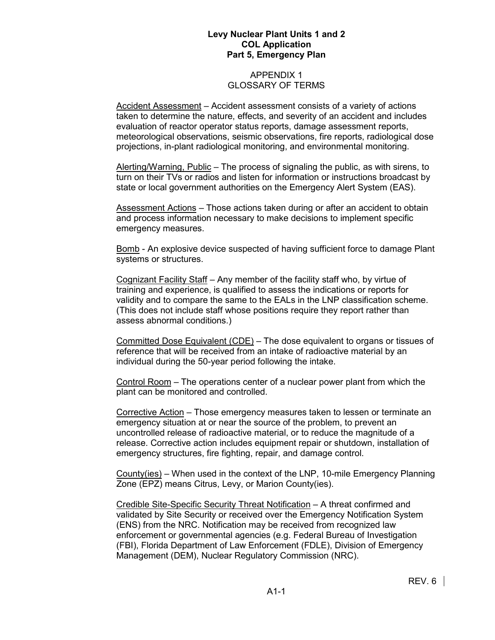### APPENDIX 1 GLOSSARY OF TERMS

Accident Assessment – Accident assessment consists of a variety of actions taken to determine the nature, effects, and severity of an accident and includes evaluation of reactor operator status reports, damage assessment reports, meteorological observations, seismic observations, fire reports, radiological dose projections, in-plant radiological monitoring, and environmental monitoring.

Alerting/Warning, Public – The process of signaling the public, as with sirens, to turn on their TVs or radios and listen for information or instructions broadcast by state or local government authorities on the Emergency Alert System (EAS).

Assessment Actions – Those actions taken during or after an accident to obtain and process information necessary to make decisions to implement specific emergency measures.

Bomb - An explosive device suspected of having sufficient force to damage Plant systems or structures.

Cognizant Facility Staff – Any member of the facility staff who, by virtue of training and experience, is qualified to assess the indications or reports for validity and to compare the same to the EALs in the LNP classification scheme. (This does not include staff whose positions require they report rather than assess abnormal conditions.)

Committed Dose Equivalent (CDE) – The dose equivalent to organs or tissues of reference that will be received from an intake of radioactive material by an individual during the 50-year period following the intake.

Control Room – The operations center of a nuclear power plant from which the plant can be monitored and controlled.

Corrective Action – Those emergency measures taken to lessen or terminate an emergency situation at or near the source of the problem, to prevent an uncontrolled release of radioactive material, or to reduce the magnitude of a release. Corrective action includes equipment repair or shutdown, installation of emergency structures, fire fighting, repair, and damage control.

County(ies) – When used in the context of the LNP, 10-mile Emergency Planning Zone (EPZ) means Citrus, Levy, or Marion County(ies).

Credible Site-Specific Security Threat Notification – A threat confirmed and validated by Site Security or received over the Emergency Notification System (ENS) from the NRC. Notification may be received from recognized law enforcement or governmental agencies (e.g. Federal Bureau of Investigation (FBI), Florida Department of Law Enforcement (FDLE), Division of Emergency Management (DEM), Nuclear Regulatory Commission (NRC).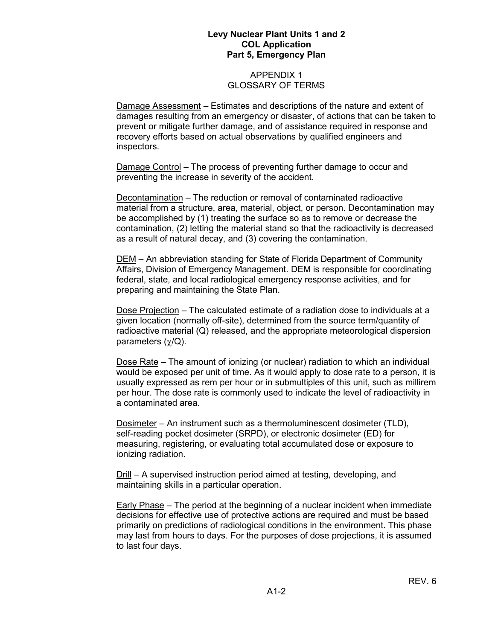### APPENDIX 1 GLOSSARY OF TERMS

Damage Assessment – Estimates and descriptions of the nature and extent of damages resulting from an emergency or disaster, of actions that can be taken to prevent or mitigate further damage, and of assistance required in response and recovery efforts based on actual observations by qualified engineers and inspectors.

Damage Control – The process of preventing further damage to occur and preventing the increase in severity of the accident.

Decontamination – The reduction or removal of contaminated radioactive material from a structure, area, material, object, or person. Decontamination may be accomplished by (1) treating the surface so as to remove or decrease the contamination, (2) letting the material stand so that the radioactivity is decreased as a result of natural decay, and (3) covering the contamination.

DEM – An abbreviation standing for State of Florida Department of Community Affairs, Division of Emergency Management. DEM is responsible for coordinating federal, state, and local radiological emergency response activities, and for preparing and maintaining the State Plan.

Dose Projection – The calculated estimate of a radiation dose to individuals at a given location (normally off-site), determined from the source term/quantity of radioactive material (Q) released, and the appropriate meteorological dispersion parameters  $(χ/Q)$ .

Dose Rate – The amount of ionizing (or nuclear) radiation to which an individual would be exposed per unit of time. As it would apply to dose rate to a person, it is usually expressed as rem per hour or in submultiples of this unit, such as millirem per hour. The dose rate is commonly used to indicate the level of radioactivity in a contaminated area.

Dosimeter – An instrument such as a thermoluminescent dosimeter (TLD), self-reading pocket dosimeter (SRPD), or electronic dosimeter (ED) for measuring, registering, or evaluating total accumulated dose or exposure to ionizing radiation.

Drill – A supervised instruction period aimed at testing, developing, and maintaining skills in a particular operation.

Early Phase – The period at the beginning of a nuclear incident when immediate decisions for effective use of protective actions are required and must be based primarily on predictions of radiological conditions in the environment. This phase may last from hours to days. For the purposes of dose projections, it is assumed to last four days.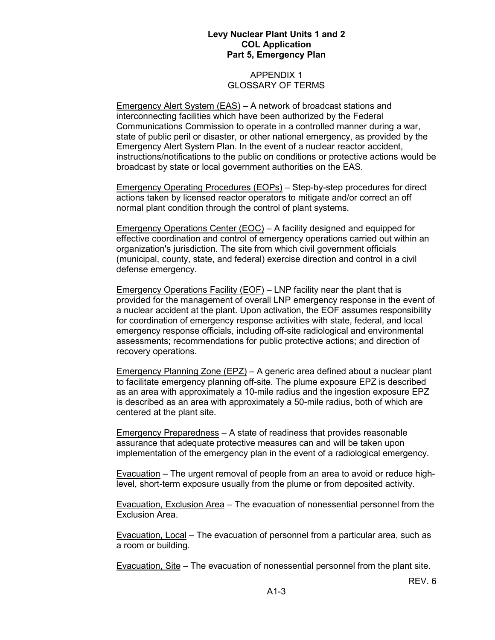### APPENDIX 1 GLOSSARY OF TERMS

Emergency Alert System (EAS) – A network of broadcast stations and interconnecting facilities which have been authorized by the Federal Communications Commission to operate in a controlled manner during a war, state of public peril or disaster, or other national emergency, as provided by the Emergency Alert System Plan. In the event of a nuclear reactor accident, instructions/notifications to the public on conditions or protective actions would be broadcast by state or local government authorities on the EAS.

Emergency Operating Procedures (EOPs) – Step-by-step procedures for direct actions taken by licensed reactor operators to mitigate and/or correct an off normal plant condition through the control of plant systems.

Emergency Operations Center (EOC) – A facility designed and equipped for effective coordination and control of emergency operations carried out within an organization's jurisdiction. The site from which civil government officials (municipal, county, state, and federal) exercise direction and control in a civil defense emergency.

Emergency Operations Facility (EOF) – LNP facility near the plant that is provided for the management of overall LNP emergency response in the event of a nuclear accident at the plant. Upon activation, the EOF assumes responsibility for coordination of emergency response activities with state, federal, and local emergency response officials, including off-site radiological and environmental assessments; recommendations for public protective actions; and direction of recovery operations.

Emergency Planning Zone (EPZ) – A generic area defined about a nuclear plant to facilitate emergency planning off-site. The plume exposure EPZ is described as an area with approximately a 10-mile radius and the ingestion exposure EPZ is described as an area with approximately a 50-mile radius, both of which are centered at the plant site.

Emergency Preparedness – A state of readiness that provides reasonable assurance that adequate protective measures can and will be taken upon implementation of the emergency plan in the event of a radiological emergency.

Evacuation – The urgent removal of people from an area to avoid or reduce highlevel, short-term exposure usually from the plume or from deposited activity.

Evacuation, Exclusion Area – The evacuation of nonessential personnel from the Exclusion Area.

Evacuation, Local – The evacuation of personnel from a particular area, such as a room or building.

Evacuation, Site – The evacuation of nonessential personnel from the plant site.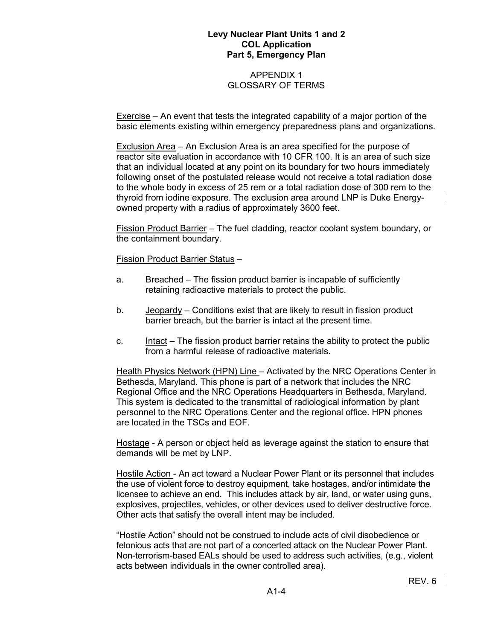### APPENDIX 1 GLOSSARY OF TERMS

Exercise – An event that tests the integrated capability of a major portion of the basic elements existing within emergency preparedness plans and organizations.

Exclusion Area – An Exclusion Area is an area specified for the purpose of reactor site evaluation in accordance with 10 CFR 100. It is an area of such size that an individual located at any point on its boundary for two hours immediately following onset of the postulated release would not receive a total radiation dose to the whole body in excess of 25 rem or a total radiation dose of 300 rem to the thyroid from iodine exposure. The exclusion area around LNP is Duke Energyowned property with a radius of approximately 3600 feet.

Fission Product Barrier – The fuel cladding, reactor coolant system boundary, or the containment boundary.

Fission Product Barrier Status –

- a. Breached The fission product barrier is incapable of sufficiently retaining radioactive materials to protect the public.
- b. Jeopardy Conditions exist that are likely to result in fission product barrier breach, but the barrier is intact at the present time.
- c. Intact The fission product barrier retains the ability to protect the public from a harmful release of radioactive materials.

Health Physics Network (HPN) Line – Activated by the NRC Operations Center in Bethesda, Maryland. This phone is part of a network that includes the NRC Regional Office and the NRC Operations Headquarters in Bethesda, Maryland. This system is dedicated to the transmittal of radiological information by plant personnel to the NRC Operations Center and the regional office. HPN phones are located in the TSCs and EOF.

Hostage - A person or object held as leverage against the station to ensure that demands will be met by LNP.

Hostile Action - An act toward a Nuclear Power Plant or its personnel that includes the use of violent force to destroy equipment, take hostages, and/or intimidate the licensee to achieve an end. This includes attack by air, land, or water using guns, explosives, projectiles, vehicles, or other devices used to deliver destructive force. Other acts that satisfy the overall intent may be included.

"Hostile Action" should not be construed to include acts of civil disobedience or felonious acts that are not part of a concerted attack on the Nuclear Power Plant. Non-terrorism-based EALs should be used to address such activities, (e.g., violent acts between individuals in the owner controlled area).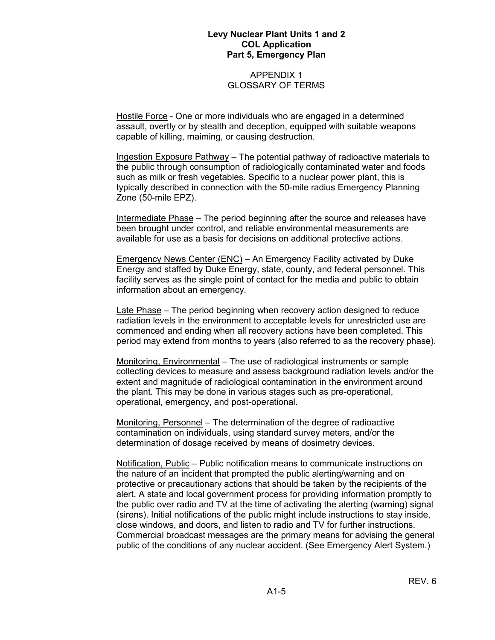### APPENDIX 1 GLOSSARY OF TERMS

Hostile Force - One or more individuals who are engaged in a determined assault, overtly or by stealth and deception, equipped with suitable weapons capable of killing, maiming, or causing destruction.

Ingestion Exposure Pathway – The potential pathway of radioactive materials to the public through consumption of radiologically contaminated water and foods such as milk or fresh vegetables. Specific to a nuclear power plant, this is typically described in connection with the 50-mile radius Emergency Planning Zone (50-mile EPZ).

Intermediate Phase – The period beginning after the source and releases have been brought under control, and reliable environmental measurements are available for use as a basis for decisions on additional protective actions.

Emergency News Center (ENC) – An Emergency Facility activated by Duke Energy and staffed by Duke Energy, state, county, and federal personnel. This facility serves as the single point of contact for the media and public to obtain information about an emergency.

Late Phase – The period beginning when recovery action designed to reduce radiation levels in the environment to acceptable levels for unrestricted use are commenced and ending when all recovery actions have been completed. This period may extend from months to years (also referred to as the recovery phase).

Monitoring, Environmental – The use of radiological instruments or sample collecting devices to measure and assess background radiation levels and/or the extent and magnitude of radiological contamination in the environment around the plant. This may be done in various stages such as pre-operational, operational, emergency, and post-operational.

Monitoring, Personnel – The determination of the degree of radioactive contamination on individuals, using standard survey meters, and/or the determination of dosage received by means of dosimetry devices.

Notification, Public – Public notification means to communicate instructions on the nature of an incident that prompted the public alerting/warning and on protective or precautionary actions that should be taken by the recipients of the alert. A state and local government process for providing information promptly to the public over radio and TV at the time of activating the alerting (warning) signal (sirens). Initial notifications of the public might include instructions to stay inside, close windows, and doors, and listen to radio and TV for further instructions. Commercial broadcast messages are the primary means for advising the general public of the conditions of any nuclear accident. (See Emergency Alert System.)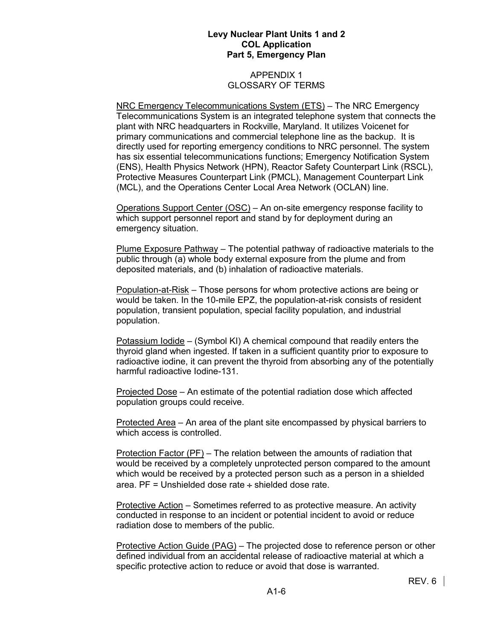### APPENDIX 1 GLOSSARY OF TERMS

NRC Emergency Telecommunications System (ETS) – The NRC Emergency Telecommunications System is an integrated telephone system that connects the plant with NRC headquarters in Rockville, Maryland. It utilizes Voicenet for primary communications and commercial telephone line as the backup. It is directly used for reporting emergency conditions to NRC personnel. The system has six essential telecommunications functions; Emergency Notification System (ENS), Health Physics Network (HPN), Reactor Safety Counterpart Link (RSCL), Protective Measures Counterpart Link (PMCL), Management Counterpart Link (MCL), and the Operations Center Local Area Network (OCLAN) line.

Operations Support Center (OSC) – An on-site emergency response facility to which support personnel report and stand by for deployment during an emergency situation.

Plume Exposure Pathway – The potential pathway of radioactive materials to the public through (a) whole body external exposure from the plume and from deposited materials, and (b) inhalation of radioactive materials.

Population-at-Risk – Those persons for whom protective actions are being or would be taken. In the 10-mile EPZ, the population-at-risk consists of resident population, transient population, special facility population, and industrial population.

Potassium Iodide – (Symbol KI) A chemical compound that readily enters the thyroid gland when ingested. If taken in a sufficient quantity prior to exposure to radioactive iodine, it can prevent the thyroid from absorbing any of the potentially harmful radioactive Iodine-131.

Projected Dose – An estimate of the potential radiation dose which affected population groups could receive.

Protected Area – An area of the plant site encompassed by physical barriers to which access is controlled.

Protection Factor (PF) – The relation between the amounts of radiation that would be received by a completely unprotected person compared to the amount which would be received by a protected person such as a person in a shielded area. PF = Unshielded dose rate  $\div$  shielded dose rate.

Protective Action – Sometimes referred to as protective measure. An activity conducted in response to an incident or potential incident to avoid or reduce radiation dose to members of the public.

Protective Action Guide (PAG) – The projected dose to reference person or other defined individual from an accidental release of radioactive material at which a specific protective action to reduce or avoid that dose is warranted.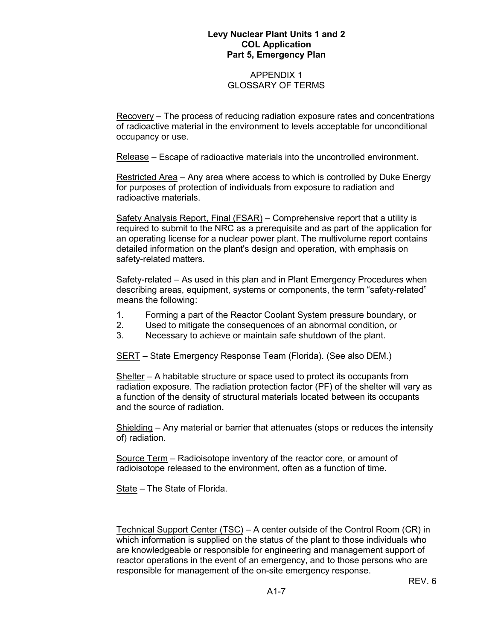### APPENDIX 1 GLOSSARY OF TERMS

Recovery – The process of reducing radiation exposure rates and concentrations of radioactive material in the environment to levels acceptable for unconditional occupancy or use.

Release – Escape of radioactive materials into the uncontrolled environment.

Restricted Area – Any area where access to which is controlled by Duke Energy for purposes of protection of individuals from exposure to radiation and radioactive materials.

Safety Analysis Report, Final (FSAR) – Comprehensive report that a utility is required to submit to the NRC as a prerequisite and as part of the application for an operating license for a nuclear power plant. The multivolume report contains detailed information on the plant's design and operation, with emphasis on safety-related matters.

Safety-related – As used in this plan and in Plant Emergency Procedures when describing areas, equipment, systems or components, the term "safety-related" means the following:

- 1. Forming a part of the Reactor Coolant System pressure boundary, or
- 2. Used to mitigate the consequences of an abnormal condition, or
- 3. Necessary to achieve or maintain safe shutdown of the plant.

SERT – State Emergency Response Team (Florida). (See also DEM.)

Shelter – A habitable structure or space used to protect its occupants from radiation exposure. The radiation protection factor (PF) of the shelter will vary as a function of the density of structural materials located between its occupants and the source of radiation.

Shielding – Any material or barrier that attenuates (stops or reduces the intensity of) radiation.

Source Term – Radioisotope inventory of the reactor core, or amount of radioisotope released to the environment, often as a function of time.

State – The State of Florida.

Technical Support Center (TSC) – A center outside of the Control Room (CR) in which information is supplied on the status of the plant to those individuals who are knowledgeable or responsible for engineering and management support of reactor operations in the event of an emergency, and to those persons who are responsible for management of the on-site emergency response.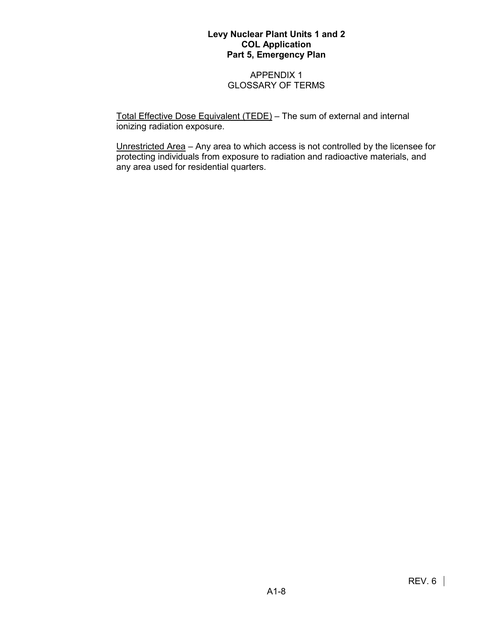## APPENDIX 1 GLOSSARY OF TERMS

Total Effective Dose Equivalent (TEDE) – The sum of external and internal ionizing radiation exposure.

Unrestricted Area – Any area to which access is not controlled by the licensee for protecting individuals from exposure to radiation and radioactive materials, and any area used for residential quarters.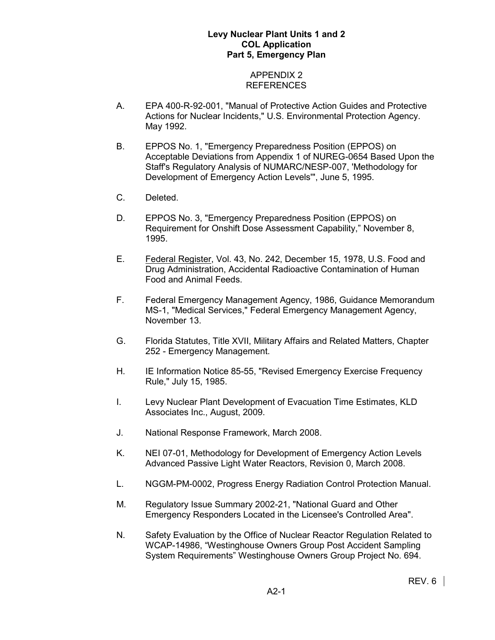## APPENDIX 2 REFERENCES

- A. EPA 400-R-92-001, "Manual of Protective Action Guides and Protective Actions for Nuclear Incidents," U.S. Environmental Protection Agency. May 1992.
- B. EPPOS No. 1, "Emergency Preparedness Position (EPPOS) on Acceptable Deviations from Appendix 1 of NUREG-0654 Based Upon the Staff's Regulatory Analysis of NUMARC/NESP-007, 'Methodology for Development of Emergency Action Levels'", June 5, 1995.
- C. Deleted.
- D. EPPOS No. 3, "Emergency Preparedness Position (EPPOS) on Requirement for Onshift Dose Assessment Capability," November 8, 1995.
- E. Federal Register, Vol. 43, No. 242, December 15, 1978, U.S. Food and Drug Administration, Accidental Radioactive Contamination of Human Food and Animal Feeds.
- F. Federal Emergency Management Agency, 1986, Guidance Memorandum MS-1, "Medical Services," Federal Emergency Management Agency, November 13.
- G. Florida Statutes, Title XVII, Military Affairs and Related Matters, Chapter 252 - Emergency Management.
- H. IE Information Notice 85-55, "Revised Emergency Exercise Frequency Rule," July 15, 1985.
- I. Levy Nuclear Plant Development of Evacuation Time Estimates, KLD Associates Inc., August, 2009.
- J. National Response Framework, March 2008.
- K. NEI 07-01, Methodology for Development of Emergency Action Levels Advanced Passive Light Water Reactors, Revision 0, March 2008.
- L. NGGM-PM-0002, Progress Energy Radiation Control Protection Manual.
- M. Regulatory Issue Summary 2002-21, "National Guard and Other Emergency Responders Located in the Licensee's Controlled Area".
- N. Safety Evaluation by the Office of Nuclear Reactor Regulation Related to WCAP-14986, "Westinghouse Owners Group Post Accident Sampling System Requirements" Westinghouse Owners Group Project No. 694.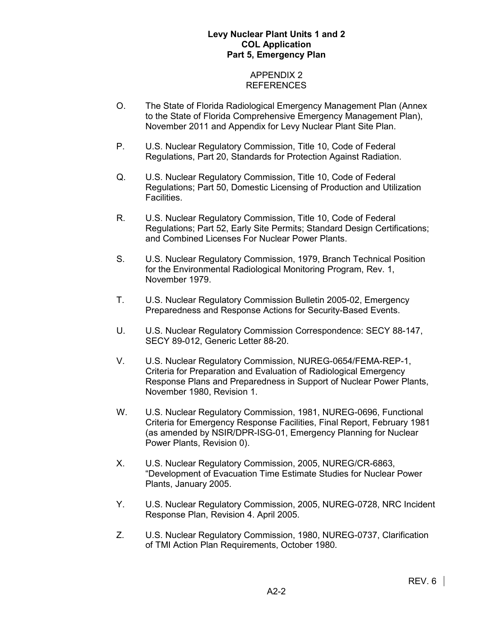### APPENDIX 2 REFERENCES

- O. The State of Florida Radiological Emergency Management Plan (Annex to the State of Florida Comprehensive Emergency Management Plan), November 2011 and Appendix for Levy Nuclear Plant Site Plan.
- P. U.S. Nuclear Regulatory Commission, Title 10, Code of Federal Regulations, Part 20, Standards for Protection Against Radiation.
- Q. U.S. Nuclear Regulatory Commission, Title 10, Code of Federal Regulations; Part 50, Domestic Licensing of Production and Utilization Facilities.
- R. U.S. Nuclear Regulatory Commission, Title 10, Code of Federal Regulations; Part 52, Early Site Permits; Standard Design Certifications; and Combined Licenses For Nuclear Power Plants.
- S. U.S. Nuclear Regulatory Commission, 1979, Branch Technical Position for the Environmental Radiological Monitoring Program, Rev. 1, November 1979.
- T. U.S. Nuclear Regulatory Commission Bulletin 2005-02, Emergency Preparedness and Response Actions for Security-Based Events.
- U. U.S. Nuclear Regulatory Commission Correspondence: SECY 88-147, SECY 89-012, Generic Letter 88-20.
- V. U.S. Nuclear Regulatory Commission, NUREG-0654/FEMA-REP-1, Criteria for Preparation and Evaluation of Radiological Emergency Response Plans and Preparedness in Support of Nuclear Power Plants, November 1980, Revision 1.
- W. U.S. Nuclear Regulatory Commission, 1981, NUREG-0696, Functional Criteria for Emergency Response Facilities, Final Report, February 1981 (as amended by NSIR/DPR-ISG-01, Emergency Planning for Nuclear Power Plants, Revision 0).
- X. U.S. Nuclear Regulatory Commission, 2005, NUREG/CR-6863, "Development of Evacuation Time Estimate Studies for Nuclear Power Plants, January 2005.
- Y. U.S. Nuclear Regulatory Commission, 2005, NUREG-0728, NRC Incident Response Plan, Revision 4. April 2005.
- Z. U.S. Nuclear Regulatory Commission, 1980, NUREG-0737, Clarification of TMI Action Plan Requirements, October 1980.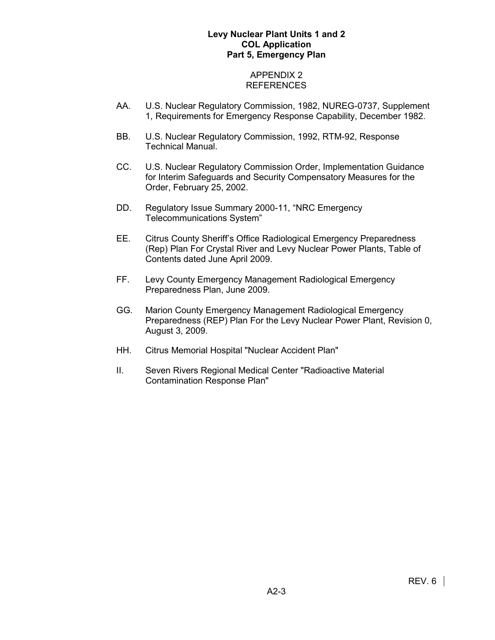### APPENDIX 2 REFERENCES

- AA. U.S. Nuclear Regulatory Commission, 1982, NUREG-0737, Supplement 1, Requirements for Emergency Response Capability, December 1982.
- BB. U.S. Nuclear Regulatory Commission, 1992, RTM-92, Response Technical Manual.
- CC. U.S. Nuclear Regulatory Commission Order, Implementation Guidance for Interim Safeguards and Security Compensatory Measures for the Order, February 25, 2002.
- DD. Regulatory Issue Summary 2000-11, "NRC Emergency Telecommunications System"
- EE. Citrus County Sheriff's Office Radiological Emergency Preparedness (Rep) Plan For Crystal River and Levy Nuclear Power Plants, Table of Contents dated June April 2009.
- FF. Levy County Emergency Management Radiological Emergency Preparedness Plan, June 2009.
- GG. Marion County Emergency Management Radiological Emergency Preparedness (REP) Plan For the Levy Nuclear Power Plant, Revision 0, August 3, 2009.
- HH. Citrus Memorial Hospital "Nuclear Accident Plan"
- II. Seven Rivers Regional Medical Center "Radioactive Material Contamination Response Plan"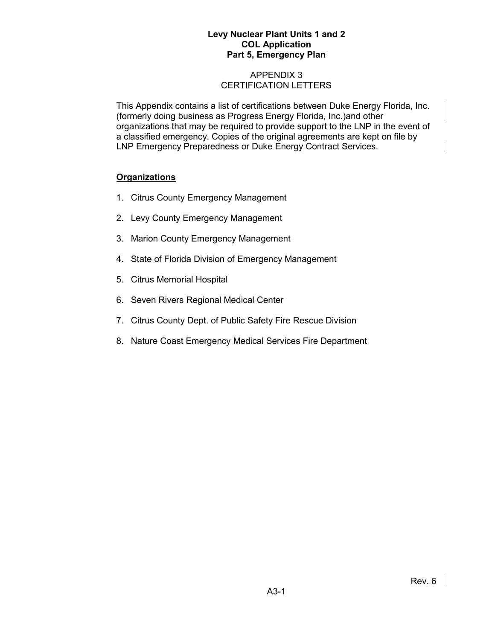# APPENDIX 3 CERTIFICATION LETTERS

This Appendix contains a list of certifications between Duke Energy Florida, Inc. (formerly doing business as Progress Energy Florida, Inc.)and other organizations that may be required to provide support to the LNP in the event of a classified emergency. Copies of the original agreements are kept on file by LNP Emergency Preparedness or Duke Energy Contract Services.

# **Organizations**

- 1. Citrus County Emergency Management
- 2. Levy County Emergency Management
- 3. Marion County Emergency Management
- 4. State of Florida Division of Emergency Management
- 5. Citrus Memorial Hospital
- 6. Seven Rivers Regional Medical Center
- 7. Citrus County Dept. of Public Safety Fire Rescue Division
- 8. Nature Coast Emergency Medical Services Fire Department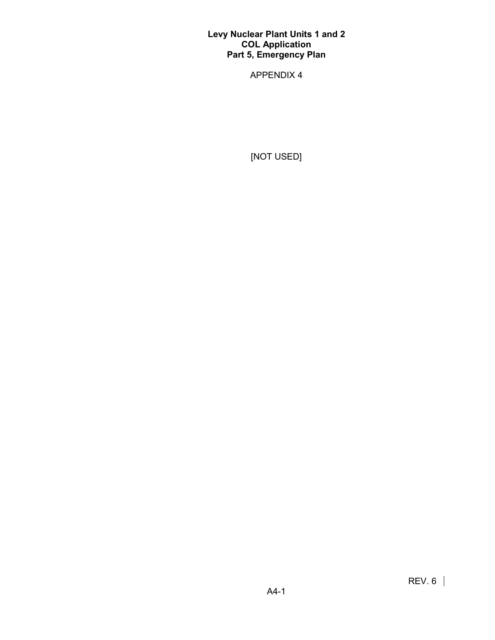APPENDIX 4

[NOT USED]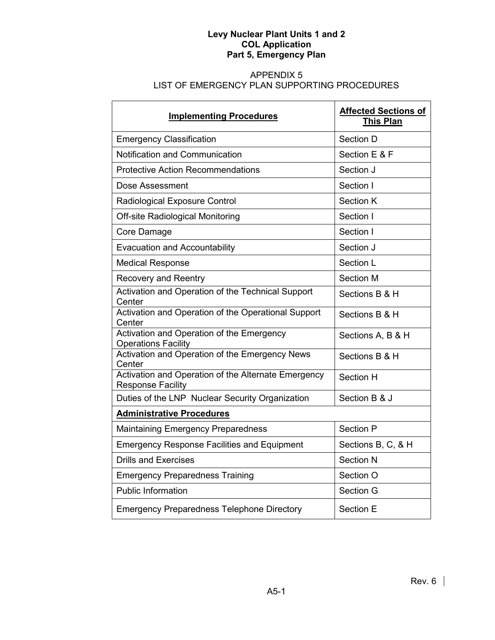# APPENDIX 5 LIST OF EMERGENCY PLAN SUPPORTING PROCEDURES

| <b>Implementing Procedures</b>                                                  | <b>Affected Sections of</b><br><b>This Plan</b> |
|---------------------------------------------------------------------------------|-------------------------------------------------|
| <b>Emergency Classification</b>                                                 | Section D                                       |
| Notification and Communication                                                  | Section E & F                                   |
| <b>Protective Action Recommendations</b>                                        | Section J                                       |
| Dose Assessment                                                                 | Section I                                       |
| Radiological Exposure Control                                                   | <b>Section K</b>                                |
| <b>Off-site Radiological Monitoring</b>                                         | Section I                                       |
| Core Damage                                                                     | Section I                                       |
| <b>Evacuation and Accountability</b>                                            | Section J                                       |
| <b>Medical Response</b>                                                         | Section L                                       |
| <b>Recovery and Reentry</b>                                                     | Section M                                       |
| Activation and Operation of the Technical Support<br>Center                     | Sections B & H                                  |
| Activation and Operation of the Operational Support<br>Center                   | Sections B & H                                  |
| Activation and Operation of the Emergency<br><b>Operations Facility</b>         | Sections A, B & H                               |
| Activation and Operation of the Emergency News<br>Center                        | Sections B & H                                  |
| Activation and Operation of the Alternate Emergency<br><b>Response Facility</b> | Section H                                       |
| Duties of the LNP Nuclear Security Organization                                 | Section B & J                                   |
| <b>Administrative Procedures</b>                                                |                                                 |
| <b>Maintaining Emergency Preparedness</b>                                       | Section P                                       |
| <b>Emergency Response Facilities and Equipment</b>                              | Sections B, C, & H                              |
| <b>Drills and Exercises</b>                                                     | <b>Section N</b>                                |
| <b>Emergency Preparedness Training</b>                                          | Section O                                       |
| <b>Public Information</b>                                                       | Section G                                       |
| <b>Emergency Preparedness Telephone Directory</b>                               | Section E                                       |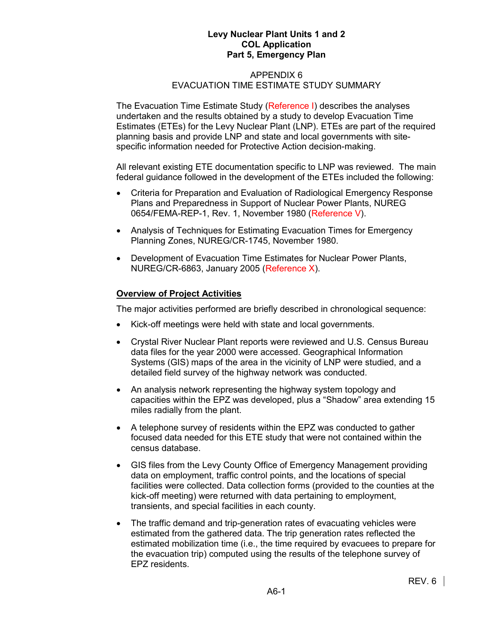#### APPENDIX 6 EVACUATION TIME ESTIMATE STUDY SUMMARY

The Evacuation Time Estimate Study (Reference I) describes the analyses undertaken and the results obtained by a study to develop Evacuation Time Estimates (ETEs) for the Levy Nuclear Plant (LNP). ETEs are part of the required planning basis and provide LNP and state and local governments with sitespecific information needed for Protective Action decision-making.

All relevant existing ETE documentation specific to LNP was reviewed. The main federal guidance followed in the development of the ETEs included the following:

- Criteria for Preparation and Evaluation of Radiological Emergency Response Plans and Preparedness in Support of Nuclear Power Plants, NUREG 0654/FEMA-REP-1, Rev. 1, November 1980 (Reference V).
- Analysis of Techniques for Estimating Evacuation Times for Emergency Planning Zones, NUREG/CR-1745, November 1980.
- Development of Evacuation Time Estimates for Nuclear Power Plants, NUREG/CR-6863, January 2005 (Reference X).

### **Overview of Project Activities**

The major activities performed are briefly described in chronological sequence:

- Kick-off meetings were held with state and local governments.
- Crystal River Nuclear Plant reports were reviewed and U.S. Census Bureau data files for the year 2000 were accessed. Geographical Information Systems (GIS) maps of the area in the vicinity of LNP were studied, and a detailed field survey of the highway network was conducted.
- An analysis network representing the highway system topology and capacities within the EPZ was developed, plus a "Shadow" area extending 15 miles radially from the plant.
- A telephone survey of residents within the EPZ was conducted to gather focused data needed for this ETE study that were not contained within the census database.
- GIS files from the Levy County Office of Emergency Management providing data on employment, traffic control points, and the locations of special facilities were collected. Data collection forms (provided to the counties at the kick-off meeting) were returned with data pertaining to employment, transients, and special facilities in each county.
- The traffic demand and trip-generation rates of evacuating vehicles were estimated from the gathered data. The trip generation rates reflected the estimated mobilization time (i.e., the time required by evacuees to prepare for the evacuation trip) computed using the results of the telephone survey of EPZ residents.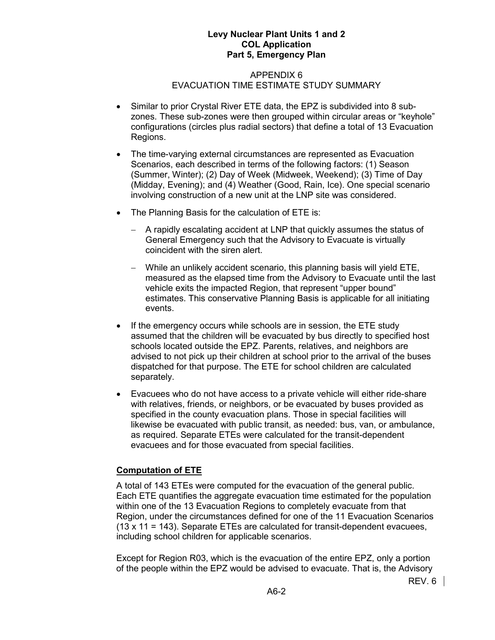#### APPENDIX 6 EVACUATION TIME ESTIMATE STUDY SUMMARY

- Similar to prior Crystal River ETE data, the EPZ is subdivided into 8 subzones. These sub-zones were then grouped within circular areas or "keyhole" configurations (circles plus radial sectors) that define a total of 13 Evacuation Regions.
- The time-varying external circumstances are represented as Evacuation Scenarios, each described in terms of the following factors: (1) Season (Summer, Winter); (2) Day of Week (Midweek, Weekend); (3) Time of Day (Midday, Evening); and (4) Weather (Good, Rain, Ice). One special scenario involving construction of a new unit at the LNP site was considered.
- The Planning Basis for the calculation of ETE is:
	- − A rapidly escalating accident at LNP that quickly assumes the status of General Emergency such that the Advisory to Evacuate is virtually coincident with the siren alert.
	- − While an unlikely accident scenario, this planning basis will yield ETE, measured as the elapsed time from the Advisory to Evacuate until the last vehicle exits the impacted Region, that represent "upper bound" estimates. This conservative Planning Basis is applicable for all initiating events.
- If the emergency occurs while schools are in session, the ETE study assumed that the children will be evacuated by bus directly to specified host schools located outside the EPZ. Parents, relatives, and neighbors are advised to not pick up their children at school prior to the arrival of the buses dispatched for that purpose. The ETE for school children are calculated separately.
- Evacuees who do not have access to a private vehicle will either ride-share with relatives, friends, or neighbors, or be evacuated by buses provided as specified in the county evacuation plans. Those in special facilities will likewise be evacuated with public transit, as needed: bus, van, or ambulance, as required. Separate ETEs were calculated for the transit-dependent evacuees and for those evacuated from special facilities.

# **Computation of ETE**

A total of 143 ETEs were computed for the evacuation of the general public. Each ETE quantifies the aggregate evacuation time estimated for the population within one of the 13 Evacuation Regions to completely evacuate from that Region, under the circumstances defined for one of the 11 Evacuation Scenarios (13 x 11 = 143). Separate ETEs are calculated for transit-dependent evacuees, including school children for applicable scenarios.

Except for Region R03, which is the evacuation of the entire EPZ, only a portion of the people within the EPZ would be advised to evacuate. That is, the Advisory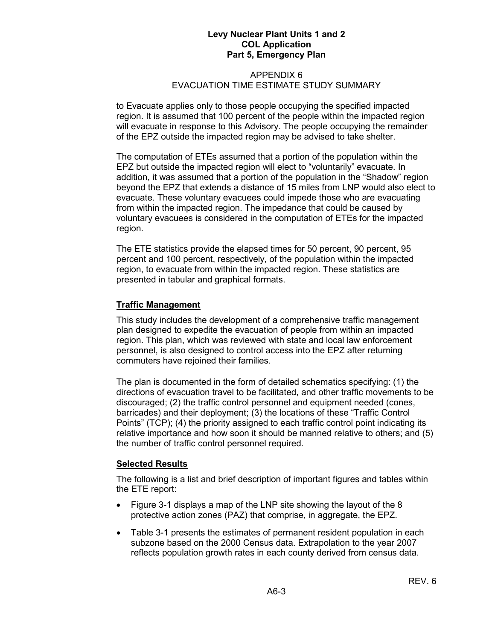#### APPENDIX 6 EVACUATION TIME ESTIMATE STUDY SUMMARY

to Evacuate applies only to those people occupying the specified impacted region. It is assumed that 100 percent of the people within the impacted region will evacuate in response to this Advisory. The people occupying the remainder of the EPZ outside the impacted region may be advised to take shelter.

The computation of ETEs assumed that a portion of the population within the EPZ but outside the impacted region will elect to "voluntarily" evacuate. In addition, it was assumed that a portion of the population in the "Shadow" region beyond the EPZ that extends a distance of 15 miles from LNP would also elect to evacuate. These voluntary evacuees could impede those who are evacuating from within the impacted region. The impedance that could be caused by voluntary evacuees is considered in the computation of ETEs for the impacted region.

The ETE statistics provide the elapsed times for 50 percent, 90 percent, 95 percent and 100 percent, respectively, of the population within the impacted region, to evacuate from within the impacted region. These statistics are presented in tabular and graphical formats.

# **Traffic Management**

This study includes the development of a comprehensive traffic management plan designed to expedite the evacuation of people from within an impacted region. This plan, which was reviewed with state and local law enforcement personnel, is also designed to control access into the EPZ after returning commuters have rejoined their families.

The plan is documented in the form of detailed schematics specifying: (1) the directions of evacuation travel to be facilitated, and other traffic movements to be discouraged; (2) the traffic control personnel and equipment needed (cones, barricades) and their deployment; (3) the locations of these "Traffic Control Points" (TCP); (4) the priority assigned to each traffic control point indicating its relative importance and how soon it should be manned relative to others; and (5) the number of traffic control personnel required.

# **Selected Results**

The following is a list and brief description of important figures and tables within the ETE report:

- Figure 3-1 displays a map of the LNP site showing the layout of the 8 protective action zones (PAZ) that comprise, in aggregate, the EPZ.
- Table 3-1 presents the estimates of permanent resident population in each subzone based on the 2000 Census data. Extrapolation to the year 2007 reflects population growth rates in each county derived from census data.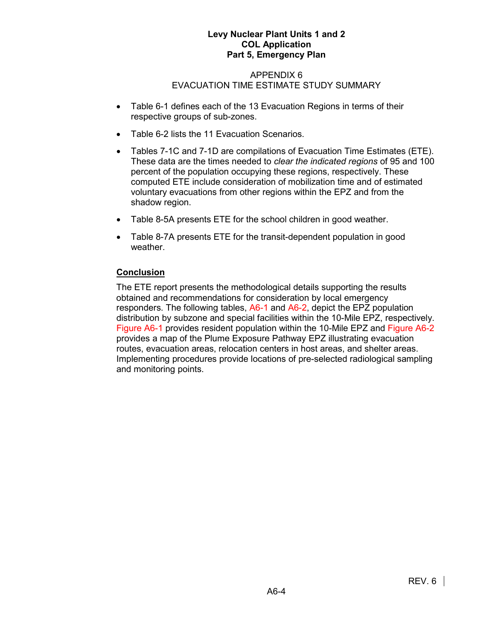#### APPENDIX 6 EVACUATION TIME ESTIMATE STUDY SUMMARY

- Table 6-1 defines each of the 13 Evacuation Regions in terms of their respective groups of sub-zones.
- Table 6-2 lists the 11 Evacuation Scenarios.
- Tables 7-1C and 7-1D are compilations of Evacuation Time Estimates (ETE). These data are the times needed to *clear the indicated regions* of 95 and 100 percent of the population occupying these regions, respectively. These computed ETE include consideration of mobilization time and of estimated voluntary evacuations from other regions within the EPZ and from the shadow region.
- Table 8-5A presents ETE for the school children in good weather.
- Table 8-7A presents ETE for the transit-dependent population in good weather.

# **Conclusion**

The ETE report presents the methodological details supporting the results obtained and recommendations for consideration by local emergency responders. The following tables, A6-1 and A6-2, depict the EPZ population distribution by subzone and special facilities within the 10-Mile EPZ, respectively. Figure A6-1 provides resident population within the 10-Mile EPZ and Figure A6-2 provides a map of the Plume Exposure Pathway EPZ illustrating evacuation routes, evacuation areas, relocation centers in host areas, and shelter areas. Implementing procedures provide locations of pre-selected radiological sampling and monitoring points.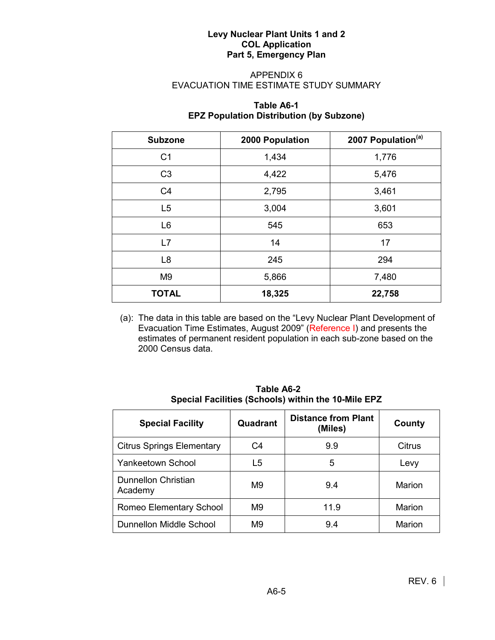# APPENDIX 6 EVACUATION TIME ESTIMATE STUDY SUMMARY

# **Table A6-1 EPZ Population Distribution (by Subzone)**

| <b>Subzone</b> | 2007 Population <sup>(a)</sup><br>2000 Population |        |  |
|----------------|---------------------------------------------------|--------|--|
| C <sub>1</sub> | 1,434                                             | 1,776  |  |
| C <sub>3</sub> | 4,422                                             | 5,476  |  |
| C <sub>4</sub> | 2,795                                             | 3,461  |  |
| L5             | 3,004                                             | 3,601  |  |
| L <sub>6</sub> | 545                                               | 653    |  |
| L7             | 14                                                | 17     |  |
| L <sub>8</sub> | 245                                               | 294    |  |
| M <sub>9</sub> | 5,866                                             | 7,480  |  |
| <b>TOTAL</b>   | 18,325                                            | 22,758 |  |

(a): The data in this table are based on the "Levy Nuclear Plant Development of Evacuation Time Estimates, August 2009" (Reference I) and presents the estimates of permanent resident population in each sub-zone based on the 2000 Census data.

| <b>Special Facility</b>          | Quadrant | <b>Distance from Plant</b><br>(Miles) | County        |
|----------------------------------|----------|---------------------------------------|---------------|
| <b>Citrus Springs Elementary</b> | C4       | 9.9                                   | Citrus        |
| <b>Yankeetown School</b>         | L5       | 5                                     | Levy          |
| Dunnellon Christian<br>Academy   | M9       | 9.4                                   | Marion        |
| Romeo Elementary School          | M9       | 11.9                                  | Marion        |
| Dunnellon Middle School          | M9       | 9.4                                   | <b>Marion</b> |

**Table A6-2 Special Facilities (Schools) within the 10-Mile EPZ**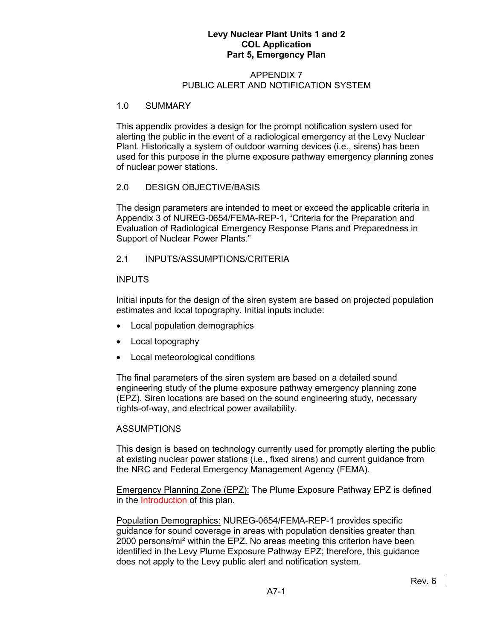#### APPENDIX 7 PUBLIC ALERT AND NOTIFICATION SYSTEM

### 1.0 SUMMARY

This appendix provides a design for the prompt notification system used for alerting the public in the event of a radiological emergency at the Levy Nuclear Plant. Historically a system of outdoor warning devices (i.e., sirens) has been used for this purpose in the plume exposure pathway emergency planning zones of nuclear power stations.

# 2.0 DESIGN OBJECTIVE/BASIS

The design parameters are intended to meet or exceed the applicable criteria in Appendix 3 of NUREG-0654/FEMA-REP-1, "Criteria for the Preparation and Evaluation of Radiological Emergency Response Plans and Preparedness in Support of Nuclear Power Plants."

# 2.1 INPUTS/ASSUMPTIONS/CRITERIA

### INPUTS

Initial inputs for the design of the siren system are based on projected population estimates and local topography. Initial inputs include:

- Local population demographics
- Local topography
- Local meteorological conditions

The final parameters of the siren system are based on a detailed sound engineering study of the plume exposure pathway emergency planning zone (EPZ). Siren locations are based on the sound engineering study, necessary rights-of-way, and electrical power availability.

# ASSUMPTIONS

This design is based on technology currently used for promptly alerting the public at existing nuclear power stations (i.e., fixed sirens) and current guidance from the NRC and Federal Emergency Management Agency (FEMA).

Emergency Planning Zone (EPZ): The Plume Exposure Pathway EPZ is defined in the Introduction of this plan.

Population Demographics: NUREG-0654/FEMA-REP-1 provides specific guidance for sound coverage in areas with population densities greater than 2000 persons/mi² within the EPZ. No areas meeting this criterion have been identified in the Levy Plume Exposure Pathway EPZ; therefore, this guidance does not apply to the Levy public alert and notification system.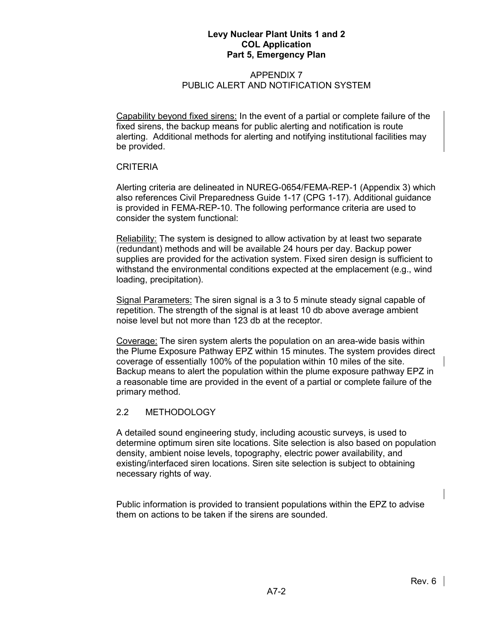### APPENDIX 7 PUBLIC ALERT AND NOTIFICATION SYSTEM

Capability beyond fixed sirens: In the event of a partial or complete failure of the fixed sirens, the backup means for public alerting and notification is route alerting. Additional methods for alerting and notifying institutional facilities may be provided.

#### CRITERIA

Alerting criteria are delineated in NUREG-0654/FEMA-REP-1 (Appendix 3) which also references Civil Preparedness Guide 1-17 (CPG 1-17). Additional guidance is provided in FEMA-REP-10. The following performance criteria are used to consider the system functional:

Reliability: The system is designed to allow activation by at least two separate (redundant) methods and will be available 24 hours per day. Backup power supplies are provided for the activation system. Fixed siren design is sufficient to withstand the environmental conditions expected at the emplacement (e.g., wind loading, precipitation).

Signal Parameters: The siren signal is a 3 to 5 minute steady signal capable of repetition. The strength of the signal is at least 10 db above average ambient noise level but not more than 123 db at the receptor.

Coverage: The siren system alerts the population on an area-wide basis within the Plume Exposure Pathway EPZ within 15 minutes. The system provides direct coverage of essentially 100% of the population within 10 miles of the site. Backup means to alert the population within the plume exposure pathway EPZ in a reasonable time are provided in the event of a partial or complete failure of the primary method.

### 2.2 METHODOLOGY

A detailed sound engineering study, including acoustic surveys, is used to determine optimum siren site locations. Site selection is also based on population density, ambient noise levels, topography, electric power availability, and existing/interfaced siren locations. Siren site selection is subject to obtaining necessary rights of way.

Public information is provided to transient populations within the EPZ to advise them on actions to be taken if the sirens are sounded.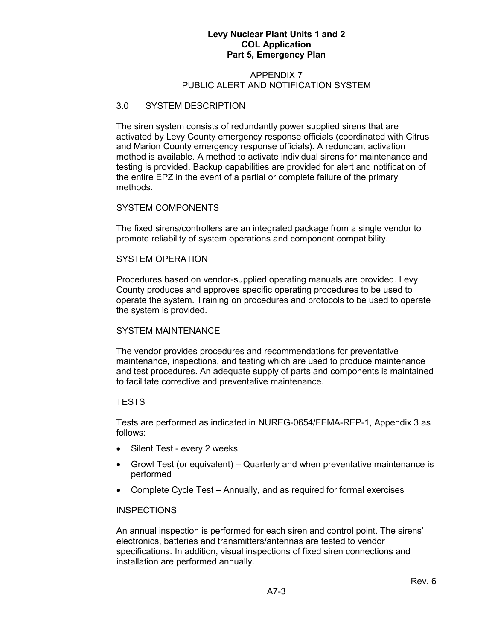#### APPENDIX 7 PUBLIC ALERT AND NOTIFICATION SYSTEM

#### 3.0 SYSTEM DESCRIPTION

The siren system consists of redundantly power supplied sirens that are activated by Levy County emergency response officials (coordinated with Citrus and Marion County emergency response officials). A redundant activation method is available. A method to activate individual sirens for maintenance and testing is provided. Backup capabilities are provided for alert and notification of the entire EPZ in the event of a partial or complete failure of the primary methods.

#### SYSTEM COMPONENTS

The fixed sirens/controllers are an integrated package from a single vendor to promote reliability of system operations and component compatibility.

#### SYSTEM OPERATION

Procedures based on vendor-supplied operating manuals are provided. Levy County produces and approves specific operating procedures to be used to operate the system. Training on procedures and protocols to be used to operate the system is provided.

### SYSTEM MAINTENANCE

The vendor provides procedures and recommendations for preventative maintenance, inspections, and testing which are used to produce maintenance and test procedures. An adequate supply of parts and components is maintained to facilitate corrective and preventative maintenance.

### **TESTS**

Tests are performed as indicated in NUREG-0654/FEMA-REP-1, Appendix 3 as follows:

- Silent Test every 2 weeks
- Growl Test (or equivalent) Quarterly and when preventative maintenance is performed
- Complete Cycle Test Annually, and as required for formal exercises

#### INSPECTIONS

An annual inspection is performed for each siren and control point. The sirens' electronics, batteries and transmitters/antennas are tested to vendor specifications. In addition, visual inspections of fixed siren connections and installation are performed annually.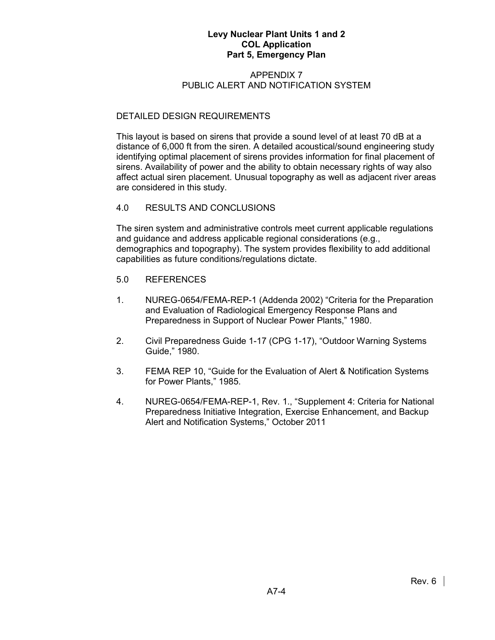#### APPENDIX 7 PUBLIC ALERT AND NOTIFICATION SYSTEM

### DETAILED DESIGN REQUIREMENTS

This layout is based on sirens that provide a sound level of at least 70 dB at a distance of 6,000 ft from the siren. A detailed acoustical/sound engineering study identifying optimal placement of sirens provides information for final placement of sirens. Availability of power and the ability to obtain necessary rights of way also affect actual siren placement. Unusual topography as well as adjacent river areas are considered in this study.

### 4.0 RESULTS AND CONCLUSIONS

The siren system and administrative controls meet current applicable regulations and guidance and address applicable regional considerations (e.g., demographics and topography). The system provides flexibility to add additional capabilities as future conditions/regulations dictate.

- 5.0 REFERENCES
- 1. NUREG-0654/FEMA-REP-1 (Addenda 2002) "Criteria for the Preparation and Evaluation of Radiological Emergency Response Plans and Preparedness in Support of Nuclear Power Plants," 1980.
- 2. Civil Preparedness Guide 1-17 (CPG 1-17), "Outdoor Warning Systems Guide," 1980.
- 3. FEMA REP 10, "Guide for the Evaluation of Alert & Notification Systems for Power Plants," 1985.
- 4. NUREG-0654/FEMA-REP-1, Rev. 1., "Supplement 4: Criteria for National Preparedness Initiative Integration, Exercise Enhancement, and Backup Alert and Notification Systems," October 2011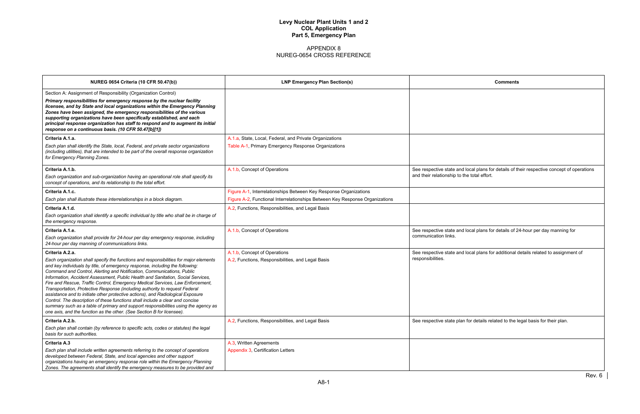| <b>Comments</b>                                                                                                                           |
|-------------------------------------------------------------------------------------------------------------------------------------------|
|                                                                                                                                           |
|                                                                                                                                           |
|                                                                                                                                           |
|                                                                                                                                           |
|                                                                                                                                           |
|                                                                                                                                           |
|                                                                                                                                           |
|                                                                                                                                           |
| See respective state and local plans for details of their respective concept of operations<br>and their relationship to the total effort. |
|                                                                                                                                           |
|                                                                                                                                           |
|                                                                                                                                           |
|                                                                                                                                           |
|                                                                                                                                           |
| See respective state and local plans for details of 24-hour per day manning for<br>communication links.                                   |
| See respective state and local plans for additional details related to assignment of<br>responsibilities.                                 |
|                                                                                                                                           |
|                                                                                                                                           |
|                                                                                                                                           |
|                                                                                                                                           |
|                                                                                                                                           |
|                                                                                                                                           |
| See respective state plan for details related to the legal basis for their plan.                                                          |
|                                                                                                                                           |
|                                                                                                                                           |
|                                                                                                                                           |
|                                                                                                                                           |
|                                                                                                                                           |
| Rev. 6                                                                                                                                    |
|                                                                                                                                           |

| <b>NUREG 0654 Criteria (10 CFR 50.47(b))</b>                                                                                                                                                                                                                                                                                                                                                                                                                                                                                                                                                                                                                                                                                                                                                                                               | <b>LNP Emergency Plan Section(s)</b>                                         | <b>Comments</b>                                                                            |
|--------------------------------------------------------------------------------------------------------------------------------------------------------------------------------------------------------------------------------------------------------------------------------------------------------------------------------------------------------------------------------------------------------------------------------------------------------------------------------------------------------------------------------------------------------------------------------------------------------------------------------------------------------------------------------------------------------------------------------------------------------------------------------------------------------------------------------------------|------------------------------------------------------------------------------|--------------------------------------------------------------------------------------------|
| Section A: Assignment of Responsibility (Organization Control)<br>Primary responsibilities for emergency response by the nuclear facility<br>licensee, and by State and local organizations within the Emergency Planning<br>Zones have been assigned, the emergency responsibilities of the various<br>supporting organizations have been specifically established, and each<br>principal response organization has staff to respond and to augment its initial<br>response on a continuous basis. (10 CFR 50.47[b][1])                                                                                                                                                                                                                                                                                                                   |                                                                              |                                                                                            |
| Criteria A.1.a.                                                                                                                                                                                                                                                                                                                                                                                                                                                                                                                                                                                                                                                                                                                                                                                                                            | A.1.a, State, Local, Federal, and Private Organizations                      |                                                                                            |
| Each plan shall identify the State, local, Federal, and private sector organizations<br>(including utilities), that are intended to be part of the overall response organization<br>for Emergency Planning Zones.                                                                                                                                                                                                                                                                                                                                                                                                                                                                                                                                                                                                                          | Table A-1, Primary Emergency Response Organizations                          |                                                                                            |
| Criteria A.1.b.                                                                                                                                                                                                                                                                                                                                                                                                                                                                                                                                                                                                                                                                                                                                                                                                                            | A.1.b, Concept of Operations                                                 | See respective state and local plans for details of their respective concept of operations |
| Each organization and sub-organization having an operational role shall specify its<br>concept of operations, and its relationship to the total effort.                                                                                                                                                                                                                                                                                                                                                                                                                                                                                                                                                                                                                                                                                    |                                                                              | and their relationship to the total effort.                                                |
| Criteria A.1.c.                                                                                                                                                                                                                                                                                                                                                                                                                                                                                                                                                                                                                                                                                                                                                                                                                            | Figure A-1, Interrelationships Between Key Response Organizations            |                                                                                            |
| Each plan shall illustrate these interrelationships in a block diagram.                                                                                                                                                                                                                                                                                                                                                                                                                                                                                                                                                                                                                                                                                                                                                                    | Figure A-2, Functional Interrelationships Between Key Response Organizations |                                                                                            |
| Criteria A.1.d.                                                                                                                                                                                                                                                                                                                                                                                                                                                                                                                                                                                                                                                                                                                                                                                                                            | A.2, Functions, Responsibilities, and Legal Basis                            |                                                                                            |
| Each organization shall identify a specific individual by title who shall be in charge of<br>the emergency response.                                                                                                                                                                                                                                                                                                                                                                                                                                                                                                                                                                                                                                                                                                                       |                                                                              |                                                                                            |
| Criteria A.1.e.                                                                                                                                                                                                                                                                                                                                                                                                                                                                                                                                                                                                                                                                                                                                                                                                                            | A.1.b, Concept of Operations                                                 | See respective state and local plans for details of 24-hour per day manning for            |
| Each organization shall provide for 24-hour per day emergency response, including<br>24-hour per day manning of communications links.                                                                                                                                                                                                                                                                                                                                                                                                                                                                                                                                                                                                                                                                                                      |                                                                              | communication links.                                                                       |
| Criteria A.2.a.                                                                                                                                                                                                                                                                                                                                                                                                                                                                                                                                                                                                                                                                                                                                                                                                                            | A.1.b, Concept of Operations                                                 | See respective state and local plans for additional details related to assignment of       |
| Each organization shall specify the functions and responsibilities for major elements<br>and key individuals by title, of emergency response, including the following:<br>Command and Control, Alerting and Notification, Communications, Public<br>Information, Accident Assessment, Public Health and Sanitation, Social Services,<br>Fire and Rescue, Traffic Control, Emergency Medical Services, Law Enforcement,<br>Transportation, Protective Response (including authority to request Federal<br>assistance and to initiate other protective actions), and Radiological Exposure<br>Control. The description of these functions shall include a clear and concise<br>summary such as a table of primary and support responsibilities using the agency as<br>one axis, and the function as the other. (See Section B for licensee). | A.2, Functions, Responsibilities, and Legal Basis                            | responsibilities.                                                                          |
| Criteria A.2.b.                                                                                                                                                                                                                                                                                                                                                                                                                                                                                                                                                                                                                                                                                                                                                                                                                            | A.2, Functions, Responsibilities, and Legal Basis                            | See respective state plan for details related to the legal basis for their plan.           |
| Each plan shall contain (by reference to specific acts, codes or statutes) the legal<br>basis for such authorities.                                                                                                                                                                                                                                                                                                                                                                                                                                                                                                                                                                                                                                                                                                                        |                                                                              |                                                                                            |
| <b>Criteria A.3</b>                                                                                                                                                                                                                                                                                                                                                                                                                                                                                                                                                                                                                                                                                                                                                                                                                        | A.3, Written Agreements                                                      |                                                                                            |
| Each plan shall include written agreements referring to the concept of operations<br>developed between Federal, State, and local agencies and other support<br>organizations having an emergency response role within the Emergency Planning<br>Zones. The agreements shall identify the emergency measures to be provided and                                                                                                                                                                                                                                                                                                                                                                                                                                                                                                             | Appendix 3, Certification Letters                                            |                                                                                            |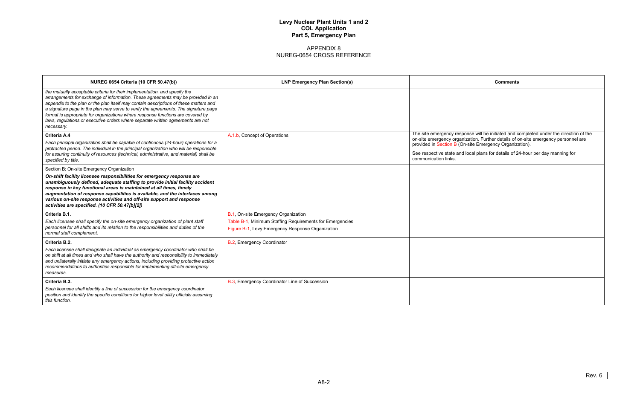| <b>Comments</b>                                                                                                                                                                                                                         |  |  |
|-----------------------------------------------------------------------------------------------------------------------------------------------------------------------------------------------------------------------------------------|--|--|
|                                                                                                                                                                                                                                         |  |  |
|                                                                                                                                                                                                                                         |  |  |
|                                                                                                                                                                                                                                         |  |  |
| The site emergency response will be initiated and completed under the direction of the<br>on-site emergency organization. Further details of on-site emergency personnel are<br>provided in Section B (On-site Emergency Organization). |  |  |
| See respective state and local plans for details of 24-hour per day manning for<br>communication links.                                                                                                                                 |  |  |
|                                                                                                                                                                                                                                         |  |  |
|                                                                                                                                                                                                                                         |  |  |
|                                                                                                                                                                                                                                         |  |  |
|                                                                                                                                                                                                                                         |  |  |
|                                                                                                                                                                                                                                         |  |  |
|                                                                                                                                                                                                                                         |  |  |
|                                                                                                                                                                                                                                         |  |  |
|                                                                                                                                                                                                                                         |  |  |
|                                                                                                                                                                                                                                         |  |  |
|                                                                                                                                                                                                                                         |  |  |

| <b>NUREG 0654 Criteria (10 CFR 50.47(b))</b>                                                                                                                                                                                                                                                                                                                                                                                                                                                                                       | <b>LNP Emergency Plan Section(s)</b>                     | <b>Comments</b>                                                                                                                                                              |
|------------------------------------------------------------------------------------------------------------------------------------------------------------------------------------------------------------------------------------------------------------------------------------------------------------------------------------------------------------------------------------------------------------------------------------------------------------------------------------------------------------------------------------|----------------------------------------------------------|------------------------------------------------------------------------------------------------------------------------------------------------------------------------------|
| the mutually acceptable criteria for their implementation, and specify the<br>arrangements for exchange of information. These agreements may be provided in an<br>appendix to the plan or the plan itself may contain descriptions of these matters and<br>a signature page in the plan may serve to verify the agreements. The signature page<br>format is appropriate for organizations where response functions are covered by<br>laws, regulations or executive orders where separate written agreements are not<br>necessary. |                                                          |                                                                                                                                                                              |
| Criteria A.4                                                                                                                                                                                                                                                                                                                                                                                                                                                                                                                       | A.1.b, Concept of Operations                             | The site emergency response will be initiated and completed under the direction of the<br>on-site emergency organization. Further details of on-site emergency personnel are |
| Each principal organization shall be capable of continuous (24-hour) operations for a<br>protracted period. The individual in the principal organization who will be responsible                                                                                                                                                                                                                                                                                                                                                   |                                                          | provided in Section B (On-site Emergency Organization).                                                                                                                      |
| for assuring continuity of resources (technical, administrative, and material) shall be<br>specified by title.                                                                                                                                                                                                                                                                                                                                                                                                                     |                                                          | See respective state and local plans for details of 24-hour per day manning for<br>communication links.                                                                      |
| Section B: On-site Emergency Organization                                                                                                                                                                                                                                                                                                                                                                                                                                                                                          |                                                          |                                                                                                                                                                              |
| On-shift facility licensee responsibilities for emergency response are<br>unambiguously defined, adequate staffing to provide initial facility accident<br>response in key functional areas is maintained at all times, timely<br>augmentation of response capabilities is available, and the interfaces among<br>various on-site response activities and off-site support and response<br>activities are specified. (10 CFR 50.47[b][2])                                                                                          |                                                          |                                                                                                                                                                              |
| Criteria B.1.                                                                                                                                                                                                                                                                                                                                                                                                                                                                                                                      | B.1, On-site Emergency Organization                      |                                                                                                                                                                              |
| Each licensee shall specify the on-site emergency organization of plant staff                                                                                                                                                                                                                                                                                                                                                                                                                                                      | Table B-1, Minimum Staffing Requirements for Emergencies |                                                                                                                                                                              |
| personnel for all shifts and its relation to the responsibilities and duties of the<br>normal staff complement.                                                                                                                                                                                                                                                                                                                                                                                                                    | Figure B-1, Levy Emergency Response Organization         |                                                                                                                                                                              |
| Criteria B.2.                                                                                                                                                                                                                                                                                                                                                                                                                                                                                                                      | B.2, Emergency Coordinator                               |                                                                                                                                                                              |
| Each licensee shall designate an individual as emergency coordinator who shall be<br>on shift at all times and who shall have the authority and responsibility to immediately<br>and unilaterally initiate any emergency actions, including providing protective action<br>recommendations to authorities responsible for implementing off-site emergency<br>measures.                                                                                                                                                             |                                                          |                                                                                                                                                                              |
| Criteria B.3.                                                                                                                                                                                                                                                                                                                                                                                                                                                                                                                      | B.3, Emergency Coordinator Line of Succession            |                                                                                                                                                                              |
| Each licensee shall identify a line of succession for the emergency coordinator<br>position and identify the specific conditions for higher level utility officials assuming<br>this function.                                                                                                                                                                                                                                                                                                                                     |                                                          |                                                                                                                                                                              |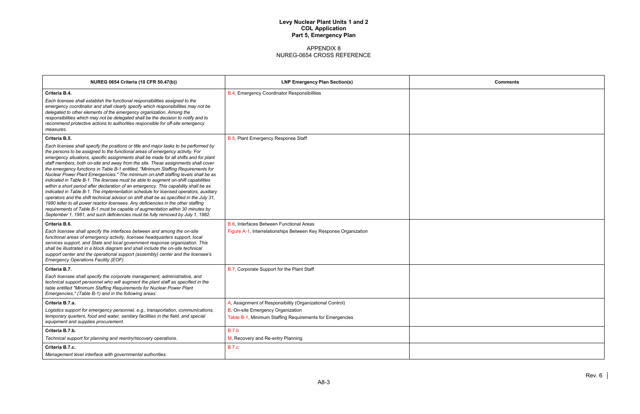| <b>Comments</b> |
|-----------------|
|                 |
|                 |
|                 |
|                 |
|                 |
|                 |
|                 |
|                 |
|                 |
|                 |
|                 |
|                 |
|                 |
|                 |
|                 |
|                 |
|                 |
|                 |
|                 |
|                 |
|                 |
|                 |

| <b>NUREG 0654 Criteria (10 CFR 50.47(b))</b>                                                                                                                                                                                                                                                                                                                                                                                                                                                                                                                                                                                                                                                                                                                                                                                                                                                                                                                                                                                                                                                                                                                                   | <b>LNP Emergency Plan Section(s)</b>                                                                                                                      | Comments |
|--------------------------------------------------------------------------------------------------------------------------------------------------------------------------------------------------------------------------------------------------------------------------------------------------------------------------------------------------------------------------------------------------------------------------------------------------------------------------------------------------------------------------------------------------------------------------------------------------------------------------------------------------------------------------------------------------------------------------------------------------------------------------------------------------------------------------------------------------------------------------------------------------------------------------------------------------------------------------------------------------------------------------------------------------------------------------------------------------------------------------------------------------------------------------------|-----------------------------------------------------------------------------------------------------------------------------------------------------------|----------|
| Criteria B.4.<br>Each licensee shall establish the functional responsibilities assigned to the<br>emergency coordinator and shall clearly specify which responsibilities may not be<br>delegated to other elements of the emergency organization. Among the<br>responsibilities which may not be delegated shall be the decision to notify and to<br>recommend protective actions to authorities responsible for off-site emergency<br>measures.                                                                                                                                                                                                                                                                                                                                                                                                                                                                                                                                                                                                                                                                                                                               | B.4, Emergency Coordinator Responsibilities                                                                                                               |          |
| Criteria B.5.<br>Each licensee shall specify the positions or title and major tasks to be performed by<br>the persons to be assigned to the functional areas of emergency activity. For<br>emergency situations, specific assignments shall be made for all shifts and for plant<br>staff members, both on-site and away from the site. These assignments shall cover<br>the emergency functions in Table B-1 entitled, "Minimum Staffing Requirements for<br>Nuclear Power Plant Emergencies." The minimum on-shift staffing levels shall be as<br>indicated in Table B-1. The licensee must be able to augment on-shift capabilities<br>within a short period after declaration of an emergency. This capability shall be as<br>indicated in Table B-1. The implementation schedule for licensed operators, auxiliary<br>operators and the shift technical advisor on shift shall be as specified in the July 31,<br>1980 letter to all power reactor licensees. Any deficiencies in the other staffing<br>requirements of Table B-1 must be capable of augmentation within 30 minutes by<br>September 1, 1981, and such deficiencies must be fully removed by July 1, 1982. | B.5, Plant Emergency Response Staff                                                                                                                       |          |
| Criteria B.6.<br>Each licensee shall specify the interfaces between and among the on-site<br>functional areas of emergency activity, licensee headquarters support, local<br>services support, and State and local government response organization. This<br>shall be illustrated in a block diagram and shall include the on-site technical<br>support center and the operational support (assembly) center and the licensee's<br>Emergency Operations Facility (EOF).                                                                                                                                                                                                                                                                                                                                                                                                                                                                                                                                                                                                                                                                                                        | B.6, Interfaces Between Functional Areas<br>Figure A-1, Interrelationships Between Key Response Organization                                              |          |
| Criteria B.7.<br>Each licensee shall specify the corporate management, administrative, and<br>technical support personnel who will augment the plant staff as specified in the<br>table entitled "Minimum Staffing Requirements for Nuclear Power Plant<br>Emergencies," (Table B-1) and in the following areas:                                                                                                                                                                                                                                                                                                                                                                                                                                                                                                                                                                                                                                                                                                                                                                                                                                                               | B.7, Corporate Support for the Plant Staff                                                                                                                |          |
| Criteria B.7.a.<br>Logistics support for emergency personnel, e.g., transportation, communications,<br>temporary quarters, food and water, sanitary facilities in the field, and special<br>equipment and supplies procurement.                                                                                                                                                                                                                                                                                                                                                                                                                                                                                                                                                                                                                                                                                                                                                                                                                                                                                                                                                | A, Assignment of Responsibility (Organizational Control)<br>B, On-site Emergency Organization<br>Table B-1, Minimum Staffing Requirements for Emergencies |          |
| Criteria B.7.b.<br>Technical support for planning and reentry/recovery operations.                                                                                                                                                                                                                                                                                                                                                                                                                                                                                                                                                                                                                                                                                                                                                                                                                                                                                                                                                                                                                                                                                             | <b>B.7.b</b><br>M, Recovery and Re-entry Planning                                                                                                         |          |
| Criteria B.7.c.<br>Management level interface with governmental authorities.                                                                                                                                                                                                                                                                                                                                                                                                                                                                                                                                                                                                                                                                                                                                                                                                                                                                                                                                                                                                                                                                                                   | <b>B.7.c</b>                                                                                                                                              |          |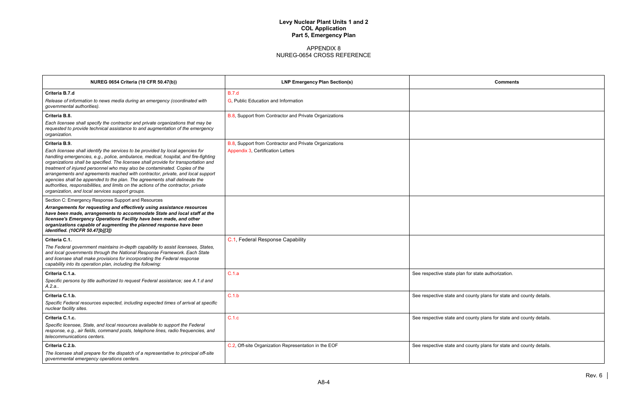| <b>Comments</b>                            |
|--------------------------------------------|
|                                            |
|                                            |
|                                            |
|                                            |
|                                            |
|                                            |
|                                            |
|                                            |
|                                            |
|                                            |
|                                            |
|                                            |
|                                            |
|                                            |
| for state authorization.                   |
|                                            |
| county plans for state and county details. |
|                                            |
| county plans for state and county details. |
|                                            |
| county plans for state and county details. |
|                                            |
|                                            |

| <b>NUREG 0654 Criteria (10 CFR 50.47(b))</b>                                                                                                                                                                                                                                                                                                                                                                                                                                                                                                                                                                                                           | <b>LNP Emergency Plan Section(s)</b>                   | <b>Comments</b>                                                     |
|--------------------------------------------------------------------------------------------------------------------------------------------------------------------------------------------------------------------------------------------------------------------------------------------------------------------------------------------------------------------------------------------------------------------------------------------------------------------------------------------------------------------------------------------------------------------------------------------------------------------------------------------------------|--------------------------------------------------------|---------------------------------------------------------------------|
| Criteria B.7.d                                                                                                                                                                                                                                                                                                                                                                                                                                                                                                                                                                                                                                         | B.7.d                                                  |                                                                     |
| Release of information to news media during an emergency (coordinated with<br>governmental authorities).                                                                                                                                                                                                                                                                                                                                                                                                                                                                                                                                               | G, Public Education and Information                    |                                                                     |
| Criteria B.8.                                                                                                                                                                                                                                                                                                                                                                                                                                                                                                                                                                                                                                          | B.8, Support from Contractor and Private Organizations |                                                                     |
| Each licensee shall specify the contractor and private organizations that may be<br>requested to provide technical assistance to and augmentation of the emergency<br>organization.                                                                                                                                                                                                                                                                                                                                                                                                                                                                    |                                                        |                                                                     |
| Criteria B.9.                                                                                                                                                                                                                                                                                                                                                                                                                                                                                                                                                                                                                                          | B.8, Support from Contractor and Private Organizations |                                                                     |
| Each licensee shall identify the services to be provided by local agencies for<br>handling emergencies, e.g., police, ambulance, medical, hospital, and fire-fighting<br>organizations shall be specified. The licensee shall provide for transportation and<br>treatment of injured personnel who may also be contaminated. Copies of the<br>arrangements and agreements reached with contractor, private, and local support<br>agencies shall be appended to the plan. The agreements shall delineate the<br>authorities, responsibilities, and limits on the actions of the contractor, private<br>organization, and local services support groups. | Appendix 3, Certification Letters                      |                                                                     |
| Section C: Emergency Response Support and Resources                                                                                                                                                                                                                                                                                                                                                                                                                                                                                                                                                                                                    |                                                        |                                                                     |
| Arrangements for requesting and effectively using assistance resources<br>have been made, arrangements to accommodate State and local staff at the<br>licensee's Emergency Operations Facility have been made, and other<br>organizations capable of augmenting the planned response have been<br>identified. (10CFR 50.47[b][3])                                                                                                                                                                                                                                                                                                                      |                                                        |                                                                     |
| Criteria C.1.                                                                                                                                                                                                                                                                                                                                                                                                                                                                                                                                                                                                                                          | C.1, Federal Response Capability                       |                                                                     |
| The Federal government maintains in-depth capability to assist licensees, States,<br>and local governments through the National Response Framework. Each State<br>and licensee shall make provisions for incorporating the Federal response<br>capability into its operation plan, including the following:                                                                                                                                                                                                                                                                                                                                            |                                                        |                                                                     |
| Criteria C.1.a.                                                                                                                                                                                                                                                                                                                                                                                                                                                                                                                                                                                                                                        | C.1.a                                                  | See respective state plan for state authorization.                  |
| Specific persons by title authorized to request Federal assistance; see A.1.d and<br>A.2.a                                                                                                                                                                                                                                                                                                                                                                                                                                                                                                                                                             |                                                        |                                                                     |
| Criteria C.1.b.                                                                                                                                                                                                                                                                                                                                                                                                                                                                                                                                                                                                                                        | C.1.b                                                  | See respective state and county plans for state and county details. |
| Specific Federal resources expected, including expected times of arrival at specific<br>nuclear facility sites.                                                                                                                                                                                                                                                                                                                                                                                                                                                                                                                                        |                                                        |                                                                     |
| Criteria C.1.c.                                                                                                                                                                                                                                                                                                                                                                                                                                                                                                                                                                                                                                        | C.1.c                                                  | See respective state and county plans for state and county details. |
| Specific licensee, State, and local resources available to support the Federal<br>response, e.g., air fields, command posts, telephone lines, radio frequencies, and<br>telecommunications centers.                                                                                                                                                                                                                                                                                                                                                                                                                                                    |                                                        |                                                                     |
| Criteria C.2.b.                                                                                                                                                                                                                                                                                                                                                                                                                                                                                                                                                                                                                                        | C.2, Off-site Organization Representation in the EOF   | See respective state and county plans for state and county details. |
| The licensee shall prepare for the dispatch of a representative to principal off-site<br>governmental emergency operations centers.                                                                                                                                                                                                                                                                                                                                                                                                                                                                                                                    |                                                        |                                                                     |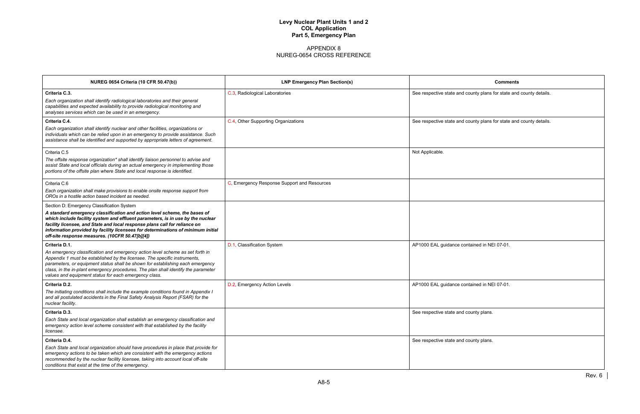| <b>Comments</b>                          |
|------------------------------------------|
| unty plans for state and county details. |
|                                          |
| unty plans for state and county details. |
|                                          |
|                                          |
|                                          |
|                                          |
|                                          |
|                                          |
|                                          |
|                                          |
|                                          |
|                                          |
| ined in NEI 07-01.                       |
|                                          |
|                                          |
| ined in NEI 07-01.                       |
|                                          |
|                                          |
| unty plans.                              |
|                                          |
| unty plans.                              |
|                                          |
|                                          |
|                                          |

| <b>NUREG 0654 Criteria (10 CFR 50.47(b))</b>                                                                                                                                                                                                                                                                                                                                                                                    | <b>LNP Emergency Plan Section(s)</b>        | <b>Comments</b>                                                     |
|---------------------------------------------------------------------------------------------------------------------------------------------------------------------------------------------------------------------------------------------------------------------------------------------------------------------------------------------------------------------------------------------------------------------------------|---------------------------------------------|---------------------------------------------------------------------|
| Criteria C.3.<br>Each organization shall identify radiological laboratories and their general<br>capabilities and expected availability to provide radiological monitoring and<br>analyses services which can be used in an emergency.                                                                                                                                                                                          | C.3, Radiological Laboratories              | See respective state and county plans for state and county details. |
| Criteria C.4.<br>Each organization shall identify nuclear and other facilities, organizations or<br>individuals which can be relied upon in an emergency to provide assistance. Such<br>assistance shall be identified and supported by appropriate letters of agreement.                                                                                                                                                       | C.4, Other Supporting Organizations         | See respective state and county plans for state and county details. |
| Criteria C.5<br>The offsite response organization* shall identify liaison personnel to advise and<br>assist State and local officials during an actual emergency in implementing those<br>portions of the offsite plan where State and local response is identified.                                                                                                                                                            |                                             | Not Applicable.                                                     |
| Criteria C.6<br>Each organization shall make provisions to enable onsite response support from<br>OROs in a hostile action based incident as needed.                                                                                                                                                                                                                                                                            | C, Emergency Response Support and Resources |                                                                     |
| Section D: Emergency Classification System<br>A standard emergency classification and action level scheme, the bases of<br>which include facility system and effluent parameters, is in use by the nuclear<br>facility licensee, and State and local response plans call for reliance on<br>information provided by facility licensees for determinations of minimum initial<br>off-site response measures. (10CFR 50.47[b][4]) |                                             |                                                                     |
| Criteria D.1.<br>An emergency classification and emergency action level scheme as set forth in<br>Appendix 1 must be established by the licensee. The specific instruments,<br>parameters, or equipment status shall be shown for establishing each emergency<br>class, in the in-plant emergency procedures. The plan shall identify the parameter<br>values and equipment status for each emergency class.                    | D.1, Classification System                  | AP1000 EAL guidance contained in NEI 07-01.                         |
| Criteria D.2.<br>The initiating conditions shall include the example conditions found in Appendix I<br>and all postulated accidents in the Final Safety Analysis Report (FSAR) for the<br>nuclear facility.                                                                                                                                                                                                                     | D.2, Emergency Action Levels                | AP1000 EAL guidance contained in NEI 07-01.                         |
| Criteria D.3.<br>Each State and local organization shall establish an emergency classification and<br>emergency action level scheme consistent with that established by the facility<br>licensee.                                                                                                                                                                                                                               |                                             | See respective state and county plans.                              |
| Criteria D.4.<br>Each State and local organization should have procedures in place that provide for<br>emergency actions to be taken which are consistent with the emergency actions<br>recommended by the nuclear facility licensee, taking into account local off-site<br>conditions that exist at the time of the emergency.                                                                                                 |                                             | See respective state and county plans.                              |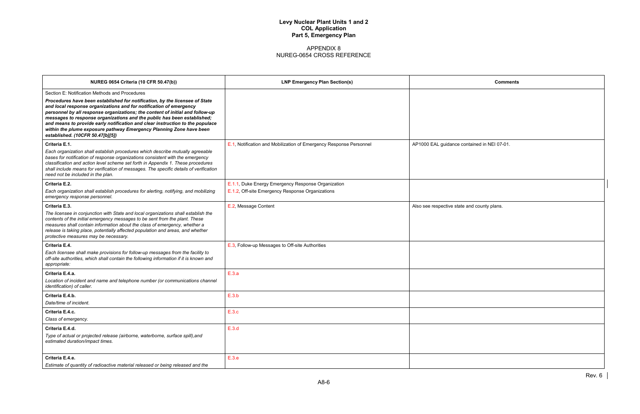| <b>Comments</b>       |
|-----------------------|
|                       |
|                       |
|                       |
|                       |
| ntained in NEI 07-01. |
|                       |
|                       |
|                       |
|                       |
|                       |
| and county plans.     |
|                       |
|                       |
|                       |
|                       |
|                       |
|                       |
|                       |
|                       |
|                       |
|                       |
|                       |
|                       |
|                       |
|                       |
|                       |

| <b>NUREG 0654 Criteria (10 CFR 50.47(b))</b>                                                                                                                                                                                                                                                                                                                                                                                                                                                                                                                | <b>LNP Emergency Plan Section(s)</b>                                                                   | Comments                                    |
|-------------------------------------------------------------------------------------------------------------------------------------------------------------------------------------------------------------------------------------------------------------------------------------------------------------------------------------------------------------------------------------------------------------------------------------------------------------------------------------------------------------------------------------------------------------|--------------------------------------------------------------------------------------------------------|---------------------------------------------|
| Section E: Notification Methods and Procedures<br>Procedures have been established for notification, by the licensee of State<br>and local response organizations and for notification of emergency<br>personnel by all response organizations; the content of initial and follow-up<br>messages to response organizations and the public has been established;<br>and means to provide early notification and clear instruction to the populace<br>within the plume exposure pathway Emergency Planning Zone have been<br>established. (10CFR 50.47[b][5]) |                                                                                                        |                                             |
| Criteria E.1.<br>Each organization shall establish procedures which describe mutually agreeable<br>bases for notification of response organizations consistent with the emergency<br>classification and action level scheme set forth in Appendix 1. These procedures<br>shall include means for verification of messages. The specific details of verification<br>need not be included in the plan.                                                                                                                                                        | E.1, Notification and Mobilization of Emergency Response Personnel                                     | AP1000 EAL guidance contained in NEI 07-01. |
| Criteria E.2.<br>Each organization shall establish procedures for alerting, notifying, and mobilizing<br>emergency response personnel.                                                                                                                                                                                                                                                                                                                                                                                                                      | E.1.1, Duke Energy Emergency Response Organization<br>E.1.2, Off-site Emergency Response Organizations |                                             |
| Criteria E.3.<br>The licensee in conjunction with State and local organizations shall establish the<br>contents of the initial emergency messages to be sent from the plant. These<br>measures shall contain information about the class of emergency, whether a<br>release is taking place, potentially affected population and areas, and whether<br>protective measures may be necessary.                                                                                                                                                                | E.2, Message Content                                                                                   | Also see respective state and county plans. |
| Criteria E.4.<br>Each licensee shall make provisions for follow-up messages from the facility to<br>off-site authorities, which shall contain the following information if it is known and<br>appropriate:                                                                                                                                                                                                                                                                                                                                                  | E.3, Follow-up Messages to Off-site Authorities                                                        |                                             |
| Criteria E.4.a.<br>Location of incident and name and telephone number (or communications channel<br>identification) of caller.                                                                                                                                                                                                                                                                                                                                                                                                                              | E.3.a                                                                                                  |                                             |
| Criteria E.4.b.<br>Date/time of incident.                                                                                                                                                                                                                                                                                                                                                                                                                                                                                                                   | E.3.b                                                                                                  |                                             |
| Criteria E.4.c.<br>Class of emergency.                                                                                                                                                                                                                                                                                                                                                                                                                                                                                                                      | E.3.c                                                                                                  |                                             |
| Criteria E.4.d.<br>Type of actual or projected release (airborne, waterborne, surface spill), and<br>estimated duration/impact times.                                                                                                                                                                                                                                                                                                                                                                                                                       | E.3.d                                                                                                  |                                             |
| Criteria E.4.e.<br>Estimate of quantity of radioactive material released or being released and the                                                                                                                                                                                                                                                                                                                                                                                                                                                          | E.3.e                                                                                                  |                                             |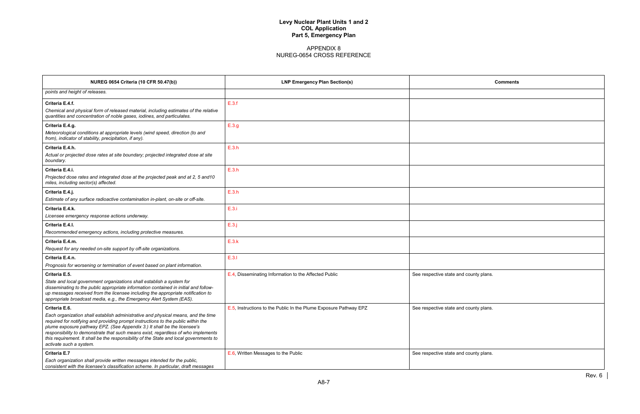| <b>Comments</b> |  |
|-----------------|--|
|                 |  |
|                 |  |
|                 |  |
|                 |  |
|                 |  |
|                 |  |
|                 |  |
|                 |  |
|                 |  |
|                 |  |
|                 |  |
|                 |  |
|                 |  |
|                 |  |
|                 |  |
|                 |  |
|                 |  |
|                 |  |
| county plans.   |  |
|                 |  |
|                 |  |
| ounty plans.    |  |
|                 |  |
|                 |  |
|                 |  |
| ounty plans.    |  |
|                 |  |
|                 |  |

| <b>NUREG 0654 Criteria (10 CFR 50.47(b))</b>                                                                                                                                                                                                                                                                                                                                                                                                                                  | <b>LNP Emergency Plan Section(s)</b>                              | Comments                               |
|-------------------------------------------------------------------------------------------------------------------------------------------------------------------------------------------------------------------------------------------------------------------------------------------------------------------------------------------------------------------------------------------------------------------------------------------------------------------------------|-------------------------------------------------------------------|----------------------------------------|
| points and height of releases.                                                                                                                                                                                                                                                                                                                                                                                                                                                |                                                                   |                                        |
| Criteria E.4.f.<br>Chemical and physical form of released material, including estimates of the relative<br>quantities and concentration of noble gases, iodines, and particulates.                                                                                                                                                                                                                                                                                            | E.3.f                                                             |                                        |
| Criteria E.4.g.<br>Meteorological conditions at appropriate levels (wind speed, direction (to and<br>from), indicator of stability, precipitation, if any).                                                                                                                                                                                                                                                                                                                   | E.3.g                                                             |                                        |
| Criteria E.4.h.<br>Actual or projected dose rates at site boundary; projected integrated dose at site<br>boundary.                                                                                                                                                                                                                                                                                                                                                            | E.3.h                                                             |                                        |
| Criteria E.4.i.<br>Projected dose rates and integrated dose at the projected peak and at 2, 5 and 10<br>miles, including sector(s) affected.                                                                                                                                                                                                                                                                                                                                  | E.3.h                                                             |                                        |
| Criteria E.4.j.<br>Estimate of any surface radioactive contamination in-plant, on-site or off-site.                                                                                                                                                                                                                                                                                                                                                                           | E.3.h                                                             |                                        |
| Criteria E.4.k.<br>Licensee emergency response actions underway.                                                                                                                                                                                                                                                                                                                                                                                                              | E.3.i                                                             |                                        |
| Criteria E.4.I.<br>Recommended emergency actions, including protective measures.                                                                                                                                                                                                                                                                                                                                                                                              | $E.3$ .j                                                          |                                        |
| Criteria E.4.m.<br>Request for any needed on-site support by off-site organizations.                                                                                                                                                                                                                                                                                                                                                                                          | E.3.k                                                             |                                        |
| Criteria E.4.n.<br>Prognosis for worsening or termination of event based on plant information.                                                                                                                                                                                                                                                                                                                                                                                | E.3.1                                                             |                                        |
| Criteria E.5.<br>State and local government organizations shall establish a system for<br>disseminating to the public appropriate information contained in initial and follow-<br>up messages received from the licensee including the appropriate notification to<br>appropriate broadcast media, e.g., the Emergency Alert System (EAS).                                                                                                                                    | E.4, Disseminating Information to the Affected Public             | See respective state and county plans. |
| Criteria E.6.<br>Each organization shall establish administrative and physical means, and the time<br>required for notifying and providing prompt instructions to the public within the<br>plume exposure pathway EPZ. (See Appendix 3.) It shall be the licensee's<br>responsibility to demonstrate that such means exist, regardless of who implements<br>this requirement. It shall be the responsibility of the State and local governments to<br>activate such a system. | E.5, Instructions to the Public In the Plume Exposure Pathway EPZ | See respective state and county plans. |
| <b>Criteria E.7</b><br>Each organization shall provide written messages intended for the public,<br>consistent with the licensee's classification scheme. In particular, draft messages                                                                                                                                                                                                                                                                                       | E.6, Written Messages to the Public                               | See respective state and county plans. |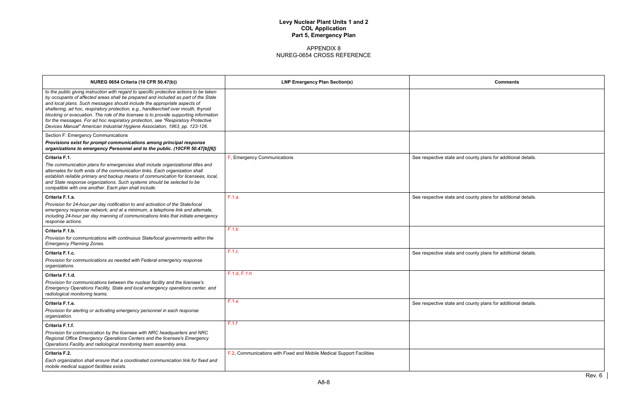| <b>Comments</b>                     |        |
|-------------------------------------|--------|
|                                     |        |
|                                     |        |
|                                     |        |
|                                     |        |
|                                     |        |
| ounty plans for additional details. |        |
|                                     |        |
|                                     |        |
| ounty plans for additional details. |        |
|                                     |        |
|                                     |        |
|                                     |        |
| ounty plans for additional details. |        |
|                                     |        |
|                                     |        |
|                                     |        |
| ounty plans for additional details. |        |
|                                     |        |
|                                     |        |
|                                     |        |
|                                     |        |
|                                     |        |
|                                     | Rev. 6 |

| <b>NUREG 0654 Criteria (10 CFR 50.47(b))</b>                                                                                                                                                                                                                                                                                                                                                                                                                                                                                                                                                                | <b>LNP Emergency Plan Section(s)</b>                                 | <b>Comments</b>                                               |
|-------------------------------------------------------------------------------------------------------------------------------------------------------------------------------------------------------------------------------------------------------------------------------------------------------------------------------------------------------------------------------------------------------------------------------------------------------------------------------------------------------------------------------------------------------------------------------------------------------------|----------------------------------------------------------------------|---------------------------------------------------------------|
| to the public giving instruction with regard to specific protective actions to be taken<br>by occupants of affected areas shall be prepared and included as part of the State<br>and local plans. Such messages should include the appropriate aspects of<br>sheltering, ad hoc, respiratory protection, e.g., handkerchief over mouth, thyroid<br>blocking or evacuation. The role of the licensee is to provide supporting information<br>for the messages. For ad hoc respiratory protection, see "Respiratory Protective<br>Devices Manual" American Industrial Hygiene Association, 1963, pp. 123-126. |                                                                      |                                                               |
| Section F: Emergency Communications                                                                                                                                                                                                                                                                                                                                                                                                                                                                                                                                                                         |                                                                      |                                                               |
| Provisions exist for prompt communications among principal response<br>organizations to emergency Personnel and to the public. (10CFR 50.47[b][6])                                                                                                                                                                                                                                                                                                                                                                                                                                                          |                                                                      |                                                               |
| Criteria F.1.                                                                                                                                                                                                                                                                                                                                                                                                                                                                                                                                                                                               | F, Emergency Communications                                          | See respective state and county plans for additional details. |
| The communication plans for emergencies shall include organizational titles and<br>alternates for both ends of the communication links. Each organization shall<br>establish reliable primary and backup means of communication for licensees, local,<br>and State response organizations. Such systems should be selected to be<br>compatible with one another. Each plan shall include:                                                                                                                                                                                                                   |                                                                      |                                                               |
| Criteria F.1.a.                                                                                                                                                                                                                                                                                                                                                                                                                                                                                                                                                                                             | F.1.a                                                                | See respective state and county plans for additional details. |
| Provision for 24-hour, per day notification to and activation of the State/local<br>emergency response network; and at a minimum, a telephone link and alternate,<br>including 24-hour per day manning of communications links that initiate emergency<br>response actions.                                                                                                                                                                                                                                                                                                                                 |                                                                      |                                                               |
| Criteria F.1.b.                                                                                                                                                                                                                                                                                                                                                                                                                                                                                                                                                                                             | F.1.b                                                                |                                                               |
| Provision for communications with continuous State/local governments within the<br><b>Emergency Planning Zones.</b>                                                                                                                                                                                                                                                                                                                                                                                                                                                                                         |                                                                      |                                                               |
| Criteria F.1.c.                                                                                                                                                                                                                                                                                                                                                                                                                                                                                                                                                                                             | F.1.c                                                                | See respective state and county plans for additional details. |
| Provision for communications as needed with Federal emergency response<br>organizations.                                                                                                                                                                                                                                                                                                                                                                                                                                                                                                                    |                                                                      |                                                               |
| Criteria F.1.d.                                                                                                                                                                                                                                                                                                                                                                                                                                                                                                                                                                                             | F.1.d, F.1.h                                                         |                                                               |
| Provision for communications between the nuclear facility and the licensee's<br>Emergency Operations Facility, State and local emergency operations center, and<br>radiological monitoring teams.                                                                                                                                                                                                                                                                                                                                                                                                           |                                                                      |                                                               |
| Criteria F.1.e.                                                                                                                                                                                                                                                                                                                                                                                                                                                                                                                                                                                             | F.1.e                                                                | See respective state and county plans for additional details. |
| Provision for alerting or activating emergency personnel in each response<br>organization.                                                                                                                                                                                                                                                                                                                                                                                                                                                                                                                  |                                                                      |                                                               |
| Criteria F.1.f.                                                                                                                                                                                                                                                                                                                                                                                                                                                                                                                                                                                             | F.1.f                                                                |                                                               |
| Provision for communication by the licensee with NRC headquarters and NRC<br>Regional Office Emergency Operations Centers and the licensee's Emergency<br>Operations Facility and radiological monitoring team assembly area.                                                                                                                                                                                                                                                                                                                                                                               |                                                                      |                                                               |
| Criteria F.2.                                                                                                                                                                                                                                                                                                                                                                                                                                                                                                                                                                                               | F.2, Communications with Fixed and Mobile Medical Support Facilities |                                                               |
| Each organization shall ensure that a coordinated communication link for fixed and<br>mobile medical support facilities exists.                                                                                                                                                                                                                                                                                                                                                                                                                                                                             |                                                                      |                                                               |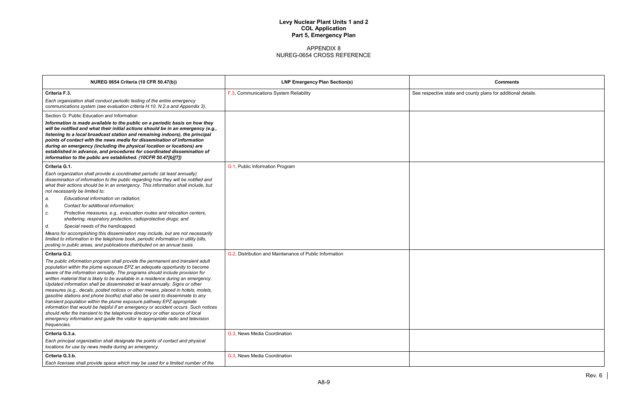| <b>Comments</b>                      |
|--------------------------------------|
| county plans for additional details. |
|                                      |
|                                      |
|                                      |
|                                      |
|                                      |
|                                      |
|                                      |
|                                      |
|                                      |
|                                      |
|                                      |
|                                      |
|                                      |
|                                      |
|                                      |
|                                      |
|                                      |
|                                      |
|                                      |
|                                      |
|                                      |
|                                      |
|                                      |

| <b>NUREG 0654 Criteria (10 CFR 50.47(b))</b>                                                                                                                                                                                                                                                                                                                                                                                                                                                                                                                                                                                                                                                                                                                                                                                                                                                                                                | <b>LNP Emergency Plan Section(s)</b>                    | <b>Comments</b>                                               |
|---------------------------------------------------------------------------------------------------------------------------------------------------------------------------------------------------------------------------------------------------------------------------------------------------------------------------------------------------------------------------------------------------------------------------------------------------------------------------------------------------------------------------------------------------------------------------------------------------------------------------------------------------------------------------------------------------------------------------------------------------------------------------------------------------------------------------------------------------------------------------------------------------------------------------------------------|---------------------------------------------------------|---------------------------------------------------------------|
| Criteria F.3.                                                                                                                                                                                                                                                                                                                                                                                                                                                                                                                                                                                                                                                                                                                                                                                                                                                                                                                               | F.3, Communications System Reliability                  | See respective state and county plans for additional details. |
| Each organization shall conduct periodic testing of the entire emergency<br>communications system (see evaluation criteria H.10, N.2.a and Appendix 3).                                                                                                                                                                                                                                                                                                                                                                                                                                                                                                                                                                                                                                                                                                                                                                                     |                                                         |                                                               |
| Section G: Public Education and Information                                                                                                                                                                                                                                                                                                                                                                                                                                                                                                                                                                                                                                                                                                                                                                                                                                                                                                 |                                                         |                                                               |
| Information is made available to the public on a periodic basis on how they<br>will be notified and what their initial actions should be in an emergency (e.g.,<br>listening to a local broadcast station and remaining indoors), the principal<br>points of contact with the news media for dissemination of information<br>during an emergency (including the physical location or locations) are<br>established in advance, and procedures for coordinated dissemination of<br>information to the public are established. (10CFR 50.47[b][7])                                                                                                                                                                                                                                                                                                                                                                                            |                                                         |                                                               |
| Criteria G.1.                                                                                                                                                                                                                                                                                                                                                                                                                                                                                                                                                                                                                                                                                                                                                                                                                                                                                                                               | G.1, Public Information Program                         |                                                               |
| Each organization shall provide a coordinated periodic (at least annually)<br>dissemination of information to the public regarding how they will be notified and<br>what their actions should be in an emergency. This information shall include, but<br>not necessarily be limited to:                                                                                                                                                                                                                                                                                                                                                                                                                                                                                                                                                                                                                                                     |                                                         |                                                               |
| Educational information on radiation;<br>a.                                                                                                                                                                                                                                                                                                                                                                                                                                                                                                                                                                                                                                                                                                                                                                                                                                                                                                 |                                                         |                                                               |
| Contact for additional information;<br>b.                                                                                                                                                                                                                                                                                                                                                                                                                                                                                                                                                                                                                                                                                                                                                                                                                                                                                                   |                                                         |                                                               |
| Protective measures, e.g., evacuation routes and relocation centers,<br>c.<br>sheltering, respiratory protection, radioprotective drugs; and                                                                                                                                                                                                                                                                                                                                                                                                                                                                                                                                                                                                                                                                                                                                                                                                |                                                         |                                                               |
| Special needs of the handicapped.<br>d.                                                                                                                                                                                                                                                                                                                                                                                                                                                                                                                                                                                                                                                                                                                                                                                                                                                                                                     |                                                         |                                                               |
| Means for accomplishing this dissemination may include, but are not necessarily<br>limited to information in the telephone book, periodic information in utility bills,<br>posting in public areas, and publications distributed on an annual basis.                                                                                                                                                                                                                                                                                                                                                                                                                                                                                                                                                                                                                                                                                        |                                                         |                                                               |
| Criteria G.2.                                                                                                                                                                                                                                                                                                                                                                                                                                                                                                                                                                                                                                                                                                                                                                                                                                                                                                                               | G.2, Distribution and Maintenance of Public Information |                                                               |
| The public information program shall provide the permanent and transient adult<br>population within the plume exposure EPZ an adequate opportunity to become<br>aware of the information annually. The programs should include provision for<br>written material that is likely to be available in a residence during an emergency.<br>Updated information shall be disseminated at least annually. Signs or other<br>measures (e.g., decals, posted notices or other means, placed in hotels, motels,<br>gasoline stations and phone booths) shall also be used to disseminate to any<br>transient population within the plume exposure pathway EPZ appropriate<br>information that would be helpful if an emergency or accident occurs. Such notices<br>should refer the transient to the telephone directory or other source of local<br>emergency information and guide the visitor to appropriate radio and television<br>frequencies. |                                                         |                                                               |
| Criteria G.3.a.                                                                                                                                                                                                                                                                                                                                                                                                                                                                                                                                                                                                                                                                                                                                                                                                                                                                                                                             | G.3, News Media Coordination                            |                                                               |
| Each principal organization shall designate the points of contact and physical<br>locations for use by news media during an emergency.                                                                                                                                                                                                                                                                                                                                                                                                                                                                                                                                                                                                                                                                                                                                                                                                      |                                                         |                                                               |
| Criteria G.3.b.<br>Each licensee shall provide space which may be used for a limited number of the                                                                                                                                                                                                                                                                                                                                                                                                                                                                                                                                                                                                                                                                                                                                                                                                                                          | G.3, News Media Coordination                            |                                                               |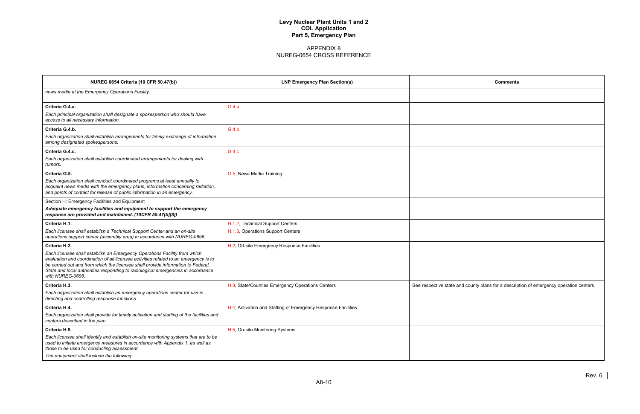| <b>Comments</b>                                                  |
|------------------------------------------------------------------|
|                                                                  |
|                                                                  |
|                                                                  |
|                                                                  |
|                                                                  |
|                                                                  |
|                                                                  |
|                                                                  |
|                                                                  |
|                                                                  |
|                                                                  |
|                                                                  |
|                                                                  |
|                                                                  |
|                                                                  |
|                                                                  |
|                                                                  |
| d county plans for a description of emergency operation centers. |
|                                                                  |
|                                                                  |
|                                                                  |
|                                                                  |
|                                                                  |
|                                                                  |

| <b>NUREG 0654 Criteria (10 CFR 50.47(b))</b>                                                                                                                                                                                                                                                                                                                                   | <b>LNP Emergency Plan Section(s)</b>                                  | <b>Comments</b>                                                                         |
|--------------------------------------------------------------------------------------------------------------------------------------------------------------------------------------------------------------------------------------------------------------------------------------------------------------------------------------------------------------------------------|-----------------------------------------------------------------------|-----------------------------------------------------------------------------------------|
| news media at the Emergency Operations Facility.                                                                                                                                                                                                                                                                                                                               |                                                                       |                                                                                         |
| Criteria G.4.a.<br>Each principal organization shall designate a spokesperson who should have<br>access to all necessary information.                                                                                                                                                                                                                                          | G.4.a                                                                 |                                                                                         |
| Criteria G.4.b.<br>Each organization shall establish arrangements for timely exchange of information<br>among designated spokespersons.                                                                                                                                                                                                                                        | G.4.b                                                                 |                                                                                         |
| Criteria G.4.c.<br>Each organization shall establish coordinated arrangements for dealing with<br>rumors.                                                                                                                                                                                                                                                                      | G.4.c                                                                 |                                                                                         |
| Criteria G.5.<br>Each organization shall conduct coordinated programs at least annually to<br>acquaint news media with the emergency plans, information concerning radiation,<br>and points of contact for release of public information in an emergency.                                                                                                                      | G.5, News Media Training                                              |                                                                                         |
| Section H: Emergency Facilities and Equipment<br>Adequate emergency facilities and equipment to support the emergency<br>response are provided and maintained. (10CFR 50.47[b][8])                                                                                                                                                                                             |                                                                       |                                                                                         |
| Criteria H.1.<br>Each licensee shall establish a Technical Support Center and an on-site<br>operations support center (assembly area) in accordance with NUREG-0696.                                                                                                                                                                                                           | H.1.2, Technical Support Centers<br>H.1.3, Operations Support Centers |                                                                                         |
| Criteria H.2.<br>Each licensee shall establish an Emergency Operations Facility from which<br>evaluation and coordination of all licensee activities related to an emergency is to<br>be carried out and from which the licensee shall provide information to Federal,<br>State and local authorities responding to radiological emergencies in accordance<br>with NUREG-0696. | H.2, Off-site Emergency Response Facilities                           |                                                                                         |
| Criteria H.3.<br>Each organization shall establish an emergency operations center for use in<br>directing and controlling response functions.                                                                                                                                                                                                                                  | H.3, State/Counties Emergency Operations Centers                      | See respective state and county plans for a description of emergency operation centers. |
| Criteria H.4.<br>Each organization shall provide for timely activation and staffing of the facilities and<br>centers described in the plan.                                                                                                                                                                                                                                    | H.4, Activation and Staffing of Emergency Response Facilities         |                                                                                         |
| Criteria H.5.<br>Each licensee shall identify and establish on-site monitoring systems that are to be<br>used to initiate emergency measures in accordance with Appendix 1, as well as<br>those to be used for conducting assessment.<br>The equipment shall include the following:                                                                                            | H.5, On-site Monitoring Systems                                       |                                                                                         |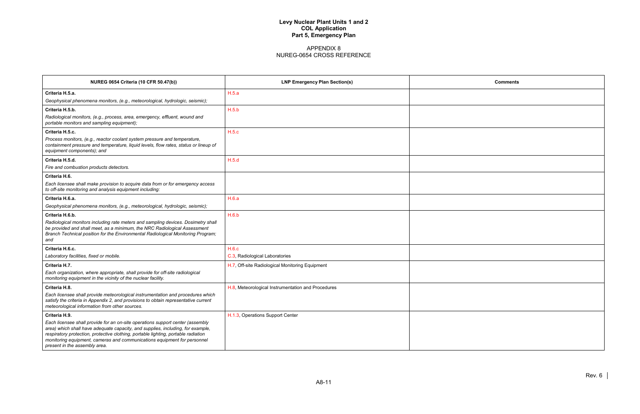| <b>Comments</b> |  |
|-----------------|--|
|                 |  |
|                 |  |
|                 |  |
|                 |  |
|                 |  |
|                 |  |
|                 |  |
|                 |  |
|                 |  |
|                 |  |
|                 |  |
|                 |  |
|                 |  |
|                 |  |
|                 |  |
|                 |  |
|                 |  |
|                 |  |
|                 |  |

| <b>NUREG 0654 Criteria (10 CFR 50.47(b))</b>                                                                                                                                                                                                                                                                                                                         | <b>LNP Emergency Plan Section(s)</b>               | Comments |
|----------------------------------------------------------------------------------------------------------------------------------------------------------------------------------------------------------------------------------------------------------------------------------------------------------------------------------------------------------------------|----------------------------------------------------|----------|
| Criteria H.5.a.                                                                                                                                                                                                                                                                                                                                                      | H.5.a                                              |          |
| Geophysical phenomena monitors, (e.g., meteorological, hydrologic, seismic);                                                                                                                                                                                                                                                                                         |                                                    |          |
| Criteria H.5.b.                                                                                                                                                                                                                                                                                                                                                      | H.5.b                                              |          |
| Radiological monitors, (e.g., process, area, emergency, effluent, wound and<br>portable monitors and sampling equipment);                                                                                                                                                                                                                                            |                                                    |          |
| Criteria H.5.c.                                                                                                                                                                                                                                                                                                                                                      | H.5.c                                              |          |
| Process monitors, (e.g., reactor coolant system pressure and temperature,<br>containment pressure and temperature, liquid levels, flow rates, status or lineup of<br>equipment components); and                                                                                                                                                                      |                                                    |          |
| Criteria H.5.d.                                                                                                                                                                                                                                                                                                                                                      | H.5.d                                              |          |
| Fire and combustion products detectors.                                                                                                                                                                                                                                                                                                                              |                                                    |          |
| Criteria H.6.                                                                                                                                                                                                                                                                                                                                                        |                                                    |          |
| Each licensee shall make provision to acquire data from or for emergency access<br>to off-site monitoring and analysis equipment including:                                                                                                                                                                                                                          |                                                    |          |
| Criteria H.6.a.                                                                                                                                                                                                                                                                                                                                                      | H.6.a                                              |          |
| Geophysical phenomena monitors, (e.g., meteorological, hydrologic, seismic);                                                                                                                                                                                                                                                                                         |                                                    |          |
| Criteria H.6.b.                                                                                                                                                                                                                                                                                                                                                      | H.6.b                                              |          |
| Radiological monitors including rate meters and sampling devices. Dosimetry shall<br>be provided and shall meet, as a minimum, the NRC Radiological Assessment<br>Branch Technical position for the Environmental Radiological Monitoring Program;<br>and                                                                                                            |                                                    |          |
| Criteria H.6.c.                                                                                                                                                                                                                                                                                                                                                      | H.6.c                                              |          |
| Laboratory facilities, fixed or mobile.                                                                                                                                                                                                                                                                                                                              | C.3, Radiological Laboratories                     |          |
| Criteria H.7.                                                                                                                                                                                                                                                                                                                                                        | H.7, Off-site Radiological Monitoring Equipment    |          |
| Each organization, where appropriate, shall provide for off-site radiological<br>monitoring equipment in the vicinity of the nuclear facility.                                                                                                                                                                                                                       |                                                    |          |
| Criteria H.8.                                                                                                                                                                                                                                                                                                                                                        | H.8, Meteorological Instrumentation and Procedures |          |
| Each licensee shall provide meteorological instrumentation and procedures which<br>satisfy the criteria in Appendix 2, and provisions to obtain representative current<br>meteorological information from other sources.                                                                                                                                             |                                                    |          |
| Criteria H.9.                                                                                                                                                                                                                                                                                                                                                        | H.1.3, Operations Support Center                   |          |
| Each licensee shall provide for an on-site operations support center (assembly<br>area) which shall have adequate capacity, and supplies, including, for example,<br>respiratory protection, protective clothing, portable lighting, portable radiation<br>monitoring equipment, cameras and communications equipment for personnel<br>present in the assembly area. |                                                    |          |
|                                                                                                                                                                                                                                                                                                                                                                      |                                                    |          |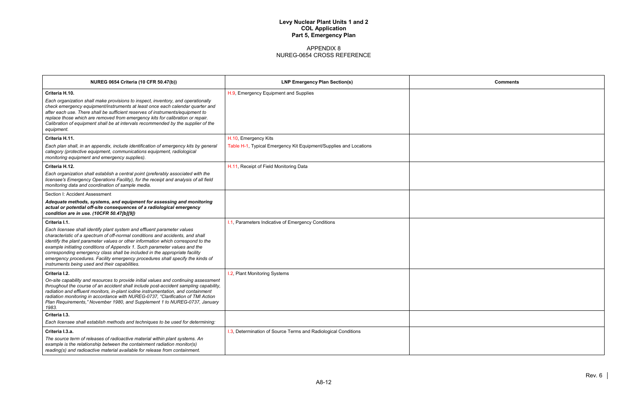| <b>Comments</b> |  |
|-----------------|--|
|                 |  |
|                 |  |
|                 |  |
|                 |  |
|                 |  |
|                 |  |
|                 |  |
|                 |  |
|                 |  |
|                 |  |
|                 |  |
|                 |  |
|                 |  |
|                 |  |
|                 |  |
|                 |  |
|                 |  |
|                 |  |
|                 |  |
|                 |  |
|                 |  |

| <b>NUREG 0654 Criteria (10 CFR 50.47(b))</b>                                                                                                                                                                                                                                                                                                                                                                                                                                                                                                                    | <b>LNP Emergency Plan Section(s)</b>                                                      | Comments |
|-----------------------------------------------------------------------------------------------------------------------------------------------------------------------------------------------------------------------------------------------------------------------------------------------------------------------------------------------------------------------------------------------------------------------------------------------------------------------------------------------------------------------------------------------------------------|-------------------------------------------------------------------------------------------|----------|
| Criteria H.10.<br>Each organization shall make provisions to inspect, inventory, and operationally<br>check emergency equipment/instruments at least once each calendar quarter and<br>after each use. There shall be sufficient reserves of instruments/equipment to<br>replace those which are removed from emergency kits for calibration or repair.<br>Calibration of equipment shall be at intervals recommended by the supplier of the<br>equipment.                                                                                                      | H.9, Emergency Equipment and Supplies                                                     |          |
| Criteria H.11.<br>Each plan shall, in an appendix, include identification of emergency kits by general<br>category (protective equipment, communications equipment, radiological<br>monitoring equipment and emergency supplies).                                                                                                                                                                                                                                                                                                                               | H.10, Emergency Kits<br>Table H-1, Typical Emergency Kit Equipment/Supplies and Locations |          |
| Criteria H.12.<br>Each organization shall establish a central point (preferably associated with the<br>licensee's Emergency Operations Facility), for the receipt and analysis of all field<br>monitoring data and coordination of sample media.                                                                                                                                                                                                                                                                                                                | H.11, Receipt of Field Monitoring Data                                                    |          |
| Section I: Accident Assessment<br>Adequate methods, systems, and equipment for assessing and monitoring<br>actual or potential off-site consequences of a radiological emergency<br>condition are in use. (10CFR 50.47[b][9])                                                                                                                                                                                                                                                                                                                                   |                                                                                           |          |
| Criteria I.1.<br>Each licensee shall identify plant system and effluent parameter values<br>characteristic of a spectrum of off-normal conditions and accidents, and shall<br>identify the plant parameter values or other information which correspond to the<br>example initiating conditions of Appendix 1. Such parameter values and the<br>corresponding emergency class shall be included in the appropriate facility<br>emergency procedures. Facility emergency procedures shall specify the kinds of<br>instruments being used and their capabilities. | I.1, Parameters Indicative of Emergency Conditions                                        |          |
| Criteria I.2.<br>On-site capability and resources to provide initial values and continuing assessment<br>throughout the course of an accident shall include post-accident sampling capability,<br>radiation and effluent monitors, in-plant iodine instrumentation, and containment<br>radiation monitoring in accordance with NUREG-0737, "Clarification of TMI Action<br>Plan Requirements," November 1980, and Supplement 1 to NUREG-0737, January<br>1983.                                                                                                  | I.2, Plant Monitoring Systems                                                             |          |
| Criteria I.3.<br>Each licensee shall establish methods and techniques to be used for determining:                                                                                                                                                                                                                                                                                                                                                                                                                                                               |                                                                                           |          |
| Criteria I.3.a.<br>The source term of releases of radioactive material within plant systems. An<br>example is the relationship between the containment radiation monitor(s)<br>reading(s) and radioactive material available for release from containment.                                                                                                                                                                                                                                                                                                      | 1.3, Determination of Source Terms and Radiological Conditions                            |          |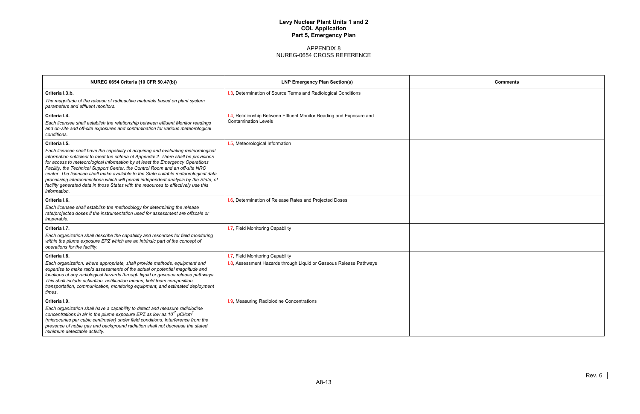| <b>Comments</b> |
|-----------------|
|                 |
|                 |
|                 |
|                 |
|                 |
|                 |
|                 |
|                 |
|                 |
|                 |
|                 |
|                 |
|                 |
|                 |
|                 |
|                 |
|                 |
|                 |
|                 |

| <b>NUREG 0654 Criteria (10 CFR 50.47(b))</b>                                                                                                                                                                                                                                                                                                                                                                                                                                                                                                                                                                                                     | <b>LNP Emergency Plan Section(s)</b>                                                                   | <b>Comments</b> |
|--------------------------------------------------------------------------------------------------------------------------------------------------------------------------------------------------------------------------------------------------------------------------------------------------------------------------------------------------------------------------------------------------------------------------------------------------------------------------------------------------------------------------------------------------------------------------------------------------------------------------------------------------|--------------------------------------------------------------------------------------------------------|-----------------|
| Criteria I.3.b.<br>The magnitude of the release of radioactive materials based on plant system<br>parameters and effluent monitors.                                                                                                                                                                                                                                                                                                                                                                                                                                                                                                              | 1.3, Determination of Source Terms and Radiological Conditions                                         |                 |
| Criteria I.4.<br>Each licensee shall establish the relationship between effluent Monitor readings<br>and on-site and off-site exposures and contamination for various meteorological<br>conditions.                                                                                                                                                                                                                                                                                                                                                                                                                                              | 1.4, Relationship Between Effluent Monitor Reading and Exposure and<br><b>Contamination Levels</b>     |                 |
| Criteria I.5.<br>Each licensee shall have the capability of acquiring and evaluating meteorological<br>information sufficient to meet the criteria of Appendix 2. There shall be provisions<br>for access to meteorological information by at least the Emergency Operations<br>Facility, the Technical Support Center, the Control Room and an off-site NRC<br>center. The licensee shall make available to the State suitable meteorological data<br>processing interconnections which will permit independent analysis by the State, of<br>facility generated data in those States with the resources to effectively use this<br>information. | 1.5, Meteorological Information                                                                        |                 |
| Criteria I.6.<br>Each licensee shall establish the methodology for determining the release<br>rate/projected doses if the instrumentation used for assessment are offscale or<br>inoperable.                                                                                                                                                                                                                                                                                                                                                                                                                                                     | I.6, Determination of Release Rates and Projected Doses                                                |                 |
| Criteria I.7.<br>Each organization shall describe the capability and resources for field monitoring<br>within the plume exposure EPZ which are an intrinsic part of the concept of<br>operations for the facility.                                                                                                                                                                                                                                                                                                                                                                                                                               | I.7, Field Monitoring Capability                                                                       |                 |
| Criteria I.8.<br>Each organization, where appropriate, shall provide methods, equipment and<br>expertise to make rapid assessments of the actual or potential magnitude and<br>locations of any radiological hazards through liquid or gaseous release pathways.<br>This shall include activation, notification means, field team composition,<br>transportation, communication, monitoring equipment, and estimated deployment<br>times.                                                                                                                                                                                                        | I.7, Field Monitoring Capability<br>1.8, Assessment Hazards through Liquid or Gaseous Release Pathways |                 |
| Criteria I.9.<br>Each organization shall have a capability to detect and measure radioiodine<br>concentrations in air in the plume exposure EPZ as low as $10^{-7}$ µCi/cm <sup>3</sup><br>(microcuries per cubic centimeter) under field conditions. Interference from the<br>presence of noble gas and background radiation shall not decrease the stated<br>minimum detectable activity.                                                                                                                                                                                                                                                      | <b>I.9, Measuring Radioiodine Concentrations</b>                                                       |                 |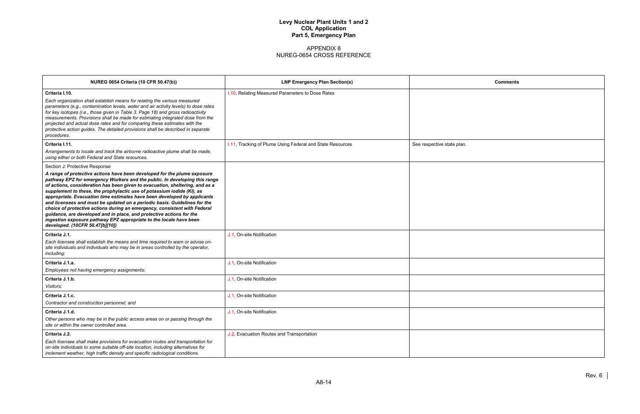| <b>Comments</b> |
|-----------------|
|                 |
|                 |
|                 |
|                 |
|                 |
|                 |
|                 |
|                 |
|                 |
|                 |
|                 |
|                 |
|                 |
|                 |
|                 |
|                 |
|                 |
|                 |
|                 |

| <b>NUREG 0654 Criteria (10 CFR 50.47(b))</b>                                                                                                                                                                                                                                                                                                                                                                                                                                                                                                                                                                                                                                                                                                                              | <b>LNP Emergency Plan Section(s)</b>                      | Comments                   |
|---------------------------------------------------------------------------------------------------------------------------------------------------------------------------------------------------------------------------------------------------------------------------------------------------------------------------------------------------------------------------------------------------------------------------------------------------------------------------------------------------------------------------------------------------------------------------------------------------------------------------------------------------------------------------------------------------------------------------------------------------------------------------|-----------------------------------------------------------|----------------------------|
| Criteria I.10.<br>Each organization shall establish means for relating the various measured<br>parameters (e.g., contamination levels, water and air activity levels) to dose rates<br>for key isotopes (i.e., those given in Table 3, Page 18) and gross radioactivity<br>measurements. Provisions shall be made for estimating integrated dose from the<br>projected and actual dose rates and for comparing these estimates with the<br>protective action guides. The detailed provisions shall be described in separate<br>procedures.                                                                                                                                                                                                                                | I.10, Relating Measured Parameters to Dose Rates          |                            |
| Criteria I.11.<br>Arrangements to locate and track the airborne radioactive plume shall be made,<br>using either or both Federal and State resources.                                                                                                                                                                                                                                                                                                                                                                                                                                                                                                                                                                                                                     | I.11, Tracking of Plume Using Federal and State Resources | See respective state plan. |
| Section J: Protective Response<br>A range of protective actions have been developed for the plume exposure<br>pathway EPZ for emergency Workers and the public. In developing this range<br>of actions, consideration has been given to evacuation, sheltering, and as a<br>supplement to these, the prophylactic use of potassium iodide (KI), as<br>appropriate. Evacuation time estimates have been developed by applicants<br>and licensees and must be updated on a periodic basis. Guidelines for the<br>choice of protective actions during an emergency, consistent with Federal<br>guidance, are developed and in place, and protective actions for the<br>ingestion exposure pathway EPZ appropriate to the locale have been<br>developed. (10CFR 50.47[b][10]) |                                                           |                            |
| Criteria J.1.<br>Each licensee shall establish the means and time required to warn or advise on-<br>site individuals and individuals who may be in areas controlled by the operator,<br>including:                                                                                                                                                                                                                                                                                                                                                                                                                                                                                                                                                                        | J.1, On-site Notification                                 |                            |
| Criteria J.1.a.<br>Employees not having emergency assignments;                                                                                                                                                                                                                                                                                                                                                                                                                                                                                                                                                                                                                                                                                                            | J.1, On-site Notification                                 |                            |
| Criteria J.1.b.<br>Visitors;                                                                                                                                                                                                                                                                                                                                                                                                                                                                                                                                                                                                                                                                                                                                              | J.1, On-site Notification                                 |                            |
| Criteria J.1.c.<br>Contractor and construction personnel; and                                                                                                                                                                                                                                                                                                                                                                                                                                                                                                                                                                                                                                                                                                             | J.1, On-site Notification                                 |                            |
| Criteria J.1.d.<br>Other persons who may be in the public access areas on or passing through the<br>site or within the owner controlled area.                                                                                                                                                                                                                                                                                                                                                                                                                                                                                                                                                                                                                             | J.1, On-site Notification                                 |                            |
| Criteria J.2.<br>Each licensee shall make provisions for evacuation routes and transportation for<br>on-site individuals to some suitable off-site location, including alternatives for<br>inclement weather, high traffic density and specific radiological conditions.                                                                                                                                                                                                                                                                                                                                                                                                                                                                                                  | J.2, Evacuation Routes and Transportation                 |                            |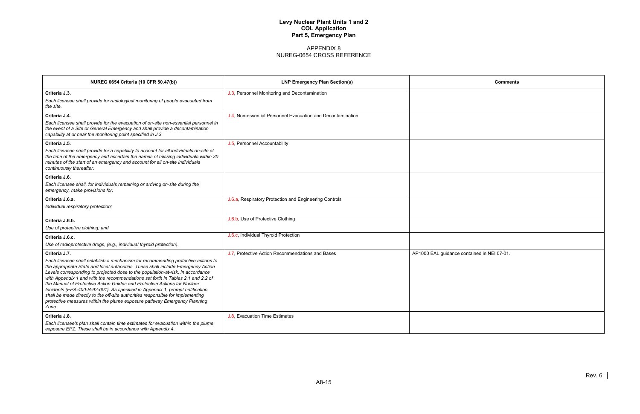| <b>Comments</b>       |  |
|-----------------------|--|
|                       |  |
|                       |  |
|                       |  |
|                       |  |
|                       |  |
|                       |  |
|                       |  |
|                       |  |
|                       |  |
|                       |  |
|                       |  |
| ntained in NEI 07-01. |  |
|                       |  |
|                       |  |
|                       |  |
|                       |  |
|                       |  |

| <b>NUREG 0654 Criteria (10 CFR 50.47(b))</b>                                                                                                                                                                                                                                                                                                                                                                                                                                                                                                                                                                                                                                      | <b>LNP Emergency Plan Section(s)</b>                        | Comments                                    |
|-----------------------------------------------------------------------------------------------------------------------------------------------------------------------------------------------------------------------------------------------------------------------------------------------------------------------------------------------------------------------------------------------------------------------------------------------------------------------------------------------------------------------------------------------------------------------------------------------------------------------------------------------------------------------------------|-------------------------------------------------------------|---------------------------------------------|
| Criteria J.3.                                                                                                                                                                                                                                                                                                                                                                                                                                                                                                                                                                                                                                                                     | J.3, Personnel Monitoring and Decontamination               |                                             |
| Each licensee shall provide for radiological monitoring of people evacuated from<br>the site.                                                                                                                                                                                                                                                                                                                                                                                                                                                                                                                                                                                     |                                                             |                                             |
| Criteria J.4.                                                                                                                                                                                                                                                                                                                                                                                                                                                                                                                                                                                                                                                                     | J.4, Non-essential Personnel Evacuation and Decontamination |                                             |
| Each licensee shall provide for the evacuation of on-site non-essential personnel in<br>the event of a Site or General Emergency and shall provide a decontamination<br>capability at or near the monitoring point specified in J.3.                                                                                                                                                                                                                                                                                                                                                                                                                                              |                                                             |                                             |
| Criteria J.5.                                                                                                                                                                                                                                                                                                                                                                                                                                                                                                                                                                                                                                                                     | J.5, Personnel Accountability                               |                                             |
| Each licensee shall provide for a capability to account for all individuals on-site at<br>the time of the emergency and ascertain the names of missing individuals within 30<br>minutes of the start of an emergency and account for all on-site individuals<br>continuously thereafter.                                                                                                                                                                                                                                                                                                                                                                                          |                                                             |                                             |
| Criteria J.6.                                                                                                                                                                                                                                                                                                                                                                                                                                                                                                                                                                                                                                                                     |                                                             |                                             |
| Each licensee shall, for individuals remaining or arriving on-site during the<br>emergency, make provisions for:                                                                                                                                                                                                                                                                                                                                                                                                                                                                                                                                                                  |                                                             |                                             |
| Criteria J.6.a.                                                                                                                                                                                                                                                                                                                                                                                                                                                                                                                                                                                                                                                                   | J.6.a, Respiratory Protection and Engineering Controls      |                                             |
| Individual respiratory protection;                                                                                                                                                                                                                                                                                                                                                                                                                                                                                                                                                                                                                                                |                                                             |                                             |
| Criteria J.6.b.                                                                                                                                                                                                                                                                                                                                                                                                                                                                                                                                                                                                                                                                   | J.6.b, Use of Protective Clothing                           |                                             |
| Use of protective clothing; and                                                                                                                                                                                                                                                                                                                                                                                                                                                                                                                                                                                                                                                   |                                                             |                                             |
| Criteria J.6.c.                                                                                                                                                                                                                                                                                                                                                                                                                                                                                                                                                                                                                                                                   | J.6.c, Individual Thyroid Protection                        |                                             |
| Use of radioprotective drugs, (e.g., individual thyroid protection).                                                                                                                                                                                                                                                                                                                                                                                                                                                                                                                                                                                                              |                                                             |                                             |
| Criteria J.7.                                                                                                                                                                                                                                                                                                                                                                                                                                                                                                                                                                                                                                                                     | J.7, Protective Action Recommendations and Bases            | AP1000 EAL guidance contained in NEI 07-01. |
| Each licensee shall establish a mechanism for recommending protective actions to<br>the appropriate State and local authorities. These shall include Emergency Action<br>Levels corresponding to projected dose to the population-at-risk, in accordance<br>with Appendix 1 and with the recommendations set forth in Tables 2.1 and 2.2 of<br>the Manual of Protective Action Guides and Protective Actions for Nuclear<br>Incidents (EPA-400-R-92-001). As specified in Appendix 1, prompt notification<br>shall be made directly to the off-site authorities responsible for implementing<br>protective measures within the plume exposure pathway Emergency Planning<br>Zone. |                                                             |                                             |
| Criteria J.8.                                                                                                                                                                                                                                                                                                                                                                                                                                                                                                                                                                                                                                                                     | J.8, Evacuation Time Estimates                              |                                             |
| Each licensee's plan shall contain time estimates for evacuation within the plume<br>exposure EPZ. These shall be in accordance with Appendix 4.                                                                                                                                                                                                                                                                                                                                                                                                                                                                                                                                  |                                                             |                                             |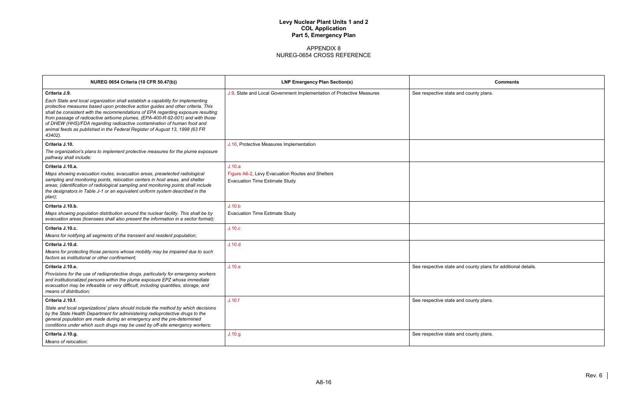| <b>Comments</b>                     |
|-------------------------------------|
| ounty plans.                        |
|                                     |
|                                     |
|                                     |
|                                     |
|                                     |
|                                     |
|                                     |
|                                     |
|                                     |
|                                     |
|                                     |
|                                     |
|                                     |
|                                     |
|                                     |
|                                     |
|                                     |
| ounty plans for additional details. |
|                                     |
|                                     |
| ounty plans.                        |
|                                     |
|                                     |
|                                     |
| ounty plans.                        |
|                                     |

| <b>NUREG 0654 Criteria (10 CFR 50.47(b))</b>                                                                                                                                                                                                                                                                                                                                                                                                                                                                                    | <b>LNP Emergency Plan Section(s)</b>                                                      | <b>Comments</b>                                               |
|---------------------------------------------------------------------------------------------------------------------------------------------------------------------------------------------------------------------------------------------------------------------------------------------------------------------------------------------------------------------------------------------------------------------------------------------------------------------------------------------------------------------------------|-------------------------------------------------------------------------------------------|---------------------------------------------------------------|
| Criteria J.9.<br>Each State and local organization shall establish a capability for implementing<br>protective measures based upon protective action guides and other criteria. This<br>shall be consistent with the recommendations of EPA regarding exposure resulting<br>from passage of radioactive airborne plumes, (EPA-400-R-92-001) and with those<br>of DHEW (HHS)/FDA regarding radioactive contamination of human food and<br>animal feeds as published in the Federal Register of August 13, 1998 (63 FR<br>43402). | J.9, State and Local Government Implementation of Protective Measures                     | See respective state and county plans.                        |
| Criteria J.10.                                                                                                                                                                                                                                                                                                                                                                                                                                                                                                                  | J.10, Protective Measures Implementation                                                  |                                                               |
| The organization's plans to implement protective measures for the plume exposure<br>pathway shall include:                                                                                                                                                                                                                                                                                                                                                                                                                      |                                                                                           |                                                               |
| Criteria J.10.a.                                                                                                                                                                                                                                                                                                                                                                                                                                                                                                                | J.10.a                                                                                    |                                                               |
| Maps showing evacuation routes, evacuation areas, preselected radiological<br>sampling and monitoring points, relocation centers in host areas, and shelter<br>areas; (identification of radiological sampling and monitoring points shall include<br>the designators in Table J-1 or an equivalent uniform system described in the<br>plan);                                                                                                                                                                                   | Figure A6-2, Levy Evacuation Routes and Shelters<br><b>Evacuation Time Estimate Study</b> |                                                               |
| Criteria J.10.b.                                                                                                                                                                                                                                                                                                                                                                                                                                                                                                                | J.10.b                                                                                    |                                                               |
| Maps showing population distribution around the nuclear facility. This shall be by<br>evacuation areas (licensees shall also present the information in a sector format);                                                                                                                                                                                                                                                                                                                                                       | <b>Evacuation Time Estimate Study</b>                                                     |                                                               |
| Criteria J.10.c.                                                                                                                                                                                                                                                                                                                                                                                                                                                                                                                | J.10.c                                                                                    |                                                               |
| Means for notifying all segments of the transient and resident population;                                                                                                                                                                                                                                                                                                                                                                                                                                                      |                                                                                           |                                                               |
| Criteria J.10.d.                                                                                                                                                                                                                                                                                                                                                                                                                                                                                                                | J.10.d                                                                                    |                                                               |
| Means for protecting those persons whose mobility may be impaired due to such<br>factors as institutional or other confinement:                                                                                                                                                                                                                                                                                                                                                                                                 |                                                                                           |                                                               |
| Criteria J.10.e.<br>Provisions for the use of radioprotective drugs, particularly for emergency workers<br>and institutionalized persons within the plume exposure EPZ whose immediate<br>evacuation may be infeasible or very difficult, including quantities, storage, and<br>means of distribution:                                                                                                                                                                                                                          | J.10.e                                                                                    | See respective state and county plans for additional details. |
| Criteria J.10.f.                                                                                                                                                                                                                                                                                                                                                                                                                                                                                                                | J.10.f                                                                                    | See respective state and county plans.                        |
| State and local organizations' plans should include the method by which decisions<br>by the State Health Department for administering radioprotective drugs to the<br>general population are made during an emergency and the pre-determined<br>conditions under which such drugs may be used by off-site emergency workers;                                                                                                                                                                                                    |                                                                                           |                                                               |
| Criteria J.10.g.<br>Means of relocation:                                                                                                                                                                                                                                                                                                                                                                                                                                                                                        | J.10.g                                                                                    | See respective state and county plans.                        |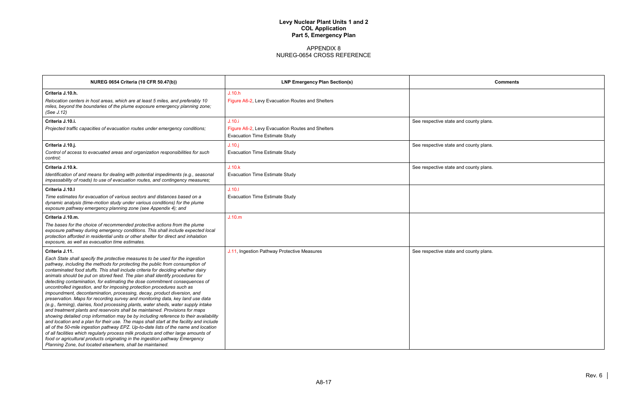|               | <b>Comments</b> |
|---------------|-----------------|
|               |                 |
|               |                 |
| county plans. |                 |
|               |                 |
| county plans. |                 |
| county plans. |                 |
|               |                 |
|               |                 |
|               |                 |
|               |                 |
|               |                 |
|               |                 |
| county plans. |                 |
|               |                 |
|               |                 |
|               |                 |
|               |                 |
|               |                 |
|               |                 |
|               |                 |

| <b>NUREG 0654 Criteria (10 CFR 50.47(b))</b>                                                                                                                                                                                                                                                                                                                                                                                                                                                                                                                                                                                                                                                                                                                                                                                                                                                                                                                                                                                                                                                                                                                                                                                                                                                                                                 | <b>LNP Emergency Plan Section(s)</b>             | <b>Comments</b>                        |
|----------------------------------------------------------------------------------------------------------------------------------------------------------------------------------------------------------------------------------------------------------------------------------------------------------------------------------------------------------------------------------------------------------------------------------------------------------------------------------------------------------------------------------------------------------------------------------------------------------------------------------------------------------------------------------------------------------------------------------------------------------------------------------------------------------------------------------------------------------------------------------------------------------------------------------------------------------------------------------------------------------------------------------------------------------------------------------------------------------------------------------------------------------------------------------------------------------------------------------------------------------------------------------------------------------------------------------------------|--------------------------------------------------|----------------------------------------|
| Criteria J.10.h.                                                                                                                                                                                                                                                                                                                                                                                                                                                                                                                                                                                                                                                                                                                                                                                                                                                                                                                                                                                                                                                                                                                                                                                                                                                                                                                             | J.10.h                                           |                                        |
| Relocation centers in host areas, which are at least 5 miles, and preferably 10<br>miles, beyond the boundaries of the plume exposure emergency planning zone;<br>(See J.12)                                                                                                                                                                                                                                                                                                                                                                                                                                                                                                                                                                                                                                                                                                                                                                                                                                                                                                                                                                                                                                                                                                                                                                 | Figure A6-2, Levy Evacuation Routes and Shelters |                                        |
| Criteria J.10.i.                                                                                                                                                                                                                                                                                                                                                                                                                                                                                                                                                                                                                                                                                                                                                                                                                                                                                                                                                                                                                                                                                                                                                                                                                                                                                                                             | J.10.i                                           | See respective state and county plans. |
| Projected traffic capacities of evacuation routes under emergency conditions;                                                                                                                                                                                                                                                                                                                                                                                                                                                                                                                                                                                                                                                                                                                                                                                                                                                                                                                                                                                                                                                                                                                                                                                                                                                                | Figure A6-2, Levy Evacuation Routes and Shelters |                                        |
|                                                                                                                                                                                                                                                                                                                                                                                                                                                                                                                                                                                                                                                                                                                                                                                                                                                                                                                                                                                                                                                                                                                                                                                                                                                                                                                                              | <b>Evacuation Time Estimate Study</b>            |                                        |
| Criteria J.10.j.                                                                                                                                                                                                                                                                                                                                                                                                                                                                                                                                                                                                                                                                                                                                                                                                                                                                                                                                                                                                                                                                                                                                                                                                                                                                                                                             | J.10.j                                           | See respective state and county plans. |
| Control of access to evacuated areas and organization responsibilities for such<br>control;                                                                                                                                                                                                                                                                                                                                                                                                                                                                                                                                                                                                                                                                                                                                                                                                                                                                                                                                                                                                                                                                                                                                                                                                                                                  | <b>Evacuation Time Estimate Study</b>            |                                        |
| Criteria J.10.k.                                                                                                                                                                                                                                                                                                                                                                                                                                                                                                                                                                                                                                                                                                                                                                                                                                                                                                                                                                                                                                                                                                                                                                                                                                                                                                                             | J.10.k                                           | See respective state and county plans. |
| Identification of and means for dealing with potential impediments (e.g., seasonal<br>impassability of roads) to use of evacuation routes, and contingency measures;                                                                                                                                                                                                                                                                                                                                                                                                                                                                                                                                                                                                                                                                                                                                                                                                                                                                                                                                                                                                                                                                                                                                                                         | <b>Evacuation Time Estimate Study</b>            |                                        |
| Criteria J.10.I                                                                                                                                                                                                                                                                                                                                                                                                                                                                                                                                                                                                                                                                                                                                                                                                                                                                                                                                                                                                                                                                                                                                                                                                                                                                                                                              | J.10.1                                           |                                        |
| Time estimates for evacuation of various sectors and distances based on a<br>dynamic analysis (time-motion study under various conditions) for the plume<br>exposure pathway emergency planning zone (see Appendix 4); and                                                                                                                                                                                                                                                                                                                                                                                                                                                                                                                                                                                                                                                                                                                                                                                                                                                                                                                                                                                                                                                                                                                   | <b>Evacuation Time Estimate Study</b>            |                                        |
| Criteria J.10.m.                                                                                                                                                                                                                                                                                                                                                                                                                                                                                                                                                                                                                                                                                                                                                                                                                                                                                                                                                                                                                                                                                                                                                                                                                                                                                                                             | J.10.m                                           |                                        |
| The bases for the choice of recommended protective actions from the plume<br>exposure pathway during emergency conditions. This shall include expected local<br>protection afforded in residential units or other shelter for direct and inhalation<br>exposure, as well as evacuation time estimates.                                                                                                                                                                                                                                                                                                                                                                                                                                                                                                                                                                                                                                                                                                                                                                                                                                                                                                                                                                                                                                       |                                                  |                                        |
| Criteria J.11.                                                                                                                                                                                                                                                                                                                                                                                                                                                                                                                                                                                                                                                                                                                                                                                                                                                                                                                                                                                                                                                                                                                                                                                                                                                                                                                               | J.11, Ingestion Pathway Protective Measures      | See respective state and county plans. |
| Each State shall specify the protective measures to be used for the ingestion<br>pathway, including the methods for protecting the public from consumption of<br>contaminated food stuffs. This shall include criteria for deciding whether dairy<br>animals should be put on stored feed. The plan shall identify procedures for<br>detecting contamination, for estimating the dose commitment consequences of<br>uncontrolled ingestion, and for imposing protection procedures such as<br>impoundment, decontamination, processing, decay, product diversion, and<br>preservation. Maps for recording survey and monitoring data, key land use data<br>(e.g., farming), dairies, food processing plants, water sheds, water supply intake<br>and treatment plants and reservoirs shall be maintained. Provisions for maps<br>showing detailed crop information may be by including reference to their availability<br>and location and a plan for their use. The maps shall start at the facility and include<br>all of the 50-mile ingestion pathway EPZ. Up-to-date lists of the name and location<br>of all facilities which regularly process milk products and other large amounts of<br>food or agricultural products originating in the ingestion pathway Emergency<br>Planning Zone, but located elsewhere, shall be maintained. |                                                  |                                        |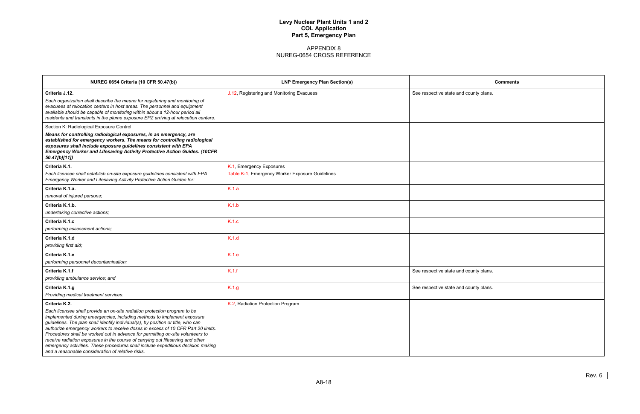| <b>Comments</b> |
|-----------------|
| ounty plans.    |
|                 |
|                 |
|                 |
|                 |
|                 |
|                 |
|                 |
|                 |
|                 |
|                 |
|                 |
|                 |
|                 |
| ounty plans.    |
| ounty plans.    |
|                 |
|                 |
|                 |
|                 |
|                 |

| <b>NUREG 0654 Criteria (10 CFR 50.47(b))</b>                                                                                                                                                                                                                                                                                                                                                                                                                                                                                                                                                                                                               | <b>LNP Emergency Plan Section(s)</b>                                        | <b>Comments</b>                        |
|------------------------------------------------------------------------------------------------------------------------------------------------------------------------------------------------------------------------------------------------------------------------------------------------------------------------------------------------------------------------------------------------------------------------------------------------------------------------------------------------------------------------------------------------------------------------------------------------------------------------------------------------------------|-----------------------------------------------------------------------------|----------------------------------------|
| Criteria J.12.<br>Each organization shall describe the means for registering and monitoring of<br>evacuees at relocation centers in host areas. The personnel and equipment<br>available should be capable of monitoring within about a 12-hour period all<br>residents and transients in the plume exposure EPZ arriving at relocation centers.                                                                                                                                                                                                                                                                                                           | J.12, Registering and Monitoring Evacuees                                   | See respective state and county plans. |
| Section K: Radiological Exposure Control<br>Means for controlling radiological exposures, in an emergency, are<br>established for emergency workers. The means for controlling radiological<br>exposures shall include exposure guidelines consistent with EPA<br><b>Emergency Worker and Lifesaving Activity Protective Action Guides. (10CFR</b><br>50.47[b][11])                                                                                                                                                                                                                                                                                        |                                                                             |                                        |
| Criteria K.1.<br>Each licensee shall establish on-site exposure guidelines consistent with EPA<br>Emergency Worker and Lifesaving Activity Protective Action Guides for:                                                                                                                                                                                                                                                                                                                                                                                                                                                                                   | K.1, Emergency Exposures<br>Table K-1, Emergency Worker Exposure Guidelines |                                        |
| Criteria K.1.a.<br>removal of injured persons;                                                                                                                                                                                                                                                                                                                                                                                                                                                                                                                                                                                                             | K.1.a                                                                       |                                        |
| Criteria K.1.b.<br>undertaking corrective actions;                                                                                                                                                                                                                                                                                                                                                                                                                                                                                                                                                                                                         | K.1.b                                                                       |                                        |
| Criteria K.1.c<br>performing assessment actions;                                                                                                                                                                                                                                                                                                                                                                                                                                                                                                                                                                                                           | K.1.c                                                                       |                                        |
| Criteria K.1.d<br>providing first aid;                                                                                                                                                                                                                                                                                                                                                                                                                                                                                                                                                                                                                     | K.1.d                                                                       |                                        |
| Criteria K.1.e<br>performing personnel decontamination;                                                                                                                                                                                                                                                                                                                                                                                                                                                                                                                                                                                                    | K.1.e                                                                       |                                        |
| Criteria K.1.f<br>providing ambulance service; and                                                                                                                                                                                                                                                                                                                                                                                                                                                                                                                                                                                                         | K.1.f                                                                       | See respective state and county plans. |
| Criteria K.1.g<br>Providing medical treatment services.                                                                                                                                                                                                                                                                                                                                                                                                                                                                                                                                                                                                    | K.1.g                                                                       | See respective state and county plans. |
| Criteria K.2.<br>Each licensee shall provide an on-site radiation protection program to be<br>implemented during emergencies, including methods to implement exposure<br>guidelines. The plan shall identify individual(s), by position or title, who can<br>authorize emergency workers to receive doses in excess of 10 CFR Part 20 limits.<br>Procedures shall be worked out in advance for permitting on-site volunteers to<br>receive radiation exposures in the course of carrying out lifesaving and other<br>emergency activities. These procedures shall include expeditious decision making<br>and a reasonable consideration of relative risks. | K.2, Radiation Protection Program                                           |                                        |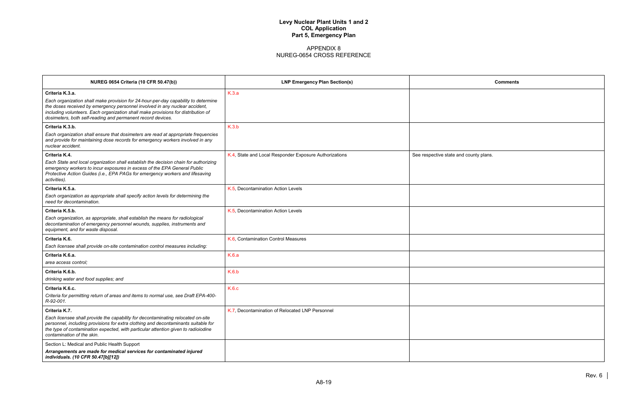| <b>Comments</b> |
|-----------------|
|                 |
|                 |
|                 |
|                 |
|                 |
| county plans.   |
|                 |
|                 |
|                 |
|                 |
|                 |
|                 |
|                 |
|                 |
|                 |
|                 |
|                 |
|                 |
|                 |
|                 |
|                 |
|                 |

| <b>NUREG 0654 Criteria (10 CFR 50.47(b))</b>                                                                                                                                                                                                                                                                                             | <b>LNP Emergency Plan Section(s)</b>                   | Comments                               |
|------------------------------------------------------------------------------------------------------------------------------------------------------------------------------------------------------------------------------------------------------------------------------------------------------------------------------------------|--------------------------------------------------------|----------------------------------------|
| Criteria K.3.a.<br>Each organization shall make provision for 24-hour-per-day capability to determine<br>the doses received by emergency personnel involved in any nuclear accident,<br>including volunteers. Each organization shall make provisions for distribution of<br>dosimeters, both self-reading and permanent record devices. | K.3.a                                                  |                                        |
| Criteria K.3.b.<br>Each organization shall ensure that dosimeters are read at appropriate frequencies<br>and provide for maintaining dose records for emergency workers involved in any<br>nuclear accident.                                                                                                                             | K.3.b                                                  |                                        |
| Criteria K.4.<br>Each State and local organization shall establish the decision chain for authorizing<br>emergency workers to incur exposures in excess of the EPA General Public<br>Protective Action Guides (i.e., EPA PAGs for emergency workers and lifesaving<br>activities).                                                       | K.4, State and Local Responder Exposure Authorizations | See respective state and county plans. |
| Criteria K.5.a.<br>Each organization as appropriate shall specify action levels for determining the<br>need for decontamination.                                                                                                                                                                                                         | K.5, Decontamination Action Levels                     |                                        |
| Criteria K.5.b.<br>Each organization, as appropriate, shall establish the means for radiological<br>decontamination of emergency personnel wounds, supplies, instruments and<br>equipment, and for waste disposal.                                                                                                                       | K.5, Decontamination Action Levels                     |                                        |
| Criteria K.6.<br>Each licensee shall provide on-site contamination control measures including:                                                                                                                                                                                                                                           | K.6, Contamination Control Measures                    |                                        |
| Criteria K.6.a.<br>area access control:                                                                                                                                                                                                                                                                                                  | K.6.a                                                  |                                        |
| Criteria K.6.b.<br>drinking water and food supplies; and                                                                                                                                                                                                                                                                                 | K.6.b                                                  |                                        |
| Criteria K.6.c.<br>Criteria for permitting return of areas and items to normal use, see Draft EPA-400-<br>R-92-001.                                                                                                                                                                                                                      | K.6.c                                                  |                                        |
| Criteria K.7.<br>Each licensee shall provide the capability for decontaminating relocated on-site<br>personnel, including provisions for extra clothing and decontaminants suitable for<br>the type of contamination expected, with particular attention given to radioiodine<br>contamination of the skin.                              | K.7, Decontamination of Relocated LNP Personnel        |                                        |
| Section L: Medical and Public Health Support<br>Arrangements are made for medical services for contaminated injured<br>individuals. (10 CFR 50.47[b][12])                                                                                                                                                                                |                                                        |                                        |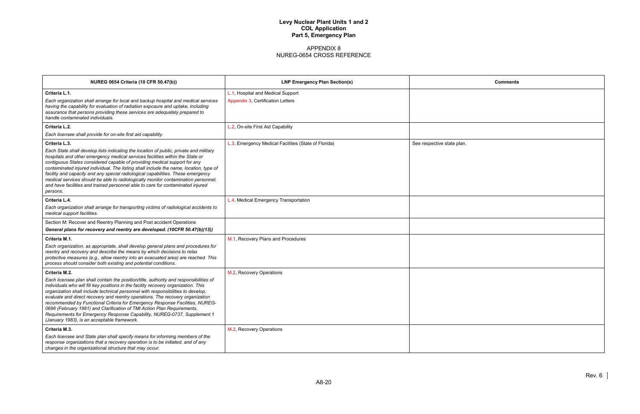| <b>Comments</b> |
|-----------------|
|                 |
|                 |
|                 |
|                 |
|                 |
|                 |
|                 |
|                 |
|                 |
|                 |
|                 |
|                 |
|                 |
|                 |
|                 |
|                 |
|                 |
|                 |
|                 |

| <b>NUREG 0654 Criteria (10 CFR 50.47(b))</b>                                                                                                                                                                                                                                                                                                                                                                                                                                                                                                                                                                                                               | <b>LNP Emergency Plan Section(s)</b>                                   | <b>Comments</b>            |
|------------------------------------------------------------------------------------------------------------------------------------------------------------------------------------------------------------------------------------------------------------------------------------------------------------------------------------------------------------------------------------------------------------------------------------------------------------------------------------------------------------------------------------------------------------------------------------------------------------------------------------------------------------|------------------------------------------------------------------------|----------------------------|
| Criteria L.1.<br>Each organization shall arrange for local and backup hospital and medical services<br>having the capability for evaluation of radiation exposure and uptake, including<br>assurance that persons providing these services are adequately prepared to<br>handle contaminated individuals.                                                                                                                                                                                                                                                                                                                                                  | L.1, Hospital and Medical Support<br>Appendix 3, Certification Letters |                            |
| Criteria L.2.<br>Each licensee shall provide for on-site first aid capability.                                                                                                                                                                                                                                                                                                                                                                                                                                                                                                                                                                             | L.2, On-site First Aid Capability                                      |                            |
| Criteria L.3.<br>Each State shall develop lists indicating the location of public, private and military<br>hospitals and other emergency medical services facilities within the State or<br>contiguous States considered capable of providing medical support for any<br>contaminated injured individual. The listing shall include the name, location, type of<br>facility and capacity and any special radiological capabilities. These emergency<br>medical services should be able to radiologically monitor contamination personnel,<br>and have facilities and trained personnel able to care for contaminated injured<br>persons.                   | L.3, Emergency Medical Facilities (State of Florida)                   | See respective state plan. |
| Criteria L.4.<br>Each organization shall arrange for transporting victims of radiological accidents to<br>medical support facilities.                                                                                                                                                                                                                                                                                                                                                                                                                                                                                                                      | L.4, Medical Emergency Transportation                                  |                            |
| Section M: Recover and Reentry Planning and Post accident Operations<br>General plans for recovery and reentry are developed. (10CFR 50.47(b)(13))                                                                                                                                                                                                                                                                                                                                                                                                                                                                                                         |                                                                        |                            |
| Criteria M.1.<br>Each organization, as appropriate, shall develop general plans and procedures for<br>reentry and recovery and describe the means by which decisions to relax<br>protective measures (e.g., allow reentry into an evacuated area) are reached. This<br>process should consider both existing and potential conditions.                                                                                                                                                                                                                                                                                                                     | M.1, Recovery Plans and Procedures                                     |                            |
| Criteria M.2.<br>Each licensee plan shall contain the position/title, authority and responsibilities of<br>individuals who will fill key positions in the facility recovery organization. This<br>organization shall include technical personnel with responsibilities to develop,<br>evaluate and direct recovery and reentry operations. The recovery organization<br>recommended by Functional Criteria for Emergency Response Facilities, NUREG-<br>0696 (February 1981) and Clarification of TMI Action Plan Requirements,<br>Requirements for Emergency Response Capability, NUREG-0737, Supplement 1<br>(January 1983), is an acceptable framework. | M.2, Recovery Operations                                               |                            |
| Criteria M.3.<br>Each licensee and State plan shall specify means for informing members of the<br>response organizations that a recovery operation is to be initiated, and of any<br>changes in the organizational structure that may occur.                                                                                                                                                                                                                                                                                                                                                                                                               | M.2, Recovery Operations                                               |                            |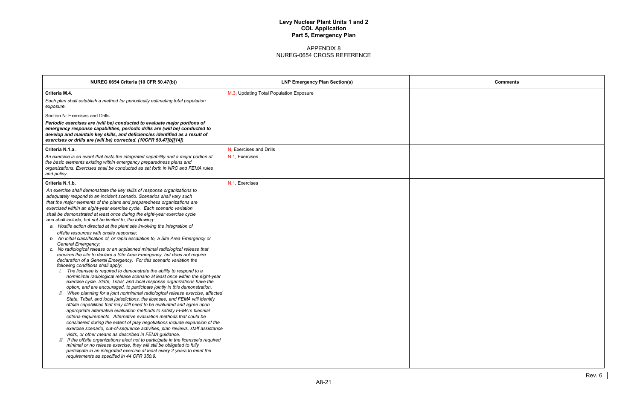| <b>Comments</b> |        |
|-----------------|--------|
|                 |        |
|                 |        |
|                 |        |
|                 |        |
|                 |        |
|                 |        |
|                 |        |
|                 |        |
|                 |        |
|                 |        |
|                 |        |
|                 |        |
|                 |        |
|                 |        |
|                 |        |
|                 |        |
|                 |        |
|                 |        |
|                 |        |
|                 |        |
|                 |        |
|                 | Rev. 6 |

| <b>NUREG 0654 Criteria (10 CFR 50.47(b))</b>                                                                                                                     | <b>LNP Emergency Plan Section(s)</b>    | <b>Comments</b> |
|------------------------------------------------------------------------------------------------------------------------------------------------------------------|-----------------------------------------|-----------------|
| Criteria M.4.                                                                                                                                                    | M.3, Updating Total Population Exposure |                 |
| Each plan shall establish a method for periodically estimating total population                                                                                  |                                         |                 |
| exposure.                                                                                                                                                        |                                         |                 |
| Section N: Exercises and Drills                                                                                                                                  |                                         |                 |
| Periodic exercises are (will be) conducted to evaluate major portions of                                                                                         |                                         |                 |
| emergency response capabilities, periodic drills are (will be) conducted to                                                                                      |                                         |                 |
| develop and maintain key skills, and deficiencies identified as a result of<br>exercises or drills are (will be) corrected. (10CFR 50.47[b][14])                 |                                         |                 |
|                                                                                                                                                                  |                                         |                 |
| Criteria N.1.a.                                                                                                                                                  | N. Exercises and Drills                 |                 |
| An exercise is an event that tests the integrated capability and a major portion of<br>the basic elements existing within emergency preparedness plans and       | N.1, Exercises                          |                 |
| organizations. Exercises shall be conducted as set forth in NRC and FEMA rules                                                                                   |                                         |                 |
| and policy.                                                                                                                                                      |                                         |                 |
| Criteria N.1.b.                                                                                                                                                  | N.1, Exercises                          |                 |
| An exercise shall demonstrate the key skills of response organizations to                                                                                        |                                         |                 |
| adequately respond to an incident scenario. Scenarios shall vary such                                                                                            |                                         |                 |
| that the major elements of the plans and preparedness organizations are                                                                                          |                                         |                 |
| exercised within an eight-year exercise cycle. Each scenario variation<br>shall be demonstrated at least once during the eight-year exercise cycle               |                                         |                 |
| and shall include, but not be limited to, the following:                                                                                                         |                                         |                 |
| a. Hostile action directed at the plant site involving the integration of                                                                                        |                                         |                 |
| offsite resources with onsite response;                                                                                                                          |                                         |                 |
| b. An initial classification of, or rapid escalation to, a Site Area Emergency or                                                                                |                                         |                 |
| General Emergency;<br>c. No radiological release or an unplanned minimal radiological release that                                                               |                                         |                 |
| requires the site to declare a Site Area Emergency, but does not require                                                                                         |                                         |                 |
| declaration of a General Emergency. For this scenario variation the                                                                                              |                                         |                 |
| following conditions shall apply:<br>The licensee is required to demonstrate the ability to respond to a                                                         |                                         |                 |
| no/minimal radiological release scenario at least once within the eight-year                                                                                     |                                         |                 |
| exercise cycle. State, Tribal, and local response organizations have the                                                                                         |                                         |                 |
| option, and are encouraged, to participate jointly in this demonstration.                                                                                        |                                         |                 |
| ii. When planning for a joint no/minimal radiological release exercise, affected<br>State, Tribal, and local jurisdictions, the licensee, and FEMA will identify |                                         |                 |
| offsite capabilities that may still need to be evaluated and agree upon                                                                                          |                                         |                 |
| appropriate alternative evaluation methods to satisfy FEMA's biennial                                                                                            |                                         |                 |
| criteria requirements. Alternative evaluation methods that could be                                                                                              |                                         |                 |
| considered during the extent of play negotiations include expansion of the                                                                                       |                                         |                 |
| exercise scenario, out-of-sequence activities, plan reviews, staff assistance<br>visits, or other means as described in FEMA guidance.                           |                                         |                 |
| iii. If the offsite organizations elect not to participate in the licensee's required                                                                            |                                         |                 |
| minimal or no release exercise, they will still be obligated to fully                                                                                            |                                         |                 |
| participate in an integrated exercise at least every 2 years to meet the<br>requirements as specified in 44 CFR 350.9.                                           |                                         |                 |
|                                                                                                                                                                  |                                         |                 |
|                                                                                                                                                                  |                                         |                 |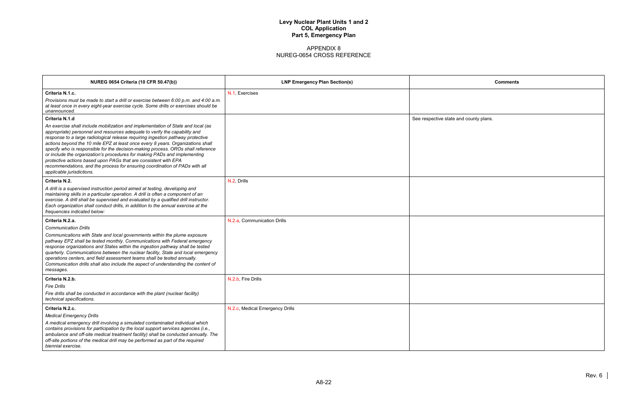| <b>Comments</b> |  |
|-----------------|--|
|                 |  |
|                 |  |
| d county plans. |  |
|                 |  |
|                 |  |
|                 |  |
|                 |  |
|                 |  |
|                 |  |
|                 |  |
|                 |  |
|                 |  |
|                 |  |
|                 |  |
|                 |  |
|                 |  |
|                 |  |
|                 |  |
|                 |  |
|                 |  |
|                 |  |

| <b>NUREG 0654 Criteria (10 CFR 50.47(b))</b>                                                                                                                                                                                                                                                                                                                                                                                                                                                                                                                                                                                                                                         | <b>LNP Emergency Plan Section(s)</b> | Comments                               |
|--------------------------------------------------------------------------------------------------------------------------------------------------------------------------------------------------------------------------------------------------------------------------------------------------------------------------------------------------------------------------------------------------------------------------------------------------------------------------------------------------------------------------------------------------------------------------------------------------------------------------------------------------------------------------------------|--------------------------------------|----------------------------------------|
| Criteria N.1.c.<br>Provisions must be made to start a drill or exercise between 6:00 p.m. and 4:00 a.m.<br>at least once in every eight-year exercise cycle. Some drills or exercises should be<br>unannounced.                                                                                                                                                                                                                                                                                                                                                                                                                                                                      | N.1, Exercises                       |                                        |
| Criteria N.1.d                                                                                                                                                                                                                                                                                                                                                                                                                                                                                                                                                                                                                                                                       |                                      | See respective state and county plans. |
| An exercise shall include mobilization and implementation of State and local (as<br>appropriate) personnel and resources adequate to verify the capability and<br>response to a large radiological release requiring ingestion pathway protective<br>actions beyond the 10 mile EPZ at least once every 8 years. Organizations shall<br>specify who is responsible for the decision-making process. OROs shall reference<br>or include the organization's procedures for making PADs and implementing<br>protective actions based upon PAGs that are consistent with EPA<br>recommendations, and the process for ensuring coordination of PADs with all<br>applicable jurisdictions. |                                      |                                        |
| Criteria N.2.                                                                                                                                                                                                                                                                                                                                                                                                                                                                                                                                                                                                                                                                        | N.2, Drills                          |                                        |
| A drill is a supervised instruction period aimed at testing, developing and<br>maintaining skills in a particular operation. A drill is often a component of an<br>exercise. A drill shall be supervised and evaluated by a qualified drill instructor.<br>Each organization shall conduct drills, in addition to the annual exercise at the<br>frequencies indicated below:                                                                                                                                                                                                                                                                                                         |                                      |                                        |
| Criteria N.2.a.                                                                                                                                                                                                                                                                                                                                                                                                                                                                                                                                                                                                                                                                      | N.2.a, Communication Drills          |                                        |
| <b>Communication Drills</b><br>Communications with State and local governments within the plume exposure<br>pathway EPZ shall be tested monthly. Communications with Federal emergency<br>response organizations and States within the ingestion pathway shall be tested<br>quarterly. Communications between the nuclear facility, State and local emergency<br>operations centers, and field assessment teams shall be tested annually.<br>Communication drills shall also include the aspect of understanding the content of<br>messages.                                                                                                                                         |                                      |                                        |
| Criteria N.2.b.                                                                                                                                                                                                                                                                                                                                                                                                                                                                                                                                                                                                                                                                      | N.2.b, Fire Drills                   |                                        |
| <b>Fire Drills</b><br>Fire drills shall be conducted in accordance with the plant (nuclear facility)<br>technical specifications.                                                                                                                                                                                                                                                                                                                                                                                                                                                                                                                                                    |                                      |                                        |
| Criteria N.2.c.                                                                                                                                                                                                                                                                                                                                                                                                                                                                                                                                                                                                                                                                      | N.2.c, Medical Emergency Drills      |                                        |
| <b>Medical Emergency Drills</b>                                                                                                                                                                                                                                                                                                                                                                                                                                                                                                                                                                                                                                                      |                                      |                                        |
| A medical emergency drill involving a simulated contaminated individual which<br>contains provisions for participation by the local support services agencies (i.e.,<br>ambulance and off-site medical treatment facility) shall be conducted annually. The<br>off-site portions of the medical drill may be performed as part of the required<br>biennial exercise.                                                                                                                                                                                                                                                                                                                 |                                      |                                        |
|                                                                                                                                                                                                                                                                                                                                                                                                                                                                                                                                                                                                                                                                                      |                                      |                                        |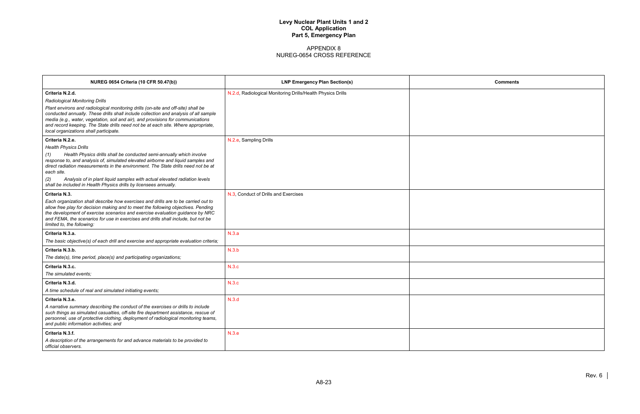| <b>Comments</b> |  |
|-----------------|--|
|                 |  |
|                 |  |
|                 |  |
|                 |  |
|                 |  |
|                 |  |
|                 |  |
|                 |  |
|                 |  |
|                 |  |
|                 |  |
|                 |  |
|                 |  |
|                 |  |
|                 |  |
|                 |  |
|                 |  |
|                 |  |
|                 |  |
|                 |  |

| <b>NUREG 0654 Criteria (10 CFR 50.47(b))</b>                                                                                                                                                                                                                                                                                                                                                                                                                                   | <b>LNP Emergency Plan Section(s)</b>                        | Comments |
|--------------------------------------------------------------------------------------------------------------------------------------------------------------------------------------------------------------------------------------------------------------------------------------------------------------------------------------------------------------------------------------------------------------------------------------------------------------------------------|-------------------------------------------------------------|----------|
| Criteria N.2.d.<br>Radiological Monitoring Drills<br>Plant environs and radiological monitoring drills (on-site and off-site) shall be<br>conducted annually. These drills shall include collection and analysis of all sample<br>media (e.g., water, vegetation, soil and air), and provisions for communications<br>and record keeping. The State drills need not be at each site. Where appropriate,<br>local organizations shall participate.                              | N.2.d, Radiological Monitoring Drills/Health Physics Drills |          |
| Criteria N.2.e.<br><b>Health Physics Drills</b><br>Health Physics drills shall be conducted semi-annually which involve<br>(1)<br>response to, and analysis of, simulated elevated airborne and liquid samples and<br>direct radiation measurements in the environment. The State drills need not be at<br>each site.<br>(2)<br>Analysis of in plant liquid samples with actual elevated radiation levels<br>shall be included in Health Physics drills by licensees annually. | N.2.e, Sampling Drills                                      |          |
| Criteria N.3.<br>Each organization shall describe how exercises and drills are to be carried out to<br>allow free play for decision making and to meet the following objectives. Pending<br>the development of exercise scenarios and exercise evaluation guidance by NRC<br>and FEMA, the scenarios for use in exercises and drills shall include, but not be<br>limited to, the following:                                                                                   | N.3, Conduct of Drills and Exercises                        |          |
| Criteria N.3.a.<br>The basic objective(s) of each drill and exercise and appropriate evaluation criteria;                                                                                                                                                                                                                                                                                                                                                                      | N.3.a                                                       |          |
| Criteria N.3.b.<br>The date(s), time period, place(s) and participating organizations;                                                                                                                                                                                                                                                                                                                                                                                         | N.3.b                                                       |          |
| Criteria N.3.c.<br>The simulated events:                                                                                                                                                                                                                                                                                                                                                                                                                                       | N.3.c                                                       |          |
| Criteria N.3.d.<br>A time schedule of real and simulated initiating events;                                                                                                                                                                                                                                                                                                                                                                                                    | N.3.c                                                       |          |
| Criteria N.3.e.<br>A narrative summary describing the conduct of the exercises or drills to include<br>such things as simulated casualties, off-site fire department assistance, rescue of<br>personnel, use of protective clothing, deployment of radiological monitoring teams,<br>and public information activities; and                                                                                                                                                    | N.3.d                                                       |          |
| Criteria N.3.f.<br>A description of the arrangements for and advance materials to be provided to<br>official observers.                                                                                                                                                                                                                                                                                                                                                        | N.3.e                                                       |          |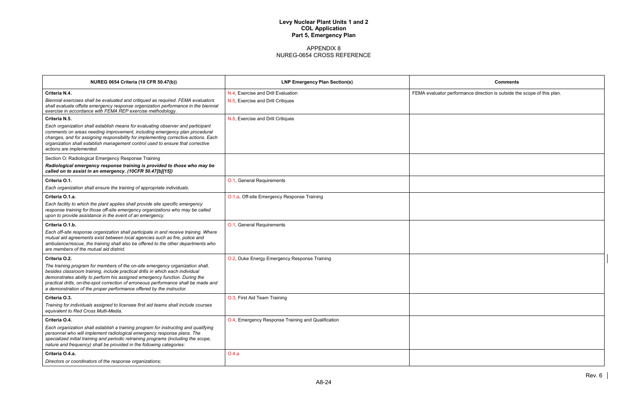| <b>Comments</b>                                                         |
|-------------------------------------------------------------------------|
|                                                                         |
| FEMA evaluator performance direction is outside the scope of this plan. |
|                                                                         |
|                                                                         |
|                                                                         |
|                                                                         |
|                                                                         |
|                                                                         |
|                                                                         |
|                                                                         |
|                                                                         |
|                                                                         |
|                                                                         |
|                                                                         |
|                                                                         |
|                                                                         |
|                                                                         |
|                                                                         |
|                                                                         |
|                                                                         |
|                                                                         |
|                                                                         |
|                                                                         |
|                                                                         |
|                                                                         |
|                                                                         |
|                                                                         |
|                                                                         |
|                                                                         |
|                                                                         |

| <b>NUREG 0654 Criteria (10 CFR 50.47(b))</b>                                                                                                                                                                                                                                                                                                                                                                 | <b>LNP Emergency Plan Section(s)</b>               | <b>Comments</b>                                    |
|--------------------------------------------------------------------------------------------------------------------------------------------------------------------------------------------------------------------------------------------------------------------------------------------------------------------------------------------------------------------------------------------------------------|----------------------------------------------------|----------------------------------------------------|
| Criteria N.4.                                                                                                                                                                                                                                                                                                                                                                                                | N.4, Exercise and Drill Evaluation                 | FEMA evaluator performance direction is outside th |
| Biennial exercises shall be evaluated and critiqued as required. FEMA evaluators<br>shall evaluate offsite emergency response organization performance in the biennial<br>exercise in accordance with FEMA REP exercise methodology.                                                                                                                                                                         | N.5, Exercise and Drill Critiques                  |                                                    |
| Criteria N.5.                                                                                                                                                                                                                                                                                                                                                                                                | N.5, Exercise and Drill Critiques                  |                                                    |
| Each organization shall establish means for evaluating observer and participant<br>comments on areas needing improvement, including emergency plan procedural<br>changes, and for assigning responsibility for implementing corrective actions. Each<br>organization shall establish management control used to ensure that corrective<br>actions are implemented.                                           |                                                    |                                                    |
| Section O: Radiological Emergency Response Training                                                                                                                                                                                                                                                                                                                                                          |                                                    |                                                    |
| Radiological emergency response training is provided to those who may be<br>called on to assist in an emergency. (10CFR 50.47[b][15])                                                                                                                                                                                                                                                                        |                                                    |                                                    |
| Criteria O.1.                                                                                                                                                                                                                                                                                                                                                                                                | O.1, General Requirements                          |                                                    |
| Each organization shall ensure the training of appropriate individuals.                                                                                                                                                                                                                                                                                                                                      |                                                    |                                                    |
| Criteria O.1.a.                                                                                                                                                                                                                                                                                                                                                                                              | O.1.a, Off-site Emergency Response Training        |                                                    |
| Each facility to which the plant applies shall provide site specific emergency<br>response training for those off-site emergency organizations who may be called<br>upon to provide assistance in the event of an emergency.                                                                                                                                                                                 |                                                    |                                                    |
| Criteria O.1.b.                                                                                                                                                                                                                                                                                                                                                                                              | O.1, General Requirements                          |                                                    |
| Each off-site response organization shall participate in and receive training. Where<br>mutual aid agreements exist between local agencies such as fire, police and<br>ambulance/rescue, the training shall also be offered to the other departments who<br>are members of the mutual aid district.                                                                                                          |                                                    |                                                    |
| Criteria O.2.                                                                                                                                                                                                                                                                                                                                                                                                | O.2, Duke Energy Emergency Response Training       |                                                    |
| The training program for members of the on-site emergency organization shall,<br>besides classroom training, include practical drills in which each individual<br>demonstrates ability to perform his assigned emergency function. During the<br>practical drills, on-the-spot correction of erroneous performance shall be made and<br>a demonstration of the proper performance offered by the instructor. |                                                    |                                                    |
| Criteria O.3.                                                                                                                                                                                                                                                                                                                                                                                                | O.3, First Aid Team Training                       |                                                    |
| Training for individuals assigned to licensee first aid teams shall include courses<br>equivalent to Red Cross Multi-Media.                                                                                                                                                                                                                                                                                  |                                                    |                                                    |
| Criteria O.4.                                                                                                                                                                                                                                                                                                                                                                                                | O.4, Emergency Response Training and Qualification |                                                    |
| Each organization shall establish a training program for instructing and qualifying<br>personnel who will implement radiological emergency response plans. The<br>specialized initial training and periodic retraining programs (including the scope,<br>nature and frequency) shall be provided in the following categories:                                                                                |                                                    |                                                    |
| Criteria O.4.a.                                                                                                                                                                                                                                                                                                                                                                                              | O.4.a                                              |                                                    |
| Directors or coordinators of the response organizations;                                                                                                                                                                                                                                                                                                                                                     |                                                    |                                                    |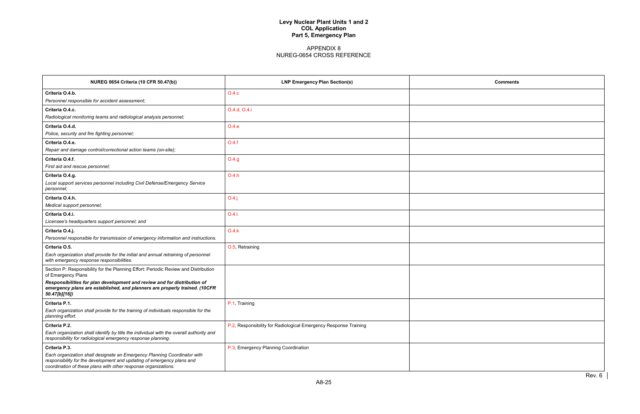| <b>Comments</b> |        |
|-----------------|--------|
|                 |        |
|                 |        |
|                 |        |
|                 |        |
|                 |        |
|                 |        |
|                 |        |
|                 |        |
|                 |        |
|                 |        |
|                 |        |
|                 |        |
|                 |        |
|                 |        |
|                 |        |
|                 |        |
|                 |        |
|                 |        |
|                 | Rev. 6 |

| <b>NUREG 0654 Criteria (10 CFR 50.47(b))</b>                                                                                                                                                                         | <b>LNP Emergency Plan Section(s)</b>                             | <b>Comments</b> |
|----------------------------------------------------------------------------------------------------------------------------------------------------------------------------------------------------------------------|------------------------------------------------------------------|-----------------|
| Criteria O.4.b.                                                                                                                                                                                                      | O.4.c                                                            |                 |
| Personnel responsible for accident assessment;                                                                                                                                                                       |                                                                  |                 |
| Criteria O.4.c.                                                                                                                                                                                                      | O.4.d, O.4.i                                                     |                 |
| Radiological monitoring teams and radiological analysis personnel;                                                                                                                                                   |                                                                  |                 |
| Criteria O.4.d.                                                                                                                                                                                                      | 0.4.e                                                            |                 |
| Police, security and fire fighting personnel;                                                                                                                                                                        |                                                                  |                 |
| Criteria O.4.e.                                                                                                                                                                                                      | O.4.f                                                            |                 |
| Repair and damage control/correctional action teams (on-site);                                                                                                                                                       |                                                                  |                 |
| Criteria O.4.f.                                                                                                                                                                                                      | O.4.g                                                            |                 |
| First aid and rescue personnel;                                                                                                                                                                                      |                                                                  |                 |
| Criteria O.4.g.                                                                                                                                                                                                      | O.4.h                                                            |                 |
| Local support services personnel including Civil Defense/Emergency Service<br>personnel;                                                                                                                             |                                                                  |                 |
| Criteria O.4.h.                                                                                                                                                                                                      | $O.4$ .j                                                         |                 |
| Medical support personnel;                                                                                                                                                                                           |                                                                  |                 |
| Criteria O.4.i.                                                                                                                                                                                                      | O.4.1                                                            |                 |
| Licensee's headquarters support personnel; and                                                                                                                                                                       |                                                                  |                 |
| Criteria O.4.j.                                                                                                                                                                                                      | O.4.k                                                            |                 |
| Personnel responsible for transmission of emergency information and instructions.                                                                                                                                    |                                                                  |                 |
| Criteria O.5.                                                                                                                                                                                                        | O.5, Retraining                                                  |                 |
| Each organization shall provide for the initial and annual retraining of personnel<br>with emergency response responsibilities.                                                                                      |                                                                  |                 |
| Section P: Responsibility for the Planning Effort: Periodic Review and Distribution<br>of Emergency Plans                                                                                                            |                                                                  |                 |
| Responsibilities for plan development and review and for distribution of<br>emergency plans are established, and planners are properly trained. (10CFR<br>50.47[b][16])                                              |                                                                  |                 |
| Criteria P.1.                                                                                                                                                                                                        | P.1, Training                                                    |                 |
| Each organization shall provide for the training of individuals responsible for the<br>planning effort.                                                                                                              |                                                                  |                 |
| Criteria P.2.                                                                                                                                                                                                        | P.2, Responsibility for Radiological Emergency Response Training |                 |
| Each organization shall identify by title the individual with the overall authority and<br>responsibility for radiological emergency response planning.                                                              |                                                                  |                 |
| Criteria P.3.                                                                                                                                                                                                        | P.3, Emergency Planning Coordination                             |                 |
| Each organization shall designate an Emergency Planning Coordinator with<br>responsibility for the development and updating of emergency plans and<br>coordination of these plans with other response organizations. |                                                                  |                 |